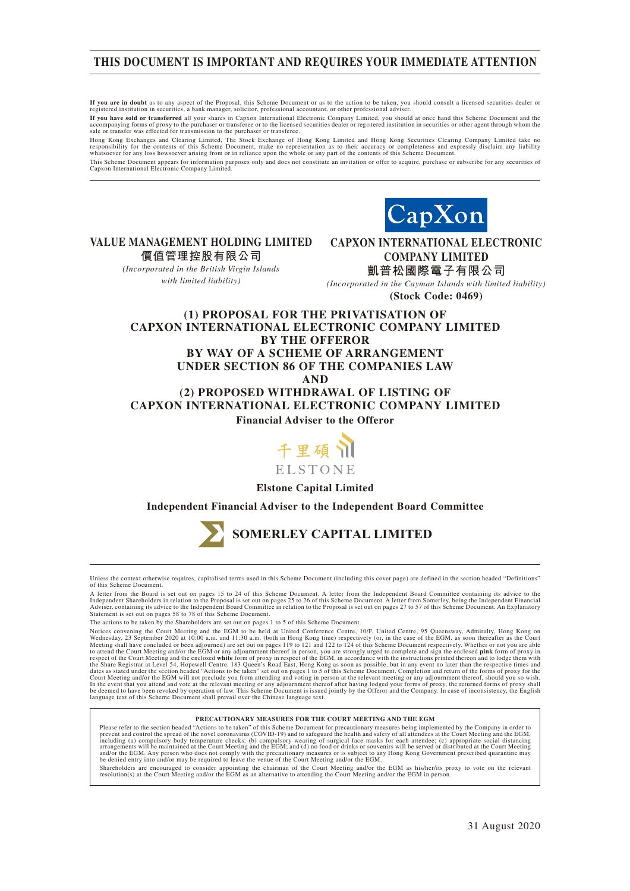### **THIS DOCUMENT IS IMPORTANT AND REQUIRES YOUR IMMEDIATE ATTENTION**

**If you are in doubt** as to any aspect of the Proposal, this Scheme Document or as to the action to be taken, you should consult a licensed securities dealer or<br>registered institution in securities, a bank manager, solicit

**If you have sold or transferred** all your shares in Capxon International Electronic Company Limited, you should at once hand this Scheme Document and the accompanying forms of proxy to the purchaser or transferee or to the licensed securities dealer or registered institution in securities or other agent through whom the<br>sale or transfer was effected for transmission to the

Hong Kong Exchanges and Clearing Limited, The Stock Exchange of Hong Kong Limited and Hong Kong Securities Clearing Company Limited take no responsibility for the contents of this Scheme Document, make no representation as to their accuracy or completeness and expressly disclaim any liability<br>whatsoever for any loss howsoever arising from or in reliance upon t

This Scheme Document appears for information purposes only and does not constitute an invitation or offer to acquire, purchase or subscribe for any securities of Capxon International Electronic Company Limited.



**VALUE MANAGEMENT HOLDING LIMITED 價值管理控股有限公司**

> *(Incorporated in the British Virgin Islands with limited liability)*

**CAPXON INTERNATIONAL ELECTRONIC COMPANY LIMITED 凱普松國際電子有限公司**

*(Incorporated in the Cayman Islands with limited liability)* **(Stock Code: 0469)**

### **(1) PROPOSAL FOR THE PRIVATISATION OF CAPXON INTERNATIONAL ELECTRONIC COMPANY LIMITED BY THE OFFEROR BY WAY OF A SCHEME OF ARRANGEMENT UNDER SECTION 86 OF THE COMPANIES LAW AND (2) PROPOSED WITHDRAWAL OF LISTING OF CAPXON INTERNATIONAL ELECTRONIC COMPANY LIMITED Financial Adviser to the Offeror**



**Elstone Capital Limited**

**Independent Financial Adviser to the Independent Board Committee**



Unless the context otherwise requires, capitalised terms used in this Scheme Document (including this cover page) are defined in the section headed "Definitions" of this Scheme Document.

The actions to be taken by the Shareholders are set out on pages 1 to 5 of this Scheme Document.

Notices convening the Court Meeting and the EGM to be held at United Conference Centre, 10/F, United Centre, 95 Queensway, Admiralty, Hong Kong on<br>Wednesday, 23 September 2020 at 10:00 a.m. and 11:30 a.m. (both in Hong Kon to attend the Court Meeting and/or the EGM or any adjournment thereof in person, you are strongly urged to complete and sign the enclosed **pink** form of proxy in expect of the Court Meeting and/or the EGM or any adjournmen

#### **PRECAUTIONARY MEASURES FOR THE COURT MEETING AND THE EGM**

Please refer to the section headed "Actions to be taken" of this Scheme Document for precautionary measures being implemented by the Company in order to<br>prevent and control the spread of the novel coronavirus (COVID-19) an

Shareholders are encouraged to consider appointing the chairman of the Court Meeting and/or the EGM as his/her/its proxy to vote on the relevant<br>resolution(s) at the Court Meeting and/or the EGM as an alternative to attend

A letter from the Board is set out on pages 15 to 24 of this Scheme Document. A letter from the Independent Board Committee containing its advice to the Independent Shareholders in relation to the Proposal is set out on pages 25 to 26 of this Scheme Document. A letter from Somerley, being the Independent Financial<br>Adviser, containing its advice to the Independent Board Com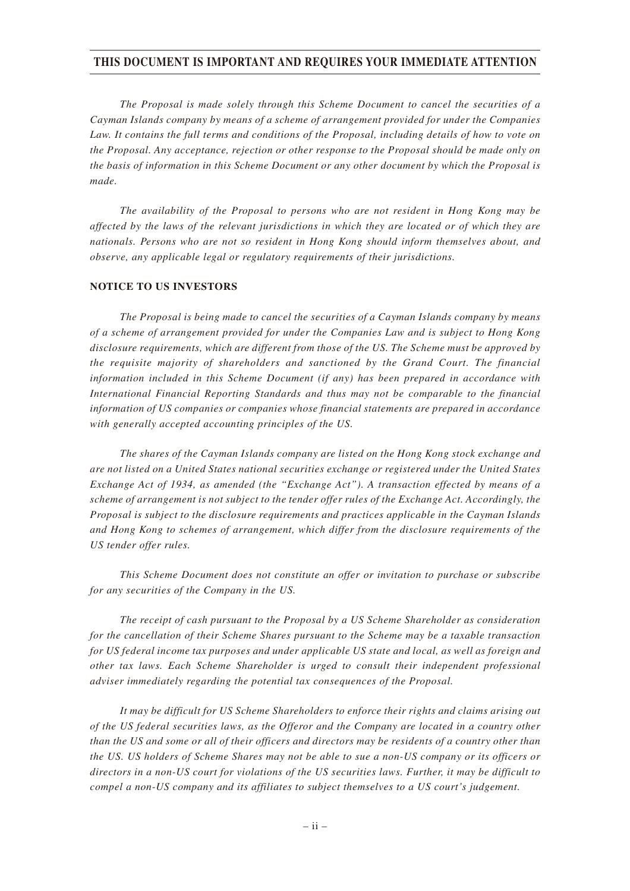### **THIS DOCUMENT IS IMPORTANT AND REQUIRES YOUR IMMEDIATE ATTENTION**

*The Proposal is made solely through this Scheme Document to cancel the securities of a Cayman Islands company by means of a scheme of arrangement provided for under the Companies Law. It contains the full terms and conditions of the Proposal, including details of how to vote on the Proposal. Any acceptance, rejection or other response to the Proposal should be made only on the basis of information in this Scheme Document or any other document by which the Proposal is made.*

*The availability of the Proposal to persons who are not resident in Hong Kong may be affected by the laws of the relevant jurisdictions in which they are located or of which they are nationals. Persons who are not so resident in Hong Kong should inform themselves about, and observe, any applicable legal or regulatory requirements of their jurisdictions.*

#### **NOTICE TO US INVESTORS**

*The Proposal is being made to cancel the securities of a Cayman Islands company by means of a scheme of arrangement provided for under the Companies Law and is subject to Hong Kong disclosure requirements, which are different from those of the US. The Scheme must be approved by the requisite majority of shareholders and sanctioned by the Grand Court. The financial information included in this Scheme Document (if any) has been prepared in accordance with International Financial Reporting Standards and thus may not be comparable to the financial information of US companies or companies whose financial statements are prepared in accordance with generally accepted accounting principles of the US.*

*The shares of the Cayman Islands company are listed on the Hong Kong stock exchange and are not listed on a United States national securities exchange or registered under the United States Exchange Act of 1934, as amended (the "Exchange Act"). A transaction effected by means of a scheme of arrangement is not subject to the tender offer rules of the Exchange Act. Accordingly, the Proposal is subject to the disclosure requirements and practices applicable in the Cayman Islands and Hong Kong to schemes of arrangement, which differ from the disclosure requirements of the US tender offer rules.*

*This Scheme Document does not constitute an offer or invitation to purchase or subscribe for any securities of the Company in the US.*

*The receipt of cash pursuant to the Proposal by a US Scheme Shareholder as consideration for the cancellation of their Scheme Shares pursuant to the Scheme may be a taxable transaction for US federal income tax purposes and under applicable US state and local, as well as foreign and other tax laws. Each Scheme Shareholder is urged to consult their independent professional adviser immediately regarding the potential tax consequences of the Proposal.*

*It may be difficult for US Scheme Shareholders to enforce their rights and claims arising out of the US federal securities laws, as the Offeror and the Company are located in a country other than the US and some or all of their officers and directors may be residents of a country other than the US. US holders of Scheme Shares may not be able to sue a non-US company or its officers or directors in a non-US court for violations of the US securities laws. Further, it may be difficult to compel a non-US company and its affiliates to subject themselves to a US court's judgement.*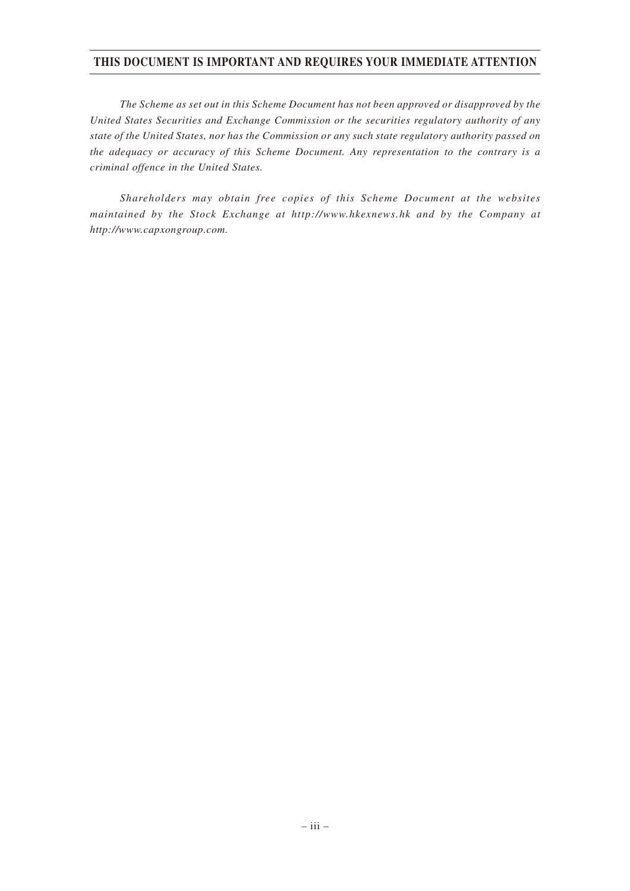### **THIS DOCUMENT IS IMPORTANT AND REQUIRES YOUR IMMEDIATE ATTENTION**

*The Scheme as set out in this Scheme Document has not been approved or disapproved by the United States Securities and Exchange Commission or the securities regulatory authority of any state of the United States, nor has the Commission or any such state regulatory authority passed on the adequacy or accuracy of this Scheme Document. Any representation to the contrary is a criminal offence in the United States.*

*Shareholders may obtain free copies of this Scheme Document at the websites maintained by the Stock Exchange at http://www.hkexnews.hk and by the Company at http://www.capxongroup.com.*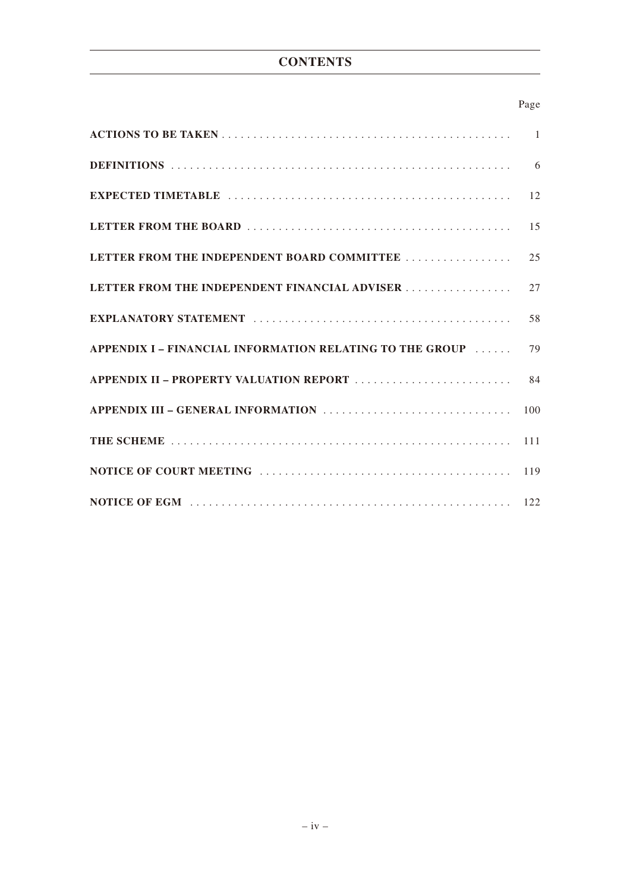# **CONTENTS**

### Page

|                                                          | 6   |
|----------------------------------------------------------|-----|
|                                                          | 12  |
|                                                          | 15  |
| LETTER FROM THE INDEPENDENT BOARD COMMITTEE              | 2.5 |
| LETTER FROM THE INDEPENDENT FINANCIAL ADVISER            | 27  |
|                                                          | 58  |
| APPENDIX I – FINANCIAL INFORMATION RELATING TO THE GROUP | 79  |
|                                                          | 84  |
|                                                          | 100 |
|                                                          |     |
|                                                          |     |
|                                                          |     |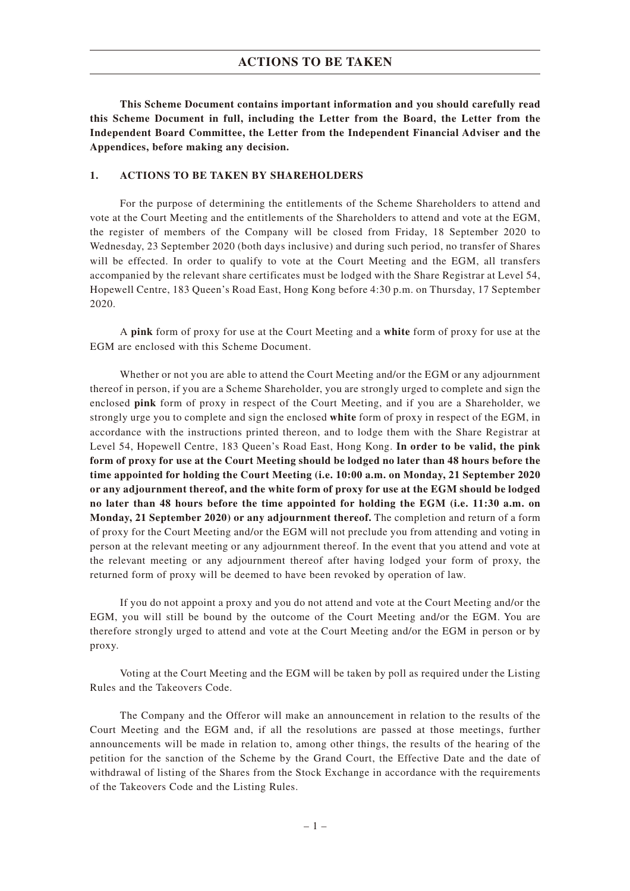**This Scheme Document contains important information and you should carefully read this Scheme Document in full, including the Letter from the Board, the Letter from the Independent Board Committee, the Letter from the Independent Financial Adviser and the Appendices, before making any decision.**

#### **1. ACTIONS TO BE TAKEN BY SHAREHOLDERS**

For the purpose of determining the entitlements of the Scheme Shareholders to attend and vote at the Court Meeting and the entitlements of the Shareholders to attend and vote at the EGM, the register of members of the Company will be closed from Friday, 18 September 2020 to Wednesday, 23 September 2020 (both days inclusive) and during such period, no transfer of Shares will be effected. In order to qualify to vote at the Court Meeting and the EGM, all transfers accompanied by the relevant share certificates must be lodged with the Share Registrar at Level 54, Hopewell Centre, 183 Queen's Road East, Hong Kong before 4:30 p.m. on Thursday, 17 September 2020.

A **pink** form of proxy for use at the Court Meeting and a **white** form of proxy for use at the EGM are enclosed with this Scheme Document.

Whether or not you are able to attend the Court Meeting and/or the EGM or any adjournment thereof in person, if you are a Scheme Shareholder, you are strongly urged to complete and sign the enclosed **pink** form of proxy in respect of the Court Meeting, and if you are a Shareholder, we strongly urge you to complete and sign the enclosed **white** form of proxy in respect of the EGM, in accordance with the instructions printed thereon, and to lodge them with the Share Registrar at Level 54, Hopewell Centre, 183 Queen's Road East, Hong Kong. **In order to be valid, the pink form of proxy for use at the Court Meeting should be lodged no later than 48 hours before the time appointed for holding the Court Meeting (i.e. 10:00 a.m. on Monday, 21 September 2020 or any adjournment thereof, and the white form of proxy for use at the EGM should be lodged no later than 48 hours before the time appointed for holding the EGM (i.e. 11:30 a.m. on Monday, 21 September 2020) or any adjournment thereof.** The completion and return of a form of proxy for the Court Meeting and/or the EGM will not preclude you from attending and voting in person at the relevant meeting or any adjournment thereof. In the event that you attend and vote at the relevant meeting or any adjournment thereof after having lodged your form of proxy, the returned form of proxy will be deemed to have been revoked by operation of law.

If you do not appoint a proxy and you do not attend and vote at the Court Meeting and/or the EGM, you will still be bound by the outcome of the Court Meeting and/or the EGM. You are therefore strongly urged to attend and vote at the Court Meeting and/or the EGM in person or by proxy.

Voting at the Court Meeting and the EGM will be taken by poll as required under the Listing Rules and the Takeovers Code.

The Company and the Offeror will make an announcement in relation to the results of the Court Meeting and the EGM and, if all the resolutions are passed at those meetings, further announcements will be made in relation to, among other things, the results of the hearing of the petition for the sanction of the Scheme by the Grand Court, the Effective Date and the date of withdrawal of listing of the Shares from the Stock Exchange in accordance with the requirements of the Takeovers Code and the Listing Rules.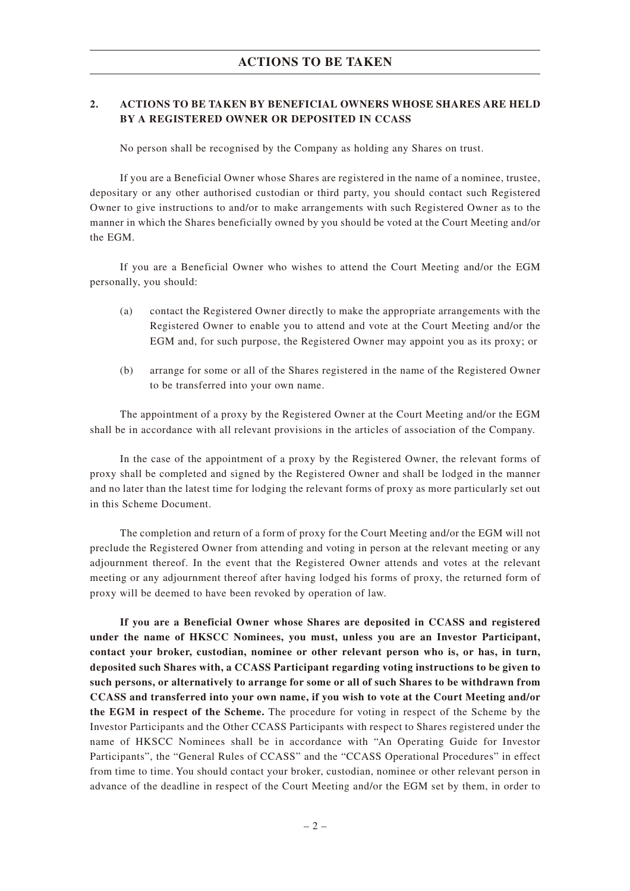### **2. ACTIONS TO BE TAKEN BY BENEFICIAL OWNERS WHOSE SHARES ARE HELD BY A REGISTERED OWNER OR DEPOSITED IN CCASS**

No person shall be recognised by the Company as holding any Shares on trust.

If you are a Beneficial Owner whose Shares are registered in the name of a nominee, trustee, depositary or any other authorised custodian or third party, you should contact such Registered Owner to give instructions to and/or to make arrangements with such Registered Owner as to the manner in which the Shares beneficially owned by you should be voted at the Court Meeting and/or the EGM.

If you are a Beneficial Owner who wishes to attend the Court Meeting and/or the EGM personally, you should:

- (a) contact the Registered Owner directly to make the appropriate arrangements with the Registered Owner to enable you to attend and vote at the Court Meeting and/or the EGM and, for such purpose, the Registered Owner may appoint you as its proxy; or
- (b) arrange for some or all of the Shares registered in the name of the Registered Owner to be transferred into your own name.

The appointment of a proxy by the Registered Owner at the Court Meeting and/or the EGM shall be in accordance with all relevant provisions in the articles of association of the Company.

In the case of the appointment of a proxy by the Registered Owner, the relevant forms of proxy shall be completed and signed by the Registered Owner and shall be lodged in the manner and no later than the latest time for lodging the relevant forms of proxy as more particularly set out in this Scheme Document.

The completion and return of a form of proxy for the Court Meeting and/or the EGM will not preclude the Registered Owner from attending and voting in person at the relevant meeting or any adjournment thereof. In the event that the Registered Owner attends and votes at the relevant meeting or any adjournment thereof after having lodged his forms of proxy, the returned form of proxy will be deemed to have been revoked by operation of law.

**If you are a Beneficial Owner whose Shares are deposited in CCASS and registered under the name of HKSCC Nominees, you must, unless you are an Investor Participant, contact your broker, custodian, nominee or other relevant person who is, or has, in turn, deposited such Shares with, a CCASS Participant regarding voting instructions to be given to such persons, or alternatively to arrange for some or all of such Shares to be withdrawn from CCASS and transferred into your own name, if you wish to vote at the Court Meeting and/or the EGM in respect of the Scheme.** The procedure for voting in respect of the Scheme by the Investor Participants and the Other CCASS Participants with respect to Shares registered under the name of HKSCC Nominees shall be in accordance with "An Operating Guide for Investor Participants", the "General Rules of CCASS" and the "CCASS Operational Procedures" in effect from time to time. You should contact your broker, custodian, nominee or other relevant person in advance of the deadline in respect of the Court Meeting and/or the EGM set by them, in order to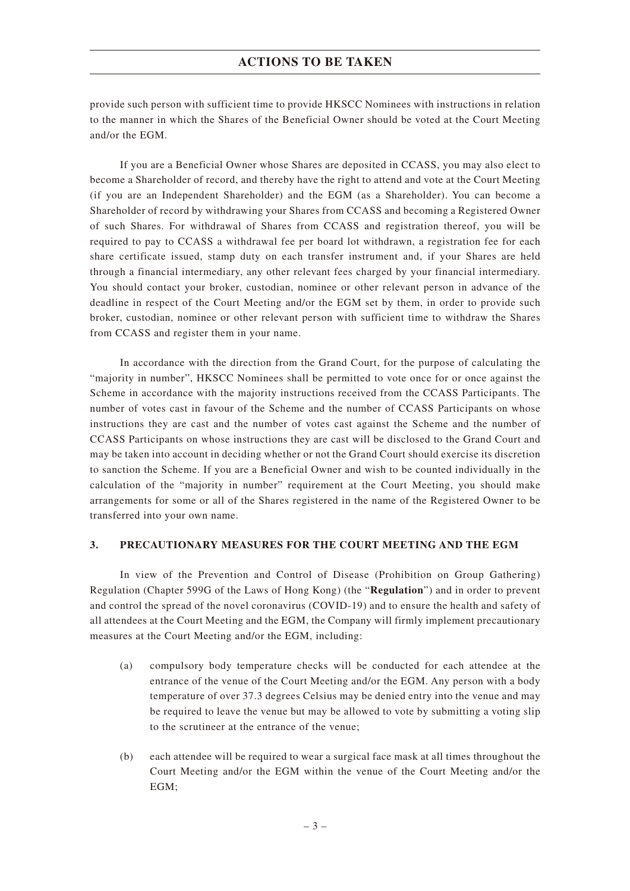provide such person with sufficient time to provide HKSCC Nominees with instructions in relation to the manner in which the Shares of the Beneficial Owner should be voted at the Court Meeting and/or the EGM.

If you are a Beneficial Owner whose Shares are deposited in CCASS, you may also elect to become a Shareholder of record, and thereby have the right to attend and vote at the Court Meeting (if you are an Independent Shareholder) and the EGM (as a Shareholder). You can become a Shareholder of record by withdrawing your Shares from CCASS and becoming a Registered Owner of such Shares. For withdrawal of Shares from CCASS and registration thereof, you will be required to pay to CCASS a withdrawal fee per board lot withdrawn, a registration fee for each share certificate issued, stamp duty on each transfer instrument and, if your Shares are held through a financial intermediary, any other relevant fees charged by your financial intermediary. You should contact your broker, custodian, nominee or other relevant person in advance of the deadline in respect of the Court Meeting and/or the EGM set by them, in order to provide such broker, custodian, nominee or other relevant person with sufficient time to withdraw the Shares from CCASS and register them in your name.

In accordance with the direction from the Grand Court, for the purpose of calculating the "majority in number", HKSCC Nominees shall be permitted to vote once for or once against the Scheme in accordance with the majority instructions received from the CCASS Participants. The number of votes cast in favour of the Scheme and the number of CCASS Participants on whose instructions they are cast and the number of votes cast against the Scheme and the number of CCASS Participants on whose instructions they are cast will be disclosed to the Grand Court and may be taken into account in deciding whether or not the Grand Court should exercise its discretion to sanction the Scheme. If you are a Beneficial Owner and wish to be counted individually in the calculation of the "majority in number" requirement at the Court Meeting, you should make arrangements for some or all of the Shares registered in the name of the Registered Owner to be transferred into your own name.

#### **3. PRECAUTIONARY MEASURES FOR THE COURT MEETING AND THE EGM**

In view of the Prevention and Control of Disease (Prohibition on Group Gathering) Regulation (Chapter 599G of the Laws of Hong Kong) (the "**Regulation**") and in order to prevent and control the spread of the novel coronavirus (COVID-19) and to ensure the health and safety of all attendees at the Court Meeting and the EGM, the Company will firmly implement precautionary measures at the Court Meeting and/or the EGM, including:

- (a) compulsory body temperature checks will be conducted for each attendee at the entrance of the venue of the Court Meeting and/or the EGM. Any person with a body temperature of over 37.3 degrees Celsius may be denied entry into the venue and may be required to leave the venue but may be allowed to vote by submitting a voting slip to the scrutineer at the entrance of the venue;
- (b) each attendee will be required to wear a surgical face mask at all times throughout the Court Meeting and/or the EGM within the venue of the Court Meeting and/or the EGM;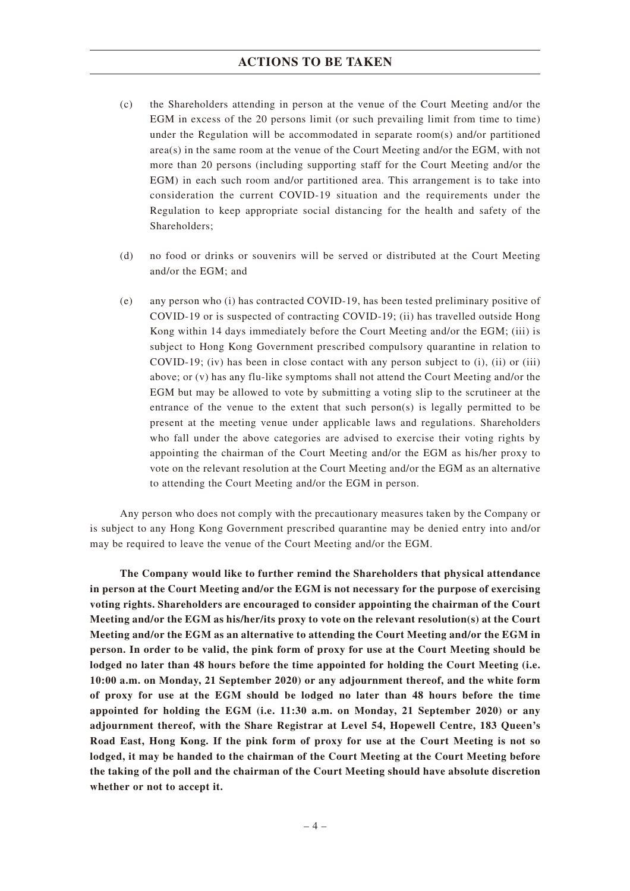- (c) the Shareholders attending in person at the venue of the Court Meeting and/or the EGM in excess of the 20 persons limit (or such prevailing limit from time to time) under the Regulation will be accommodated in separate room(s) and/or partitioned area(s) in the same room at the venue of the Court Meeting and/or the EGM, with not more than 20 persons (including supporting staff for the Court Meeting and/or the EGM) in each such room and/or partitioned area. This arrangement is to take into consideration the current COVID-19 situation and the requirements under the Regulation to keep appropriate social distancing for the health and safety of the Shareholders;
- (d) no food or drinks or souvenirs will be served or distributed at the Court Meeting and/or the EGM; and
- (e) any person who (i) has contracted COVID-19, has been tested preliminary positive of COVID-19 or is suspected of contracting COVID-19; (ii) has travelled outside Hong Kong within 14 days immediately before the Court Meeting and/or the EGM; (iii) is subject to Hong Kong Government prescribed compulsory quarantine in relation to COVID-19; (iv) has been in close contact with any person subject to (i), (ii) or (iii) above; or (v) has any flu-like symptoms shall not attend the Court Meeting and/or the EGM but may be allowed to vote by submitting a voting slip to the scrutineer at the entrance of the venue to the extent that such person(s) is legally permitted to be present at the meeting venue under applicable laws and regulations. Shareholders who fall under the above categories are advised to exercise their voting rights by appointing the chairman of the Court Meeting and/or the EGM as his/her proxy to vote on the relevant resolution at the Court Meeting and/or the EGM as an alternative to attending the Court Meeting and/or the EGM in person.

Any person who does not comply with the precautionary measures taken by the Company or is subject to any Hong Kong Government prescribed quarantine may be denied entry into and/or may be required to leave the venue of the Court Meeting and/or the EGM.

**The Company would like to further remind the Shareholders that physical attendance in person at the Court Meeting and/or the EGM is not necessary for the purpose of exercising voting rights. Shareholders are encouraged to consider appointing the chairman of the Court Meeting and/or the EGM as his/her/its proxy to vote on the relevant resolution(s) at the Court Meeting and/or the EGM as an alternative to attending the Court Meeting and/or the EGM in person. In order to be valid, the pink form of proxy for use at the Court Meeting should be lodged no later than 48 hours before the time appointed for holding the Court Meeting (i.e. 10:00 a.m. on Monday, 21 September 2020) or any adjournment thereof, and the white form of proxy for use at the EGM should be lodged no later than 48 hours before the time appointed for holding the EGM (i.e. 11:30 a.m. on Monday, 21 September 2020) or any adjournment thereof, with the Share Registrar at Level 54, Hopewell Centre, 183 Queen's Road East, Hong Kong. If the pink form of proxy for use at the Court Meeting is not so lodged, it may be handed to the chairman of the Court Meeting at the Court Meeting before the taking of the poll and the chairman of the Court Meeting should have absolute discretion whether or not to accept it.**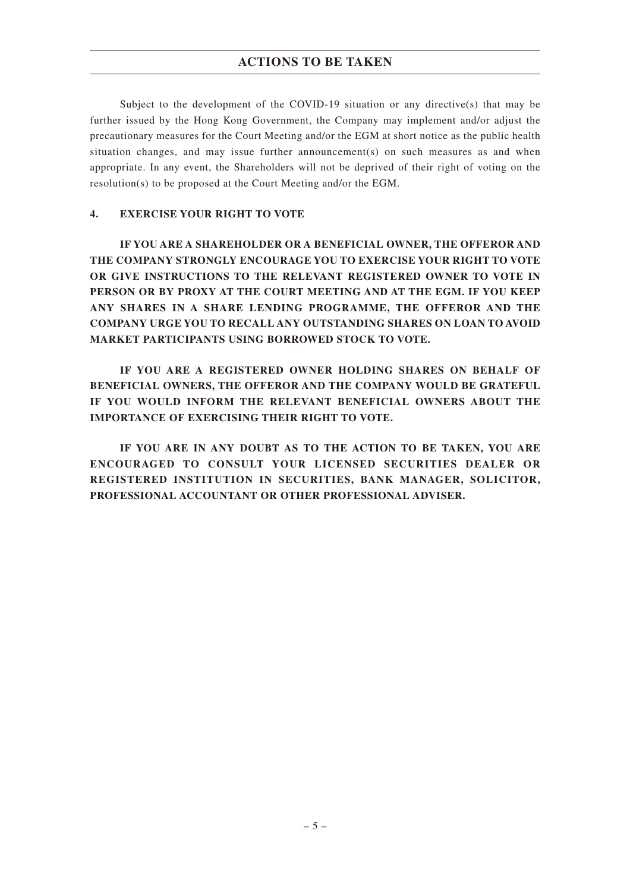Subject to the development of the COVID-19 situation or any directive(s) that may be further issued by the Hong Kong Government, the Company may implement and/or adjust the precautionary measures for the Court Meeting and/or the EGM at short notice as the public health situation changes, and may issue further announcement(s) on such measures as and when appropriate. In any event, the Shareholders will not be deprived of their right of voting on the resolution(s) to be proposed at the Court Meeting and/or the EGM.

#### **4. EXERCISE YOUR RIGHT TO VOTE**

**IF YOU ARE A SHAREHOLDER OR A BENEFICIAL OWNER, THE OFFEROR AND THE COMPANY STRONGLY ENCOURAGE YOU TO EXERCISE YOUR RIGHT TO VOTE OR GIVE INSTRUCTIONS TO THE RELEVANT REGISTERED OWNER TO VOTE IN PERSON OR BY PROXY AT THE COURT MEETING AND AT THE EGM. IF YOU KEEP ANY SHARES IN A SHARE LENDING PROGRAMME, THE OFFEROR AND THE COMPANY URGE YOU TO RECALL ANY OUTSTANDING SHARES ON LOAN TO AVOID MARKET PARTICIPANTS USING BORROWED STOCK TO VOTE.**

**IF YOU ARE A REGISTERED OWNER HOLDING SHARES ON BEHALF OF BENEFICIAL OWNERS, THE OFFEROR AND THE COMPANY WOULD BE GRATEFUL IF YOU WOULD INFORM THE RELEVANT BENEFICIAL OWNERS ABOUT THE IMPORTANCE OF EXERCISING THEIR RIGHT TO VOTE.**

**IF YOU ARE IN ANY DOUBT AS TO THE ACTION TO BE TAKEN, YOU ARE ENCOURAGED TO CONSULT YOUR LICENSED SECURITIES DEALER OR REGISTERED INSTITUTION IN SECURITIES, BANK MANAGER, SOLICITOR, PROFESSIONAL ACCOUNTANT OR OTHER PROFESSIONAL ADVISER.**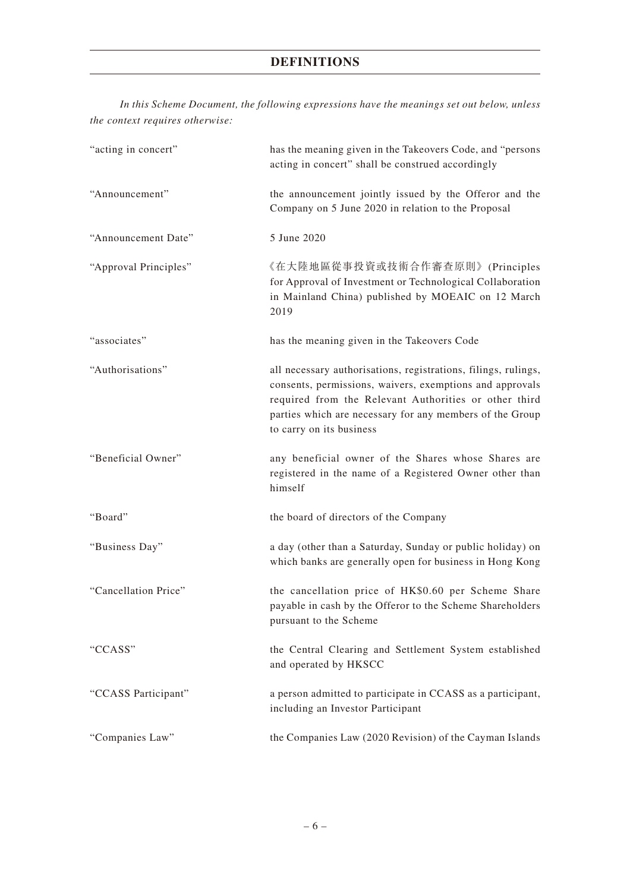*In this Scheme Document, the following expressions have the meanings set out below, unless the context requires otherwise:*

| "acting in concert"   | has the meaning given in the Takeovers Code, and "persons<br>acting in concert" shall be construed accordingly                                                                                                                                                              |
|-----------------------|-----------------------------------------------------------------------------------------------------------------------------------------------------------------------------------------------------------------------------------------------------------------------------|
| "Announcement"        | the announcement jointly issued by the Offeror and the<br>Company on 5 June 2020 in relation to the Proposal                                                                                                                                                                |
| "Announcement Date"   | 5 June 2020                                                                                                                                                                                                                                                                 |
| "Approval Principles" | 《在大陸地區從事投資或技術合作審查原則》(Principles<br>for Approval of Investment or Technological Collaboration<br>in Mainland China) published by MOEAIC on 12 March<br>2019                                                                                                                  |
| "associates"          | has the meaning given in the Takeovers Code                                                                                                                                                                                                                                 |
| "Authorisations"      | all necessary authorisations, registrations, filings, rulings,<br>consents, permissions, waivers, exemptions and approvals<br>required from the Relevant Authorities or other third<br>parties which are necessary for any members of the Group<br>to carry on its business |
| "Beneficial Owner"    | any beneficial owner of the Shares whose Shares are<br>registered in the name of a Registered Owner other than<br>himself                                                                                                                                                   |
| "Board"               | the board of directors of the Company                                                                                                                                                                                                                                       |
| "Business Day"        | a day (other than a Saturday, Sunday or public holiday) on<br>which banks are generally open for business in Hong Kong                                                                                                                                                      |
| "Cancellation Price"  | the cancellation price of HK\$0.60 per Scheme Share<br>payable in cash by the Offeror to the Scheme Shareholders<br>pursuant to the Scheme                                                                                                                                  |
| "CCASS"               | the Central Clearing and Settlement System established<br>and operated by HKSCC                                                                                                                                                                                             |
| "CCASS Participant"   | a person admitted to participate in CCASS as a participant,<br>including an Investor Participant                                                                                                                                                                            |
| "Companies Law"       | the Companies Law (2020 Revision) of the Cayman Islands                                                                                                                                                                                                                     |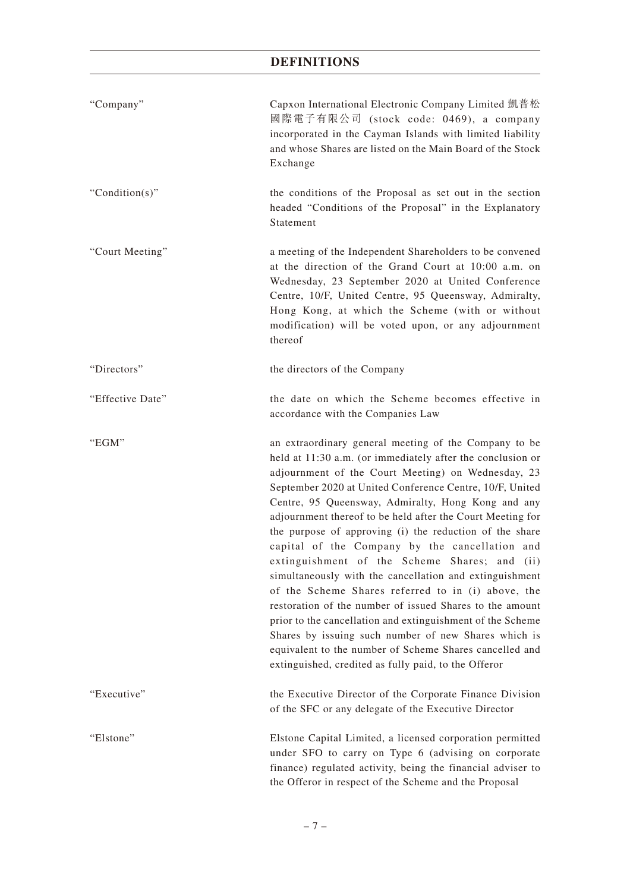| "Company"        | Capxon International Electronic Company Limited 凱普松<br>國際電子有限公司 (stock code: 0469), a company<br>incorporated in the Cayman Islands with limited liability<br>and whose Shares are listed on the Main Board of the Stock<br>Exchange                                                                                                                                                                                                                                                                                                                                                                                                                                                                                                                                                                                                                                                                                                          |
|------------------|-----------------------------------------------------------------------------------------------------------------------------------------------------------------------------------------------------------------------------------------------------------------------------------------------------------------------------------------------------------------------------------------------------------------------------------------------------------------------------------------------------------------------------------------------------------------------------------------------------------------------------------------------------------------------------------------------------------------------------------------------------------------------------------------------------------------------------------------------------------------------------------------------------------------------------------------------|
| "Condition(s)"   | the conditions of the Proposal as set out in the section<br>headed "Conditions of the Proposal" in the Explanatory<br>Statement                                                                                                                                                                                                                                                                                                                                                                                                                                                                                                                                                                                                                                                                                                                                                                                                               |
| "Court Meeting"  | a meeting of the Independent Shareholders to be convened<br>at the direction of the Grand Court at 10:00 a.m. on<br>Wednesday, 23 September 2020 at United Conference<br>Centre, 10/F, United Centre, 95 Queensway, Admiralty,<br>Hong Kong, at which the Scheme (with or without<br>modification) will be voted upon, or any adjournment<br>thereof                                                                                                                                                                                                                                                                                                                                                                                                                                                                                                                                                                                          |
| "Directors"      | the directors of the Company                                                                                                                                                                                                                                                                                                                                                                                                                                                                                                                                                                                                                                                                                                                                                                                                                                                                                                                  |
| "Effective Date" | the date on which the Scheme becomes effective in<br>accordance with the Companies Law                                                                                                                                                                                                                                                                                                                                                                                                                                                                                                                                                                                                                                                                                                                                                                                                                                                        |
| "EGM"            | an extraordinary general meeting of the Company to be<br>held at 11:30 a.m. (or immediately after the conclusion or<br>adjournment of the Court Meeting) on Wednesday, 23<br>September 2020 at United Conference Centre, 10/F, United<br>Centre, 95 Queensway, Admiralty, Hong Kong and any<br>adjournment thereof to be held after the Court Meeting for<br>the purpose of approving (i) the reduction of the share<br>capital of the Company by the cancellation and<br>extinguishment of the Scheme Shares; and (ii)<br>simultaneously with the cancellation and extinguishment<br>of the Scheme Shares referred to in (i) above, the<br>restoration of the number of issued Shares to the amount<br>prior to the cancellation and extinguishment of the Scheme<br>Shares by issuing such number of new Shares which is<br>equivalent to the number of Scheme Shares cancelled and<br>extinguished, credited as fully paid, to the Offeror |
| "Executive"      | the Executive Director of the Corporate Finance Division<br>of the SFC or any delegate of the Executive Director                                                                                                                                                                                                                                                                                                                                                                                                                                                                                                                                                                                                                                                                                                                                                                                                                              |
| "Elstone"        | Elstone Capital Limited, a licensed corporation permitted<br>under SFO to carry on Type 6 (advising on corporate<br>finance) regulated activity, being the financial adviser to<br>the Offeror in respect of the Scheme and the Proposal                                                                                                                                                                                                                                                                                                                                                                                                                                                                                                                                                                                                                                                                                                      |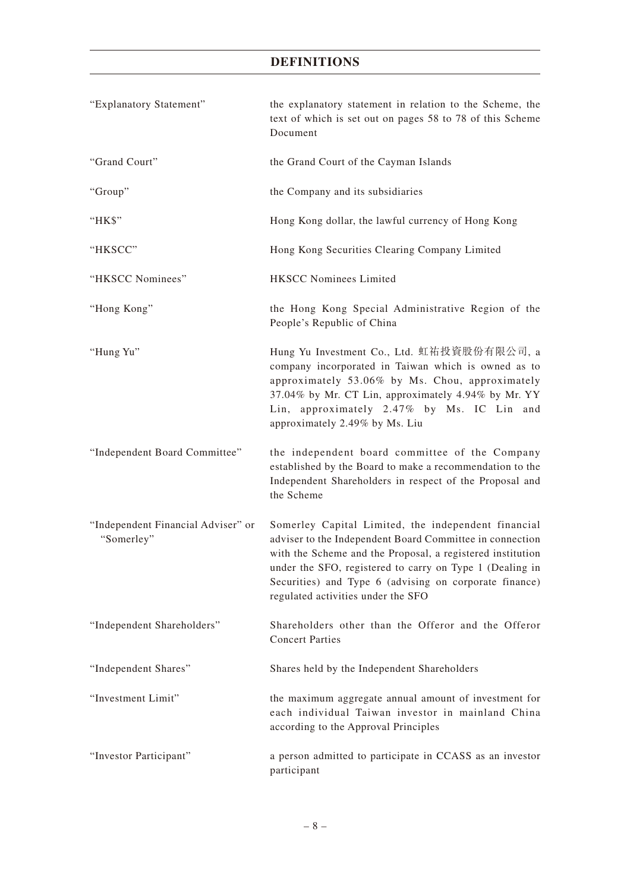| "Explanatory Statement"                          | the explanatory statement in relation to the Scheme, the<br>text of which is set out on pages 58 to 78 of this Scheme<br>Document                                                                                                                                                                                                         |
|--------------------------------------------------|-------------------------------------------------------------------------------------------------------------------------------------------------------------------------------------------------------------------------------------------------------------------------------------------------------------------------------------------|
| "Grand Court"                                    | the Grand Court of the Cayman Islands                                                                                                                                                                                                                                                                                                     |
| "Group"                                          | the Company and its subsidiaries                                                                                                                                                                                                                                                                                                          |
| "HK\$"                                           | Hong Kong dollar, the lawful currency of Hong Kong                                                                                                                                                                                                                                                                                        |
| "HKSCC"                                          | Hong Kong Securities Clearing Company Limited                                                                                                                                                                                                                                                                                             |
| "HKSCC Nominees"                                 | <b>HKSCC Nominees Limited</b>                                                                                                                                                                                                                                                                                                             |
| "Hong Kong"                                      | the Hong Kong Special Administrative Region of the<br>People's Republic of China                                                                                                                                                                                                                                                          |
| "Hung Yu"                                        | Hung Yu Investment Co., Ltd. 虹祐投資股份有限公司, a<br>company incorporated in Taiwan which is owned as to<br>approximately 53.06% by Ms. Chou, approximately<br>37.04% by Mr. CT Lin, approximately 4.94% by Mr. YY<br>Lin, approximately 2.47% by Ms. IC Lin and<br>approximately 2.49% by Ms. Liu                                               |
| "Independent Board Committee"                    | the independent board committee of the Company<br>established by the Board to make a recommendation to the<br>Independent Shareholders in respect of the Proposal and<br>the Scheme                                                                                                                                                       |
| "Independent Financial Adviser" or<br>"Somerley" | Somerley Capital Limited, the independent financial<br>adviser to the Independent Board Committee in connection<br>with the Scheme and the Proposal, a registered institution<br>under the SFO, registered to carry on Type 1 (Dealing in<br>Securities) and Type 6 (advising on corporate finance)<br>regulated activities under the SFO |
| "Independent Shareholders"                       | Shareholders other than the Offeror and the Offeror<br><b>Concert Parties</b>                                                                                                                                                                                                                                                             |
| "Independent Shares"                             | Shares held by the Independent Shareholders                                                                                                                                                                                                                                                                                               |
| "Investment Limit"                               | the maximum aggregate annual amount of investment for<br>each individual Taiwan investor in mainland China<br>according to the Approval Principles                                                                                                                                                                                        |
| "Investor Participant"                           | a person admitted to participate in CCASS as an investor<br>participant                                                                                                                                                                                                                                                                   |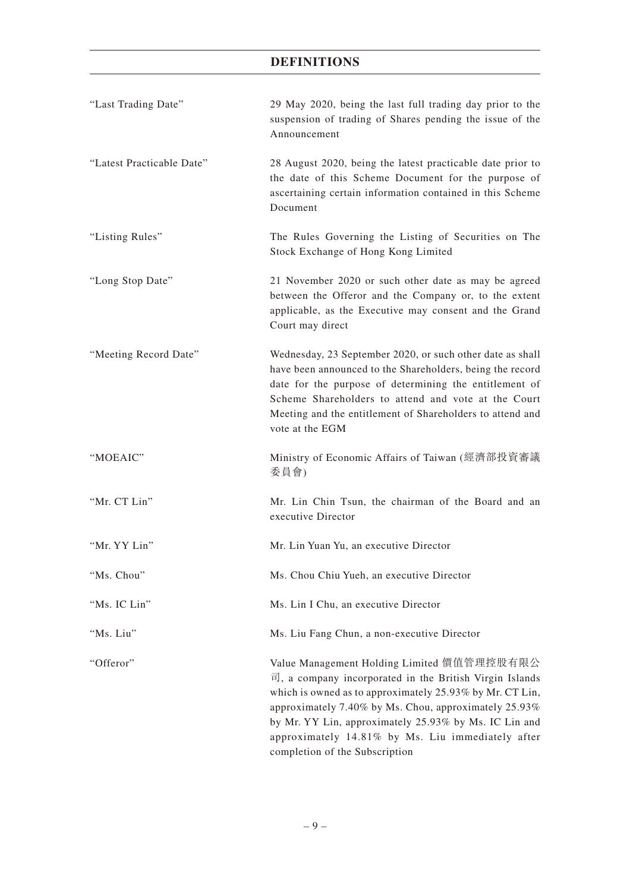| "Last Trading Date"       | 29 May 2020, being the last full trading day prior to the<br>suspension of trading of Shares pending the issue of the<br>Announcement                                                                                                                                                                                                                                                    |
|---------------------------|------------------------------------------------------------------------------------------------------------------------------------------------------------------------------------------------------------------------------------------------------------------------------------------------------------------------------------------------------------------------------------------|
| "Latest Practicable Date" | 28 August 2020, being the latest practicable date prior to<br>the date of this Scheme Document for the purpose of<br>ascertaining certain information contained in this Scheme<br>Document                                                                                                                                                                                               |
| "Listing Rules"           | The Rules Governing the Listing of Securities on The<br>Stock Exchange of Hong Kong Limited                                                                                                                                                                                                                                                                                              |
| "Long Stop Date"          | 21 November 2020 or such other date as may be agreed<br>between the Offeror and the Company or, to the extent<br>applicable, as the Executive may consent and the Grand<br>Court may direct                                                                                                                                                                                              |
| "Meeting Record Date"     | Wednesday, 23 September 2020, or such other date as shall<br>have been announced to the Shareholders, being the record<br>date for the purpose of determining the entitlement of<br>Scheme Shareholders to attend and vote at the Court<br>Meeting and the entitlement of Shareholders to attend and<br>vote at the EGM                                                                  |
| "MOEAIC"                  | Ministry of Economic Affairs of Taiwan (經濟部投資審議<br>委員會)                                                                                                                                                                                                                                                                                                                                  |
| "Mr. CT Lin"              | Mr. Lin Chin Tsun, the chairman of the Board and an<br>executive Director                                                                                                                                                                                                                                                                                                                |
| "Mr. YY Lin"              | Mr. Lin Yuan Yu, an executive Director                                                                                                                                                                                                                                                                                                                                                   |
| "Ms. Chou"                | Ms. Chou Chiu Yueh, an executive Director                                                                                                                                                                                                                                                                                                                                                |
| "Ms. IC Lin"              | Ms. Lin I Chu, an executive Director                                                                                                                                                                                                                                                                                                                                                     |
| "Ms. Liu"                 | Ms. Liu Fang Chun, a non-executive Director                                                                                                                                                                                                                                                                                                                                              |
| "Offeror"                 | Value Management Holding Limited 價值管理控股有限公<br>$\overline{u}$ , a company incorporated in the British Virgin Islands<br>which is owned as to approximately 25.93% by Mr. CT Lin,<br>approximately 7.40% by Ms. Chou, approximately 25.93%<br>by Mr. YY Lin, approximately 25.93% by Ms. IC Lin and<br>approximately 14.81% by Ms. Liu immediately after<br>completion of the Subscription |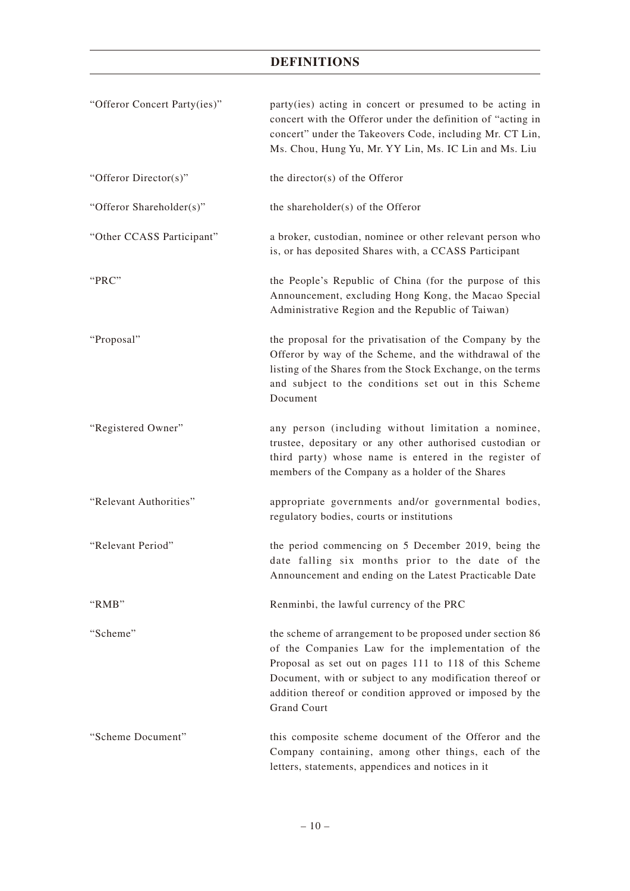| "Offeror Concert Party(ies)" | party(ies) acting in concert or presumed to be acting in<br>concert with the Offeror under the definition of "acting in<br>concert" under the Takeovers Code, including Mr. CT Lin,<br>Ms. Chou, Hung Yu, Mr. YY Lin, Ms. IC Lin and Ms. Liu                                                                            |
|------------------------------|-------------------------------------------------------------------------------------------------------------------------------------------------------------------------------------------------------------------------------------------------------------------------------------------------------------------------|
| "Offeror Director(s)"        | the director(s) of the Offeror                                                                                                                                                                                                                                                                                          |
| "Offeror Shareholder(s)"     | the shareholder(s) of the Offeror                                                                                                                                                                                                                                                                                       |
| "Other CCASS Participant"    | a broker, custodian, nominee or other relevant person who<br>is, or has deposited Shares with, a CCASS Participant                                                                                                                                                                                                      |
| "PRC"                        | the People's Republic of China (for the purpose of this<br>Announcement, excluding Hong Kong, the Macao Special<br>Administrative Region and the Republic of Taiwan)                                                                                                                                                    |
| "Proposal"                   | the proposal for the privatisation of the Company by the<br>Offeror by way of the Scheme, and the withdrawal of the<br>listing of the Shares from the Stock Exchange, on the terms<br>and subject to the conditions set out in this Scheme<br>Document                                                                  |
| "Registered Owner"           | any person (including without limitation a nominee,<br>trustee, depositary or any other authorised custodian or<br>third party) whose name is entered in the register of<br>members of the Company as a holder of the Shares                                                                                            |
| "Relevant Authorities"       | appropriate governments and/or governmental bodies,<br>regulatory bodies, courts or institutions                                                                                                                                                                                                                        |
| "Relevant Period"            | the period commencing on 5 December 2019, being the<br>date falling six months prior to the date of the<br>Announcement and ending on the Latest Practicable Date                                                                                                                                                       |
| "RMB"                        | Renminbi, the lawful currency of the PRC                                                                                                                                                                                                                                                                                |
| "Scheme"                     | the scheme of arrangement to be proposed under section 86<br>of the Companies Law for the implementation of the<br>Proposal as set out on pages 111 to 118 of this Scheme<br>Document, with or subject to any modification thereof or<br>addition thereof or condition approved or imposed by the<br><b>Grand Court</b> |
| "Scheme Document"            | this composite scheme document of the Offeror and the<br>Company containing, among other things, each of the<br>letters, statements, appendices and notices in it                                                                                                                                                       |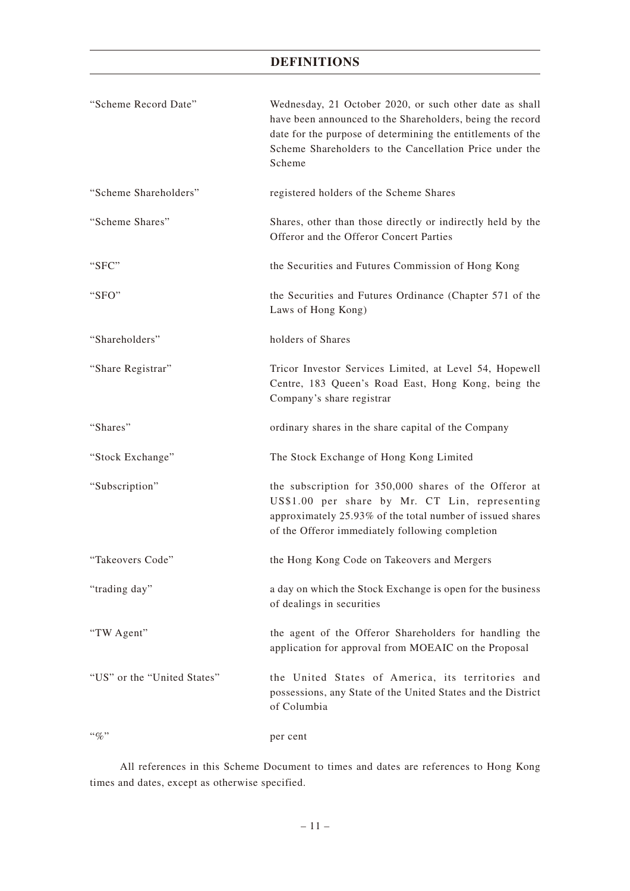| "Scheme Record Date"        | Wednesday, 21 October 2020, or such other date as shall<br>have been announced to the Shareholders, being the record<br>date for the purpose of determining the entitlements of the<br>Scheme Shareholders to the Cancellation Price under the<br>Scheme |
|-----------------------------|----------------------------------------------------------------------------------------------------------------------------------------------------------------------------------------------------------------------------------------------------------|
| "Scheme Shareholders"       | registered holders of the Scheme Shares                                                                                                                                                                                                                  |
| "Scheme Shares"             | Shares, other than those directly or indirectly held by the<br>Offeror and the Offeror Concert Parties                                                                                                                                                   |
| "SFC"                       | the Securities and Futures Commission of Hong Kong                                                                                                                                                                                                       |
| "SFO"                       | the Securities and Futures Ordinance (Chapter 571 of the<br>Laws of Hong Kong)                                                                                                                                                                           |
| "Shareholders"              | holders of Shares                                                                                                                                                                                                                                        |
| "Share Registrar"           | Tricor Investor Services Limited, at Level 54, Hopewell<br>Centre, 183 Queen's Road East, Hong Kong, being the<br>Company's share registrar                                                                                                              |
| "Shares"                    | ordinary shares in the share capital of the Company                                                                                                                                                                                                      |
| "Stock Exchange"            | The Stock Exchange of Hong Kong Limited                                                                                                                                                                                                                  |
| "Subscription"              | the subscription for 350,000 shares of the Offeror at<br>US\$1.00 per share by Mr. CT Lin, representing<br>approximately 25.93% of the total number of issued shares<br>of the Offeror immediately following completion                                  |
| "Takeovers Code"            | the Hong Kong Code on Takeovers and Mergers                                                                                                                                                                                                              |
| "trading day"               | a day on which the Stock Exchange is open for the business<br>of dealings in securities                                                                                                                                                                  |
| "TW Agent"                  | the agent of the Offeror Shareholders for handling the<br>application for approval from MOEAIC on the Proposal                                                                                                                                           |
| "US" or the "United States" | the United States of America, its territories and<br>possessions, any State of the United States and the District<br>of Columbia                                                                                                                         |
| $``\%"$                     | per cent                                                                                                                                                                                                                                                 |

All references in this Scheme Document to times and dates are references to Hong Kong times and dates, except as otherwise specified.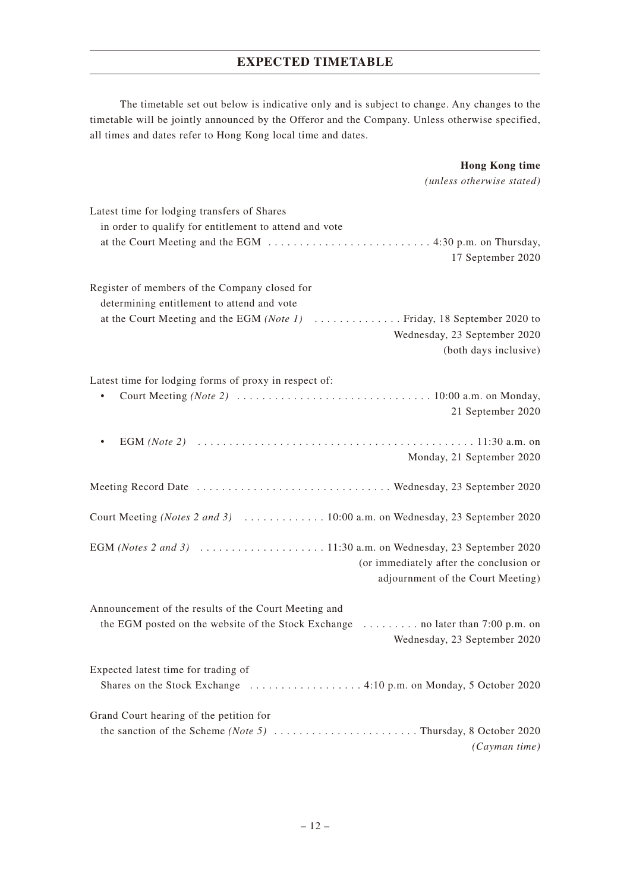# **EXPECTED TIMETABLE**

The timetable set out below is indicative only and is subject to change. Any changes to the timetable will be jointly announced by the Offeror and the Company. Unless otherwise specified, all times and dates refer to Hong Kong local time and dates.

> **Hong Kong time** *(unless otherwise stated)*

| Latest time for lodging transfers of Shares                                                              |
|----------------------------------------------------------------------------------------------------------|
| in order to qualify for entitlement to attend and vote                                                   |
|                                                                                                          |
| 17 September 2020                                                                                        |
|                                                                                                          |
| Register of members of the Company closed for                                                            |
| determining entitlement to attend and vote                                                               |
| at the Court Meeting and the EGM (Note 1)<br>Friday, 18 September 2020 to                                |
| Wednesday, 23 September 2020                                                                             |
| (both days inclusive)                                                                                    |
|                                                                                                          |
| Latest time for lodging forms of proxy in respect of:                                                    |
|                                                                                                          |
|                                                                                                          |
| 21 September 2020                                                                                        |
|                                                                                                          |
|                                                                                                          |
| Monday, 21 September 2020                                                                                |
| Meeting Record Date  Wednesday, 23 September 2020                                                        |
|                                                                                                          |
|                                                                                                          |
|                                                                                                          |
|                                                                                                          |
| (or immediately after the conclusion or                                                                  |
| adjournment of the Court Meeting)                                                                        |
|                                                                                                          |
| Announcement of the results of the Court Meeting and                                                     |
| the EGM posted on the website of the Stock Exchange<br>$\ldots \ldots \ldots$ no later than 7:00 p.m. on |
| Wednesday, 23 September 2020                                                                             |
|                                                                                                          |
| Expected latest time for trading of                                                                      |
|                                                                                                          |
|                                                                                                          |
| Grand Court hearing of the petition for                                                                  |
|                                                                                                          |
| (Cayman time)                                                                                            |
|                                                                                                          |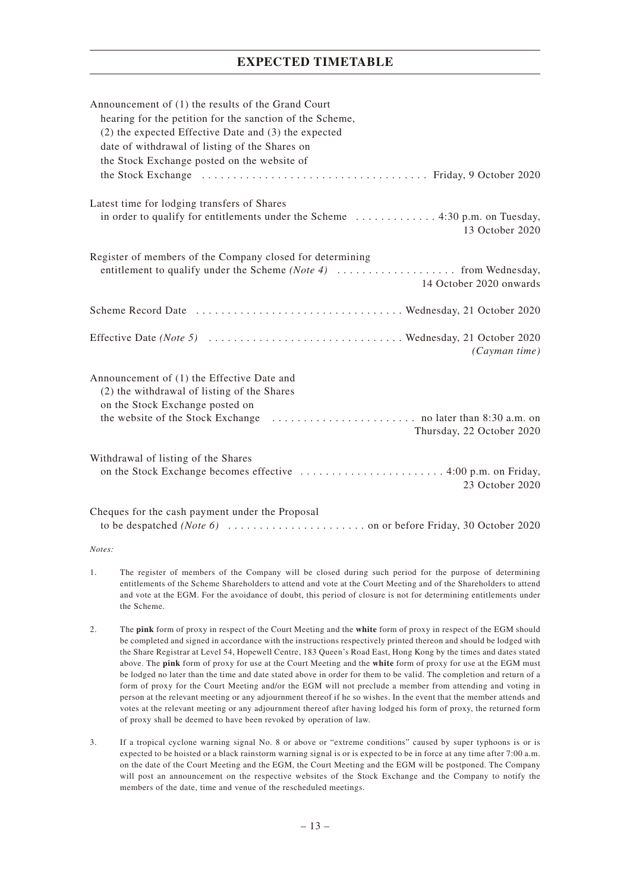# **EXPECTED TIMETABLE**

| Announcement of (1) the results of the Grand Court<br>hearing for the petition for the sanction of the Scheme,<br>$(2)$ the expected Effective Date and $(3)$ the expected<br>date of withdrawal of listing of the Shares on<br>the Stock Exchange posted on the website of |
|-----------------------------------------------------------------------------------------------------------------------------------------------------------------------------------------------------------------------------------------------------------------------------|
| Latest time for lodging transfers of Shares<br>13 October 2020                                                                                                                                                                                                              |
| Register of members of the Company closed for determining<br>14 October 2020 onwards                                                                                                                                                                                        |
|                                                                                                                                                                                                                                                                             |
| (Caymantime)                                                                                                                                                                                                                                                                |
| Announcement of (1) the Effective Date and<br>(2) the withdrawal of listing of the Shares<br>on the Stock Exchange posted on<br>Thursday, 22 October 2020                                                                                                                   |
| Withdrawal of listing of the Shares<br>23 October 2020                                                                                                                                                                                                                      |
| Cheques for the cash payment under the Proposal                                                                                                                                                                                                                             |

#### *Notes:*

- 1. The register of members of the Company will be closed during such period for the purpose of determining entitlements of the Scheme Shareholders to attend and vote at the Court Meeting and of the Shareholders to attend and vote at the EGM. For the avoidance of doubt, this period of closure is not for determining entitlements under the Scheme.
- 2. The **pink** form of proxy in respect of the Court Meeting and the **white** form of proxy in respect of the EGM should be completed and signed in accordance with the instructions respectively printed thereon and should be lodged with the Share Registrar at Level 54, Hopewell Centre, 183 Queen's Road East, Hong Kong by the times and dates stated above. The **pink** form of proxy for use at the Court Meeting and the **white** form of proxy for use at the EGM must be lodged no later than the time and date stated above in order for them to be valid. The completion and return of a form of proxy for the Court Meeting and/or the EGM will not preclude a member from attending and voting in person at the relevant meeting or any adjournment thereof if he so wishes. In the event that the member attends and votes at the relevant meeting or any adjournment thereof after having lodged his form of proxy, the returned form of proxy shall be deemed to have been revoked by operation of law.
- 3. If a tropical cyclone warning signal No. 8 or above or "extreme conditions" caused by super typhoons is or is expected to be hoisted or a black rainstorm warning signal is or is expected to be in force at any time after 7:00 a.m. on the date of the Court Meeting and the EGM, the Court Meeting and the EGM will be postponed. The Company will post an announcement on the respective websites of the Stock Exchange and the Company to notify the members of the date, time and venue of the rescheduled meetings.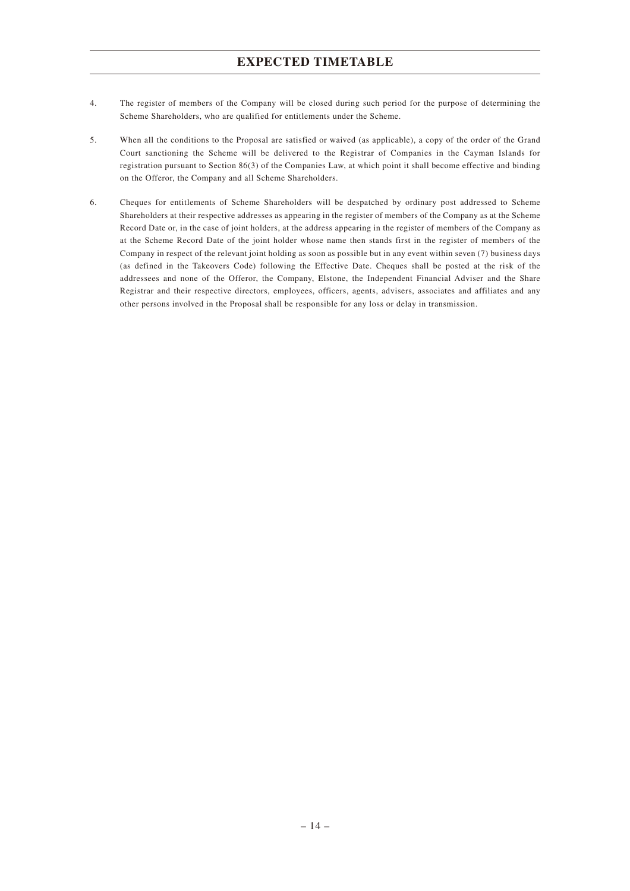# **EXPECTED TIMETABLE**

- 4. The register of members of the Company will be closed during such period for the purpose of determining the Scheme Shareholders, who are qualified for entitlements under the Scheme.
- 5. When all the conditions to the Proposal are satisfied or waived (as applicable), a copy of the order of the Grand Court sanctioning the Scheme will be delivered to the Registrar of Companies in the Cayman Islands for registration pursuant to Section 86(3) of the Companies Law, at which point it shall become effective and binding on the Offeror, the Company and all Scheme Shareholders.
- 6. Cheques for entitlements of Scheme Shareholders will be despatched by ordinary post addressed to Scheme Shareholders at their respective addresses as appearing in the register of members of the Company as at the Scheme Record Date or, in the case of joint holders, at the address appearing in the register of members of the Company as at the Scheme Record Date of the joint holder whose name then stands first in the register of members of the Company in respect of the relevant joint holding as soon as possible but in any event within seven (7) business days (as defined in the Takeovers Code) following the Effective Date. Cheques shall be posted at the risk of the addressees and none of the Offeror, the Company, Elstone, the Independent Financial Adviser and the Share Registrar and their respective directors, employees, officers, agents, advisers, associates and affiliates and any other persons involved in the Proposal shall be responsible for any loss or delay in transmission.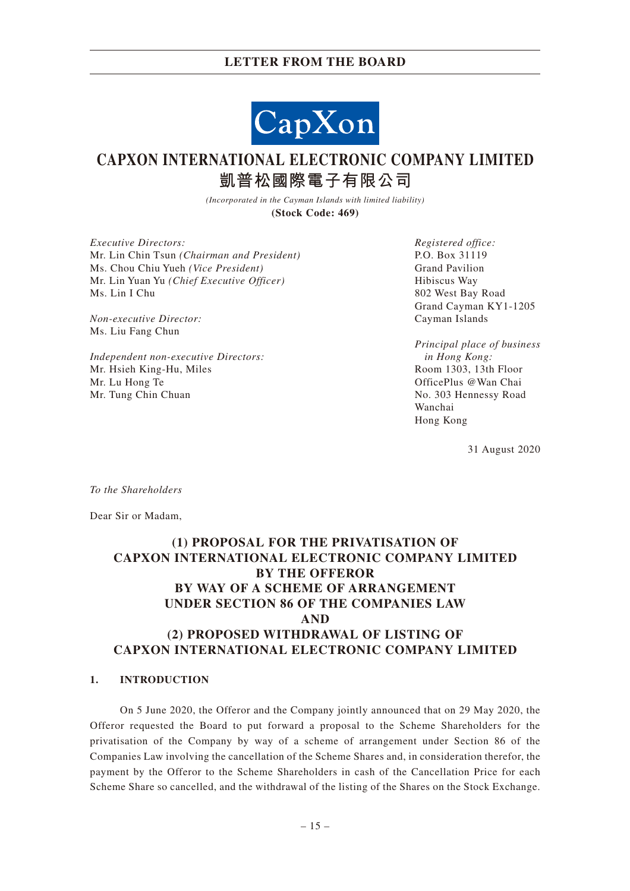

# **CAPXON INTERNATIONAL ELECTRONIC COMPANY LIMITED 凱普松國際電子有限公司**

*(Incorporated in the Cayman Islands with limited liability)* **(Stock Code: 469)**

*Executive Directors:* Mr. Lin Chin Tsun *(Chairman and President)* Ms. Chou Chiu Yueh *(Vice President)* Mr. Lin Yuan Yu *(Chief Executive Officer)* Ms. Lin I Chu

*Non-executive Director:* Ms. Liu Fang Chun

*Independent non-executive Directors:* Mr. Hsieh King-Hu, Miles Mr. Lu Hong Te Mr. Tung Chin Chuan

*Registered office:* P.O. Box 31119 Grand Pavilion Hibiscus Way 802 West Bay Road Grand Cayman KY1-1205 Cayman Islands

*Principal place of business in Hong Kong:* Room 1303, 13th Floor OfficePlus @Wan Chai No. 303 Hennessy Road Wanchai Hong Kong

31 August 2020

*To the Shareholders*

Dear Sir or Madam,

# **(1) PROPOSAL FOR THE PRIVATISATION OF CAPXON INTERNATIONAL ELECTRONIC COMPANY LIMITED BY THE OFFEROR BY WAY OF A SCHEME OF ARRANGEMENT UNDER SECTION 86 OF THE COMPANIES LAW AND (2) PROPOSED WITHDRAWAL OF LISTING OF CAPXON INTERNATIONAL ELECTRONIC COMPANY LIMITED**

#### **1. INTRODUCTION**

On 5 June 2020, the Offeror and the Company jointly announced that on 29 May 2020, the Offeror requested the Board to put forward a proposal to the Scheme Shareholders for the privatisation of the Company by way of a scheme of arrangement under Section 86 of the Companies Law involving the cancellation of the Scheme Shares and, in consideration therefor, the payment by the Offeror to the Scheme Shareholders in cash of the Cancellation Price for each Scheme Share so cancelled, and the withdrawal of the listing of the Shares on the Stock Exchange.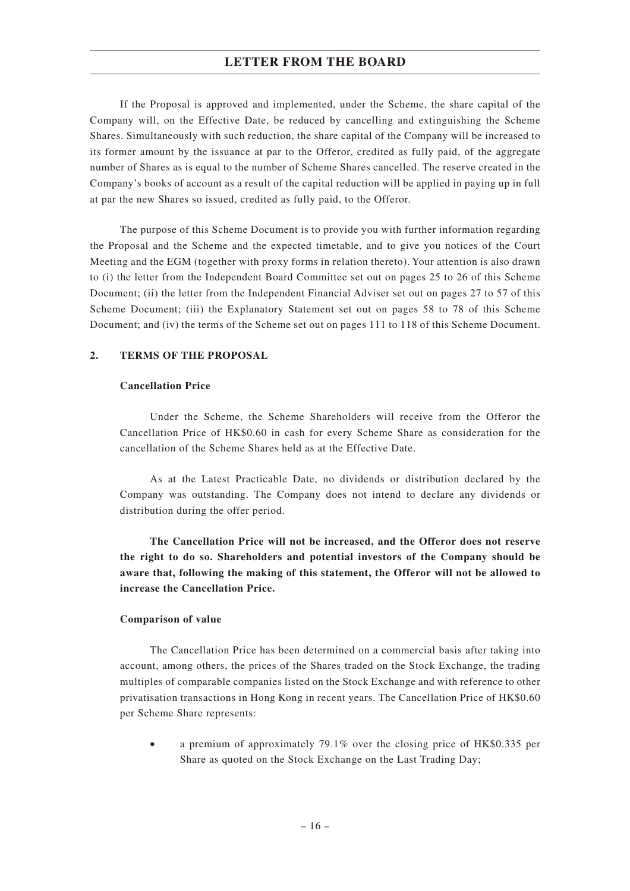If the Proposal is approved and implemented, under the Scheme, the share capital of the Company will, on the Effective Date, be reduced by cancelling and extinguishing the Scheme Shares. Simultaneously with such reduction, the share capital of the Company will be increased to its former amount by the issuance at par to the Offeror, credited as fully paid, of the aggregate number of Shares as is equal to the number of Scheme Shares cancelled. The reserve created in the Company's books of account as a result of the capital reduction will be applied in paying up in full at par the new Shares so issued, credited as fully paid, to the Offeror.

The purpose of this Scheme Document is to provide you with further information regarding the Proposal and the Scheme and the expected timetable, and to give you notices of the Court Meeting and the EGM (together with proxy forms in relation thereto). Your attention is also drawn to (i) the letter from the Independent Board Committee set out on pages 25 to 26 of this Scheme Document; (ii) the letter from the Independent Financial Adviser set out on pages 27 to 57 of this Scheme Document; (iii) the Explanatory Statement set out on pages 58 to 78 of this Scheme Document; and (iv) the terms of the Scheme set out on pages 111 to 118 of this Scheme Document.

#### **2. TERMS OF THE PROPOSAL**

#### **Cancellation Price**

Under the Scheme, the Scheme Shareholders will receive from the Offeror the Cancellation Price of HK\$0.60 in cash for every Scheme Share as consideration for the cancellation of the Scheme Shares held as at the Effective Date.

As at the Latest Practicable Date, no dividends or distribution declared by the Company was outstanding. The Company does not intend to declare any dividends or distribution during the offer period.

**The Cancellation Price will not be increased, and the Offeror does not reserve the right to do so. Shareholders and potential investors of the Company should be aware that, following the making of this statement, the Offeror will not be allowed to increase the Cancellation Price.**

#### **Comparison of value**

The Cancellation Price has been determined on a commercial basis after taking into account, among others, the prices of the Shares traded on the Stock Exchange, the trading multiples of comparable companies listed on the Stock Exchange and with reference to other privatisation transactions in Hong Kong in recent years. The Cancellation Price of HK\$0.60 per Scheme Share represents:

• a premium of approximately 79.1% over the closing price of HK\$0.335 per Share as quoted on the Stock Exchange on the Last Trading Day;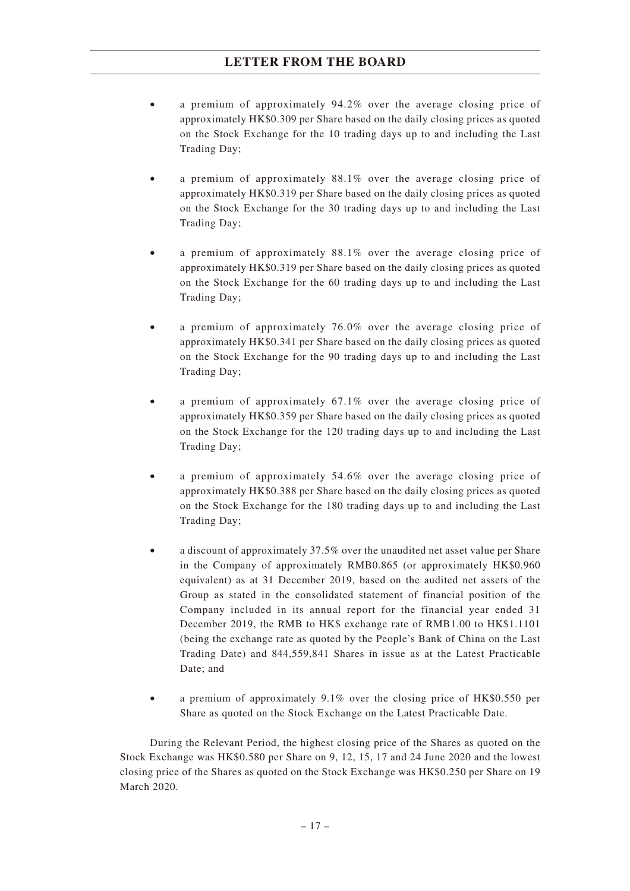- a premium of approximately 94.2% over the average closing price of approximately HK\$0.309 per Share based on the daily closing prices as quoted on the Stock Exchange for the 10 trading days up to and including the Last Trading Day;
- a premium of approximately 88.1% over the average closing price of approximately HK\$0.319 per Share based on the daily closing prices as quoted on the Stock Exchange for the 30 trading days up to and including the Last Trading Day;
- a premium of approximately 88.1% over the average closing price of approximately HK\$0.319 per Share based on the daily closing prices as quoted on the Stock Exchange for the 60 trading days up to and including the Last Trading Day;
- a premium of approximately 76.0% over the average closing price of approximately HK\$0.341 per Share based on the daily closing prices as quoted on the Stock Exchange for the 90 trading days up to and including the Last Trading Day;
- a premium of approximately  $67.1\%$  over the average closing price of approximately HK\$0.359 per Share based on the daily closing prices as quoted on the Stock Exchange for the 120 trading days up to and including the Last Trading Day;
- a premium of approximately  $54.6\%$  over the average closing price of approximately HK\$0.388 per Share based on the daily closing prices as quoted on the Stock Exchange for the 180 trading days up to and including the Last Trading Day;
- a discount of approximately 37.5% over the unaudited net asset value per Share in the Company of approximately RMB0.865 (or approximately HK\$0.960 equivalent) as at 31 December 2019, based on the audited net assets of the Group as stated in the consolidated statement of financial position of the Company included in its annual report for the financial year ended 31 December 2019, the RMB to HK\$ exchange rate of RMB1.00 to HK\$1.1101 (being the exchange rate as quoted by the People's Bank of China on the Last Trading Date) and 844,559,841 Shares in issue as at the Latest Practicable Date; and
- a premium of approximately 9.1% over the closing price of HK\$0.550 per Share as quoted on the Stock Exchange on the Latest Practicable Date.

During the Relevant Period, the highest closing price of the Shares as quoted on the Stock Exchange was HK\$0.580 per Share on 9, 12, 15, 17 and 24 June 2020 and the lowest closing price of the Shares as quoted on the Stock Exchange was HK\$0.250 per Share on 19 March 2020.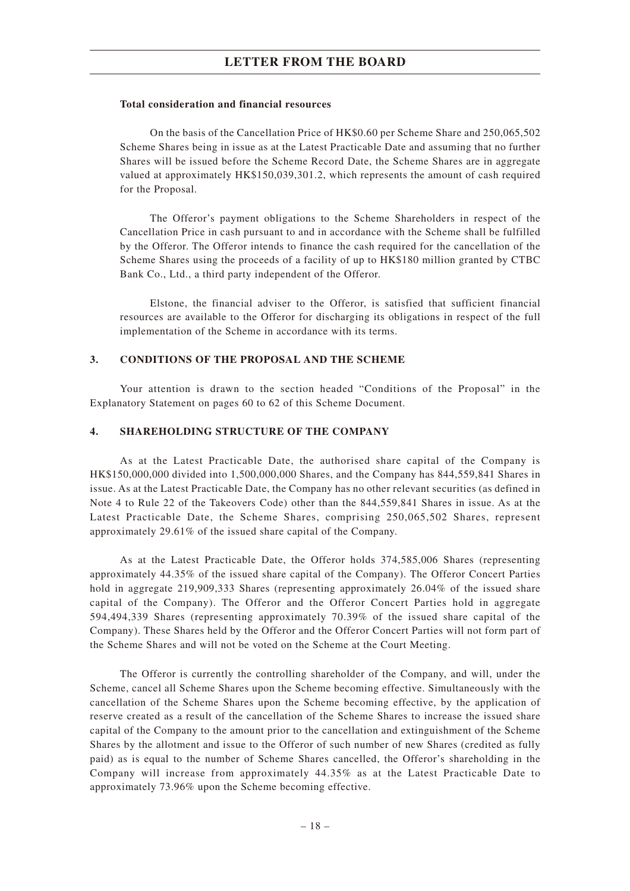#### **Total consideration and financial resources**

On the basis of the Cancellation Price of HK\$0.60 per Scheme Share and 250,065,502 Scheme Shares being in issue as at the Latest Practicable Date and assuming that no further Shares will be issued before the Scheme Record Date, the Scheme Shares are in aggregate valued at approximately HK\$150,039,301.2, which represents the amount of cash required for the Proposal.

The Offeror's payment obligations to the Scheme Shareholders in respect of the Cancellation Price in cash pursuant to and in accordance with the Scheme shall be fulfilled by the Offeror. The Offeror intends to finance the cash required for the cancellation of the Scheme Shares using the proceeds of a facility of up to HK\$180 million granted by CTBC Bank Co., Ltd., a third party independent of the Offeror.

Elstone, the financial adviser to the Offeror, is satisfied that sufficient financial resources are available to the Offeror for discharging its obligations in respect of the full implementation of the Scheme in accordance with its terms.

#### **3. CONDITIONS OF THE PROPOSAL AND THE SCHEME**

Your attention is drawn to the section headed "Conditions of the Proposal" in the Explanatory Statement on pages 60 to 62 of this Scheme Document.

#### **4. SHAREHOLDING STRUCTURE OF THE COMPANY**

As at the Latest Practicable Date, the authorised share capital of the Company is HK\$150,000,000 divided into 1,500,000,000 Shares, and the Company has 844,559,841 Shares in issue. As at the Latest Practicable Date, the Company has no other relevant securities (as defined in Note 4 to Rule 22 of the Takeovers Code) other than the 844,559,841 Shares in issue. As at the Latest Practicable Date, the Scheme Shares, comprising 250,065,502 Shares, represent approximately 29.61% of the issued share capital of the Company.

As at the Latest Practicable Date, the Offeror holds 374,585,006 Shares (representing approximately 44.35% of the issued share capital of the Company). The Offeror Concert Parties hold in aggregate 219,909,333 Shares (representing approximately 26.04% of the issued share capital of the Company). The Offeror and the Offeror Concert Parties hold in aggregate 594,494,339 Shares (representing approximately 70.39% of the issued share capital of the Company). These Shares held by the Offeror and the Offeror Concert Parties will not form part of the Scheme Shares and will not be voted on the Scheme at the Court Meeting.

The Offeror is currently the controlling shareholder of the Company, and will, under the Scheme, cancel all Scheme Shares upon the Scheme becoming effective. Simultaneously with the cancellation of the Scheme Shares upon the Scheme becoming effective, by the application of reserve created as a result of the cancellation of the Scheme Shares to increase the issued share capital of the Company to the amount prior to the cancellation and extinguishment of the Scheme Shares by the allotment and issue to the Offeror of such number of new Shares (credited as fully paid) as is equal to the number of Scheme Shares cancelled, the Offeror's shareholding in the Company will increase from approximately 44.35% as at the Latest Practicable Date to approximately 73.96% upon the Scheme becoming effective.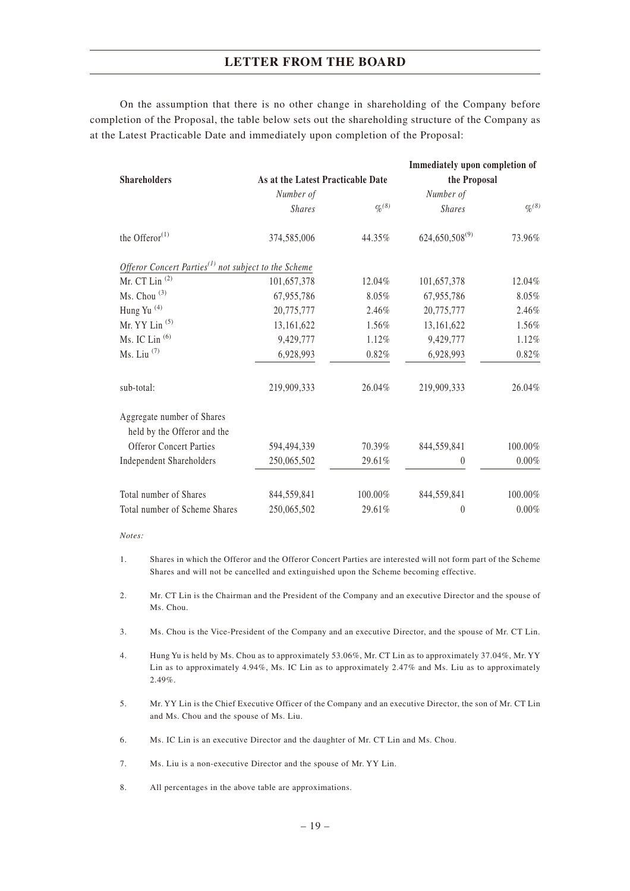On the assumption that there is no other change in shareholding of the Company before completion of the Proposal, the table below sets out the shareholding structure of the Company as at the Latest Practicable Date and immediately upon completion of the Proposal:

| <b>Shareholders</b>                                                           | As at the Latest Practicable Date |                    | Immediately upon completion of<br>the Proposal |                    |
|-------------------------------------------------------------------------------|-----------------------------------|--------------------|------------------------------------------------|--------------------|
|                                                                               | Number of                         |                    | Number of                                      |                    |
|                                                                               | <b>Shares</b>                     | $\frac{q_0(8)}{8}$ | <b>Shares</b>                                  | $\frac{q_0(8)}{8}$ |
| the Offeror $(1)$                                                             | 374,585,006                       | 44.35%             | $624,650,508^{(9)}$                            | 73.96%             |
| Offeror Concert Parties <sup><math>(1)</math></sup> not subject to the Scheme |                                   |                    |                                                |                    |
| Mr. CT Lin <sup>(2)</sup>                                                     | 101,657,378                       | 12.04%             | 101,657,378                                    | 12.04%             |
| Ms. Chou <sup>(3)</sup>                                                       | 67,955,786                        | 8.05%              | 67,955,786                                     | 8.05%              |
| Hung Yu <sup>(4)</sup>                                                        | 20,775,777                        | 2.46%              | 20,775,777                                     | 2.46%              |
| Mr. YY Lin <sup>(5)</sup>                                                     | 13,161,622                        | 1.56%              | 13,161,622                                     | 1.56%              |
| Ms. IC Lin $(6)$                                                              | 9,429,777                         | 1.12%              | 9,429,777                                      | 1.12%              |
| $Ms. Liu$ <sup><math>(7)</math></sup>                                         | 6,928,993                         | 0.82%              | 6,928,993                                      | 0.82%              |
| sub-total:                                                                    | 219,909,333                       | 26.04%             | 219,909,333                                    | 26.04%             |
| Aggregate number of Shares                                                    |                                   |                    |                                                |                    |
| held by the Offeror and the                                                   |                                   |                    |                                                |                    |
| <b>Offeror Concert Parties</b>                                                | 594,494,339                       | 70.39%             | 844,559,841                                    | 100.00%            |
| <b>Independent Shareholders</b>                                               | 250,065,502                       | 29.61%             | $\theta$                                       | $0.00\%$           |
| Total number of Shares                                                        | 844,559,841                       | 100.00%            | 844,559,841                                    | 100.00%            |
| Total number of Scheme Shares                                                 | 250,065,502                       | 29.61%             | $\theta$                                       | $0.00\%$           |

*Notes:*

5. Mr. YY Lin is the Chief Executive Officer of the Company and an executive Director, the son of Mr. CT Lin and Ms. Chou and the spouse of Ms. Liu.

6. Ms. IC Lin is an executive Director and the daughter of Mr. CT Lin and Ms. Chou.

7. Ms. Liu is a non-executive Director and the spouse of Mr. YY Lin.

8. All percentages in the above table are approximations.

<sup>1.</sup> Shares in which the Offeror and the Offeror Concert Parties are interested will not form part of the Scheme Shares and will not be cancelled and extinguished upon the Scheme becoming effective.

<sup>2.</sup> Mr. CT Lin is the Chairman and the President of the Company and an executive Director and the spouse of Ms. Chou.

<sup>3.</sup> Ms. Chou is the Vice-President of the Company and an executive Director, and the spouse of Mr. CT Lin.

<sup>4.</sup> Hung Yu is held by Ms. Chou as to approximately 53.06%, Mr. CT Lin as to approximately 37.04%, Mr. YY Lin as to approximately 4.94%, Ms. IC Lin as to approximately 2.47% and Ms. Liu as to approximately 2.49%.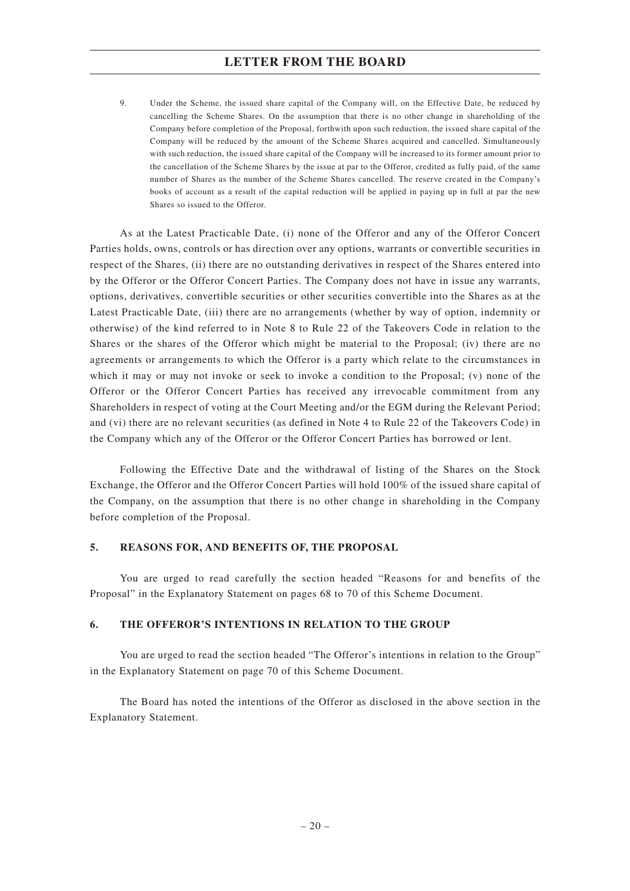9. Under the Scheme, the issued share capital of the Company will, on the Effective Date, be reduced by cancelling the Scheme Shares. On the assumption that there is no other change in shareholding of the Company before completion of the Proposal, forthwith upon such reduction, the issued share capital of the Company will be reduced by the amount of the Scheme Shares acquired and cancelled. Simultaneously with such reduction, the issued share capital of the Company will be increased to its former amount prior to the cancellation of the Scheme Shares by the issue at par to the Offeror, credited as fully paid, of the same number of Shares as the number of the Scheme Shares cancelled. The reserve created in the Company's books of account as a result of the capital reduction will be applied in paying up in full at par the new Shares so issued to the Offeror.

As at the Latest Practicable Date, (i) none of the Offeror and any of the Offeror Concert Parties holds, owns, controls or has direction over any options, warrants or convertible securities in respect of the Shares, (ii) there are no outstanding derivatives in respect of the Shares entered into by the Offeror or the Offeror Concert Parties. The Company does not have in issue any warrants, options, derivatives, convertible securities or other securities convertible into the Shares as at the Latest Practicable Date, (iii) there are no arrangements (whether by way of option, indemnity or otherwise) of the kind referred to in Note 8 to Rule 22 of the Takeovers Code in relation to the Shares or the shares of the Offeror which might be material to the Proposal; (iv) there are no agreements or arrangements to which the Offeror is a party which relate to the circumstances in which it may or may not invoke or seek to invoke a condition to the Proposal; (v) none of the Offeror or the Offeror Concert Parties has received any irrevocable commitment from any Shareholders in respect of voting at the Court Meeting and/or the EGM during the Relevant Period; and (vi) there are no relevant securities (as defined in Note 4 to Rule 22 of the Takeovers Code) in the Company which any of the Offeror or the Offeror Concert Parties has borrowed or lent.

Following the Effective Date and the withdrawal of listing of the Shares on the Stock Exchange, the Offeror and the Offeror Concert Parties will hold 100% of the issued share capital of the Company, on the assumption that there is no other change in shareholding in the Company before completion of the Proposal.

#### **5. REASONS FOR, AND BENEFITS OF, THE PROPOSAL**

You are urged to read carefully the section headed "Reasons for and benefits of the Proposal" in the Explanatory Statement on pages 68 to 70 of this Scheme Document.

#### **6. THE OFFEROR'S INTENTIONS IN RELATION TO THE GROUP**

You are urged to read the section headed "The Offeror's intentions in relation to the Group" in the Explanatory Statement on page 70 of this Scheme Document.

The Board has noted the intentions of the Offeror as disclosed in the above section in the Explanatory Statement.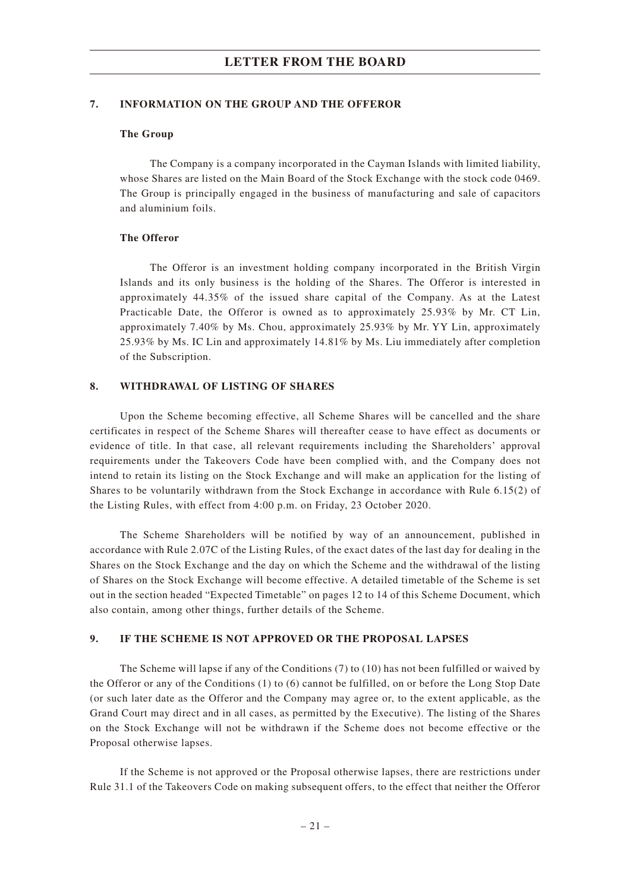#### **7. INFORMATION ON THE GROUP AND THE OFFEROR**

#### **The Group**

The Company is a company incorporated in the Cayman Islands with limited liability, whose Shares are listed on the Main Board of the Stock Exchange with the stock code 0469. The Group is principally engaged in the business of manufacturing and sale of capacitors and aluminium foils.

#### **The Offeror**

The Offeror is an investment holding company incorporated in the British Virgin Islands and its only business is the holding of the Shares. The Offeror is interested in approximately 44.35% of the issued share capital of the Company. As at the Latest Practicable Date, the Offeror is owned as to approximately 25.93% by Mr. CT Lin, approximately 7.40% by Ms. Chou, approximately 25.93% by Mr. YY Lin, approximately 25.93% by Ms. IC Lin and approximately 14.81% by Ms. Liu immediately after completion of the Subscription.

#### **8. WITHDRAWAL OF LISTING OF SHARES**

Upon the Scheme becoming effective, all Scheme Shares will be cancelled and the share certificates in respect of the Scheme Shares will thereafter cease to have effect as documents or evidence of title. In that case, all relevant requirements including the Shareholders' approval requirements under the Takeovers Code have been complied with, and the Company does not intend to retain its listing on the Stock Exchange and will make an application for the listing of Shares to be voluntarily withdrawn from the Stock Exchange in accordance with Rule 6.15(2) of the Listing Rules, with effect from 4:00 p.m. on Friday, 23 October 2020.

The Scheme Shareholders will be notified by way of an announcement, published in accordance with Rule 2.07C of the Listing Rules, of the exact dates of the last day for dealing in the Shares on the Stock Exchange and the day on which the Scheme and the withdrawal of the listing of Shares on the Stock Exchange will become effective. A detailed timetable of the Scheme is set out in the section headed "Expected Timetable" on pages 12 to 14 of this Scheme Document, which also contain, among other things, further details of the Scheme.

#### **9. IF THE SCHEME IS NOT APPROVED OR THE PROPOSAL LAPSES**

The Scheme will lapse if any of the Conditions (7) to (10) has not been fulfilled or waived by the Offeror or any of the Conditions (1) to (6) cannot be fulfilled, on or before the Long Stop Date (or such later date as the Offeror and the Company may agree or, to the extent applicable, as the Grand Court may direct and in all cases, as permitted by the Executive). The listing of the Shares on the Stock Exchange will not be withdrawn if the Scheme does not become effective or the Proposal otherwise lapses.

If the Scheme is not approved or the Proposal otherwise lapses, there are restrictions under Rule 31.1 of the Takeovers Code on making subsequent offers, to the effect that neither the Offeror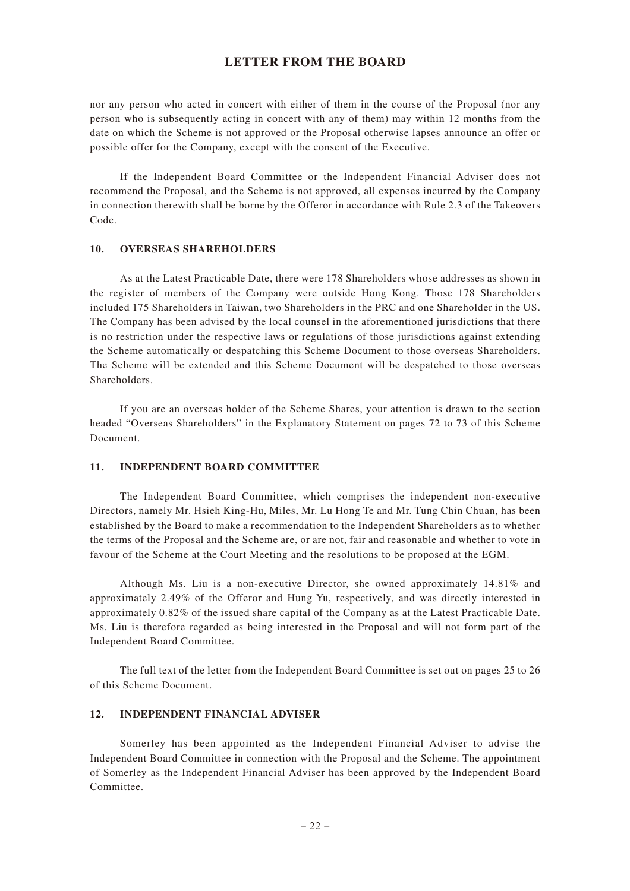nor any person who acted in concert with either of them in the course of the Proposal (nor any person who is subsequently acting in concert with any of them) may within 12 months from the date on which the Scheme is not approved or the Proposal otherwise lapses announce an offer or possible offer for the Company, except with the consent of the Executive.

If the Independent Board Committee or the Independent Financial Adviser does not recommend the Proposal, and the Scheme is not approved, all expenses incurred by the Company in connection therewith shall be borne by the Offeror in accordance with Rule 2.3 of the Takeovers Code.

#### **10. OVERSEAS SHAREHOLDERS**

As at the Latest Practicable Date, there were 178 Shareholders whose addresses as shown in the register of members of the Company were outside Hong Kong. Those 178 Shareholders included 175 Shareholders in Taiwan, two Shareholders in the PRC and one Shareholder in the US. The Company has been advised by the local counsel in the aforementioned jurisdictions that there is no restriction under the respective laws or regulations of those jurisdictions against extending the Scheme automatically or despatching this Scheme Document to those overseas Shareholders. The Scheme will be extended and this Scheme Document will be despatched to those overseas Shareholders.

If you are an overseas holder of the Scheme Shares, your attention is drawn to the section headed "Overseas Shareholders" in the Explanatory Statement on pages 72 to 73 of this Scheme Document.

#### **11. INDEPENDENT BOARD COMMITTEE**

The Independent Board Committee, which comprises the independent non-executive Directors, namely Mr. Hsieh King-Hu, Miles, Mr. Lu Hong Te and Mr. Tung Chin Chuan, has been established by the Board to make a recommendation to the Independent Shareholders as to whether the terms of the Proposal and the Scheme are, or are not, fair and reasonable and whether to vote in favour of the Scheme at the Court Meeting and the resolutions to be proposed at the EGM.

Although Ms. Liu is a non-executive Director, she owned approximately 14.81% and approximately 2.49% of the Offeror and Hung Yu, respectively, and was directly interested in approximately 0.82% of the issued share capital of the Company as at the Latest Practicable Date. Ms. Liu is therefore regarded as being interested in the Proposal and will not form part of the Independent Board Committee.

The full text of the letter from the Independent Board Committee is set out on pages 25 to 26 of this Scheme Document.

#### **12. INDEPENDENT FINANCIAL ADVISER**

Somerley has been appointed as the Independent Financial Adviser to advise the Independent Board Committee in connection with the Proposal and the Scheme. The appointment of Somerley as the Independent Financial Adviser has been approved by the Independent Board Committee.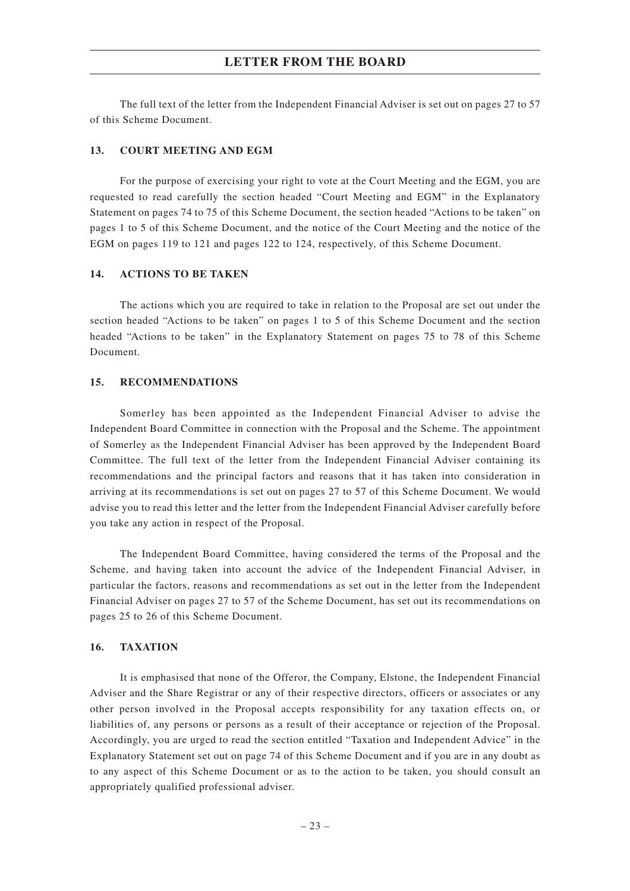The full text of the letter from the Independent Financial Adviser is set out on pages 27 to 57 of this Scheme Document.

#### **13. COURT MEETING AND EGM**

For the purpose of exercising your right to vote at the Court Meeting and the EGM, you are requested to read carefully the section headed "Court Meeting and EGM" in the Explanatory Statement on pages 74 to 75 of this Scheme Document, the section headed "Actions to be taken" on pages 1 to 5 of this Scheme Document, and the notice of the Court Meeting and the notice of the EGM on pages 119 to 121 and pages 122 to 124, respectively, of this Scheme Document.

#### **14. ACTIONS TO BE TAKEN**

The actions which you are required to take in relation to the Proposal are set out under the section headed "Actions to be taken" on pages 1 to 5 of this Scheme Document and the section headed "Actions to be taken" in the Explanatory Statement on pages 75 to 78 of this Scheme Document.

#### **15. RECOMMENDATIONS**

Somerley has been appointed as the Independent Financial Adviser to advise the Independent Board Committee in connection with the Proposal and the Scheme. The appointment of Somerley as the Independent Financial Adviser has been approved by the Independent Board Committee. The full text of the letter from the Independent Financial Adviser containing its recommendations and the principal factors and reasons that it has taken into consideration in arriving at its recommendations is set out on pages 27 to 57 of this Scheme Document. We would advise you to read this letter and the letter from the Independent Financial Adviser carefully before you take any action in respect of the Proposal.

The Independent Board Committee, having considered the terms of the Proposal and the Scheme, and having taken into account the advice of the Independent Financial Adviser, in particular the factors, reasons and recommendations as set out in the letter from the Independent Financial Adviser on pages 27 to 57 of the Scheme Document, has set out its recommendations on pages 25 to 26 of this Scheme Document.

#### **16. TAXATION**

It is emphasised that none of the Offeror, the Company, Elstone, the Independent Financial Adviser and the Share Registrar or any of their respective directors, officers or associates or any other person involved in the Proposal accepts responsibility for any taxation effects on, or liabilities of, any persons or persons as a result of their acceptance or rejection of the Proposal. Accordingly, you are urged to read the section entitled "Taxation and Independent Advice" in the Explanatory Statement set out on page 74 of this Scheme Document and if you are in any doubt as to any aspect of this Scheme Document or as to the action to be taken, you should consult an appropriately qualified professional adviser.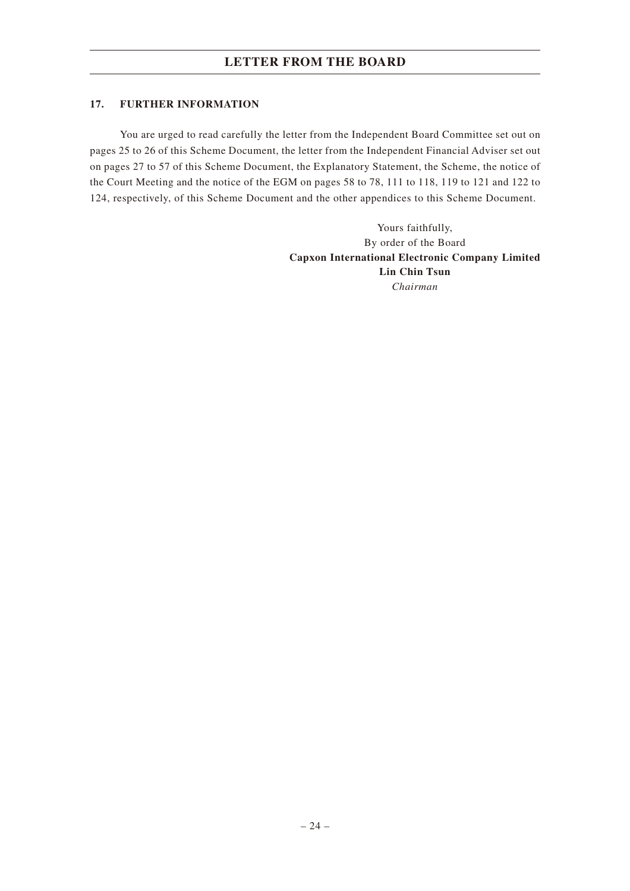### **17. FURTHER INFORMATION**

You are urged to read carefully the letter from the Independent Board Committee set out on pages 25 to 26 of this Scheme Document, the letter from the Independent Financial Adviser set out on pages 27 to 57 of this Scheme Document, the Explanatory Statement, the Scheme, the notice of the Court Meeting and the notice of the EGM on pages 58 to 78, 111 to 118, 119 to 121 and 122 to 124, respectively, of this Scheme Document and the other appendices to this Scheme Document.

> Yours faithfully, By order of the Board **Capxon International Electronic Company Limited Lin Chin Tsun** *Chairman*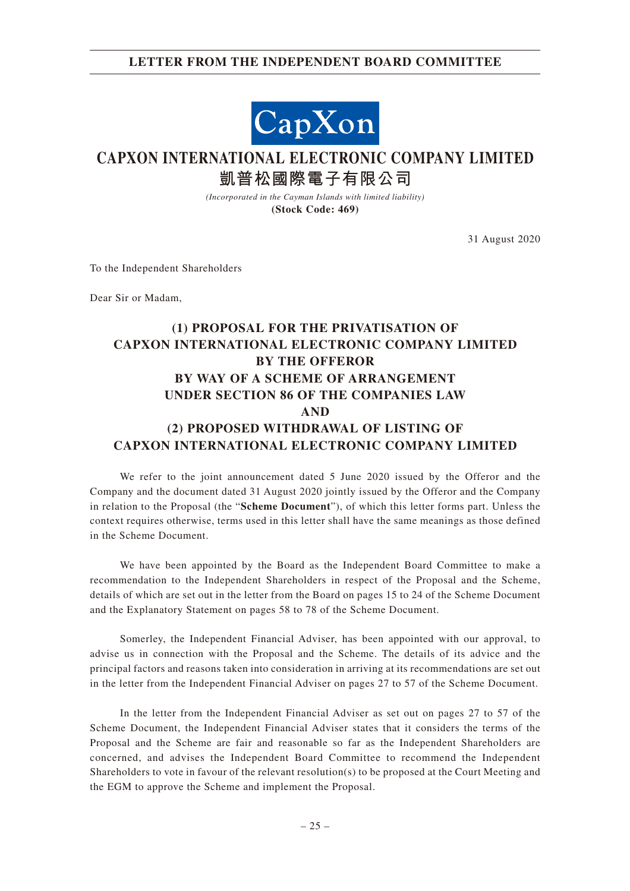### **LETTER FROM THE INDEPENDENT BOARD COMMITTEE**



# **CAPXON INTERNATIONAL ELECTRONIC COMPANY LIMITED 凱普松國際電子有限公司**

*(Incorporated in the Cayman Islands with limited liability)* **(Stock Code: 469)**

31 August 2020

To the Independent Shareholders

Dear Sir or Madam,

# **(1) PROPOSAL FOR THE PRIVATISATION OF CAPXON INTERNATIONAL ELECTRONIC COMPANY LIMITED BY THE OFFEROR BY WAY OF A SCHEME OF ARRANGEMENT UNDER SECTION 86 OF THE COMPANIES LAW AND (2) PROPOSED WITHDRAWAL OF LISTING OF CAPXON INTERNATIONAL ELECTRONIC COMPANY LIMITED**

We refer to the joint announcement dated 5 June 2020 issued by the Offeror and the Company and the document dated 31 August 2020 jointly issued by the Offeror and the Company in relation to the Proposal (the "**Scheme Document**"), of which this letter forms part. Unless the context requires otherwise, terms used in this letter shall have the same meanings as those defined in the Scheme Document.

We have been appointed by the Board as the Independent Board Committee to make a recommendation to the Independent Shareholders in respect of the Proposal and the Scheme, details of which are set out in the letter from the Board on pages 15 to 24 of the Scheme Document and the Explanatory Statement on pages 58 to 78 of the Scheme Document.

Somerley, the Independent Financial Adviser, has been appointed with our approval, to advise us in connection with the Proposal and the Scheme. The details of its advice and the principal factors and reasons taken into consideration in arriving at its recommendations are set out in the letter from the Independent Financial Adviser on pages 27 to 57 of the Scheme Document.

In the letter from the Independent Financial Adviser as set out on pages 27 to 57 of the Scheme Document, the Independent Financial Adviser states that it considers the terms of the Proposal and the Scheme are fair and reasonable so far as the Independent Shareholders are concerned, and advises the Independent Board Committee to recommend the Independent Shareholders to vote in favour of the relevant resolution(s) to be proposed at the Court Meeting and the EGM to approve the Scheme and implement the Proposal.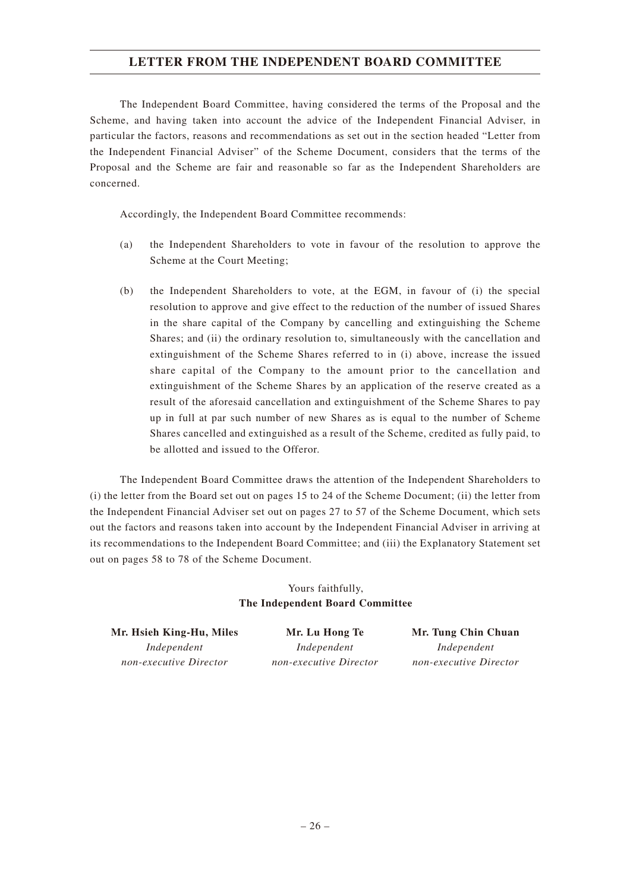## **LETTER FROM THE INDEPENDENT BOARD COMMITTEE**

The Independent Board Committee, having considered the terms of the Proposal and the Scheme, and having taken into account the advice of the Independent Financial Adviser, in particular the factors, reasons and recommendations as set out in the section headed "Letter from the Independent Financial Adviser" of the Scheme Document, considers that the terms of the Proposal and the Scheme are fair and reasonable so far as the Independent Shareholders are concerned.

Accordingly, the Independent Board Committee recommends:

- (a) the Independent Shareholders to vote in favour of the resolution to approve the Scheme at the Court Meeting;
- (b) the Independent Shareholders to vote, at the EGM, in favour of (i) the special resolution to approve and give effect to the reduction of the number of issued Shares in the share capital of the Company by cancelling and extinguishing the Scheme Shares; and (ii) the ordinary resolution to, simultaneously with the cancellation and extinguishment of the Scheme Shares referred to in (i) above, increase the issued share capital of the Company to the amount prior to the cancellation and extinguishment of the Scheme Shares by an application of the reserve created as a result of the aforesaid cancellation and extinguishment of the Scheme Shares to pay up in full at par such number of new Shares as is equal to the number of Scheme Shares cancelled and extinguished as a result of the Scheme, credited as fully paid, to be allotted and issued to the Offeror.

The Independent Board Committee draws the attention of the Independent Shareholders to (i) the letter from the Board set out on pages 15 to 24 of the Scheme Document; (ii) the letter from the Independent Financial Adviser set out on pages 27 to 57 of the Scheme Document, which sets out the factors and reasons taken into account by the Independent Financial Adviser in arriving at its recommendations to the Independent Board Committee; and (iii) the Explanatory Statement set out on pages 58 to 78 of the Scheme Document.

### Yours faithfully, **The Independent Board Committee**

**Mr. Hsieh King-Hu, Miles** *Independent non-executive Director*

**Mr. Lu Hong Te** *Independent non-executive Director*

**Mr. Tung Chin Chuan** *Independent non-executive Director*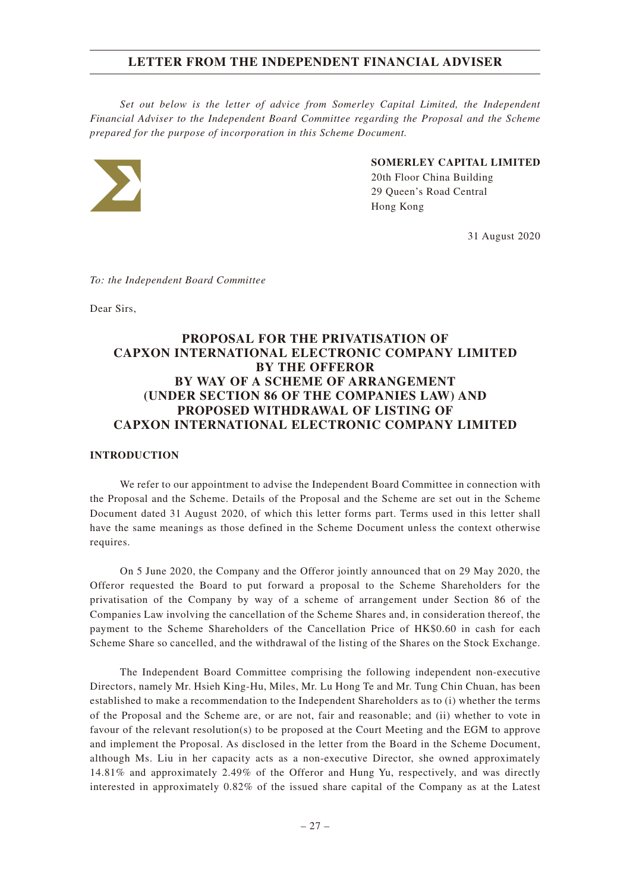*Set out below is the letter of advice from Somerley Capital Limited, the Independent Financial Adviser to the Independent Board Committee regarding the Proposal and the Scheme prepared for the purpose of incorporation in this Scheme Document.*



# **SOMERLEY CAPITAL LIMITED**

20th Floor China Building 29 Queen's Road Central Hong Kong

31 August 2020

*To: the Independent Board Committee*

Dear Sirs,

### **PROPOSAL FOR THE PRIVATISATION OF CAPXON INTERNATIONAL ELECTRONIC COMPANY LIMITED BY THE OFFEROR BY WAY OF A SCHEME OF ARRANGEMENT (UNDER SECTION 86 OF THE COMPANIES LAW) AND PROPOSED WITHDRAWAL OF LISTING OF CAPXON INTERNATIONAL ELECTRONIC COMPANY LIMITED**

#### **INTRODUCTION**

We refer to our appointment to advise the Independent Board Committee in connection with the Proposal and the Scheme. Details of the Proposal and the Scheme are set out in the Scheme Document dated 31 August 2020, of which this letter forms part. Terms used in this letter shall have the same meanings as those defined in the Scheme Document unless the context otherwise requires.

On 5 June 2020, the Company and the Offeror jointly announced that on 29 May 2020, the Offeror requested the Board to put forward a proposal to the Scheme Shareholders for the privatisation of the Company by way of a scheme of arrangement under Section 86 of the Companies Law involving the cancellation of the Scheme Shares and, in consideration thereof, the payment to the Scheme Shareholders of the Cancellation Price of HK\$0.60 in cash for each Scheme Share so cancelled, and the withdrawal of the listing of the Shares on the Stock Exchange.

The Independent Board Committee comprising the following independent non-executive Directors, namely Mr. Hsieh King-Hu, Miles, Mr. Lu Hong Te and Mr. Tung Chin Chuan, has been established to make a recommendation to the Independent Shareholders as to (i) whether the terms of the Proposal and the Scheme are, or are not, fair and reasonable; and (ii) whether to vote in favour of the relevant resolution(s) to be proposed at the Court Meeting and the EGM to approve and implement the Proposal. As disclosed in the letter from the Board in the Scheme Document, although Ms. Liu in her capacity acts as a non-executive Director, she owned approximately 14.81% and approximately 2.49% of the Offeror and Hung Yu, respectively, and was directly interested in approximately 0.82% of the issued share capital of the Company as at the Latest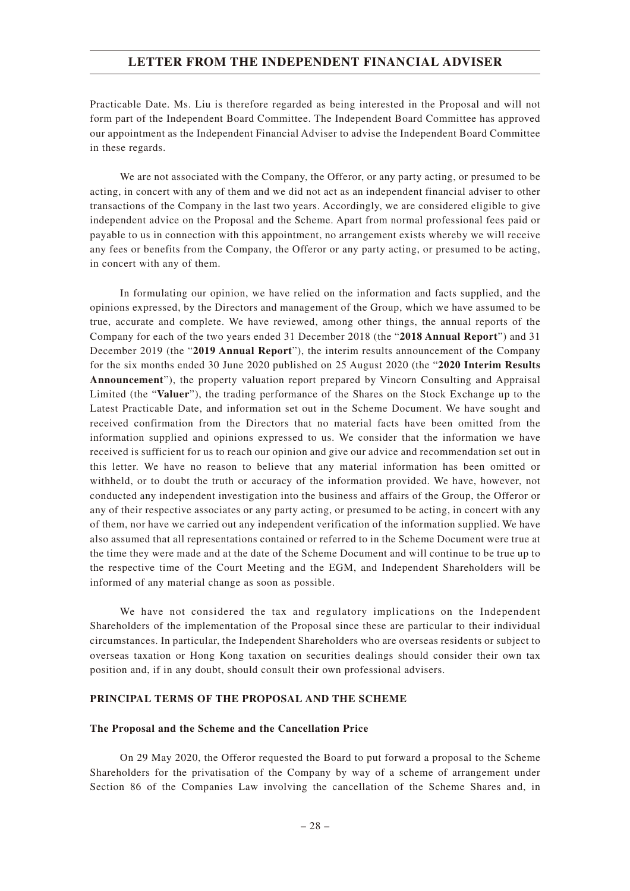Practicable Date. Ms. Liu is therefore regarded as being interested in the Proposal and will not form part of the Independent Board Committee. The Independent Board Committee has approved our appointment as the Independent Financial Adviser to advise the Independent Board Committee in these regards.

We are not associated with the Company, the Offeror, or any party acting, or presumed to be acting, in concert with any of them and we did not act as an independent financial adviser to other transactions of the Company in the last two years. Accordingly, we are considered eligible to give independent advice on the Proposal and the Scheme. Apart from normal professional fees paid or payable to us in connection with this appointment, no arrangement exists whereby we will receive any fees or benefits from the Company, the Offeror or any party acting, or presumed to be acting, in concert with any of them.

In formulating our opinion, we have relied on the information and facts supplied, and the opinions expressed, by the Directors and management of the Group, which we have assumed to be true, accurate and complete. We have reviewed, among other things, the annual reports of the Company for each of the two years ended 31 December 2018 (the "**2018 Annual Report**") and 31 December 2019 (the "**2019 Annual Report**"), the interim results announcement of the Company for the six months ended 30 June 2020 published on 25 August 2020 (the "**2020 Interim Results Announcement**"), the property valuation report prepared by Vincorn Consulting and Appraisal Limited (the "**Valuer**"), the trading performance of the Shares on the Stock Exchange up to the Latest Practicable Date, and information set out in the Scheme Document. We have sought and received confirmation from the Directors that no material facts have been omitted from the information supplied and opinions expressed to us. We consider that the information we have received is sufficient for us to reach our opinion and give our advice and recommendation set out in this letter. We have no reason to believe that any material information has been omitted or withheld, or to doubt the truth or accuracy of the information provided. We have, however, not conducted any independent investigation into the business and affairs of the Group, the Offeror or any of their respective associates or any party acting, or presumed to be acting, in concert with any of them, nor have we carried out any independent verification of the information supplied. We have also assumed that all representations contained or referred to in the Scheme Document were true at the time they were made and at the date of the Scheme Document and will continue to be true up to the respective time of the Court Meeting and the EGM, and Independent Shareholders will be informed of any material change as soon as possible.

We have not considered the tax and regulatory implications on the Independent Shareholders of the implementation of the Proposal since these are particular to their individual circumstances. In particular, the Independent Shareholders who are overseas residents or subject to overseas taxation or Hong Kong taxation on securities dealings should consider their own tax position and, if in any doubt, should consult their own professional advisers.

#### **PRINCIPAL TERMS OF THE PROPOSAL AND THE SCHEME**

#### **The Proposal and the Scheme and the Cancellation Price**

On 29 May 2020, the Offeror requested the Board to put forward a proposal to the Scheme Shareholders for the privatisation of the Company by way of a scheme of arrangement under Section 86 of the Companies Law involving the cancellation of the Scheme Shares and, in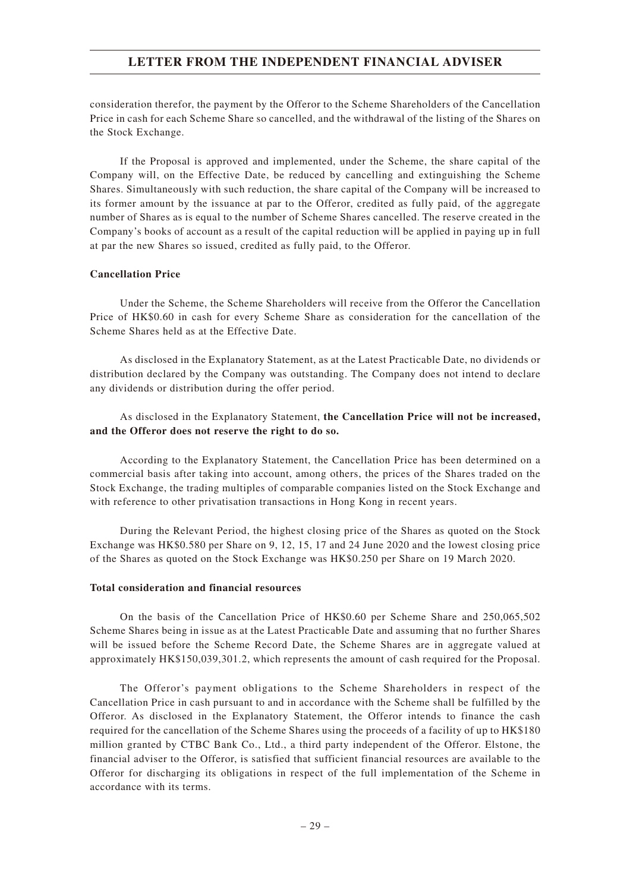consideration therefor, the payment by the Offeror to the Scheme Shareholders of the Cancellation Price in cash for each Scheme Share so cancelled, and the withdrawal of the listing of the Shares on the Stock Exchange.

If the Proposal is approved and implemented, under the Scheme, the share capital of the Company will, on the Effective Date, be reduced by cancelling and extinguishing the Scheme Shares. Simultaneously with such reduction, the share capital of the Company will be increased to its former amount by the issuance at par to the Offeror, credited as fully paid, of the aggregate number of Shares as is equal to the number of Scheme Shares cancelled. The reserve created in the Company's books of account as a result of the capital reduction will be applied in paying up in full at par the new Shares so issued, credited as fully paid, to the Offeror.

#### **Cancellation Price**

Under the Scheme, the Scheme Shareholders will receive from the Offeror the Cancellation Price of HK\$0.60 in cash for every Scheme Share as consideration for the cancellation of the Scheme Shares held as at the Effective Date.

As disclosed in the Explanatory Statement, as at the Latest Practicable Date, no dividends or distribution declared by the Company was outstanding. The Company does not intend to declare any dividends or distribution during the offer period.

As disclosed in the Explanatory Statement, **the Cancellation Price will not be increased, and the Offeror does not reserve the right to do so.**

According to the Explanatory Statement, the Cancellation Price has been determined on a commercial basis after taking into account, among others, the prices of the Shares traded on the Stock Exchange, the trading multiples of comparable companies listed on the Stock Exchange and with reference to other privatisation transactions in Hong Kong in recent years.

During the Relevant Period, the highest closing price of the Shares as quoted on the Stock Exchange was HK\$0.580 per Share on 9, 12, 15, 17 and 24 June 2020 and the lowest closing price of the Shares as quoted on the Stock Exchange was HK\$0.250 per Share on 19 March 2020.

#### **Total consideration and financial resources**

On the basis of the Cancellation Price of HK\$0.60 per Scheme Share and 250,065,502 Scheme Shares being in issue as at the Latest Practicable Date and assuming that no further Shares will be issued before the Scheme Record Date, the Scheme Shares are in aggregate valued at approximately HK\$150,039,301.2, which represents the amount of cash required for the Proposal.

The Offeror's payment obligations to the Scheme Shareholders in respect of the Cancellation Price in cash pursuant to and in accordance with the Scheme shall be fulfilled by the Offeror. As disclosed in the Explanatory Statement, the Offeror intends to finance the cash required for the cancellation of the Scheme Shares using the proceeds of a facility of up to HK\$180 million granted by CTBC Bank Co., Ltd., a third party independent of the Offeror. Elstone, the financial adviser to the Offeror, is satisfied that sufficient financial resources are available to the Offeror for discharging its obligations in respect of the full implementation of the Scheme in accordance with its terms.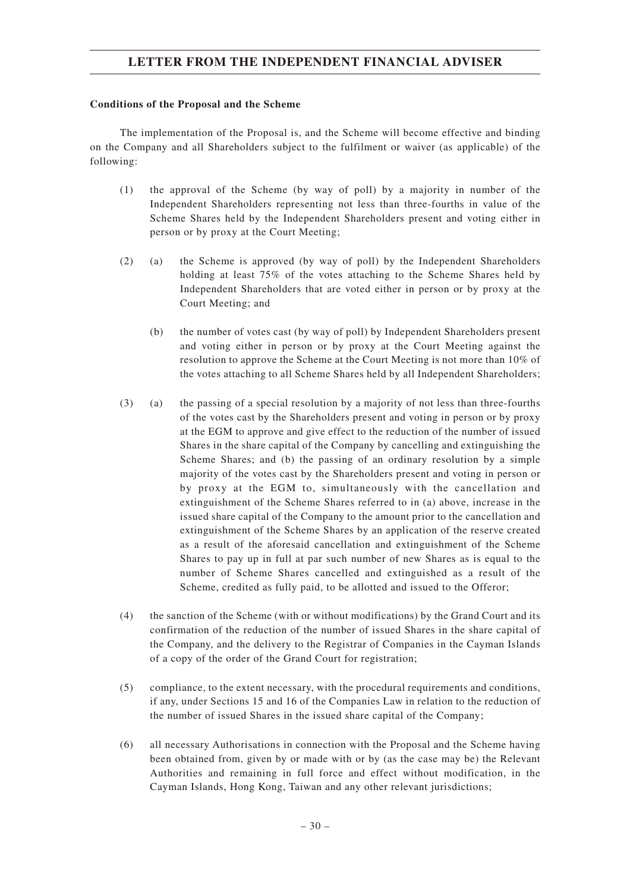#### **Conditions of the Proposal and the Scheme**

The implementation of the Proposal is, and the Scheme will become effective and binding on the Company and all Shareholders subject to the fulfilment or waiver (as applicable) of the following:

- (1) the approval of the Scheme (by way of poll) by a majority in number of the Independent Shareholders representing not less than three-fourths in value of the Scheme Shares held by the Independent Shareholders present and voting either in person or by proxy at the Court Meeting;
- (2) (a) the Scheme is approved (by way of poll) by the Independent Shareholders holding at least 75% of the votes attaching to the Scheme Shares held by Independent Shareholders that are voted either in person or by proxy at the Court Meeting; and
	- (b) the number of votes cast (by way of poll) by Independent Shareholders present and voting either in person or by proxy at the Court Meeting against the resolution to approve the Scheme at the Court Meeting is not more than 10% of the votes attaching to all Scheme Shares held by all Independent Shareholders;
- (3) (a) the passing of a special resolution by a majority of not less than three-fourths of the votes cast by the Shareholders present and voting in person or by proxy at the EGM to approve and give effect to the reduction of the number of issued Shares in the share capital of the Company by cancelling and extinguishing the Scheme Shares; and (b) the passing of an ordinary resolution by a simple majority of the votes cast by the Shareholders present and voting in person or by proxy at the EGM to, simultaneously with the cancellation and extinguishment of the Scheme Shares referred to in (a) above, increase in the issued share capital of the Company to the amount prior to the cancellation and extinguishment of the Scheme Shares by an application of the reserve created as a result of the aforesaid cancellation and extinguishment of the Scheme Shares to pay up in full at par such number of new Shares as is equal to the number of Scheme Shares cancelled and extinguished as a result of the Scheme, credited as fully paid, to be allotted and issued to the Offeror;
- (4) the sanction of the Scheme (with or without modifications) by the Grand Court and its confirmation of the reduction of the number of issued Shares in the share capital of the Company, and the delivery to the Registrar of Companies in the Cayman Islands of a copy of the order of the Grand Court for registration;
- (5) compliance, to the extent necessary, with the procedural requirements and conditions, if any, under Sections 15 and 16 of the Companies Law in relation to the reduction of the number of issued Shares in the issued share capital of the Company;
- (6) all necessary Authorisations in connection with the Proposal and the Scheme having been obtained from, given by or made with or by (as the case may be) the Relevant Authorities and remaining in full force and effect without modification, in the Cayman Islands, Hong Kong, Taiwan and any other relevant jurisdictions;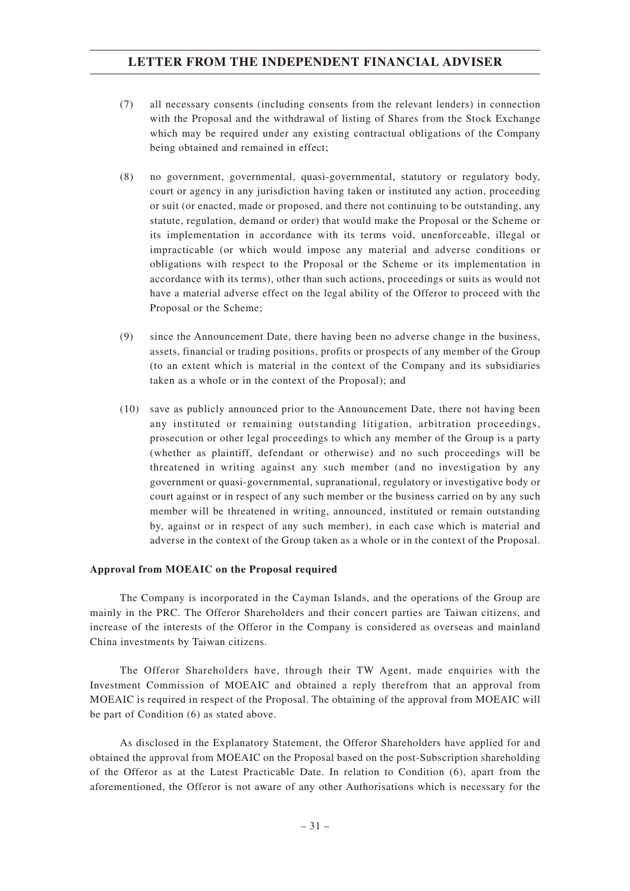- (7) all necessary consents (including consents from the relevant lenders) in connection with the Proposal and the withdrawal of listing of Shares from the Stock Exchange which may be required under any existing contractual obligations of the Company being obtained and remained in effect;
- (8) no government, governmental, quasi-governmental, statutory or regulatory body, court or agency in any jurisdiction having taken or instituted any action, proceeding or suit (or enacted, made or proposed, and there not continuing to be outstanding, any statute, regulation, demand or order) that would make the Proposal or the Scheme or its implementation in accordance with its terms void, unenforceable, illegal or impracticable (or which would impose any material and adverse conditions or obligations with respect to the Proposal or the Scheme or its implementation in accordance with its terms), other than such actions, proceedings or suits as would not have a material adverse effect on the legal ability of the Offeror to proceed with the Proposal or the Scheme;
- (9) since the Announcement Date, there having been no adverse change in the business, assets, financial or trading positions, profits or prospects of any member of the Group (to an extent which is material in the context of the Company and its subsidiaries taken as a whole or in the context of the Proposal); and
- (10) save as publicly announced prior to the Announcement Date, there not having been any instituted or remaining outstanding litigation, arbitration proceedings, prosecution or other legal proceedings to which any member of the Group is a party (whether as plaintiff, defendant or otherwise) and no such proceedings will be threatened in writing against any such member (and no investigation by any government or quasi-governmental, supranational, regulatory or investigative body or court against or in respect of any such member or the business carried on by any such member will be threatened in writing, announced, instituted or remain outstanding by, against or in respect of any such member), in each case which is material and adverse in the context of the Group taken as a whole or in the context of the Proposal.

#### **Approval from MOEAIC on the Proposal required**

The Company is incorporated in the Cayman Islands, and the operations of the Group are mainly in the PRC. The Offeror Shareholders and their concert parties are Taiwan citizens, and increase of the interests of the Offeror in the Company is considered as overseas and mainland China investments by Taiwan citizens.

The Offeror Shareholders have, through their TW Agent, made enquiries with the Investment Commission of MOEAIC and obtained a reply therefrom that an approval from MOEAIC is required in respect of the Proposal. The obtaining of the approval from MOEAIC will be part of Condition (6) as stated above.

As disclosed in the Explanatory Statement, the Offeror Shareholders have applied for and obtained the approval from MOEAIC on the Proposal based on the post-Subscription shareholding of the Offeror as at the Latest Practicable Date. In relation to Condition (6), apart from the aforementioned, the Offeror is not aware of any other Authorisations which is necessary for the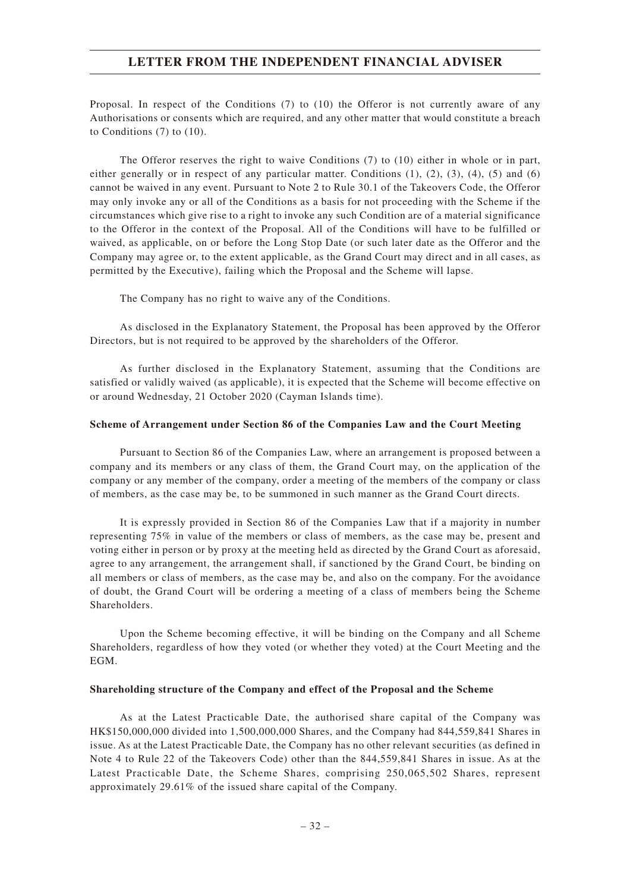Proposal. In respect of the Conditions (7) to (10) the Offeror is not currently aware of any Authorisations or consents which are required, and any other matter that would constitute a breach to Conditions (7) to (10).

The Offeror reserves the right to waive Conditions (7) to (10) either in whole or in part, either generally or in respect of any particular matter. Conditions  $(1)$ ,  $(2)$ ,  $(3)$ ,  $(4)$ ,  $(5)$  and  $(6)$ cannot be waived in any event. Pursuant to Note 2 to Rule 30.1 of the Takeovers Code, the Offeror may only invoke any or all of the Conditions as a basis for not proceeding with the Scheme if the circumstances which give rise to a right to invoke any such Condition are of a material significance to the Offeror in the context of the Proposal. All of the Conditions will have to be fulfilled or waived, as applicable, on or before the Long Stop Date (or such later date as the Offeror and the Company may agree or, to the extent applicable, as the Grand Court may direct and in all cases, as permitted by the Executive), failing which the Proposal and the Scheme will lapse.

The Company has no right to waive any of the Conditions.

As disclosed in the Explanatory Statement, the Proposal has been approved by the Offeror Directors, but is not required to be approved by the shareholders of the Offeror.

As further disclosed in the Explanatory Statement, assuming that the Conditions are satisfied or validly waived (as applicable), it is expected that the Scheme will become effective on or around Wednesday, 21 October 2020 (Cayman Islands time).

#### **Scheme of Arrangement under Section 86 of the Companies Law and the Court Meeting**

Pursuant to Section 86 of the Companies Law, where an arrangement is proposed between a company and its members or any class of them, the Grand Court may, on the application of the company or any member of the company, order a meeting of the members of the company or class of members, as the case may be, to be summoned in such manner as the Grand Court directs.

It is expressly provided in Section 86 of the Companies Law that if a majority in number representing 75% in value of the members or class of members, as the case may be, present and voting either in person or by proxy at the meeting held as directed by the Grand Court as aforesaid, agree to any arrangement, the arrangement shall, if sanctioned by the Grand Court, be binding on all members or class of members, as the case may be, and also on the company. For the avoidance of doubt, the Grand Court will be ordering a meeting of a class of members being the Scheme Shareholders.

Upon the Scheme becoming effective, it will be binding on the Company and all Scheme Shareholders, regardless of how they voted (or whether they voted) at the Court Meeting and the EGM.

#### **Shareholding structure of the Company and effect of the Proposal and the Scheme**

As at the Latest Practicable Date, the authorised share capital of the Company was HK\$150,000,000 divided into 1,500,000,000 Shares, and the Company had 844,559,841 Shares in issue. As at the Latest Practicable Date, the Company has no other relevant securities (as defined in Note 4 to Rule 22 of the Takeovers Code) other than the 844,559,841 Shares in issue. As at the Latest Practicable Date, the Scheme Shares, comprising 250,065,502 Shares, represent approximately 29.61% of the issued share capital of the Company.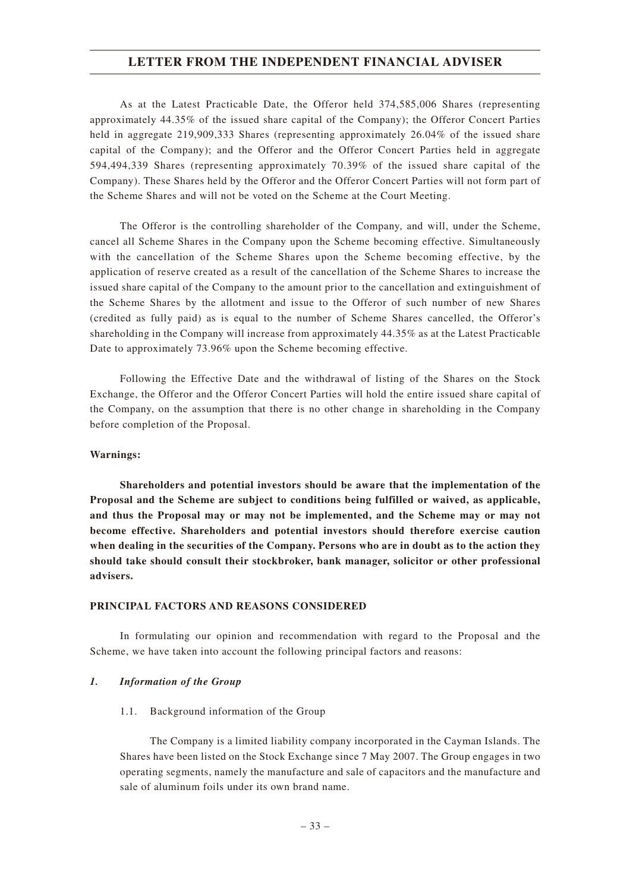As at the Latest Practicable Date, the Offeror held 374,585,006 Shares (representing approximately 44.35% of the issued share capital of the Company); the Offeror Concert Parties held in aggregate 219,909,333 Shares (representing approximately 26.04% of the issued share capital of the Company); and the Offeror and the Offeror Concert Parties held in aggregate 594,494,339 Shares (representing approximately 70.39% of the issued share capital of the Company). These Shares held by the Offeror and the Offeror Concert Parties will not form part of the Scheme Shares and will not be voted on the Scheme at the Court Meeting.

The Offeror is the controlling shareholder of the Company, and will, under the Scheme, cancel all Scheme Shares in the Company upon the Scheme becoming effective. Simultaneously with the cancellation of the Scheme Shares upon the Scheme becoming effective, by the application of reserve created as a result of the cancellation of the Scheme Shares to increase the issued share capital of the Company to the amount prior to the cancellation and extinguishment of the Scheme Shares by the allotment and issue to the Offeror of such number of new Shares (credited as fully paid) as is equal to the number of Scheme Shares cancelled, the Offeror's shareholding in the Company will increase from approximately 44.35% as at the Latest Practicable Date to approximately 73.96% upon the Scheme becoming effective.

Following the Effective Date and the withdrawal of listing of the Shares on the Stock Exchange, the Offeror and the Offeror Concert Parties will hold the entire issued share capital of the Company, on the assumption that there is no other change in shareholding in the Company before completion of the Proposal.

### **Warnings:**

**Shareholders and potential investors should be aware that the implementation of the Proposal and the Scheme are subject to conditions being fulfilled or waived, as applicable, and thus the Proposal may or may not be implemented, and the Scheme may or may not become effective. Shareholders and potential investors should therefore exercise caution when dealing in the securities of the Company. Persons who are in doubt as to the action they should take should consult their stockbroker, bank manager, solicitor or other professional advisers.**

### **PRINCIPAL FACTORS AND REASONS CONSIDERED**

In formulating our opinion and recommendation with regard to the Proposal and the Scheme, we have taken into account the following principal factors and reasons:

## *1. Information of the Group*

### 1.1. Background information of the Group

The Company is a limited liability company incorporated in the Cayman Islands. The Shares have been listed on the Stock Exchange since 7 May 2007. The Group engages in two operating segments, namely the manufacture and sale of capacitors and the manufacture and sale of aluminum foils under its own brand name.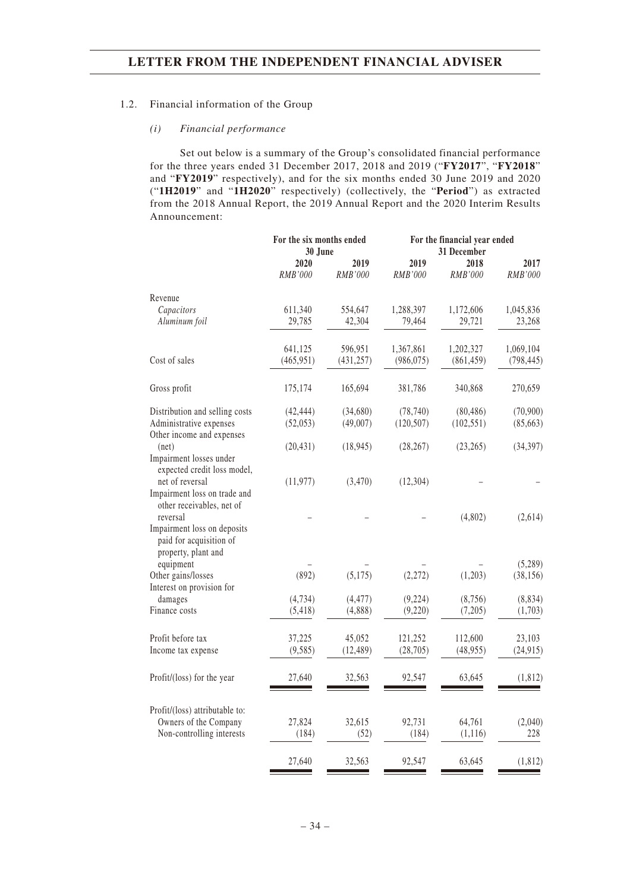### 1.2. Financial information of the Group

### *(i) Financial performance*

Set out below is a summary of the Group's consolidated financial performance for the three years ended 31 December 2017, 2018 and 2019 ("**FY2017**", "**FY2018**" and "**FY2019**" respectively), and for the six months ended 30 June 2019 and 2020 ("**1H2019**" and "**1H2020**" respectively) (collectively, the "**Period**") as extracted from the 2018 Annual Report, the 2019 Annual Report and the 2020 Interim Results Announcement:

|                                                                               | For the six months ended |                 |                 | For the financial year ended |                 |
|-------------------------------------------------------------------------------|--------------------------|-----------------|-----------------|------------------------------|-----------------|
|                                                                               | 30 June                  |                 |                 | 31 December                  |                 |
|                                                                               | 2020<br>RMB'000          | 2019<br>RMB'000 | 2019<br>RMB'000 | 2018<br>RMB'000              | 2017<br>RMB'000 |
| Revenue                                                                       |                          |                 |                 |                              |                 |
| Capacitors                                                                    | 611,340                  | 554,647         | 1,288,397       | 1,172,606                    | 1,045,836       |
| Aluminum foil                                                                 | 29,785                   | 42,304          | 79,464          | 29,721                       | 23,268          |
|                                                                               | 641,125                  | 596,951         | 1,367,861       | 1,202,327                    | 1,069,104       |
| Cost of sales                                                                 | (465, 951)               | (431, 257)      | (986, 075)      | (861, 459)                   | (798, 445)      |
| Gross profit                                                                  | 175,174                  | 165,694         | 381,786         | 340,868                      | 270,659         |
| Distribution and selling costs                                                | (42, 444)                | (34,680)        | (78, 740)       | (80, 486)                    | (70,900)        |
| Administrative expenses<br>Other income and expenses                          | (52,053)                 | (49,007)        | (120, 507)      | (102, 551)                   | (85,663)        |
| net)                                                                          | (20, 431)                | (18, 945)       | (28, 267)       | (23, 265)                    | (34, 397)       |
| Impairment losses under<br>expected credit loss model,                        |                          |                 |                 |                              |                 |
| net of reversal                                                               | (11, 977)                | (3,470)         | (12, 304)       |                              |                 |
| Impairment loss on trade and<br>other receivables, net of                     |                          |                 |                 |                              |                 |
| reversal                                                                      |                          |                 |                 | (4,802)                      | (2,614)         |
| Impairment loss on deposits<br>paid for acquisition of<br>property, plant and |                          |                 |                 |                              |                 |
| equipment                                                                     |                          |                 |                 |                              | (5,289)         |
| Other gains/losses                                                            | (892)                    | (5, 175)        | (2,272)         | (1,203)                      | (38, 156)       |
| Interest on provision for                                                     |                          |                 |                 |                              |                 |
| damages                                                                       | (4, 734)                 | (4, 477)        | (9,224)         | (8,756)                      | (8, 834)        |
| Finance costs                                                                 | (5, 418)                 | (4,888)         | (9,220)         | (7,205)                      | (1,703)         |
| Profit before tax                                                             | 37,225                   | 45,052          | 121,252         | 112,600                      | 23,103          |
| Income tax expense                                                            | (9, 585)                 | (12, 489)       | (28, 705)       | (48,955)                     | (24, 915)       |
| Profit/(loss) for the year                                                    | 27,640                   | 32,563          | 92,547          | 63,645                       | (1, 812)        |
| Profit/(loss) attributable to:                                                |                          |                 |                 |                              |                 |
| Owners of the Company                                                         | 27,824                   | 32,615          | 92,731          | 64,761                       | (2,040)         |
| Non-controlling interests                                                     | (184)                    | (52)            | (184)           | (1, 116)                     | 228             |
|                                                                               | 27,640                   | 32,563          | 92,547          | 63,645                       | (1, 812)        |
|                                                                               |                          |                 |                 |                              |                 |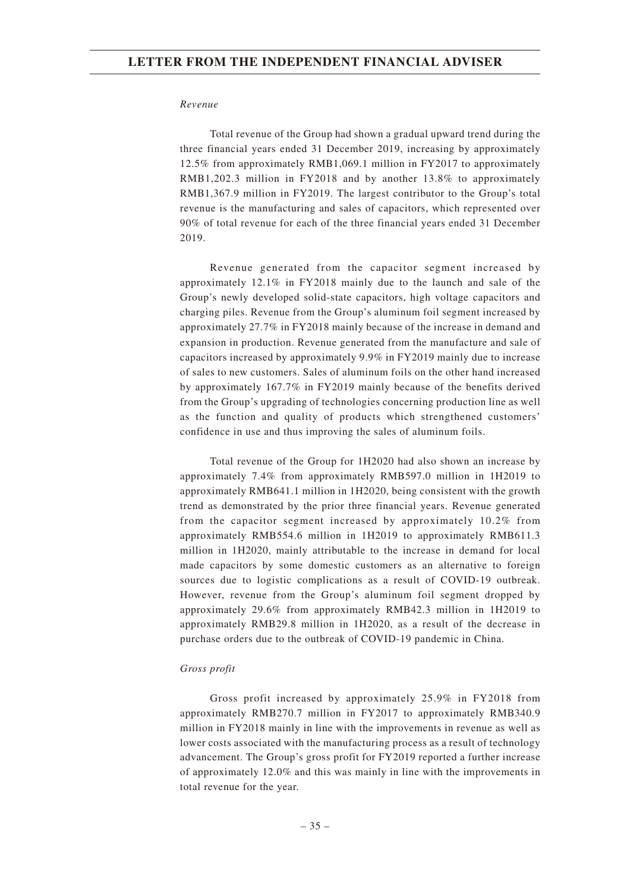#### *Revenue*

Total revenue of the Group had shown a gradual upward trend during the three financial years ended 31 December 2019, increasing by approximately 12.5% from approximately RMB1,069.1 million in FY2017 to approximately RMB1,202.3 million in FY2018 and by another 13.8% to approximately RMB1,367.9 million in FY2019. The largest contributor to the Group's total revenue is the manufacturing and sales of capacitors, which represented over 90% of total revenue for each of the three financial years ended 31 December 2019.

Revenue generated from the capacitor segment increased by approximately 12.1% in FY2018 mainly due to the launch and sale of the Group's newly developed solid-state capacitors, high voltage capacitors and charging piles. Revenue from the Group's aluminum foil segment increased by approximately 27.7% in FY2018 mainly because of the increase in demand and expansion in production. Revenue generated from the manufacture and sale of capacitors increased by approximately 9.9% in FY2019 mainly due to increase of sales to new customers. Sales of aluminum foils on the other hand increased by approximately 167.7% in FY2019 mainly because of the benefits derived from the Group's upgrading of technologies concerning production line as well as the function and quality of products which strengthened customers' confidence in use and thus improving the sales of aluminum foils.

Total revenue of the Group for 1H2020 had also shown an increase by approximately 7.4% from approximately RMB597.0 million in 1H2019 to approximately RMB641.1 million in 1H2020, being consistent with the growth trend as demonstrated by the prior three financial years. Revenue generated from the capacitor segment increased by approximately 10.2% from approximately RMB554.6 million in 1H2019 to approximately RMB611.3 million in 1H2020, mainly attributable to the increase in demand for local made capacitors by some domestic customers as an alternative to foreign sources due to logistic complications as a result of COVID-19 outbreak. However, revenue from the Group's aluminum foil segment dropped by approximately 29.6% from approximately RMB42.3 million in 1H2019 to approximately RMB29.8 million in 1H2020, as a result of the decrease in purchase orders due to the outbreak of COVID-19 pandemic in China.

### *Gross profit*

Gross profit increased by approximately 25.9% in FY2018 from approximately RMB270.7 million in FY2017 to approximately RMB340.9 million in FY2018 mainly in line with the improvements in revenue as well as lower costs associated with the manufacturing process as a result of technology advancement. The Group's gross profit for FY2019 reported a further increase of approximately 12.0% and this was mainly in line with the improvements in total revenue for the year.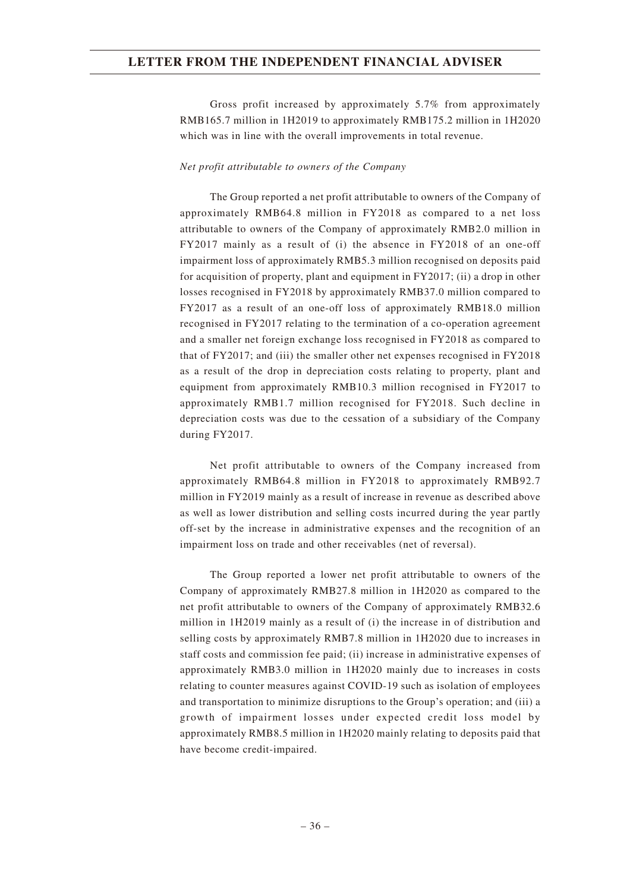Gross profit increased by approximately 5.7% from approximately RMB165.7 million in 1H2019 to approximately RMB175.2 million in 1H2020 which was in line with the overall improvements in total revenue.

### *Net profit attributable to owners of the Company*

The Group reported a net profit attributable to owners of the Company of approximately RMB64.8 million in FY2018 as compared to a net loss attributable to owners of the Company of approximately RMB2.0 million in FY2017 mainly as a result of (i) the absence in FY2018 of an one-off impairment loss of approximately RMB5.3 million recognised on deposits paid for acquisition of property, plant and equipment in FY2017; (ii) a drop in other losses recognised in FY2018 by approximately RMB37.0 million compared to FY2017 as a result of an one-off loss of approximately RMB18.0 million recognised in FY2017 relating to the termination of a co-operation agreement and a smaller net foreign exchange loss recognised in FY2018 as compared to that of FY2017; and (iii) the smaller other net expenses recognised in FY2018 as a result of the drop in depreciation costs relating to property, plant and equipment from approximately RMB10.3 million recognised in FY2017 to approximately RMB1.7 million recognised for FY2018. Such decline in depreciation costs was due to the cessation of a subsidiary of the Company during FY2017.

Net profit attributable to owners of the Company increased from approximately RMB64.8 million in FY2018 to approximately RMB92.7 million in FY2019 mainly as a result of increase in revenue as described above as well as lower distribution and selling costs incurred during the year partly off-set by the increase in administrative expenses and the recognition of an impairment loss on trade and other receivables (net of reversal).

The Group reported a lower net profit attributable to owners of the Company of approximately RMB27.8 million in 1H2020 as compared to the net profit attributable to owners of the Company of approximately RMB32.6 million in 1H2019 mainly as a result of (i) the increase in of distribution and selling costs by approximately RMB7.8 million in 1H2020 due to increases in staff costs and commission fee paid; (ii) increase in administrative expenses of approximately RMB3.0 million in 1H2020 mainly due to increases in costs relating to counter measures against COVID-19 such as isolation of employees and transportation to minimize disruptions to the Group's operation; and (iii) a growth of impairment losses under expected credit loss model by approximately RMB8.5 million in 1H2020 mainly relating to deposits paid that have become credit-impaired.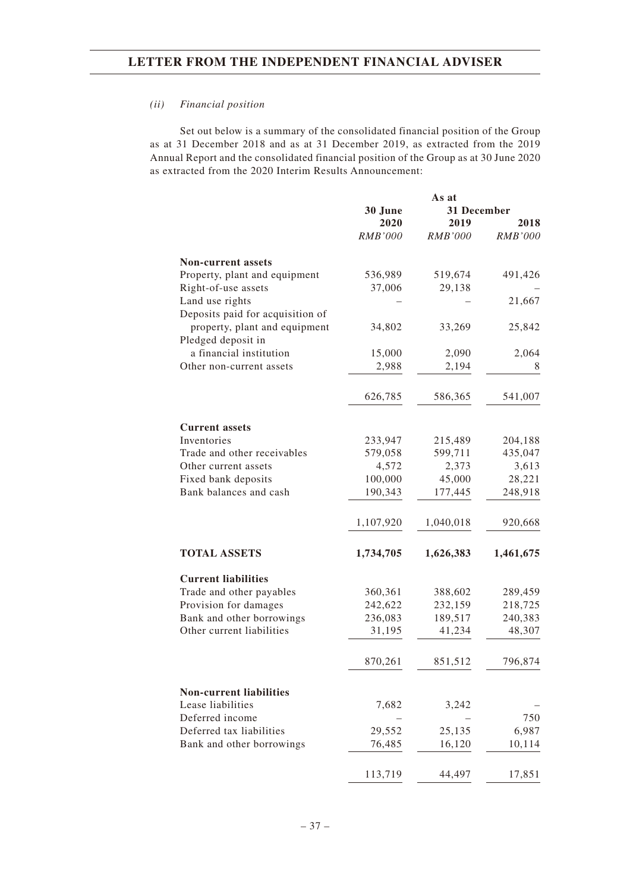### *(ii) Financial position*

Set out below is a summary of the consolidated financial position of the Group as at 31 December 2018 and as at 31 December 2019, as extracted from the 2019 Annual Report and the consolidated financial position of the Group as at 30 June 2020 as extracted from the 2020 Interim Results Announcement:

|                                      |                | As at          |                |
|--------------------------------------|----------------|----------------|----------------|
|                                      | 30 June        | 31 December    |                |
|                                      | 2020           | 2019           | 2018           |
|                                      | <b>RMB'000</b> | <b>RMB'000</b> | <b>RMB'000</b> |
| <b>Non-current assets</b>            |                |                |                |
| Property, plant and equipment        | 536,989        | 519,674        | 491,426        |
| Right-of-use assets                  | 37,006         | 29,138         |                |
| Land use rights                      |                |                | 21,667         |
| Deposits paid for acquisition of     |                |                |                |
| property, plant and equipment        | 34,802         | 33,269         | 25,842         |
| Pledged deposit in                   |                |                |                |
| a financial institution              | 15,000         | 2,090          | 2,064          |
| Other non-current assets             | 2,988          | 2,194          | 8              |
|                                      |                |                |                |
|                                      | 626,785        | 586,365        | 541,007        |
|                                      |                |                |                |
| <b>Current assets</b><br>Inventories | 233,947        | 215,489        | 204,188        |
| Trade and other receivables          | 579,058        | 599,711        | 435,047        |
| Other current assets                 | 4,572          | 2,373          | 3,613          |
| Fixed bank deposits                  | 100,000        | 45,000         | 28,221         |
| Bank balances and cash               | 190,343        | 177,445        | 248,918        |
|                                      |                |                |                |
|                                      | 1,107,920      | 1,040,018      | 920,668        |
| <b>TOTAL ASSETS</b>                  | 1,734,705      | 1,626,383      | 1,461,675      |
| <b>Current liabilities</b>           |                |                |                |
| Trade and other payables             | 360,361        | 388,602        | 289,459        |
| Provision for damages                | 242,622        | 232,159        | 218,725        |
| Bank and other borrowings            | 236,083        | 189,517        | 240,383        |
| Other current liabilities            | 31,195         | 41,234         | 48,307         |
|                                      |                |                |                |
|                                      | 870,261        | 851,512        | 796,874        |
| <b>Non-current liabilities</b>       |                |                |                |
| Lease liabilities                    | 7,682          | 3,242          |                |
| Deferred income                      |                |                | 750            |
| Deferred tax liabilities             | 29,552         | 25,135         | 6,987          |
| Bank and other borrowings            | 76,485         | 16,120         | 10,114         |
|                                      | 113,719        | 44,497         | 17,851         |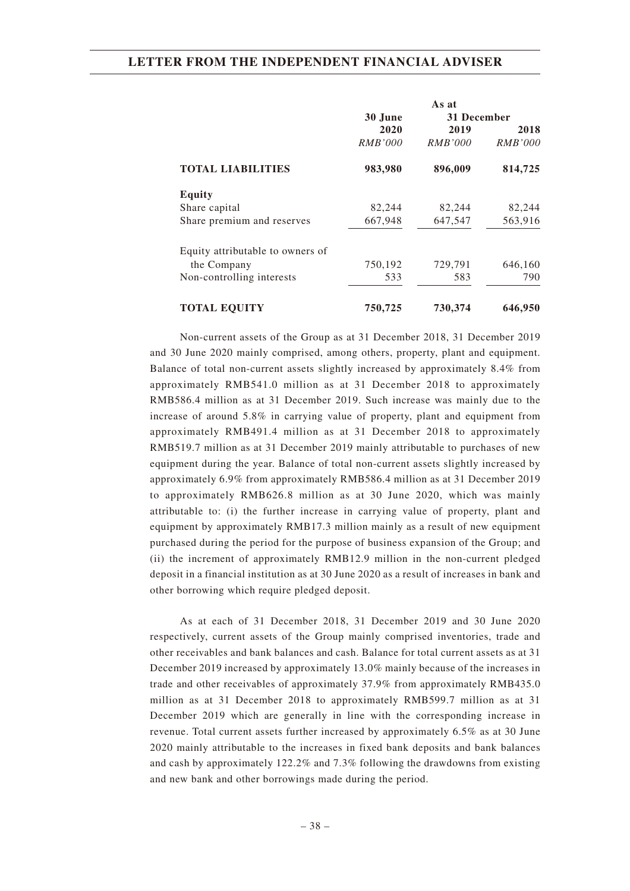|                                  |                 | As at<br>31 December |         |
|----------------------------------|-----------------|----------------------|---------|
|                                  | 30 June<br>2020 | 2019                 | 2018    |
|                                  | RMB'000         | <i>RMB'000</i>       | RMB'000 |
| <b>TOTAL LIABILITIES</b>         | 983,980         | 896,009              | 814,725 |
| Equity                           |                 |                      |         |
| Share capital                    | 82,244          | 82,244               | 82,244  |
| Share premium and reserves       | 667,948         | 647,547              | 563,916 |
| Equity attributable to owners of |                 |                      |         |
| the Company                      | 750,192         | 729,791              | 646,160 |
| Non-controlling interests        | 533             | 583                  | 790     |
| <b>TOTAL EQUITY</b>              | 750,725         | 730,374              | 646,950 |

Non-current assets of the Group as at 31 December 2018, 31 December 2019 and 30 June 2020 mainly comprised, among others, property, plant and equipment. Balance of total non-current assets slightly increased by approximately 8.4% from approximately RMB541.0 million as at 31 December 2018 to approximately RMB586.4 million as at 31 December 2019. Such increase was mainly due to the increase of around 5.8% in carrying value of property, plant and equipment from approximately RMB491.4 million as at 31 December 2018 to approximately RMB519.7 million as at 31 December 2019 mainly attributable to purchases of new equipment during the year. Balance of total non-current assets slightly increased by approximately 6.9% from approximately RMB586.4 million as at 31 December 2019 to approximately RMB626.8 million as at 30 June 2020, which was mainly attributable to: (i) the further increase in carrying value of property, plant and equipment by approximately RMB17.3 million mainly as a result of new equipment purchased during the period for the purpose of business expansion of the Group; and (ii) the increment of approximately RMB12.9 million in the non-current pledged deposit in a financial institution as at 30 June 2020 as a result of increases in bank and other borrowing which require pledged deposit.

As at each of 31 December 2018, 31 December 2019 and 30 June 2020 respectively, current assets of the Group mainly comprised inventories, trade and other receivables and bank balances and cash. Balance for total current assets as at 31 December 2019 increased by approximately 13.0% mainly because of the increases in trade and other receivables of approximately 37.9% from approximately RMB435.0 million as at 31 December 2018 to approximately RMB599.7 million as at 31 December 2019 which are generally in line with the corresponding increase in revenue. Total current assets further increased by approximately 6.5% as at 30 June 2020 mainly attributable to the increases in fixed bank deposits and bank balances and cash by approximately 122.2% and 7.3% following the drawdowns from existing and new bank and other borrowings made during the period.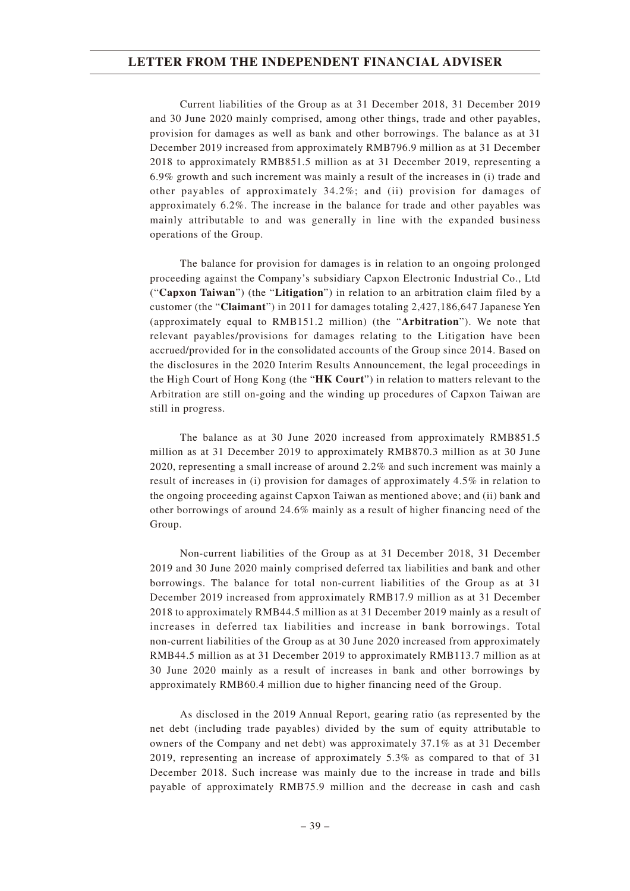Current liabilities of the Group as at 31 December 2018, 31 December 2019 and 30 June 2020 mainly comprised, among other things, trade and other payables, provision for damages as well as bank and other borrowings. The balance as at 31 December 2019 increased from approximately RMB796.9 million as at 31 December 2018 to approximately RMB851.5 million as at 31 December 2019, representing a 6.9% growth and such increment was mainly a result of the increases in (i) trade and other payables of approximately 34.2%; and (ii) provision for damages of approximately 6.2%. The increase in the balance for trade and other payables was mainly attributable to and was generally in line with the expanded business operations of the Group.

The balance for provision for damages is in relation to an ongoing prolonged proceeding against the Company's subsidiary Capxon Electronic Industrial Co., Ltd ("**Capxon Taiwan**") (the "**Litigation**") in relation to an arbitration claim filed by a customer (the "**Claimant**") in 2011 for damages totaling 2,427,186,647 Japanese Yen (approximately equal to RMB151.2 million) (the "**Arbitration**"). We note that relevant payables/provisions for damages relating to the Litigation have been accrued/provided for in the consolidated accounts of the Group since 2014. Based on the disclosures in the 2020 Interim Results Announcement, the legal proceedings in the High Court of Hong Kong (the "**HK Court**") in relation to matters relevant to the Arbitration are still on-going and the winding up procedures of Capxon Taiwan are still in progress.

The balance as at 30 June 2020 increased from approximately RMB851.5 million as at 31 December 2019 to approximately RMB870.3 million as at 30 June 2020, representing a small increase of around 2.2% and such increment was mainly a result of increases in (i) provision for damages of approximately 4.5% in relation to the ongoing proceeding against Capxon Taiwan as mentioned above; and (ii) bank and other borrowings of around 24.6% mainly as a result of higher financing need of the Group.

Non-current liabilities of the Group as at 31 December 2018, 31 December 2019 and 30 June 2020 mainly comprised deferred tax liabilities and bank and other borrowings. The balance for total non-current liabilities of the Group as at 31 December 2019 increased from approximately RMB17.9 million as at 31 December 2018 to approximately RMB44.5 million as at 31 December 2019 mainly as a result of increases in deferred tax liabilities and increase in bank borrowings. Total non-current liabilities of the Group as at 30 June 2020 increased from approximately RMB44.5 million as at 31 December 2019 to approximately RMB113.7 million as at 30 June 2020 mainly as a result of increases in bank and other borrowings by approximately RMB60.4 million due to higher financing need of the Group.

As disclosed in the 2019 Annual Report, gearing ratio (as represented by the net debt (including trade payables) divided by the sum of equity attributable to owners of the Company and net debt) was approximately 37.1% as at 31 December 2019, representing an increase of approximately 5.3% as compared to that of 31 December 2018. Such increase was mainly due to the increase in trade and bills payable of approximately RMB75.9 million and the decrease in cash and cash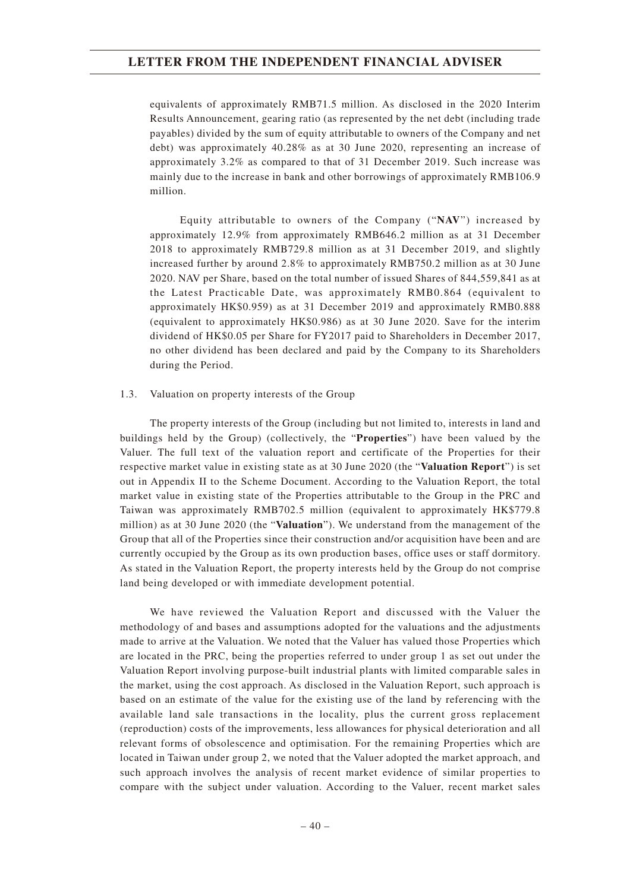equivalents of approximately RMB71.5 million. As disclosed in the 2020 Interim Results Announcement, gearing ratio (as represented by the net debt (including trade payables) divided by the sum of equity attributable to owners of the Company and net debt) was approximately 40.28% as at 30 June 2020, representing an increase of approximately 3.2% as compared to that of 31 December 2019. Such increase was mainly due to the increase in bank and other borrowings of approximately RMB106.9 million.

Equity attributable to owners of the Company ("**NAV**") increased by approximately 12.9% from approximately RMB646.2 million as at 31 December 2018 to approximately RMB729.8 million as at 31 December 2019, and slightly increased further by around 2.8% to approximately RMB750.2 million as at 30 June 2020. NAV per Share, based on the total number of issued Shares of 844,559,841 as at the Latest Practicable Date, was approximately RMB0.864 (equivalent to approximately HK\$0.959) as at 31 December 2019 and approximately RMB0.888 (equivalent to approximately HK\$0.986) as at 30 June 2020. Save for the interim dividend of HK\$0.05 per Share for FY2017 paid to Shareholders in December 2017, no other dividend has been declared and paid by the Company to its Shareholders during the Period.

### 1.3. Valuation on property interests of the Group

The property interests of the Group (including but not limited to, interests in land and buildings held by the Group) (collectively, the "**Properties**") have been valued by the Valuer. The full text of the valuation report and certificate of the Properties for their respective market value in existing state as at 30 June 2020 (the "**Valuation Report**") is set out in Appendix II to the Scheme Document. According to the Valuation Report, the total market value in existing state of the Properties attributable to the Group in the PRC and Taiwan was approximately RMB702.5 million (equivalent to approximately HK\$779.8 million) as at 30 June 2020 (the "**Valuation**"). We understand from the management of the Group that all of the Properties since their construction and/or acquisition have been and are currently occupied by the Group as its own production bases, office uses or staff dormitory. As stated in the Valuation Report, the property interests held by the Group do not comprise land being developed or with immediate development potential.

We have reviewed the Valuation Report and discussed with the Valuer the methodology of and bases and assumptions adopted for the valuations and the adjustments made to arrive at the Valuation. We noted that the Valuer has valued those Properties which are located in the PRC, being the properties referred to under group 1 as set out under the Valuation Report involving purpose-built industrial plants with limited comparable sales in the market, using the cost approach. As disclosed in the Valuation Report, such approach is based on an estimate of the value for the existing use of the land by referencing with the available land sale transactions in the locality, plus the current gross replacement (reproduction) costs of the improvements, less allowances for physical deterioration and all relevant forms of obsolescence and optimisation. For the remaining Properties which are located in Taiwan under group 2, we noted that the Valuer adopted the market approach, and such approach involves the analysis of recent market evidence of similar properties to compare with the subject under valuation. According to the Valuer, recent market sales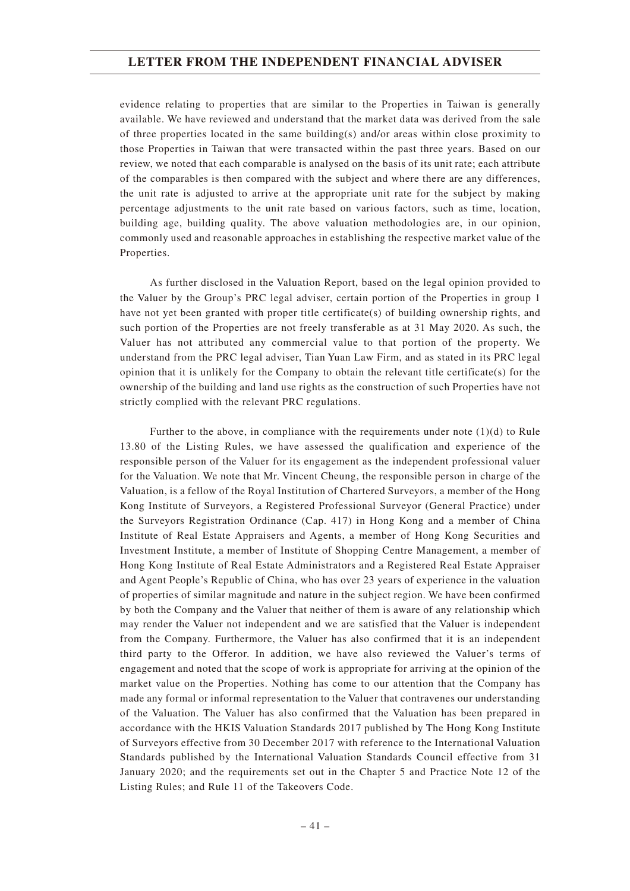evidence relating to properties that are similar to the Properties in Taiwan is generally available. We have reviewed and understand that the market data was derived from the sale of three properties located in the same building(s) and/or areas within close proximity to those Properties in Taiwan that were transacted within the past three years. Based on our review, we noted that each comparable is analysed on the basis of its unit rate; each attribute of the comparables is then compared with the subject and where there are any differences, the unit rate is adjusted to arrive at the appropriate unit rate for the subject by making percentage adjustments to the unit rate based on various factors, such as time, location, building age, building quality. The above valuation methodologies are, in our opinion, commonly used and reasonable approaches in establishing the respective market value of the Properties.

As further disclosed in the Valuation Report, based on the legal opinion provided to the Valuer by the Group's PRC legal adviser, certain portion of the Properties in group 1 have not yet been granted with proper title certificate(s) of building ownership rights, and such portion of the Properties are not freely transferable as at 31 May 2020. As such, the Valuer has not attributed any commercial value to that portion of the property. We understand from the PRC legal adviser, Tian Yuan Law Firm, and as stated in its PRC legal opinion that it is unlikely for the Company to obtain the relevant title certificate(s) for the ownership of the building and land use rights as the construction of such Properties have not strictly complied with the relevant PRC regulations.

Further to the above, in compliance with the requirements under note  $(1)(d)$  to Rule 13.80 of the Listing Rules, we have assessed the qualification and experience of the responsible person of the Valuer for its engagement as the independent professional valuer for the Valuation. We note that Mr. Vincent Cheung, the responsible person in charge of the Valuation, is a fellow of the Royal Institution of Chartered Surveyors, a member of the Hong Kong Institute of Surveyors, a Registered Professional Surveyor (General Practice) under the Surveyors Registration Ordinance (Cap. 417) in Hong Kong and a member of China Institute of Real Estate Appraisers and Agents, a member of Hong Kong Securities and Investment Institute, a member of Institute of Shopping Centre Management, a member of Hong Kong Institute of Real Estate Administrators and a Registered Real Estate Appraiser and Agent People's Republic of China, who has over 23 years of experience in the valuation of properties of similar magnitude and nature in the subject region. We have been confirmed by both the Company and the Valuer that neither of them is aware of any relationship which may render the Valuer not independent and we are satisfied that the Valuer is independent from the Company. Furthermore, the Valuer has also confirmed that it is an independent third party to the Offeror. In addition, we have also reviewed the Valuer's terms of engagement and noted that the scope of work is appropriate for arriving at the opinion of the market value on the Properties. Nothing has come to our attention that the Company has made any formal or informal representation to the Valuer that contravenes our understanding of the Valuation. The Valuer has also confirmed that the Valuation has been prepared in accordance with the HKIS Valuation Standards 2017 published by The Hong Kong Institute of Surveyors effective from 30 December 2017 with reference to the International Valuation Standards published by the International Valuation Standards Council effective from 31 January 2020; and the requirements set out in the Chapter 5 and Practice Note 12 of the Listing Rules; and Rule 11 of the Takeovers Code.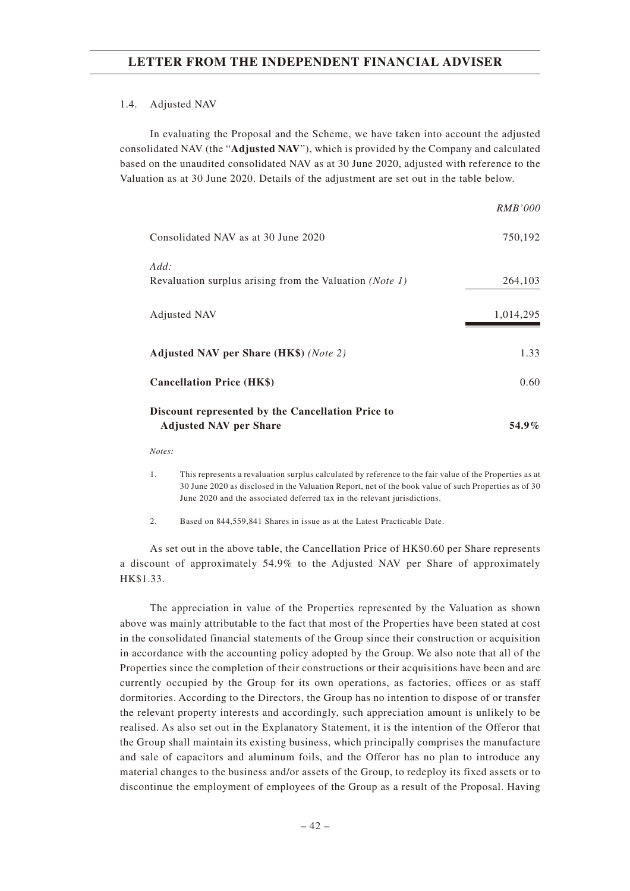#### 1.4. Adjusted NAV

In evaluating the Proposal and the Scheme, we have taken into account the adjusted consolidated NAV (the "**Adjusted NAV**"), which is provided by the Company and calculated based on the unaudited consolidated NAV as at 30 June 2020, adjusted with reference to the Valuation as at 30 June 2020. Details of the adjustment are set out in the table below.

|                                                                                    | <i>RMB'000</i> |
|------------------------------------------------------------------------------------|----------------|
| Consolidated NAV as at 30 June 2020                                                | 750,192        |
| Add:<br>Revaluation surplus arising from the Valuation (Note 1)                    | 264,103        |
| Adjusted NAV                                                                       | 1,014,295      |
| Adjusted NAV per Share (HK\$) (Note 2)                                             | 1.33           |
| <b>Cancellation Price (HK\$)</b>                                                   | 0.60           |
| Discount represented by the Cancellation Price to<br><b>Adjusted NAV per Share</b> | 54.9%          |

*Notes:*

2. Based on 844,559,841 Shares in issue as at the Latest Practicable Date.

As set out in the above table, the Cancellation Price of HK\$0.60 per Share represents a discount of approximately 54.9% to the Adjusted NAV per Share of approximately HK\$1.33.

The appreciation in value of the Properties represented by the Valuation as shown above was mainly attributable to the fact that most of the Properties have been stated at cost in the consolidated financial statements of the Group since their construction or acquisition in accordance with the accounting policy adopted by the Group. We also note that all of the Properties since the completion of their constructions or their acquisitions have been and are currently occupied by the Group for its own operations, as factories, offices or as staff dormitories. According to the Directors, the Group has no intention to dispose of or transfer the relevant property interests and accordingly, such appreciation amount is unlikely to be realised. As also set out in the Explanatory Statement, it is the intention of the Offeror that the Group shall maintain its existing business, which principally comprises the manufacture and sale of capacitors and aluminum foils, and the Offeror has no plan to introduce any material changes to the business and/or assets of the Group, to redeploy its fixed assets or to discontinue the employment of employees of the Group as a result of the Proposal. Having

<sup>1.</sup> This represents a revaluation surplus calculated by reference to the fair value of the Properties as at 30 June 2020 as disclosed in the Valuation Report, net of the book value of such Properties as of 30 June 2020 and the associated deferred tax in the relevant jurisdictions.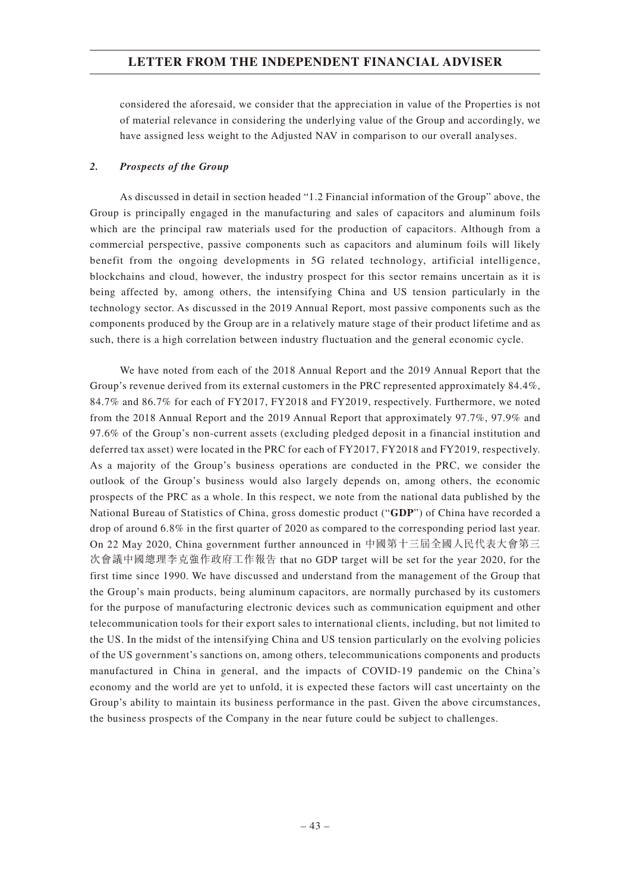considered the aforesaid, we consider that the appreciation in value of the Properties is not of material relevance in considering the underlying value of the Group and accordingly, we have assigned less weight to the Adjusted NAV in comparison to our overall analyses.

### *2. Prospects of the Group*

As discussed in detail in section headed "1.2 Financial information of the Group" above, the Group is principally engaged in the manufacturing and sales of capacitors and aluminum foils which are the principal raw materials used for the production of capacitors. Although from a commercial perspective, passive components such as capacitors and aluminum foils will likely benefit from the ongoing developments in 5G related technology, artificial intelligence, blockchains and cloud, however, the industry prospect for this sector remains uncertain as it is being affected by, among others, the intensifying China and US tension particularly in the technology sector. As discussed in the 2019 Annual Report, most passive components such as the components produced by the Group are in a relatively mature stage of their product lifetime and as such, there is a high correlation between industry fluctuation and the general economic cycle.

We have noted from each of the 2018 Annual Report and the 2019 Annual Report that the Group's revenue derived from its external customers in the PRC represented approximately 84.4%, 84.7% and 86.7% for each of FY2017, FY2018 and FY2019, respectively. Furthermore, we noted from the 2018 Annual Report and the 2019 Annual Report that approximately 97.7%, 97.9% and 97.6% of the Group's non-current assets (excluding pledged deposit in a financial institution and deferred tax asset) were located in the PRC for each of FY2017, FY2018 and FY2019, respectively. As a majority of the Group's business operations are conducted in the PRC, we consider the outlook of the Group's business would also largely depends on, among others, the economic prospects of the PRC as a whole. In this respect, we note from the national data published by the National Bureau of Statistics of China, gross domestic product ("**GDP**") of China have recorded a drop of around 6.8% in the first quarter of 2020 as compared to the corresponding period last year. On 22 May 2020, China government further announced in 中國第十三屆全國人民代表大會第三 次會議中國總理李克強作政府工作報告 that no GDP target will be set for the year 2020, for the first time since 1990. We have discussed and understand from the management of the Group that the Group's main products, being aluminum capacitors, are normally purchased by its customers for the purpose of manufacturing electronic devices such as communication equipment and other telecommunication tools for their export sales to international clients, including, but not limited to the US. In the midst of the intensifying China and US tension particularly on the evolving policies of the US government's sanctions on, among others, telecommunications components and products manufactured in China in general, and the impacts of COVID-19 pandemic on the China's economy and the world are yet to unfold, it is expected these factors will cast uncertainty on the Group's ability to maintain its business performance in the past. Given the above circumstances, the business prospects of the Company in the near future could be subject to challenges.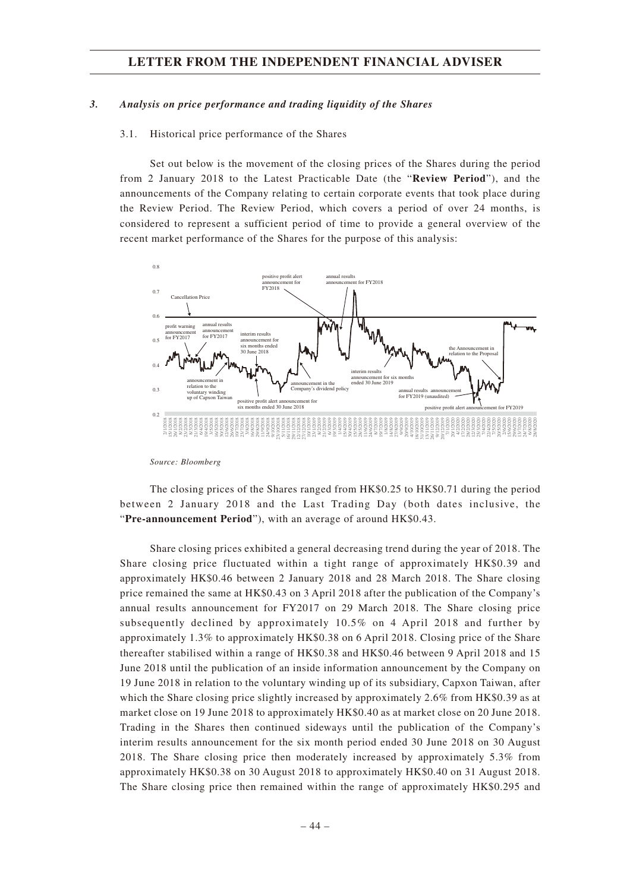#### *3. Analysis on price performance and trading liquidity of the Shares*

#### 3.1. Historical price performance of the Shares

Set out below is the movement of the closing prices of the Shares during the period from 2 January 2018 to the Latest Practicable Date (the "**Review Period**"), and the announcements of the Company relating to certain corporate events that took place during the Review Period. The Review Period, which covers a period of over 24 months, is considered to represent a sufficient period of time to provide a general overview of the recent market performance of the Shares for the purpose of this analysis:



*Source: Bloomberg*

The closing prices of the Shares ranged from HK\$0.25 to HK\$0.71 during the period between 2 January 2018 and the Last Trading Day (both dates inclusive, the "**Pre-announcement Period**"), with an average of around HK\$0.43.

Share closing prices exhibited a general decreasing trend during the year of 2018. The Share closing price fluctuated within a tight range of approximately HK\$0.39 and approximately HK\$0.46 between 2 January 2018 and 28 March 2018. The Share closing price remained the same at HK\$0.43 on 3 April 2018 after the publication of the Company's annual results announcement for FY2017 on 29 March 2018. The Share closing price subsequently declined by approximately 10.5% on 4 April 2018 and further by approximately 1.3% to approximately HK\$0.38 on 6 April 2018. Closing price of the Share thereafter stabilised within a range of HK\$0.38 and HK\$0.46 between 9 April 2018 and 15 June 2018 until the publication of an inside information announcement by the Company on 19 June 2018 in relation to the voluntary winding up of its subsidiary, Capxon Taiwan, after which the Share closing price slightly increased by approximately 2.6% from HK\$0.39 as at market close on 19 June 2018 to approximately HK\$0.40 as at market close on 20 June 2018. Trading in the Shares then continued sideways until the publication of the Company's interim results announcement for the six month period ended 30 June 2018 on 30 August 2018. The Share closing price then moderately increased by approximately 5.3% from approximately HK\$0.38 on 30 August 2018 to approximately HK\$0.40 on 31 August 2018. The Share closing price then remained within the range of approximately HK\$0.295 and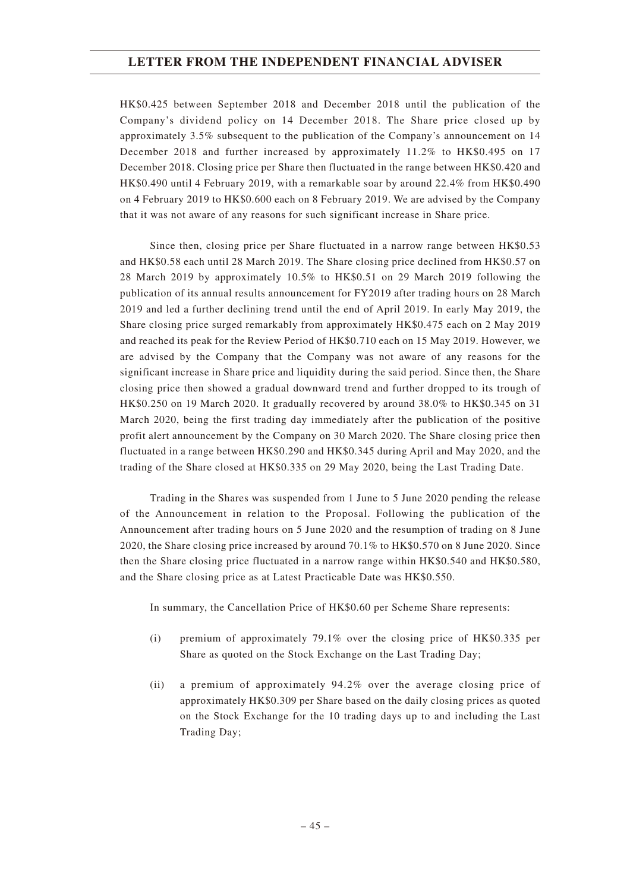HK\$0.425 between September 2018 and December 2018 until the publication of the Company's dividend policy on 14 December 2018. The Share price closed up by approximately 3.5% subsequent to the publication of the Company's announcement on 14 December 2018 and further increased by approximately 11.2% to HK\$0.495 on 17 December 2018. Closing price per Share then fluctuated in the range between HK\$0.420 and HK\$0.490 until 4 February 2019, with a remarkable soar by around 22.4% from HK\$0.490 on 4 February 2019 to HK\$0.600 each on 8 February 2019. We are advised by the Company that it was not aware of any reasons for such significant increase in Share price.

Since then, closing price per Share fluctuated in a narrow range between HK\$0.53 and HK\$0.58 each until 28 March 2019. The Share closing price declined from HK\$0.57 on 28 March 2019 by approximately 10.5% to HK\$0.51 on 29 March 2019 following the publication of its annual results announcement for FY2019 after trading hours on 28 March 2019 and led a further declining trend until the end of April 2019. In early May 2019, the Share closing price surged remarkably from approximately HK\$0.475 each on 2 May 2019 and reached its peak for the Review Period of HK\$0.710 each on 15 May 2019. However, we are advised by the Company that the Company was not aware of any reasons for the significant increase in Share price and liquidity during the said period. Since then, the Share closing price then showed a gradual downward trend and further dropped to its trough of HK\$0.250 on 19 March 2020. It gradually recovered by around 38.0% to HK\$0.345 on 31 March 2020, being the first trading day immediately after the publication of the positive profit alert announcement by the Company on 30 March 2020. The Share closing price then fluctuated in a range between HK\$0.290 and HK\$0.345 during April and May 2020, and the trading of the Share closed at HK\$0.335 on 29 May 2020, being the Last Trading Date.

Trading in the Shares was suspended from 1 June to 5 June 2020 pending the release of the Announcement in relation to the Proposal. Following the publication of the Announcement after trading hours on 5 June 2020 and the resumption of trading on 8 June 2020, the Share closing price increased by around 70.1% to HK\$0.570 on 8 June 2020. Since then the Share closing price fluctuated in a narrow range within HK\$0.540 and HK\$0.580, and the Share closing price as at Latest Practicable Date was HK\$0.550.

In summary, the Cancellation Price of HK\$0.60 per Scheme Share represents:

- (i) premium of approximately 79.1% over the closing price of HK\$0.335 per Share as quoted on the Stock Exchange on the Last Trading Day;
- (ii) a premium of approximately 94.2% over the average closing price of approximately HK\$0.309 per Share based on the daily closing prices as quoted on the Stock Exchange for the 10 trading days up to and including the Last Trading Day;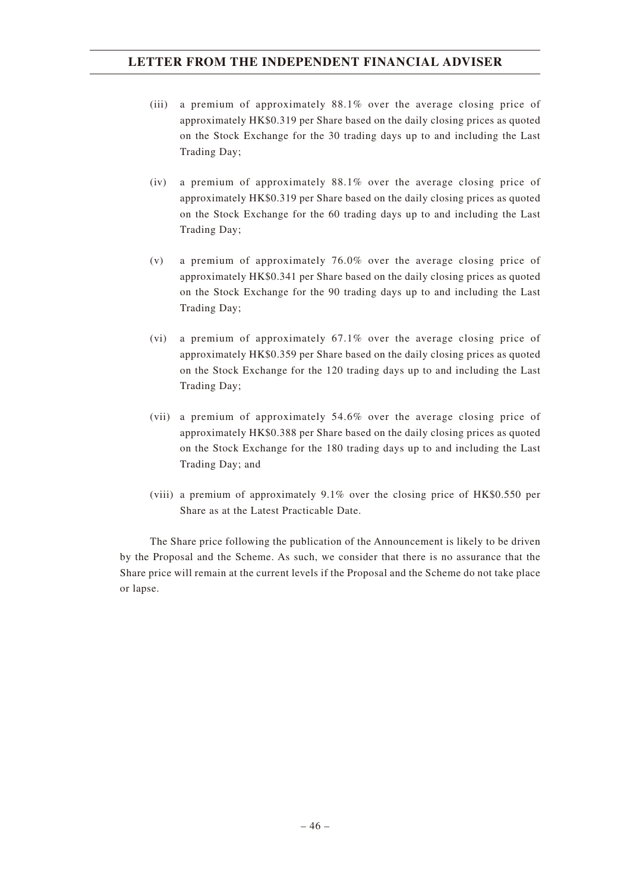- (iii) a premium of approximately 88.1% over the average closing price of approximately HK\$0.319 per Share based on the daily closing prices as quoted on the Stock Exchange for the 30 trading days up to and including the Last Trading Day;
- (iv) a premium of approximately 88.1% over the average closing price of approximately HK\$0.319 per Share based on the daily closing prices as quoted on the Stock Exchange for the 60 trading days up to and including the Last Trading Day;
- (v) a premium of approximately 76.0% over the average closing price of approximately HK\$0.341 per Share based on the daily closing prices as quoted on the Stock Exchange for the 90 trading days up to and including the Last Trading Day;
- (vi) a premium of approximately 67.1% over the average closing price of approximately HK\$0.359 per Share based on the daily closing prices as quoted on the Stock Exchange for the 120 trading days up to and including the Last Trading Day;
- (vii) a premium of approximately 54.6% over the average closing price of approximately HK\$0.388 per Share based on the daily closing prices as quoted on the Stock Exchange for the 180 trading days up to and including the Last Trading Day; and
- (viii) a premium of approximately 9.1% over the closing price of HK\$0.550 per Share as at the Latest Practicable Date.

The Share price following the publication of the Announcement is likely to be driven by the Proposal and the Scheme. As such, we consider that there is no assurance that the Share price will remain at the current levels if the Proposal and the Scheme do not take place or lapse.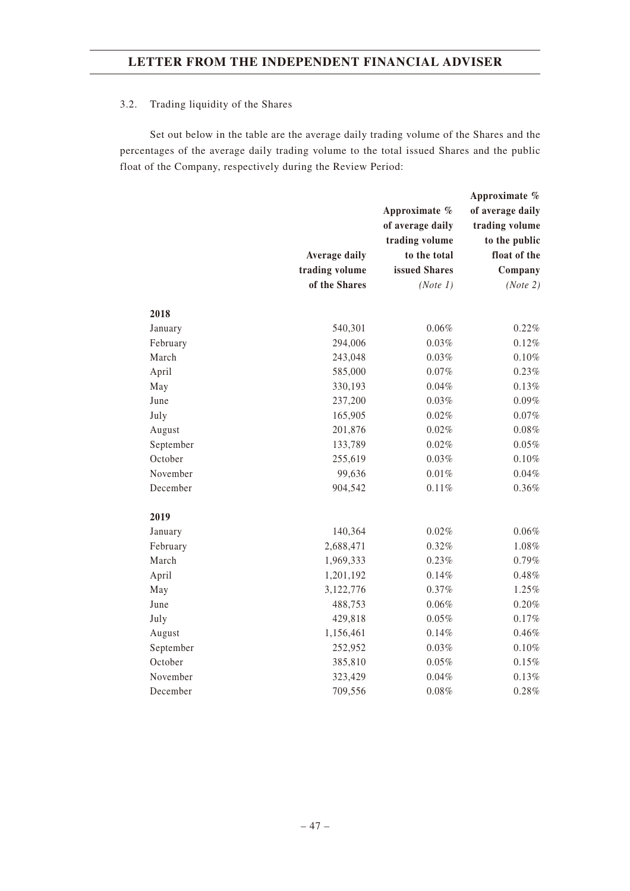## 3.2. Trading liquidity of the Shares

Set out below in the table are the average daily trading volume of the Shares and the percentages of the average daily trading volume to the total issued Shares and the public float of the Company, respectively during the Review Period:

|           |                      |                  | Approximate %    |
|-----------|----------------------|------------------|------------------|
|           |                      | Approximate %    | of average daily |
|           |                      | of average daily | trading volume   |
|           |                      | trading volume   | to the public    |
|           | <b>Average daily</b> | to the total     | float of the     |
|           | trading volume       | issued Shares    | Company          |
|           | of the Shares        | (Note 1)         | (Note 2)         |
| 2018      |                      |                  |                  |
| January   | 540,301              | $0.06\%$         | 0.22%            |
| February  | 294,006              | 0.03%            | 0.12%            |
| March     | 243,048              | 0.03%            | $0.10\%$         |
| April     | 585,000              | 0.07%            | 0.23%            |
| May       | 330,193              | 0.04%            | $0.13\%$         |
| June      | 237,200              | 0.03%            | $0.09\%$         |
| July      | 165,905              | $0.02\%$         | $0.07\%$         |
| August    | 201,876              | 0.02%            | 0.08%            |
| September | 133,789              | 0.02%            | $0.05\%$         |
| October   | 255,619              | 0.03%            | $0.10\%$         |
| November  | 99,636               | $0.01\%$         | 0.04%            |
| December  | 904,542              | 0.11%            | 0.36%            |
| 2019      |                      |                  |                  |
| January   | 140,364              | 0.02%            | 0.06%            |
| February  | 2,688,471            | 0.32%            | $1.08\%$         |
| March     | 1,969,333            | $0.23\%$         | 0.79%            |
| April     | 1,201,192            | 0.14%            | 0.48%            |
| May       | 3,122,776            | 0.37%            | 1.25%            |
| June      | 488,753              | $0.06\%$         | $0.20\%$         |
| July      | 429,818              | 0.05%            | 0.17%            |
| August    | 1,156,461            | 0.14%            | 0.46%            |
| September | 252,952              | 0.03%            | 0.10%            |
| October   | 385,810              | $0.05\%$         | $0.15\%$         |
| November  | 323,429              | 0.04%            | 0.13%            |
| December  | 709,556              | 0.08%            | 0.28%            |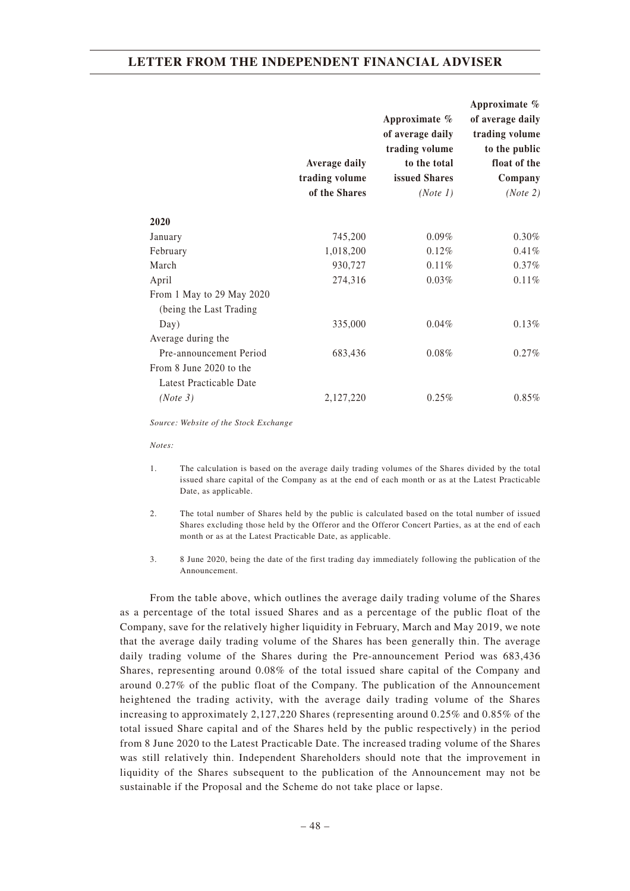|                           |                      |                  | Approximate %    |
|---------------------------|----------------------|------------------|------------------|
|                           |                      | Approximate $\%$ | of average daily |
|                           |                      | of average daily | trading volume   |
|                           |                      | trading volume   | to the public    |
|                           | <b>Average daily</b> | to the total     | float of the     |
|                           | trading volume       | issued Shares    | Company          |
|                           | of the Shares        | (Note 1)         | (Note 2)         |
| 2020                      |                      |                  |                  |
| January                   | 745,200              | $0.09\%$         | 0.30%            |
| February                  | 1,018,200            | 0.12%            | 0.41%            |
| March                     | 930,727              | 0.11%            | 0.37%            |
| April                     | 274,316              | 0.03%            | 0.11%            |
| From 1 May to 29 May 2020 |                      |                  |                  |
| (being the Last Trading)  |                      |                  |                  |
| Day)                      | 335,000              | $0.04\%$         | 0.13%            |
| Average during the        |                      |                  |                  |
| Pre-announcement Period   | 683,436              | 0.08%            | $0.27\%$         |
| From 8 June 2020 to the   |                      |                  |                  |
| Latest Practicable Date   |                      |                  |                  |
| (Note 3)                  | 2,127,220            | $0.25\%$         | $0.85\%$         |

*Source: Website of the Stock Exchange*

*Notes:*

- 1. The calculation is based on the average daily trading volumes of the Shares divided by the total issued share capital of the Company as at the end of each month or as at the Latest Practicable Date, as applicable.
- 2. The total number of Shares held by the public is calculated based on the total number of issued Shares excluding those held by the Offeror and the Offeror Concert Parties, as at the end of each month or as at the Latest Practicable Date, as applicable.
- 3. 8 June 2020, being the date of the first trading day immediately following the publication of the Announcement.

From the table above, which outlines the average daily trading volume of the Shares as a percentage of the total issued Shares and as a percentage of the public float of the Company, save for the relatively higher liquidity in February, March and May 2019, we note that the average daily trading volume of the Shares has been generally thin. The average daily trading volume of the Shares during the Pre-announcement Period was 683,436 Shares, representing around 0.08% of the total issued share capital of the Company and around 0.27% of the public float of the Company. The publication of the Announcement heightened the trading activity, with the average daily trading volume of the Shares increasing to approximately 2,127,220 Shares (representing around 0.25% and 0.85% of the total issued Share capital and of the Shares held by the public respectively) in the period from 8 June 2020 to the Latest Practicable Date. The increased trading volume of the Shares was still relatively thin. Independent Shareholders should note that the improvement in liquidity of the Shares subsequent to the publication of the Announcement may not be sustainable if the Proposal and the Scheme do not take place or lapse.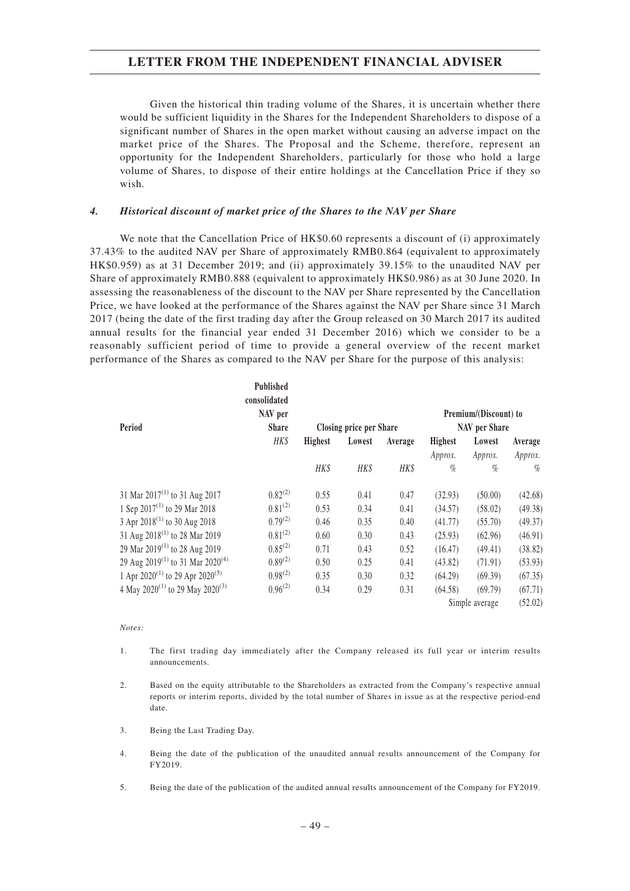Given the historical thin trading volume of the Shares, it is uncertain whether there would be sufficient liquidity in the Shares for the Independent Shareholders to dispose of a significant number of Shares in the open market without causing an adverse impact on the market price of the Shares. The Proposal and the Scheme, therefore, represent an opportunity for the Independent Shareholders, particularly for those who hold a large volume of Shares, to dispose of their entire holdings at the Cancellation Price if they so wish.

### *4. Historical discount of market price of the Shares to the NAV per Share*

We note that the Cancellation Price of HK\$0.60 represents a discount of (i) approximately 37.43% to the audited NAV per Share of approximately RMB0.864 (equivalent to approximately HK\$0.959) as at 31 December 2019; and (ii) approximately 39.15% to the unaudited NAV per Share of approximately RMB0.888 (equivalent to approximately HK\$0.986) as at 30 June 2020. In assessing the reasonableness of the discount to the NAV per Share represented by the Cancellation Price, we have looked at the performance of the Shares against the NAV per Share since 31 March 2017 (being the date of the first trading day after the Group released on 30 March 2017 its audited annual results for the financial year ended 31 December 2016) which we consider to be a reasonably sufficient period of time to provide a general overview of the recent market performance of the Shares as compared to the NAV per Share for the purpose of this analysis:

|                                                          | <b>Published</b><br>consolidated<br>NAV per |                |                                |         |                | Premium/(Discount) to |         |
|----------------------------------------------------------|---------------------------------------------|----------------|--------------------------------|---------|----------------|-----------------------|---------|
| Period                                                   | <b>Share</b>                                |                | <b>Closing price per Share</b> |         |                | NAV per Share         |         |
|                                                          | HK\$                                        | <b>Highest</b> | Lowest                         | Average | <b>Highest</b> | Lowest                | Average |
|                                                          |                                             |                |                                |         | Approx.        | Approx.               | Approx. |
|                                                          |                                             | HK\$           | <b>HK\$</b>                    | HK\$    | $\%$           | $\%$                  | $\%$    |
| 31 Mar $2017^{(1)}$ to 31 Aug 2017                       | $0.82^{(2)}$                                | 0.55           | 0.41                           | 0.47    | (32.93)        | (50.00)               | (42.68) |
| 1 Sep $2017^{(1)}$ to 29 Mar 2018                        | $0.81^{(2)}$                                | 0.53           | 0.34                           | 0.41    | (34.57)        | (58.02)               | (49.38) |
| 3 Apr 2018 <sup>(1)</sup> to 30 Aug 2018                 | $0.79^{(2)}$                                | 0.46           | 0.35                           | 0.40    | (41.77)        | (55.70)               | (49.37) |
| 31 Aug 2018 <sup>(1)</sup> to 28 Mar 2019                | $0.81^{(2)}$                                | 0.60           | 0.30                           | 0.43    | (25.93)        | (62.96)               | (46.91) |
| 29 Mar 2019 <sup>(1)</sup> to 28 Aug 2019                | $0.85^{(2)}$                                | 0.71           | 0.43                           | 0.52    | (16.47)        | (49.41)               | (38.82) |
| 29 Aug 2019 <sup>(1)</sup> to 31 Mar 2020 <sup>(4)</sup> | $0.89^{(2)}$                                | 0.50           | 0.25                           | 0.41    | (43.82)        | (71.91)               | (53.93) |
| 1 Apr $2020^{(1)}$ to 29 Apr $2020^{(5)}$                | $0.98^{(2)}$                                | 0.35           | 0.30                           | 0.32    | (64.29)        | (69.39)               | (67.35) |
| 4 May 2020 <sup>(1)</sup> to 29 May 2020 <sup>(3)</sup>  | $0.96^{(2)}$                                | 0.34           | 0.29                           | 0.31    | (64.58)        | (69.79)               | (67.71) |
|                                                          |                                             |                |                                |         |                | Simple average        | (52.02) |

#### *Notes:*

- 1. The first trading day immediately after the Company released its full year or interim results announcements.
- 2. Based on the equity attributable to the Shareholders as extracted from the Company's respective annual reports or interim reports, divided by the total number of Shares in issue as at the respective period-end date.
- 3. Being the Last Trading Day.
- 4. Being the date of the publication of the unaudited annual results announcement of the Company for FY2019.
- 5. Being the date of the publication of the audited annual results announcement of the Company for FY2019.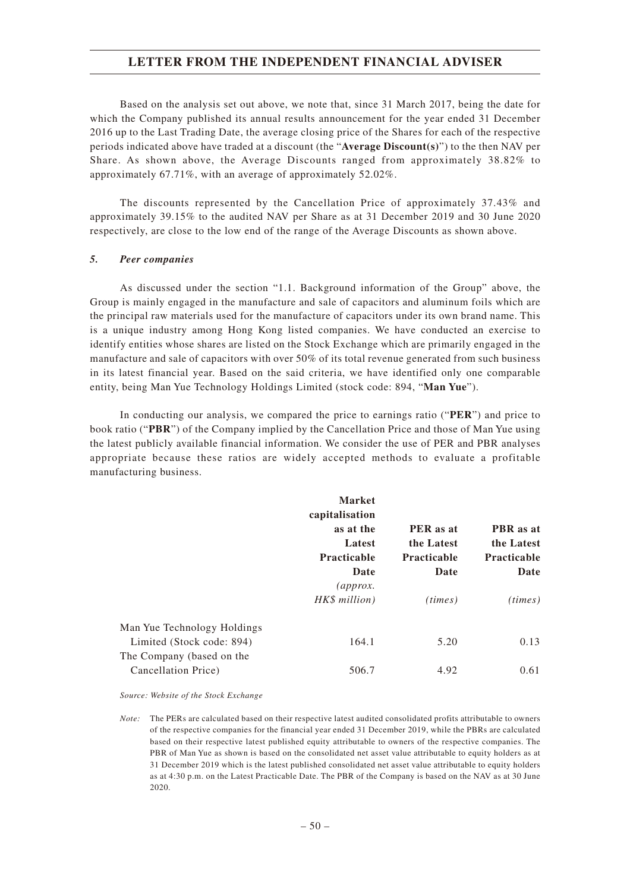Based on the analysis set out above, we note that, since 31 March 2017, being the date for which the Company published its annual results announcement for the year ended 31 December 2016 up to the Last Trading Date, the average closing price of the Shares for each of the respective periods indicated above have traded at a discount (the "**Average Discount(s)**") to the then NAV per Share. As shown above, the Average Discounts ranged from approximately 38.82% to approximately 67.71%, with an average of approximately 52.02%.

The discounts represented by the Cancellation Price of approximately 37.43% and approximately 39.15% to the audited NAV per Share as at 31 December 2019 and 30 June 2020 respectively, are close to the low end of the range of the Average Discounts as shown above.

#### *5. Peer companies*

As discussed under the section "1.1. Background information of the Group" above, the Group is mainly engaged in the manufacture and sale of capacitors and aluminum foils which are the principal raw materials used for the manufacture of capacitors under its own brand name. This is a unique industry among Hong Kong listed companies. We have conducted an exercise to identify entities whose shares are listed on the Stock Exchange which are primarily engaged in the manufacture and sale of capacitors with over 50% of its total revenue generated from such business in its latest financial year. Based on the said criteria, we have identified only one comparable entity, being Man Yue Technology Holdings Limited (stock code: 894, "**Man Yue**").

In conducting our analysis, we compared the price to earnings ratio ("**PER**") and price to book ratio ("**PBR**") of the Company implied by the Cancellation Price and those of Man Yue using the latest publicly available financial information. We consider the use of PER and PBR analyses appropriate because these ratios are widely accepted methods to evaluate a profitable manufacturing business.

|                                                          | <b>Market</b><br>capitalisation<br>as at the<br>Latest<br><b>Practicable</b><br>Date<br>$\langle$ approx.<br>HK\$ million) | PER as at<br>the Latest<br><b>Practicable</b><br>Date<br>(times) | PBR as at<br>the Latest<br><b>Practicable</b><br>Date<br>(times) |
|----------------------------------------------------------|----------------------------------------------------------------------------------------------------------------------------|------------------------------------------------------------------|------------------------------------------------------------------|
| Man Yue Technology Holdings<br>Limited (Stock code: 894) | 164.1                                                                                                                      | 5.20                                                             | 0.13                                                             |
| The Company (based on the<br>Cancellation Price)         | 506.7                                                                                                                      | 4.92                                                             | 0.61                                                             |

*Source: Website of the Stock Exchange*

*Note:* The PERs are calculated based on their respective latest audited consolidated profits attributable to owners of the respective companies for the financial year ended 31 December 2019, while the PBRs are calculated based on their respective latest published equity attributable to owners of the respective companies. The PBR of Man Yue as shown is based on the consolidated net asset value attributable to equity holders as at 31 December 2019 which is the latest published consolidated net asset value attributable to equity holders as at 4:30 p.m. on the Latest Practicable Date. The PBR of the Company is based on the NAV as at 30 June 2020.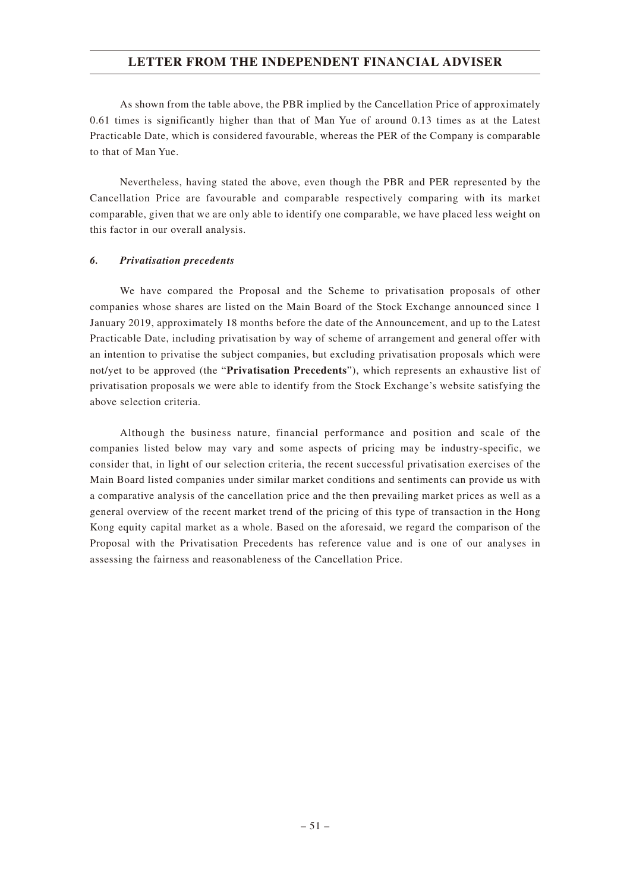As shown from the table above, the PBR implied by the Cancellation Price of approximately 0.61 times is significantly higher than that of Man Yue of around 0.13 times as at the Latest Practicable Date, which is considered favourable, whereas the PER of the Company is comparable to that of Man Yue.

Nevertheless, having stated the above, even though the PBR and PER represented by the Cancellation Price are favourable and comparable respectively comparing with its market comparable, given that we are only able to identify one comparable, we have placed less weight on this factor in our overall analysis.

### *6. Privatisation precedents*

We have compared the Proposal and the Scheme to privatisation proposals of other companies whose shares are listed on the Main Board of the Stock Exchange announced since 1 January 2019, approximately 18 months before the date of the Announcement, and up to the Latest Practicable Date, including privatisation by way of scheme of arrangement and general offer with an intention to privatise the subject companies, but excluding privatisation proposals which were not/yet to be approved (the "**Privatisation Precedents**"), which represents an exhaustive list of privatisation proposals we were able to identify from the Stock Exchange's website satisfying the above selection criteria.

Although the business nature, financial performance and position and scale of the companies listed below may vary and some aspects of pricing may be industry-specific, we consider that, in light of our selection criteria, the recent successful privatisation exercises of the Main Board listed companies under similar market conditions and sentiments can provide us with a comparative analysis of the cancellation price and the then prevailing market prices as well as a general overview of the recent market trend of the pricing of this type of transaction in the Hong Kong equity capital market as a whole. Based on the aforesaid, we regard the comparison of the Proposal with the Privatisation Precedents has reference value and is one of our analyses in assessing the fairness and reasonableness of the Cancellation Price.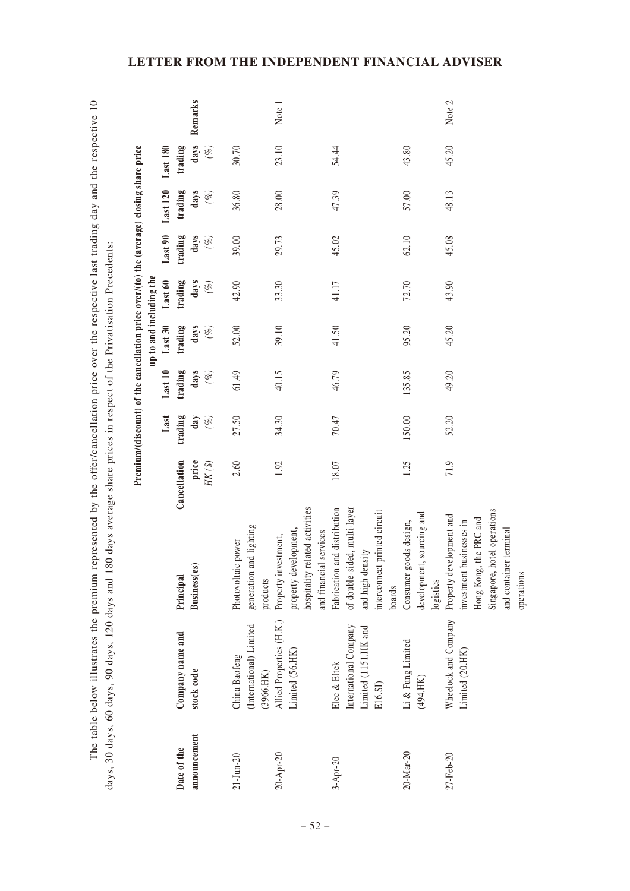|                 | days, 30 days, 60 days, 90 days, 120 days and 180                        |                                                                                                                                                       | days average share prices in respect of the Privatisation Precedents: |               |                | Premium/(discount) of the cancellation price over/(to) the (average) closing share price |                |                |                 |                 |         |
|-----------------|--------------------------------------------------------------------------|-------------------------------------------------------------------------------------------------------------------------------------------------------|-----------------------------------------------------------------------|---------------|----------------|------------------------------------------------------------------------------------------|----------------|----------------|-----------------|-----------------|---------|
|                 |                                                                          |                                                                                                                                                       |                                                                       | Last          | Last 10        | up to and including the<br>Last 30                                                       | Last 60        | Last 90        | <b>Last 120</b> | <b>Last 180</b> |         |
| Date of the     | Company name and                                                         | Principal                                                                                                                                             | Cancellation                                                          | trading       | trading        | trading                                                                                  | trading        | trading        | trading         | trading         |         |
| announcement    | stock code                                                               | Business(es)                                                                                                                                          | price<br>$HK\,(\mathcal{S})$                                          | day<br>$(\%)$ | days<br>$(\%)$ | days<br>$(\%)$                                                                           | days<br>$(\%)$ | days<br>$(\%)$ | days<br>$(\%)$  | days<br>$(\%)$  | Remarks |
| $21 - Jun - 20$ | (International) Limited<br>China Baofeng<br>(3966.HK)                    | generation and lighting<br>Photovoltaic power<br>products                                                                                             | 2.60                                                                  | 27.50         | 61.49          | 52.00                                                                                    | 42.90          | 39.00          | 36.80           | 30.70           |         |
| 20-Apr-20       | Allied Properties (H.K.)<br>Limited (56.HK)                              | hospitality related activities<br>property development,<br>services<br>Property investment,<br>and financial                                          | 1.92                                                                  | 34.30         | 40.15          | 39.10                                                                                    | 33.30          | 29.73          | 28.00           | 23.10           | Note 1  |
| $3 -$ Apr-20    | International Company<br>Limited (1151.HK and<br>Elec & Eltek<br>E16.SI) | Fabrication and distribution<br>of double-sided, multi-layer<br>interconnect printed circuit<br>and high density<br>boards                            | 18.07                                                                 | 70.47         | 46.79          | 41.50                                                                                    | 41.17          | 45.02          | 47.39           | 54.44           |         |
| 20-Mar-20       | $\mathop{\rm Li}\nolimits$ & Fung Limited<br>(494.HK)                    | sourcing and<br>Consumer goods design,<br>development,<br>logistics                                                                                   | 1.25                                                                  | 150.00        | 135.85         | 95.20                                                                                    | 72.70          | 62.10          | 57.00           | 43.80           |         |
| 27-Feb-20       | Wheelock and Company<br>Limited (20.HK)                                  | Singapore, hotel operations<br>Property development and<br>Hong Kong, the PRC and<br>investment businesses in<br>and container terminal<br>operations | 71.9                                                                  | 52.20         | 49.20          | 45.20                                                                                    | 43.90          | 45.08          | 48.13           | 45.20           | Note 2  |

The table below illustrates the premium represented by the offer/cancellation price over the respective last trading day and the respective 10

The table below illustrates the premium represented by the offer/cancellation price over the respective last trading day and the respective 10

# **LETTER FROM THE INDEPENDENT FINANCIAL ADVISER**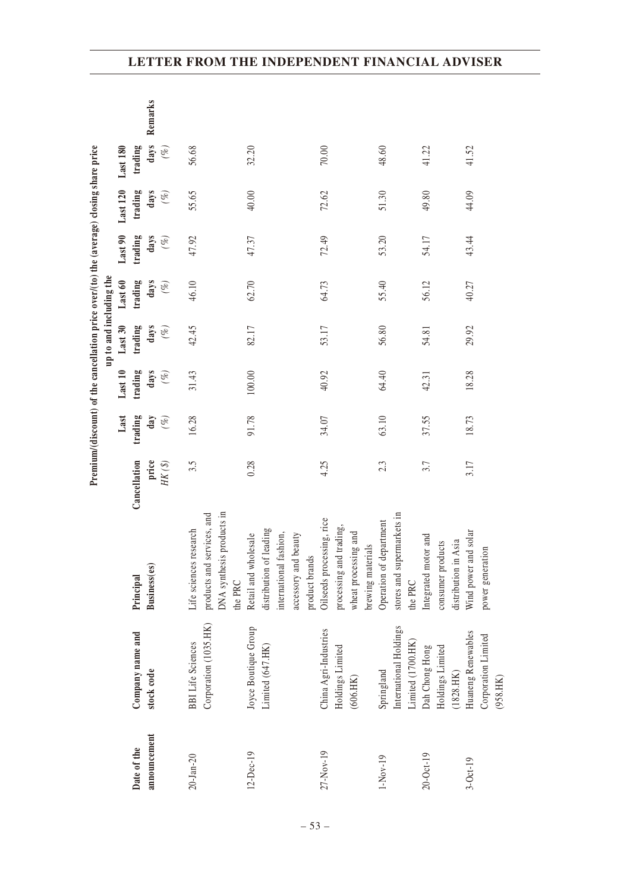|                 |                                          |                                                                           |                     |         |         |                         |         |         | Premium/(discount) of the cancellation price over/(to) the (average) closing share price |          |         |
|-----------------|------------------------------------------|---------------------------------------------------------------------------|---------------------|---------|---------|-------------------------|---------|---------|------------------------------------------------------------------------------------------|----------|---------|
|                 |                                          |                                                                           |                     |         |         | up to and including the |         |         |                                                                                          |          |         |
|                 |                                          |                                                                           |                     | Last    | Last 10 | Last 30                 | Last 60 | Last 90 | <b>Last 120</b>                                                                          | Last 180 |         |
| Date of the     | Company name and                         | Principal                                                                 | Cancellation        | trading | trading | trading                 | trading | trading | trading                                                                                  | trading  |         |
| announcement    | stock code                               | Business (es)                                                             | price               | day     | days    | days                    | days    | days    | days                                                                                     | days     | Remarks |
|                 |                                          |                                                                           | $HK\,(\mathcal{S})$ | $(\%)$  | $(\%)$  | $(\%)$                  | $(\%)$  | $(\%)$  | $(\%)$                                                                                   | $(\%)$   |         |
| $20 - Jan - 20$ | <b>BBI</b> Life Sciences                 | Life sciences research                                                    | 3.5                 | 16.28   | 31.43   | 42.45                   | 46.10   | 47.92   | 55.65                                                                                    | 56.68    |         |
|                 | Corporation (1035.HK)                    | DNA synthesis products in<br>products and services, and<br>the PRC        |                     |         |         |                         |         |         |                                                                                          |          |         |
| 12-Dec-19       | Joyce Boutique Group<br>Limited (647.HK) | distribution of leading<br>international fashion,<br>Retail and wholesale | 0.28                | 91.78   | 100.00  | 82.17                   | 62.70   | 47.37   | 40.00                                                                                    | 32.20    |         |
|                 |                                          | accessory and beauty<br>product brands                                    |                     |         |         |                         |         |         |                                                                                          |          |         |
| $27 - Nov - 19$ | China Agri-Industries                    | Oilseeds processing, rice                                                 | 4.25                | 34.07   | 40.92   | 53.17                   | 64.73   | 72.49   | 72.62                                                                                    | 70.00    |         |
|                 | Holdings Limited<br>(606.HK)             | processing and trading,<br>wheat processing and<br>brewing materials      |                     |         |         |                         |         |         |                                                                                          |          |         |
| $1-Nov-19$      | International Holdings<br>Springland     | stores and supermarkets in<br>Operation of department                     | 2.3                 | 63.10   | 64.40   | 56.80                   | 55.40   | 53.20   | 51.30                                                                                    | 48.60    |         |
|                 | Limited (1700.HK)                        | the PRC                                                                   |                     |         |         |                         |         |         |                                                                                          |          |         |
| $20 - Oct - 19$ | Dah Chong Hong                           | Integrated motor and                                                      | 3.7                 | 37.55   | 42.31   | 54.81                   | 56.12   | 54.17   | 49.80                                                                                    | 41.22    |         |
|                 | Holdings Limited<br>$(1828. \rm{HK})$    | distribution in Asia<br>consumer products                                 |                     |         |         |                         |         |         |                                                                                          |          |         |
| $3-0ct-19$      | Huaneng Renewables                       | and solar<br>Wind power                                                   | 3.17                | 18.73   | 18.28   | 29.92                   | 40.27   | 43.44   | 44.09                                                                                    | 41.52    |         |
|                 | Corporation Limited<br>(958.HK)          | power generation                                                          |                     |         |         |                         |         |         |                                                                                          |          |         |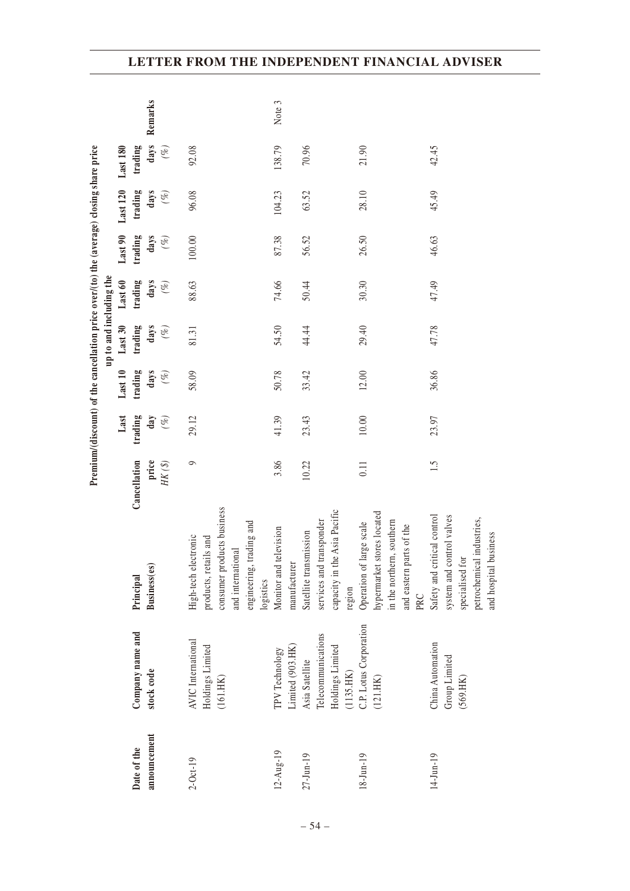|                 |                                                             |                                                                                                                              |                     |         | Premium/(discount) of the cancellation price over/(to) the (average) closing share price |                         |         |         |                 |                 |         |
|-----------------|-------------------------------------------------------------|------------------------------------------------------------------------------------------------------------------------------|---------------------|---------|------------------------------------------------------------------------------------------|-------------------------|---------|---------|-----------------|-----------------|---------|
|                 |                                                             |                                                                                                                              |                     |         |                                                                                          | up to and including the |         |         |                 |                 |         |
|                 |                                                             |                                                                                                                              |                     | Last    | Last 10                                                                                  | Last 30                 | Last 60 | Last 90 | <b>Last 120</b> | <b>Last 180</b> |         |
| Date of the     | Company name and                                            | Principal                                                                                                                    | Cancellation        | trading | trading                                                                                  | trading                 | trading | trading | trading         | trading         |         |
| announcement    | stock code                                                  | Business(es)                                                                                                                 | price               | day     | days                                                                                     | days                    | days    | days    | days            | days            | Remarks |
|                 |                                                             |                                                                                                                              | $HK\,(\mathcal{S})$ | $(\%)$  | $(\%)$                                                                                   | $(\%)$                  | $(\%)$  | $(\%)$  | $(\%)$          | $(\%)$          |         |
| $2 - Oct - 19$  | <b>AVIC</b> International<br>Holdings Limited<br>$(161.HK)$ | consumer products business<br>engineering, trading and<br>High-tech electronic<br>products, retails and<br>and international | $\circ$             | 29.12   | 58.09                                                                                    | 81.31                   | 88.63   | 100.00  | 96.08           | 92.08           |         |
|                 |                                                             | logistics                                                                                                                    |                     |         |                                                                                          |                         |         |         |                 |                 |         |
| $12 - Aug - 19$ | Limited (903.HK)<br>TPV Technology                          | Monitor and television<br>manufacturer                                                                                       | 3.86                | 41.39   | 50.78                                                                                    | 54.50                   | 74.66   | 87.38   | 104.23          | 138.79          | Note 3  |
|                 |                                                             |                                                                                                                              |                     |         |                                                                                          |                         |         |         |                 |                 |         |
| $27 - Jun - 19$ | Telecommunications<br>Asia Satellite                        | services and transponder<br>Satellite transmission                                                                           | 10.22               | 23.43   | 33.42                                                                                    | 44.44                   | 50.44   | 56.52   | 63.52           | 70.96           |         |
|                 | Holdings Limited                                            | e Asia Pacific<br>capacity in the                                                                                            |                     |         |                                                                                          |                         |         |         |                 |                 |         |
|                 | $(1135.HK)$                                                 | region                                                                                                                       |                     |         |                                                                                          |                         |         |         |                 |                 |         |
| $18 - Jun - 19$ | C.P. Lotus Corporation                                      | Operation of large scale                                                                                                     | 0.11                | $10.00$ | 12.00                                                                                    | 29.40                   | 30.30   | 26.50   | 28.10           | 21.90           |         |
|                 | (121.HK)                                                    | hypermarket stores located                                                                                                   |                     |         |                                                                                          |                         |         |         |                 |                 |         |
|                 |                                                             | in the northern, southern                                                                                                    |                     |         |                                                                                          |                         |         |         |                 |                 |         |
|                 |                                                             | and eastern parts of the                                                                                                     |                     |         |                                                                                          |                         |         |         |                 |                 |         |
|                 |                                                             | PRC                                                                                                                          |                     |         |                                                                                          |                         |         |         |                 |                 |         |
| $14$ -Jun-19    | China Automation                                            | Safety and critical control                                                                                                  | 1.5                 | 23.97   | 36.86                                                                                    | 47.78                   | 47.49   | 46.63   | 45.49           | 42.45           |         |
|                 | Group Limited                                               | system and control valves                                                                                                    |                     |         |                                                                                          |                         |         |         |                 |                 |         |
|                 | (569.HK)                                                    | specialised for                                                                                                              |                     |         |                                                                                          |                         |         |         |                 |                 |         |
|                 |                                                             | l industries,<br>and hospital business<br>petrochemical                                                                      |                     |         |                                                                                          |                         |         |         |                 |                 |         |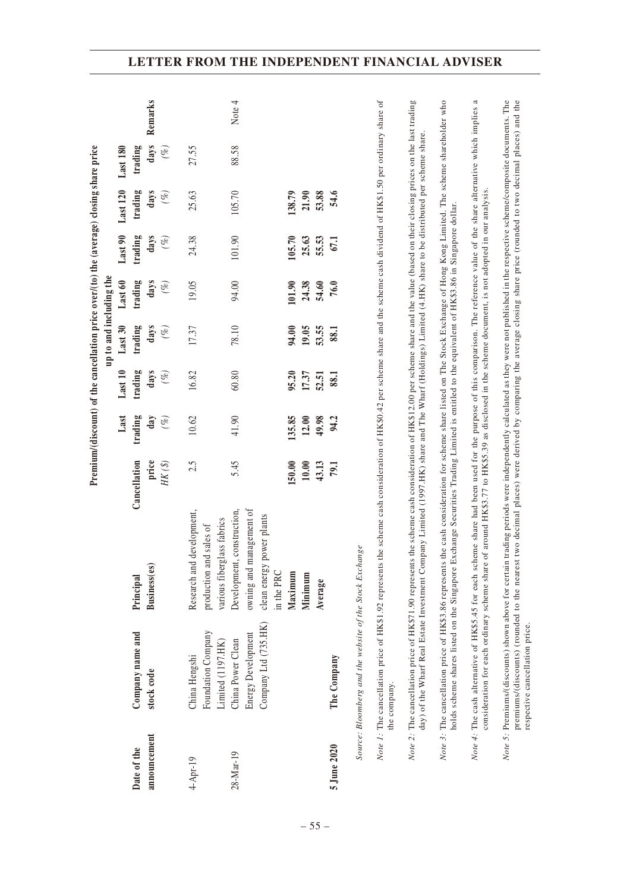|                 |                                                                                                                                                                                                                                                                                                                                                                                         |                                                                                                      |                                                                                                                           |                          |                         |                         | Premium/(discount) of the cancellation price over/(to) the (average) closing share price |                          |                          |                 |         |
|-----------------|-----------------------------------------------------------------------------------------------------------------------------------------------------------------------------------------------------------------------------------------------------------------------------------------------------------------------------------------------------------------------------------------|------------------------------------------------------------------------------------------------------|---------------------------------------------------------------------------------------------------------------------------|--------------------------|-------------------------|-------------------------|------------------------------------------------------------------------------------------|--------------------------|--------------------------|-----------------|---------|
|                 |                                                                                                                                                                                                                                                                                                                                                                                         |                                                                                                      |                                                                                                                           |                          |                         | up to and including the |                                                                                          |                          |                          |                 |         |
|                 |                                                                                                                                                                                                                                                                                                                                                                                         |                                                                                                      |                                                                                                                           | Last                     | Last 10                 | Last 30                 | Last 60                                                                                  | Last 90                  | Last 120                 | <b>Last 180</b> |         |
| Date of the     | Company name and                                                                                                                                                                                                                                                                                                                                                                        | Principal                                                                                            | Cancellation                                                                                                              | trading                  | trading                 | trading                 | trading                                                                                  | trading                  | trading                  | trading         |         |
| announcement    | stock code                                                                                                                                                                                                                                                                                                                                                                              | Business(es)                                                                                         | price                                                                                                                     | day                      | days                    | days                    | days                                                                                     | days                     | days                     | days            | Remarks |
|                 |                                                                                                                                                                                                                                                                                                                                                                                         |                                                                                                      | $HK\,(\textbf{\$})$                                                                                                       | $(\%)$                   | $(\%)$                  | $(\%)$                  | $(\%)$                                                                                   | $(\%)$                   | $(\%)$                   | $(\%)$          |         |
| $4 - A pr - 19$ | Foundation Company<br>Limited (1197.HK)<br>China Hengshi                                                                                                                                                                                                                                                                                                                                | Research and development,<br>various fiberglass fabrics<br>production and sales of                   | 2.5                                                                                                                       | 10.62                    | 16.82                   | 17.37                   | 19.05                                                                                    | 24.38                    | 25.63                    | 27.55           |         |
| 28-Mar-19       | Company Ltd (735.HK)<br><b>Energy Development</b><br>China Power Clean                                                                                                                                                                                                                                                                                                                  | owning and management of<br>Development, construction,<br>power plants<br>clean energy<br>in the PRC | 5.45                                                                                                                      | 41.90                    | 60.80                   | 78.10                   | 94.00                                                                                    | 101.90                   | 105.70                   | 88.58           | Note 4  |
|                 |                                                                                                                                                                                                                                                                                                                                                                                         | Maximum<br>Minimum<br>Average                                                                        | 150.00<br>10.00<br>43.13                                                                                                  | 135.85<br>12.00<br>49.98 | 95.20<br>17.37<br>52.51 | 94.00<br>19.05<br>53.55 | 101.90<br>24.38<br>54.60                                                                 | 105.70<br>25.63<br>55.53 | 138.79<br>21.90<br>53.88 |                 |         |
| 5 June 2020     | The Company                                                                                                                                                                                                                                                                                                                                                                             |                                                                                                      | 79.1                                                                                                                      | 94.2                     | 88.1                    | 88.1                    | 76.0                                                                                     | 67.1                     | 54.6                     |                 |         |
|                 | Source: Bloomberg and the website of the Stock Exchange                                                                                                                                                                                                                                                                                                                                 |                                                                                                      |                                                                                                                           |                          |                         |                         |                                                                                          |                          |                          |                 |         |
|                 | Note 1: The cancellation price of HK\$1.92 represents<br>the company.                                                                                                                                                                                                                                                                                                                   |                                                                                                      | the scheme cash consideration of HK\$0.42 per scheme share and the scheme cash dividend of HK\$1.50 per ordinary share of |                          |                         |                         |                                                                                          |                          |                          |                 |         |
|                 | Note 2: The cancellation price of HK\$71.90 represents the scheme cash consideration of HK\$12.00 per scheme share and the value (based on their closing prices on the last trading<br>day) of the Wharf Real Estate Investment Company Limited (1997.HK) share and The Wharf (Holdings) Limited (4.HK) share to be distributed per scheme share                                        |                                                                                                      |                                                                                                                           |                          |                         |                         |                                                                                          |                          |                          |                 |         |
|                 | Note 3: The cancellation price of HK\$3.86 represents the cash consideration for scheme share listed on The Stock Exchange of Hong Kong Limited. The scheme shareholder who<br>holds scheme shares listed on the Singapore Exchange Securities Trading Limited is entitled to the equivalent of HK\$3.86 in Singapore dollar                                                            |                                                                                                      |                                                                                                                           |                          |                         |                         |                                                                                          |                          |                          |                 |         |
|                 | Note 4: The cash alternative of HK\$5.45 for each scheme share had been used for the purpose of this comparison. The reference value of the share alternative which implies a<br>consideration for each ordinary scheme share                                                                                                                                                           |                                                                                                      | of around HK\$3.77 to HK\$5.39 as disclosed in the scheme document, is not adopted in our analysis.                       |                          |                         |                         |                                                                                          |                          |                          |                 |         |
|                 | Note 5: Premiums/(discounts) shown above for certain trading periods were independently calculated as they were not published in the respective scheme/composite documents. The<br>premiums/(discounts) (rounded to the nearest two decimal places) were derived by comparing the average closing share price (rounded to two decimal places) and the<br>respective cancellation price. |                                                                                                      |                                                                                                                           |                          |                         |                         |                                                                                          |                          |                          |                 |         |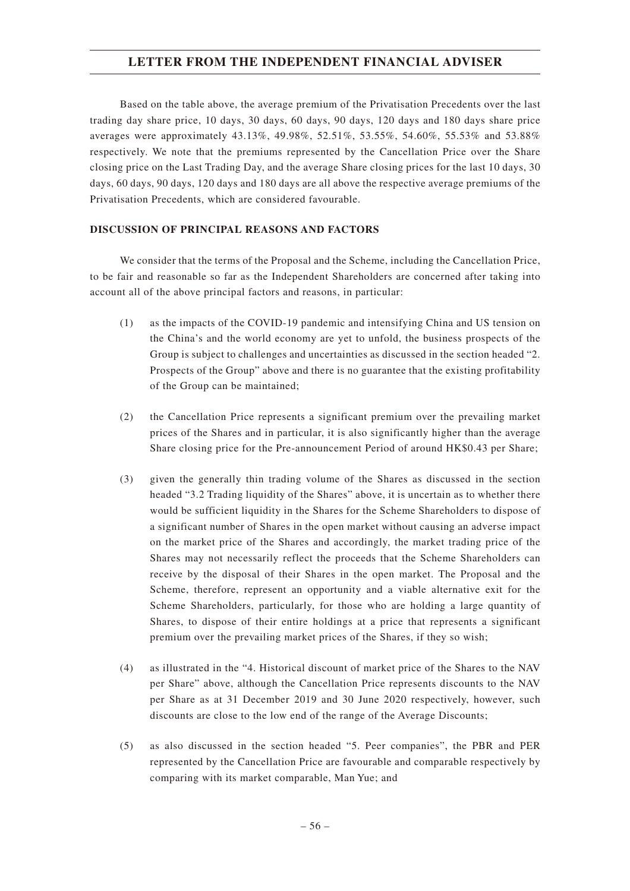Based on the table above, the average premium of the Privatisation Precedents over the last trading day share price, 10 days, 30 days, 60 days, 90 days, 120 days and 180 days share price averages were approximately 43.13%, 49.98%, 52.51%, 53.55%, 54.60%, 55.53% and 53.88% respectively. We note that the premiums represented by the Cancellation Price over the Share closing price on the Last Trading Day, and the average Share closing prices for the last 10 days, 30 days, 60 days, 90 days, 120 days and 180 days are all above the respective average premiums of the Privatisation Precedents, which are considered favourable.

## **DISCUSSION OF PRINCIPAL REASONS AND FACTORS**

We consider that the terms of the Proposal and the Scheme, including the Cancellation Price, to be fair and reasonable so far as the Independent Shareholders are concerned after taking into account all of the above principal factors and reasons, in particular:

- (1) as the impacts of the COVID-19 pandemic and intensifying China and US tension on the China's and the world economy are yet to unfold, the business prospects of the Group is subject to challenges and uncertainties as discussed in the section headed "2. Prospects of the Group" above and there is no guarantee that the existing profitability of the Group can be maintained;
- (2) the Cancellation Price represents a significant premium over the prevailing market prices of the Shares and in particular, it is also significantly higher than the average Share closing price for the Pre-announcement Period of around HK\$0.43 per Share;
- (3) given the generally thin trading volume of the Shares as discussed in the section headed "3.2 Trading liquidity of the Shares" above, it is uncertain as to whether there would be sufficient liquidity in the Shares for the Scheme Shareholders to dispose of a significant number of Shares in the open market without causing an adverse impact on the market price of the Shares and accordingly, the market trading price of the Shares may not necessarily reflect the proceeds that the Scheme Shareholders can receive by the disposal of their Shares in the open market. The Proposal and the Scheme, therefore, represent an opportunity and a viable alternative exit for the Scheme Shareholders, particularly, for those who are holding a large quantity of Shares, to dispose of their entire holdings at a price that represents a significant premium over the prevailing market prices of the Shares, if they so wish;
- (4) as illustrated in the "4. Historical discount of market price of the Shares to the NAV per Share" above, although the Cancellation Price represents discounts to the NAV per Share as at 31 December 2019 and 30 June 2020 respectively, however, such discounts are close to the low end of the range of the Average Discounts;
- (5) as also discussed in the section headed "5. Peer companies", the PBR and PER represented by the Cancellation Price are favourable and comparable respectively by comparing with its market comparable, Man Yue; and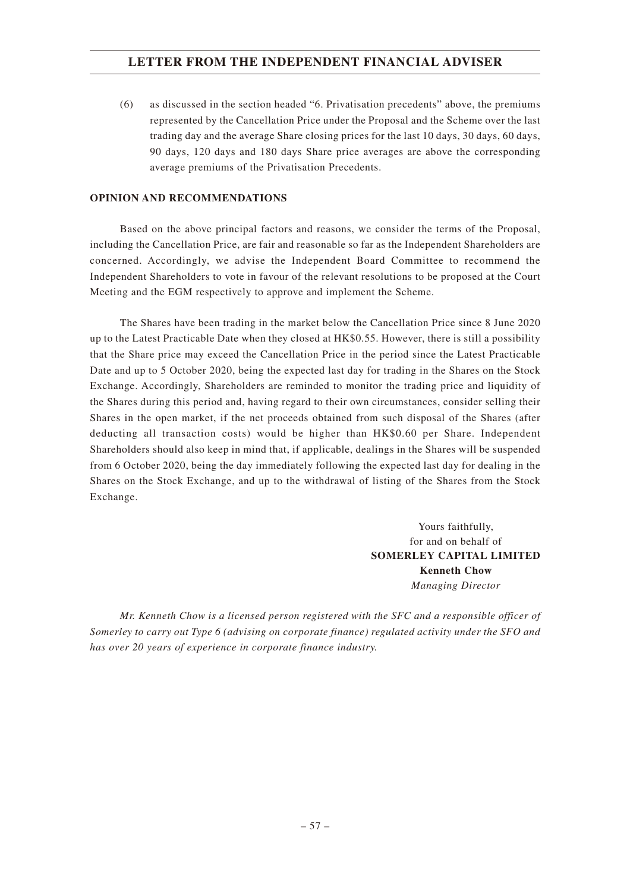(6) as discussed in the section headed "6. Privatisation precedents" above, the premiums represented by the Cancellation Price under the Proposal and the Scheme over the last trading day and the average Share closing prices for the last 10 days, 30 days, 60 days, 90 days, 120 days and 180 days Share price averages are above the corresponding average premiums of the Privatisation Precedents.

## **OPINION AND RECOMMENDATIONS**

Based on the above principal factors and reasons, we consider the terms of the Proposal, including the Cancellation Price, are fair and reasonable so far as the Independent Shareholders are concerned. Accordingly, we advise the Independent Board Committee to recommend the Independent Shareholders to vote in favour of the relevant resolutions to be proposed at the Court Meeting and the EGM respectively to approve and implement the Scheme.

The Shares have been trading in the market below the Cancellation Price since 8 June 2020 up to the Latest Practicable Date when they closed at HK\$0.55. However, there is still a possibility that the Share price may exceed the Cancellation Price in the period since the Latest Practicable Date and up to 5 October 2020, being the expected last day for trading in the Shares on the Stock Exchange. Accordingly, Shareholders are reminded to monitor the trading price and liquidity of the Shares during this period and, having regard to their own circumstances, consider selling their Shares in the open market, if the net proceeds obtained from such disposal of the Shares (after deducting all transaction costs) would be higher than HK\$0.60 per Share. Independent Shareholders should also keep in mind that, if applicable, dealings in the Shares will be suspended from 6 October 2020, being the day immediately following the expected last day for dealing in the Shares on the Stock Exchange, and up to the withdrawal of listing of the Shares from the Stock Exchange.

> Yours faithfully, for and on behalf of **SOMERLEY CAPITAL LIMITED Kenneth Chow** *Managing Director*

*Mr. Kenneth Chow is a licensed person registered with the SFC and a responsible officer of Somerley to carry out Type 6 (advising on corporate finance) regulated activity under the SFO and has over 20 years of experience in corporate finance industry.*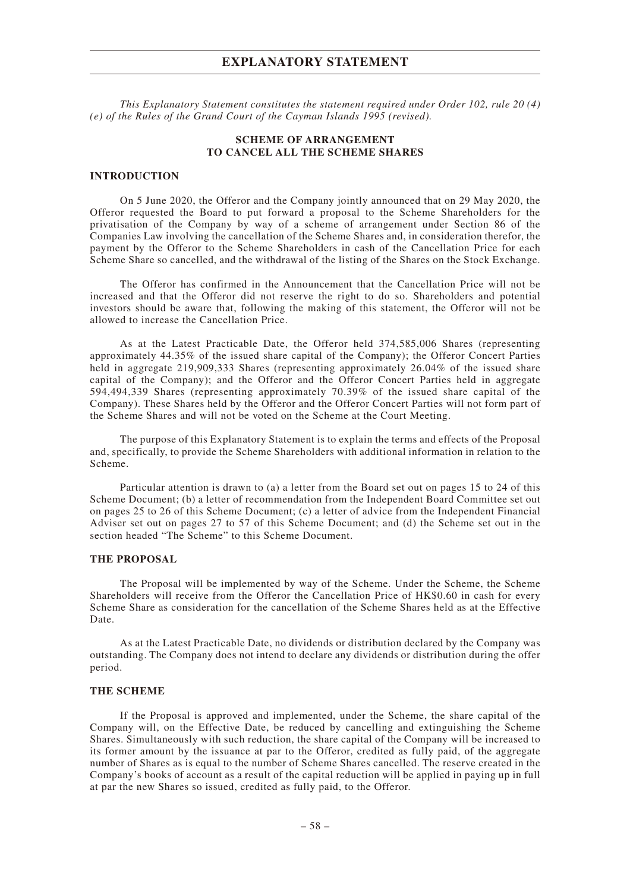*This Explanatory Statement constitutes the statement required under Order 102, rule 20 (4) (e) of the Rules of the Grand Court of the Cayman Islands 1995 (revised).*

### **SCHEME OF ARRANGEMENT TO CANCEL ALL THE SCHEME SHARES**

### **INTRODUCTION**

On 5 June 2020, the Offeror and the Company jointly announced that on 29 May 2020, the Offeror requested the Board to put forward a proposal to the Scheme Shareholders for the privatisation of the Company by way of a scheme of arrangement under Section 86 of the Companies Law involving the cancellation of the Scheme Shares and, in consideration therefor, the payment by the Offeror to the Scheme Shareholders in cash of the Cancellation Price for each Scheme Share so cancelled, and the withdrawal of the listing of the Shares on the Stock Exchange.

The Offeror has confirmed in the Announcement that the Cancellation Price will not be increased and that the Offeror did not reserve the right to do so. Shareholders and potential investors should be aware that, following the making of this statement, the Offeror will not be allowed to increase the Cancellation Price.

As at the Latest Practicable Date, the Offeror held 374,585,006 Shares (representing approximately 44.35% of the issued share capital of the Company); the Offeror Concert Parties held in aggregate 219,909,333 Shares (representing approximately 26.04% of the issued share capital of the Company); and the Offeror and the Offeror Concert Parties held in aggregate 594,494,339 Shares (representing approximately 70.39% of the issued share capital of the Company). These Shares held by the Offeror and the Offeror Concert Parties will not form part of the Scheme Shares and will not be voted on the Scheme at the Court Meeting.

The purpose of this Explanatory Statement is to explain the terms and effects of the Proposal and, specifically, to provide the Scheme Shareholders with additional information in relation to the Scheme.

Particular attention is drawn to (a) a letter from the Board set out on pages 15 to 24 of this Scheme Document; (b) a letter of recommendation from the Independent Board Committee set out on pages 25 to 26 of this Scheme Document; (c) a letter of advice from the Independent Financial Adviser set out on pages 27 to 57 of this Scheme Document; and (d) the Scheme set out in the section headed "The Scheme" to this Scheme Document.

#### **THE PROPOSAL**

The Proposal will be implemented by way of the Scheme. Under the Scheme, the Scheme Shareholders will receive from the Offeror the Cancellation Price of HK\$0.60 in cash for every Scheme Share as consideration for the cancellation of the Scheme Shares held as at the Effective Date.

As at the Latest Practicable Date, no dividends or distribution declared by the Company was outstanding. The Company does not intend to declare any dividends or distribution during the offer period.

### **THE SCHEME**

If the Proposal is approved and implemented, under the Scheme, the share capital of the Company will, on the Effective Date, be reduced by cancelling and extinguishing the Scheme Shares. Simultaneously with such reduction, the share capital of the Company will be increased to its former amount by the issuance at par to the Offeror, credited as fully paid, of the aggregate number of Shares as is equal to the number of Scheme Shares cancelled. The reserve created in the Company's books of account as a result of the capital reduction will be applied in paying up in full at par the new Shares so issued, credited as fully paid, to the Offeror.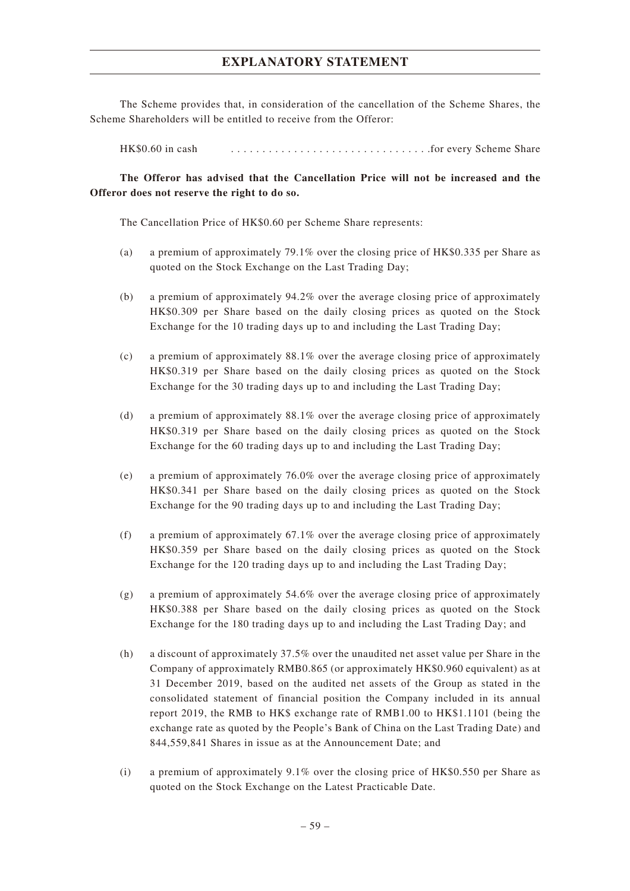The Scheme provides that, in consideration of the cancellation of the Scheme Shares, the Scheme Shareholders will be entitled to receive from the Offeror:

HK\$0.60 in cash ............................... .for every Scheme Share

# **The Offeror has advised that the Cancellation Price will not be increased and the Offeror does not reserve the right to do so.**

The Cancellation Price of HK\$0.60 per Scheme Share represents:

- (a) a premium of approximately 79.1% over the closing price of HK\$0.335 per Share as quoted on the Stock Exchange on the Last Trading Day;
- (b) a premium of approximately 94.2% over the average closing price of approximately HK\$0.309 per Share based on the daily closing prices as quoted on the Stock Exchange for the 10 trading days up to and including the Last Trading Day;
- (c) a premium of approximately 88.1% over the average closing price of approximately HK\$0.319 per Share based on the daily closing prices as quoted on the Stock Exchange for the 30 trading days up to and including the Last Trading Day;
- (d) a premium of approximately 88.1% over the average closing price of approximately HK\$0.319 per Share based on the daily closing prices as quoted on the Stock Exchange for the 60 trading days up to and including the Last Trading Day;
- (e) a premium of approximately 76.0% over the average closing price of approximately HK\$0.341 per Share based on the daily closing prices as quoted on the Stock Exchange for the 90 trading days up to and including the Last Trading Day;
- (f) a premium of approximately 67.1% over the average closing price of approximately HK\$0.359 per Share based on the daily closing prices as quoted on the Stock Exchange for the 120 trading days up to and including the Last Trading Day;
- (g) a premium of approximately 54.6% over the average closing price of approximately HK\$0.388 per Share based on the daily closing prices as quoted on the Stock Exchange for the 180 trading days up to and including the Last Trading Day; and
- (h) a discount of approximately 37.5% over the unaudited net asset value per Share in the Company of approximately RMB0.865 (or approximately HK\$0.960 equivalent) as at 31 December 2019, based on the audited net assets of the Group as stated in the consolidated statement of financial position the Company included in its annual report 2019, the RMB to HK\$ exchange rate of RMB1.00 to HK\$1.1101 (being the exchange rate as quoted by the People's Bank of China on the Last Trading Date) and 844,559,841 Shares in issue as at the Announcement Date; and
- (i) a premium of approximately  $9.1\%$  over the closing price of HK\$0.550 per Share as quoted on the Stock Exchange on the Latest Practicable Date.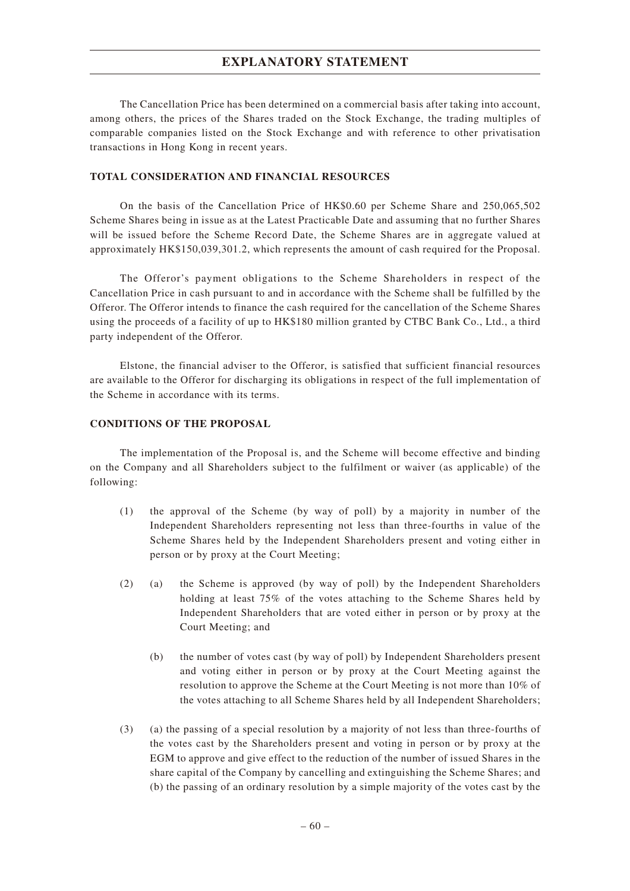The Cancellation Price has been determined on a commercial basis after taking into account, among others, the prices of the Shares traded on the Stock Exchange, the trading multiples of comparable companies listed on the Stock Exchange and with reference to other privatisation transactions in Hong Kong in recent years.

### **TOTAL CONSIDERATION AND FINANCIAL RESOURCES**

On the basis of the Cancellation Price of HK\$0.60 per Scheme Share and 250,065,502 Scheme Shares being in issue as at the Latest Practicable Date and assuming that no further Shares will be issued before the Scheme Record Date, the Scheme Shares are in aggregate valued at approximately HK\$150,039,301.2, which represents the amount of cash required for the Proposal.

The Offeror's payment obligations to the Scheme Shareholders in respect of the Cancellation Price in cash pursuant to and in accordance with the Scheme shall be fulfilled by the Offeror. The Offeror intends to finance the cash required for the cancellation of the Scheme Shares using the proceeds of a facility of up to HK\$180 million granted by CTBC Bank Co., Ltd., a third party independent of the Offeror.

Elstone, the financial adviser to the Offeror, is satisfied that sufficient financial resources are available to the Offeror for discharging its obligations in respect of the full implementation of the Scheme in accordance with its terms.

### **CONDITIONS OF THE PROPOSAL**

The implementation of the Proposal is, and the Scheme will become effective and binding on the Company and all Shareholders subject to the fulfilment or waiver (as applicable) of the following:

- (1) the approval of the Scheme (by way of poll) by a majority in number of the Independent Shareholders representing not less than three-fourths in value of the Scheme Shares held by the Independent Shareholders present and voting either in person or by proxy at the Court Meeting;
- (2) (a) the Scheme is approved (by way of poll) by the Independent Shareholders holding at least 75% of the votes attaching to the Scheme Shares held by Independent Shareholders that are voted either in person or by proxy at the Court Meeting; and
	- (b) the number of votes cast (by way of poll) by Independent Shareholders present and voting either in person or by proxy at the Court Meeting against the resolution to approve the Scheme at the Court Meeting is not more than 10% of the votes attaching to all Scheme Shares held by all Independent Shareholders;
- (3) (a) the passing of a special resolution by a majority of not less than three-fourths of the votes cast by the Shareholders present and voting in person or by proxy at the EGM to approve and give effect to the reduction of the number of issued Shares in the share capital of the Company by cancelling and extinguishing the Scheme Shares; and (b) the passing of an ordinary resolution by a simple majority of the votes cast by the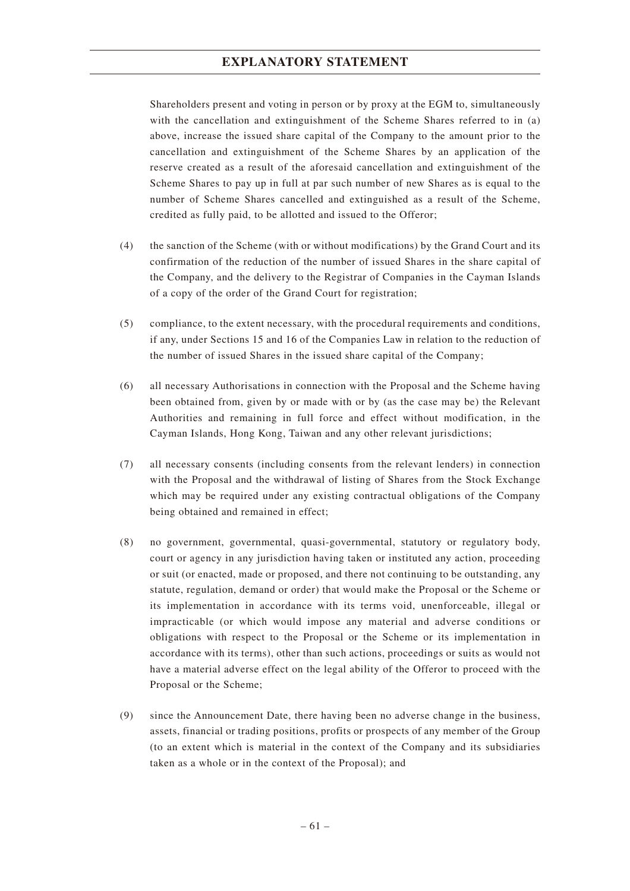Shareholders present and voting in person or by proxy at the EGM to, simultaneously with the cancellation and extinguishment of the Scheme Shares referred to in (a) above, increase the issued share capital of the Company to the amount prior to the cancellation and extinguishment of the Scheme Shares by an application of the reserve created as a result of the aforesaid cancellation and extinguishment of the Scheme Shares to pay up in full at par such number of new Shares as is equal to the number of Scheme Shares cancelled and extinguished as a result of the Scheme, credited as fully paid, to be allotted and issued to the Offeror;

- (4) the sanction of the Scheme (with or without modifications) by the Grand Court and its confirmation of the reduction of the number of issued Shares in the share capital of the Company, and the delivery to the Registrar of Companies in the Cayman Islands of a copy of the order of the Grand Court for registration;
- (5) compliance, to the extent necessary, with the procedural requirements and conditions, if any, under Sections 15 and 16 of the Companies Law in relation to the reduction of the number of issued Shares in the issued share capital of the Company;
- (6) all necessary Authorisations in connection with the Proposal and the Scheme having been obtained from, given by or made with or by (as the case may be) the Relevant Authorities and remaining in full force and effect without modification, in the Cayman Islands, Hong Kong, Taiwan and any other relevant jurisdictions;
- (7) all necessary consents (including consents from the relevant lenders) in connection with the Proposal and the withdrawal of listing of Shares from the Stock Exchange which may be required under any existing contractual obligations of the Company being obtained and remained in effect;
- (8) no government, governmental, quasi-governmental, statutory or regulatory body, court or agency in any jurisdiction having taken or instituted any action, proceeding or suit (or enacted, made or proposed, and there not continuing to be outstanding, any statute, regulation, demand or order) that would make the Proposal or the Scheme or its implementation in accordance with its terms void, unenforceable, illegal or impracticable (or which would impose any material and adverse conditions or obligations with respect to the Proposal or the Scheme or its implementation in accordance with its terms), other than such actions, proceedings or suits as would not have a material adverse effect on the legal ability of the Offeror to proceed with the Proposal or the Scheme;
- (9) since the Announcement Date, there having been no adverse change in the business, assets, financial or trading positions, profits or prospects of any member of the Group (to an extent which is material in the context of the Company and its subsidiaries taken as a whole or in the context of the Proposal); and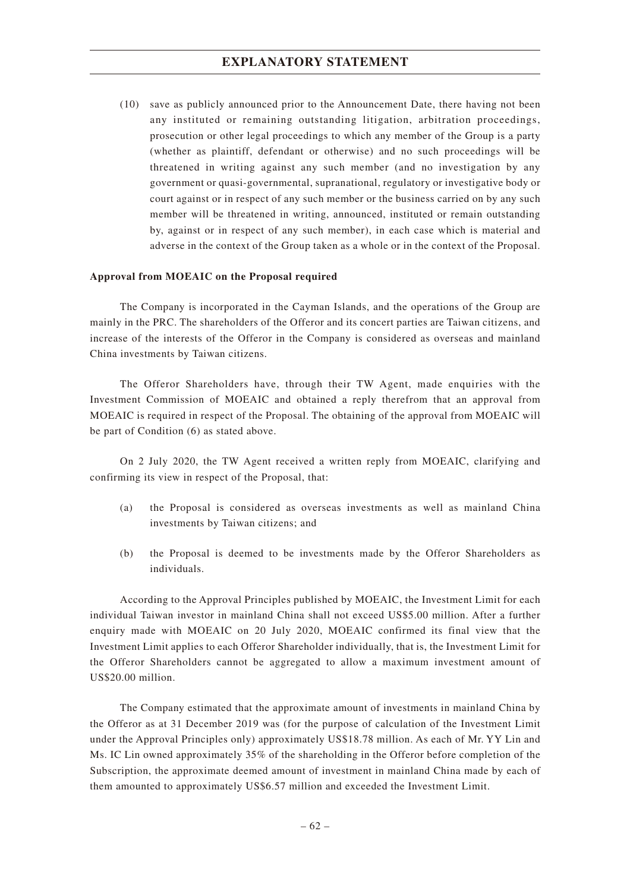(10) save as publicly announced prior to the Announcement Date, there having not been any instituted or remaining outstanding litigation, arbitration proceedings, prosecution or other legal proceedings to which any member of the Group is a party (whether as plaintiff, defendant or otherwise) and no such proceedings will be threatened in writing against any such member (and no investigation by any government or quasi-governmental, supranational, regulatory or investigative body or court against or in respect of any such member or the business carried on by any such member will be threatened in writing, announced, instituted or remain outstanding by, against or in respect of any such member), in each case which is material and adverse in the context of the Group taken as a whole or in the context of the Proposal.

### **Approval from MOEAIC on the Proposal required**

The Company is incorporated in the Cayman Islands, and the operations of the Group are mainly in the PRC. The shareholders of the Offeror and its concert parties are Taiwan citizens, and increase of the interests of the Offeror in the Company is considered as overseas and mainland China investments by Taiwan citizens.

The Offeror Shareholders have, through their TW Agent, made enquiries with the Investment Commission of MOEAIC and obtained a reply therefrom that an approval from MOEAIC is required in respect of the Proposal. The obtaining of the approval from MOEAIC will be part of Condition (6) as stated above.

On 2 July 2020, the TW Agent received a written reply from MOEAIC, clarifying and confirming its view in respect of the Proposal, that:

- (a) the Proposal is considered as overseas investments as well as mainland China investments by Taiwan citizens; and
- (b) the Proposal is deemed to be investments made by the Offeror Shareholders as individuals.

According to the Approval Principles published by MOEAIC, the Investment Limit for each individual Taiwan investor in mainland China shall not exceed US\$5.00 million. After a further enquiry made with MOEAIC on 20 July 2020, MOEAIC confirmed its final view that the Investment Limit applies to each Offeror Shareholder individually, that is, the Investment Limit for the Offeror Shareholders cannot be aggregated to allow a maximum investment amount of US\$20.00 million.

The Company estimated that the approximate amount of investments in mainland China by the Offeror as at 31 December 2019 was (for the purpose of calculation of the Investment Limit under the Approval Principles only) approximately US\$18.78 million. As each of Mr. YY Lin and Ms. IC Lin owned approximately 35% of the shareholding in the Offeror before completion of the Subscription, the approximate deemed amount of investment in mainland China made by each of them amounted to approximately US\$6.57 million and exceeded the Investment Limit.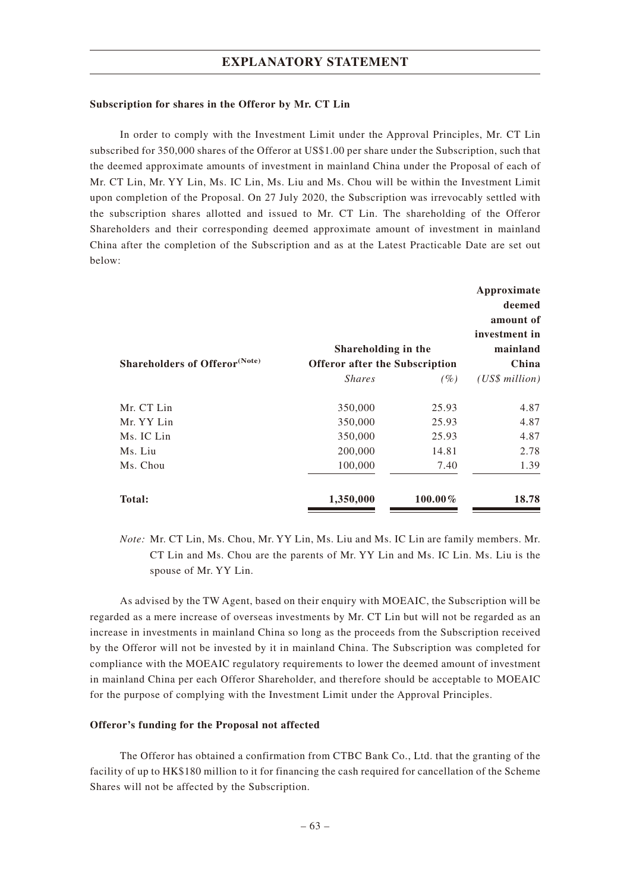#### **Subscription for shares in the Offeror by Mr. CT Lin**

In order to comply with the Investment Limit under the Approval Principles, Mr. CT Lin subscribed for 350,000 shares of the Offeror at US\$1.00 per share under the Subscription, such that the deemed approximate amounts of investment in mainland China under the Proposal of each of Mr. CT Lin, Mr. YY Lin, Ms. IC Lin, Ms. Liu and Ms. Chou will be within the Investment Limit upon completion of the Proposal. On 27 July 2020, the Subscription was irrevocably settled with the subscription shares allotted and issued to Mr. CT Lin. The shareholding of the Offeror Shareholders and their corresponding deemed approximate amount of investment in mainland China after the completion of the Subscription and as at the Latest Practicable Date are set out below:

| <b>Shareholders of Offeror</b> <sup>(Note)</sup> | Shareholding in the<br>Offeror after the Subscription | Approximate<br>deemed<br>amount of<br>investment in<br>mainland<br>China |                  |
|--------------------------------------------------|-------------------------------------------------------|--------------------------------------------------------------------------|------------------|
|                                                  | <i>Shares</i>                                         | (%)                                                                      | $(US\$ s million |
| Mr. CT Lin                                       | 350,000                                               | 25.93                                                                    | 4.87             |
| Mr. YY Lin<br>Ms. IC Lin                         | 350,000<br>350,000                                    | 25.93<br>25.93                                                           | 4.87<br>4.87     |
| Ms. Liu                                          | 200,000                                               | 14.81                                                                    | 2.78             |
| Ms. Chou                                         | 100,000                                               | 7.40                                                                     | 1.39             |
| Total:                                           | 1,350,000                                             | $100.00\%$                                                               | 18.78            |

*Note:* Mr. CT Lin, Ms. Chou, Mr. YY Lin, Ms. Liu and Ms. IC Lin are family members. Mr. CT Lin and Ms. Chou are the parents of Mr. YY Lin and Ms. IC Lin. Ms. Liu is the spouse of Mr. YY Lin.

As advised by the TW Agent, based on their enquiry with MOEAIC, the Subscription will be regarded as a mere increase of overseas investments by Mr. CT Lin but will not be regarded as an increase in investments in mainland China so long as the proceeds from the Subscription received by the Offeror will not be invested by it in mainland China. The Subscription was completed for compliance with the MOEAIC regulatory requirements to lower the deemed amount of investment in mainland China per each Offeror Shareholder, and therefore should be acceptable to MOEAIC for the purpose of complying with the Investment Limit under the Approval Principles.

### **Offeror's funding for the Proposal not affected**

The Offeror has obtained a confirmation from CTBC Bank Co., Ltd. that the granting of the facility of up to HK\$180 million to it for financing the cash required for cancellation of the Scheme Shares will not be affected by the Subscription.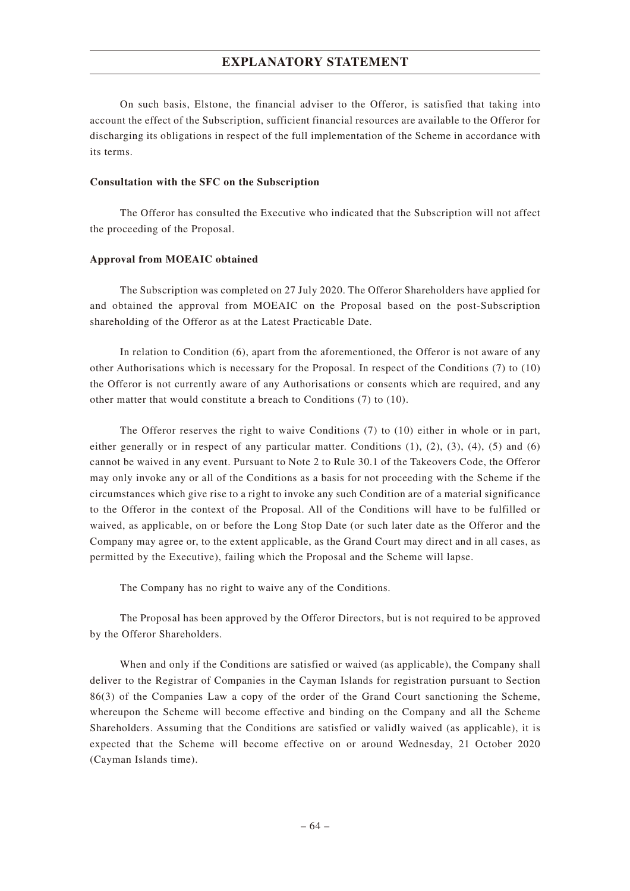On such basis, Elstone, the financial adviser to the Offeror, is satisfied that taking into account the effect of the Subscription, sufficient financial resources are available to the Offeror for discharging its obligations in respect of the full implementation of the Scheme in accordance with its terms.

#### **Consultation with the SFC on the Subscription**

The Offeror has consulted the Executive who indicated that the Subscription will not affect the proceeding of the Proposal.

#### **Approval from MOEAIC obtained**

The Subscription was completed on 27 July 2020. The Offeror Shareholders have applied for and obtained the approval from MOEAIC on the Proposal based on the post-Subscription shareholding of the Offeror as at the Latest Practicable Date.

In relation to Condition (6), apart from the aforementioned, the Offeror is not aware of any other Authorisations which is necessary for the Proposal. In respect of the Conditions (7) to (10) the Offeror is not currently aware of any Authorisations or consents which are required, and any other matter that would constitute a breach to Conditions (7) to (10).

The Offeror reserves the right to waive Conditions (7) to (10) either in whole or in part, either generally or in respect of any particular matter. Conditions  $(1)$ ,  $(2)$ ,  $(3)$ ,  $(4)$ ,  $(5)$  and  $(6)$ cannot be waived in any event. Pursuant to Note 2 to Rule 30.1 of the Takeovers Code, the Offeror may only invoke any or all of the Conditions as a basis for not proceeding with the Scheme if the circumstances which give rise to a right to invoke any such Condition are of a material significance to the Offeror in the context of the Proposal. All of the Conditions will have to be fulfilled or waived, as applicable, on or before the Long Stop Date (or such later date as the Offeror and the Company may agree or, to the extent applicable, as the Grand Court may direct and in all cases, as permitted by the Executive), failing which the Proposal and the Scheme will lapse.

The Company has no right to waive any of the Conditions.

The Proposal has been approved by the Offeror Directors, but is not required to be approved by the Offeror Shareholders.

When and only if the Conditions are satisfied or waived (as applicable), the Company shall deliver to the Registrar of Companies in the Cayman Islands for registration pursuant to Section 86(3) of the Companies Law a copy of the order of the Grand Court sanctioning the Scheme, whereupon the Scheme will become effective and binding on the Company and all the Scheme Shareholders. Assuming that the Conditions are satisfied or validly waived (as applicable), it is expected that the Scheme will become effective on or around Wednesday, 21 October 2020 (Cayman Islands time).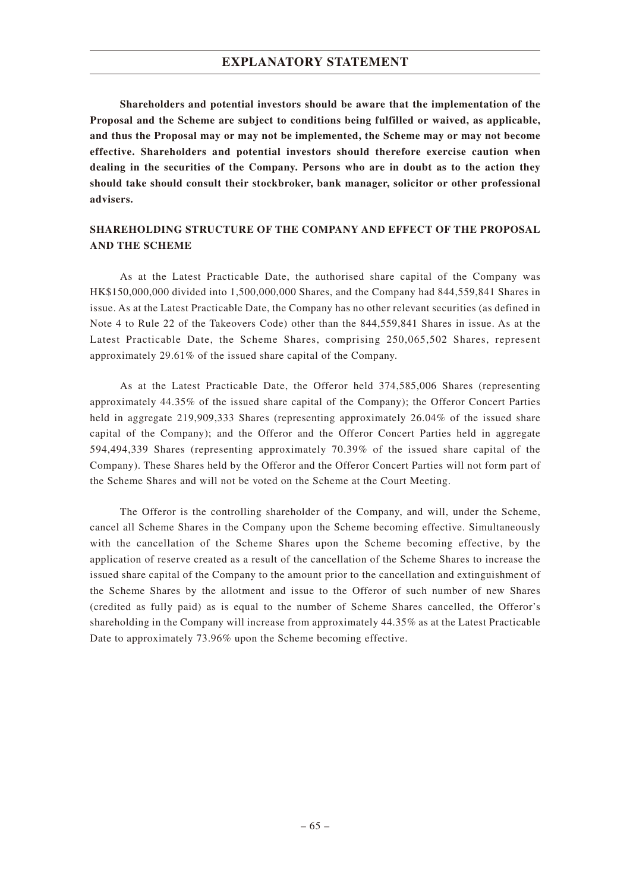**Shareholders and potential investors should be aware that the implementation of the Proposal and the Scheme are subject to conditions being fulfilled or waived, as applicable, and thus the Proposal may or may not be implemented, the Scheme may or may not become effective. Shareholders and potential investors should therefore exercise caution when dealing in the securities of the Company. Persons who are in doubt as to the action they should take should consult their stockbroker, bank manager, solicitor or other professional advisers.**

# **SHAREHOLDING STRUCTURE OF THE COMPANY AND EFFECT OF THE PROPOSAL AND THE SCHEME**

As at the Latest Practicable Date, the authorised share capital of the Company was HK\$150,000,000 divided into 1,500,000,000 Shares, and the Company had 844,559,841 Shares in issue. As at the Latest Practicable Date, the Company has no other relevant securities (as defined in Note 4 to Rule 22 of the Takeovers Code) other than the 844,559,841 Shares in issue. As at the Latest Practicable Date, the Scheme Shares, comprising 250,065,502 Shares, represent approximately 29.61% of the issued share capital of the Company.

As at the Latest Practicable Date, the Offeror held 374,585,006 Shares (representing approximately 44.35% of the issued share capital of the Company); the Offeror Concert Parties held in aggregate 219,909,333 Shares (representing approximately 26.04% of the issued share capital of the Company); and the Offeror and the Offeror Concert Parties held in aggregate 594,494,339 Shares (representing approximately 70.39% of the issued share capital of the Company). These Shares held by the Offeror and the Offeror Concert Parties will not form part of the Scheme Shares and will not be voted on the Scheme at the Court Meeting.

The Offeror is the controlling shareholder of the Company, and will, under the Scheme, cancel all Scheme Shares in the Company upon the Scheme becoming effective. Simultaneously with the cancellation of the Scheme Shares upon the Scheme becoming effective, by the application of reserve created as a result of the cancellation of the Scheme Shares to increase the issued share capital of the Company to the amount prior to the cancellation and extinguishment of the Scheme Shares by the allotment and issue to the Offeror of such number of new Shares (credited as fully paid) as is equal to the number of Scheme Shares cancelled, the Offeror's shareholding in the Company will increase from approximately 44.35% as at the Latest Practicable Date to approximately 73.96% upon the Scheme becoming effective.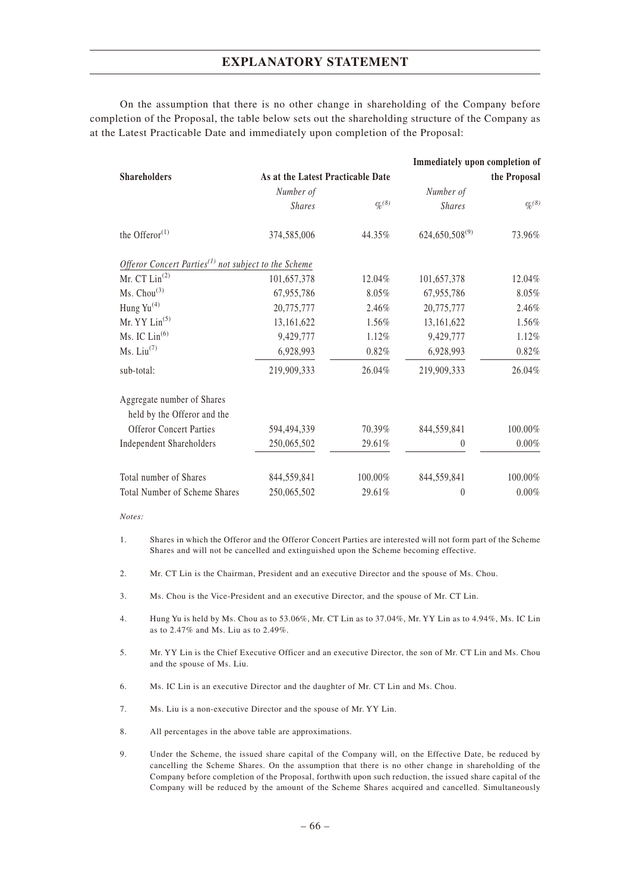On the assumption that there is no other change in shareholding of the Company before completion of the Proposal, the table below sets out the shareholding structure of the Company as at the Latest Practicable Date and immediately upon completion of the Proposal:

|                                                                               |                                   |                    | Immediately upon completion of |                         |
|-------------------------------------------------------------------------------|-----------------------------------|--------------------|--------------------------------|-------------------------|
| <b>Shareholders</b>                                                           | As at the Latest Practicable Date |                    |                                | the Proposal            |
|                                                                               | Number of                         |                    | Number of                      |                         |
|                                                                               | <b>Shares</b>                     | $\frac{q_0(8)}{6}$ | <b>Shares</b>                  | $\frac{q_0(8)}{q_0(8)}$ |
| the Offeror $(1)$                                                             | 374,585,006                       | 44.35%             | $624,650,508^{(9)}$            | 73.96%                  |
| Offeror Concert Parties <sup><math>(1)</math></sup> not subject to the Scheme |                                   |                    |                                |                         |
| Mr. $CT Lin(2)$                                                               | 101,657,378                       | 12.04%             | 101,657,378                    | 12.04%                  |
| Ms. Chou <sup>(3)</sup>                                                       | 67,955,786                        | 8.05%              | 67,955,786                     | 8.05%                   |
| Hung Yu <sup>(4)</sup>                                                        | 20,775,777                        | 2.46%              | 20,775,777                     | 2.46%                   |
| Mr. $YY$ Lin <sup>(5)</sup>                                                   | 13,161,622                        | 1.56%              | 13,161,622                     | 1.56%                   |
| Ms. IC $Lin(6)$                                                               | 9,429,777                         | 1.12%              | 9,429,777                      | 1.12%                   |
| Ms. Liu <sup>(7)</sup>                                                        | 6,928,993                         | 0.82%              | 6,928,993                      | 0.82%                   |
| sub-total:                                                                    | 219,909,333                       | 26.04%             | 219,909,333                    | 26.04%                  |
| Aggregate number of Shares                                                    |                                   |                    |                                |                         |
| held by the Offeror and the                                                   |                                   |                    |                                |                         |
| <b>Offeror Concert Parties</b>                                                | 594,494,339                       | 70.39%             | 844,559,841                    | 100.00%                 |
| <b>Independent Shareholders</b>                                               | 250,065,502                       | 29.61%             | $\theta$                       | $0.00\%$                |
| Total number of Shares                                                        | 844,559,841                       | 100.00%            | 844,559,841                    | 100.00%                 |
| <b>Total Number of Scheme Shares</b>                                          | 250,065,502                       | 29.61%             | $\theta$                       | $0.00\%$                |

#### *Notes:*

- 1. Shares in which the Offeror and the Offeror Concert Parties are interested will not form part of the Scheme Shares and will not be cancelled and extinguished upon the Scheme becoming effective.
- 2. Mr. CT Lin is the Chairman, President and an executive Director and the spouse of Ms. Chou.
- 3. Ms. Chou is the Vice-President and an executive Director, and the spouse of Mr. CT Lin.
- 4. Hung Yu is held by Ms. Chou as to 53.06%, Mr. CT Lin as to 37.04%, Mr. YY Lin as to 4.94%, Ms. IC Lin as to 2.47% and Ms. Liu as to 2.49%.
- 5. Mr. YY Lin is the Chief Executive Officer and an executive Director, the son of Mr. CT Lin and Ms. Chou and the spouse of Ms. Liu.
- 6. Ms. IC Lin is an executive Director and the daughter of Mr. CT Lin and Ms. Chou.
- 7. Ms. Liu is a non-executive Director and the spouse of Mr. YY Lin.
- 8. All percentages in the above table are approximations.
- 9. Under the Scheme, the issued share capital of the Company will, on the Effective Date, be reduced by cancelling the Scheme Shares. On the assumption that there is no other change in shareholding of the Company before completion of the Proposal, forthwith upon such reduction, the issued share capital of the Company will be reduced by the amount of the Scheme Shares acquired and cancelled. Simultaneously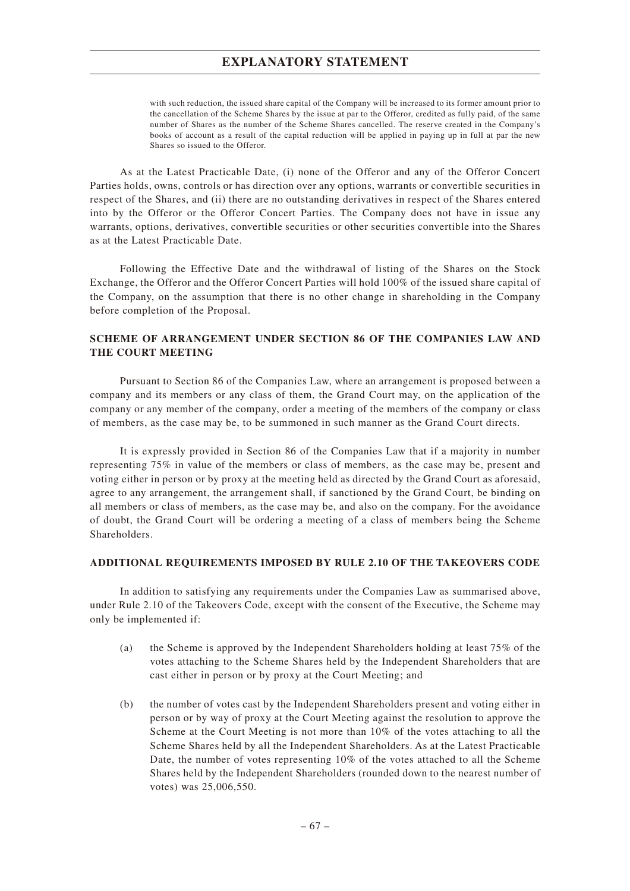with such reduction, the issued share capital of the Company will be increased to its former amount prior to the cancellation of the Scheme Shares by the issue at par to the Offeror, credited as fully paid, of the same number of Shares as the number of the Scheme Shares cancelled. The reserve created in the Company's books of account as a result of the capital reduction will be applied in paying up in full at par the new Shares so issued to the Offeror.

As at the Latest Practicable Date, (i) none of the Offeror and any of the Offeror Concert Parties holds, owns, controls or has direction over any options, warrants or convertible securities in respect of the Shares, and (ii) there are no outstanding derivatives in respect of the Shares entered into by the Offeror or the Offeror Concert Parties. The Company does not have in issue any warrants, options, derivatives, convertible securities or other securities convertible into the Shares as at the Latest Practicable Date.

Following the Effective Date and the withdrawal of listing of the Shares on the Stock Exchange, the Offeror and the Offeror Concert Parties will hold 100% of the issued share capital of the Company, on the assumption that there is no other change in shareholding in the Company before completion of the Proposal.

## **SCHEME OF ARRANGEMENT UNDER SECTION 86 OF THE COMPANIES LAW AND THE COURT MEETING**

Pursuant to Section 86 of the Companies Law, where an arrangement is proposed between a company and its members or any class of them, the Grand Court may, on the application of the company or any member of the company, order a meeting of the members of the company or class of members, as the case may be, to be summoned in such manner as the Grand Court directs.

It is expressly provided in Section 86 of the Companies Law that if a majority in number representing 75% in value of the members or class of members, as the case may be, present and voting either in person or by proxy at the meeting held as directed by the Grand Court as aforesaid, agree to any arrangement, the arrangement shall, if sanctioned by the Grand Court, be binding on all members or class of members, as the case may be, and also on the company. For the avoidance of doubt, the Grand Court will be ordering a meeting of a class of members being the Scheme Shareholders.

## **ADDITIONAL REQUIREMENTS IMPOSED BY RULE 2.10 OF THE TAKEOVERS CODE**

In addition to satisfying any requirements under the Companies Law as summarised above, under Rule 2.10 of the Takeovers Code, except with the consent of the Executive, the Scheme may only be implemented if:

- (a) the Scheme is approved by the Independent Shareholders holding at least 75% of the votes attaching to the Scheme Shares held by the Independent Shareholders that are cast either in person or by proxy at the Court Meeting; and
- (b) the number of votes cast by the Independent Shareholders present and voting either in person or by way of proxy at the Court Meeting against the resolution to approve the Scheme at the Court Meeting is not more than 10% of the votes attaching to all the Scheme Shares held by all the Independent Shareholders. As at the Latest Practicable Date, the number of votes representing 10% of the votes attached to all the Scheme Shares held by the Independent Shareholders (rounded down to the nearest number of votes) was 25,006,550.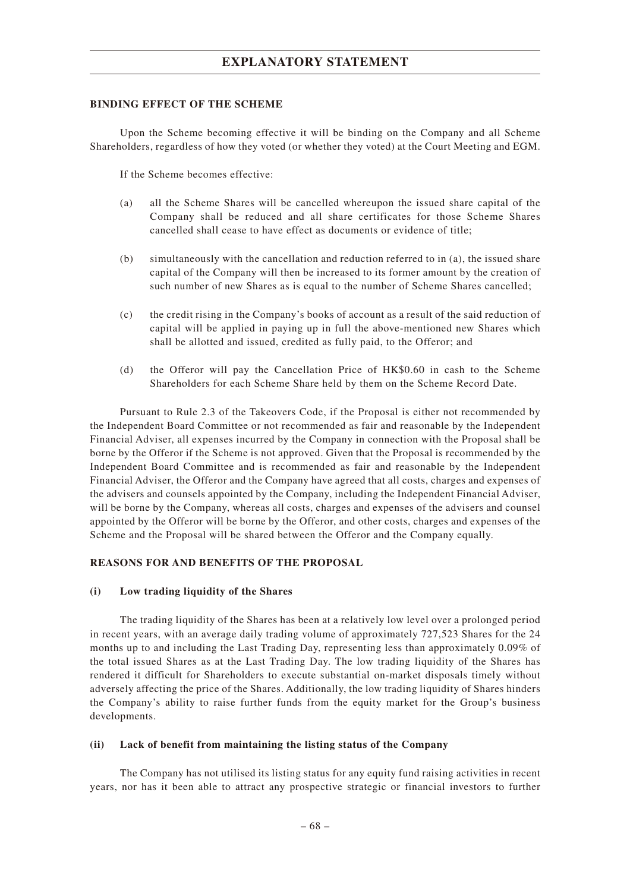### **BINDING EFFECT OF THE SCHEME**

Upon the Scheme becoming effective it will be binding on the Company and all Scheme Shareholders, regardless of how they voted (or whether they voted) at the Court Meeting and EGM.

If the Scheme becomes effective:

- (a) all the Scheme Shares will be cancelled whereupon the issued share capital of the Company shall be reduced and all share certificates for those Scheme Shares cancelled shall cease to have effect as documents or evidence of title;
- (b) simultaneously with the cancellation and reduction referred to in (a), the issued share capital of the Company will then be increased to its former amount by the creation of such number of new Shares as is equal to the number of Scheme Shares cancelled;
- (c) the credit rising in the Company's books of account as a result of the said reduction of capital will be applied in paying up in full the above-mentioned new Shares which shall be allotted and issued, credited as fully paid, to the Offeror; and
- (d) the Offeror will pay the Cancellation Price of HK\$0.60 in cash to the Scheme Shareholders for each Scheme Share held by them on the Scheme Record Date.

Pursuant to Rule 2.3 of the Takeovers Code, if the Proposal is either not recommended by the Independent Board Committee or not recommended as fair and reasonable by the Independent Financial Adviser, all expenses incurred by the Company in connection with the Proposal shall be borne by the Offeror if the Scheme is not approved. Given that the Proposal is recommended by the Independent Board Committee and is recommended as fair and reasonable by the Independent Financial Adviser, the Offeror and the Company have agreed that all costs, charges and expenses of the advisers and counsels appointed by the Company, including the Independent Financial Adviser, will be borne by the Company, whereas all costs, charges and expenses of the advisers and counsel appointed by the Offeror will be borne by the Offeror, and other costs, charges and expenses of the Scheme and the Proposal will be shared between the Offeror and the Company equally.

### **REASONS FOR AND BENEFITS OF THE PROPOSAL**

### **(i) Low trading liquidity of the Shares**

The trading liquidity of the Shares has been at a relatively low level over a prolonged period in recent years, with an average daily trading volume of approximately 727,523 Shares for the 24 months up to and including the Last Trading Day, representing less than approximately 0.09% of the total issued Shares as at the Last Trading Day. The low trading liquidity of the Shares has rendered it difficult for Shareholders to execute substantial on-market disposals timely without adversely affecting the price of the Shares. Additionally, the low trading liquidity of Shares hinders the Company's ability to raise further funds from the equity market for the Group's business developments.

### **(ii) Lack of benefit from maintaining the listing status of the Company**

The Company has not utilised its listing status for any equity fund raising activities in recent years, nor has it been able to attract any prospective strategic or financial investors to further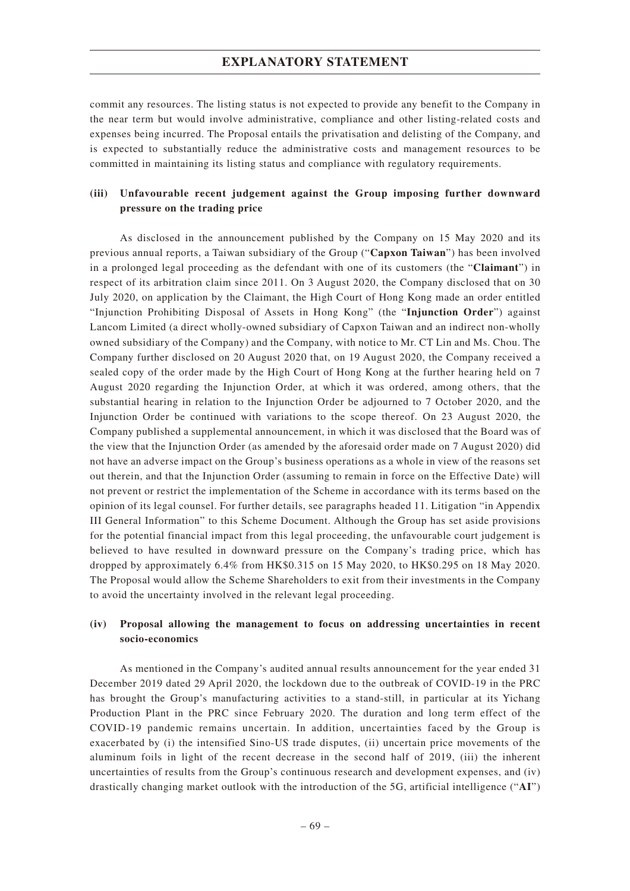commit any resources. The listing status is not expected to provide any benefit to the Company in the near term but would involve administrative, compliance and other listing-related costs and expenses being incurred. The Proposal entails the privatisation and delisting of the Company, and is expected to substantially reduce the administrative costs and management resources to be committed in maintaining its listing status and compliance with regulatory requirements.

# **(iii) Unfavourable recent judgement against the Group imposing further downward pressure on the trading price**

As disclosed in the announcement published by the Company on 15 May 2020 and its previous annual reports, a Taiwan subsidiary of the Group ("**Capxon Taiwan**") has been involved in a prolonged legal proceeding as the defendant with one of its customers (the "**Claimant**") in respect of its arbitration claim since 2011. On 3 August 2020, the Company disclosed that on 30 July 2020, on application by the Claimant, the High Court of Hong Kong made an order entitled "Injunction Prohibiting Disposal of Assets in Hong Kong" (the "**Injunction Order**") against Lancom Limited (a direct wholly-owned subsidiary of Capxon Taiwan and an indirect non-wholly owned subsidiary of the Company) and the Company, with notice to Mr. CT Lin and Ms. Chou. The Company further disclosed on 20 August 2020 that, on 19 August 2020, the Company received a sealed copy of the order made by the High Court of Hong Kong at the further hearing held on 7 August 2020 regarding the Injunction Order, at which it was ordered, among others, that the substantial hearing in relation to the Injunction Order be adjourned to 7 October 2020, and the Injunction Order be continued with variations to the scope thereof. On 23 August 2020, the Company published a supplemental announcement, in which it was disclosed that the Board was of the view that the Injunction Order (as amended by the aforesaid order made on 7 August 2020) did not have an adverse impact on the Group's business operations as a whole in view of the reasons set out therein, and that the Injunction Order (assuming to remain in force on the Effective Date) will not prevent or restrict the implementation of the Scheme in accordance with its terms based on the opinion of its legal counsel. For further details, see paragraphs headed 11. Litigation "in Appendix III General Information" to this Scheme Document. Although the Group has set aside provisions for the potential financial impact from this legal proceeding, the unfavourable court judgement is believed to have resulted in downward pressure on the Company's trading price, which has dropped by approximately 6.4% from HK\$0.315 on 15 May 2020, to HK\$0.295 on 18 May 2020. The Proposal would allow the Scheme Shareholders to exit from their investments in the Company to avoid the uncertainty involved in the relevant legal proceeding.

### **(iv) Proposal allowing the management to focus on addressing uncertainties in recent socio-economics**

As mentioned in the Company's audited annual results announcement for the year ended 31 December 2019 dated 29 April 2020, the lockdown due to the outbreak of COVID-19 in the PRC has brought the Group's manufacturing activities to a stand-still, in particular at its Yichang Production Plant in the PRC since February 2020. The duration and long term effect of the COVID-19 pandemic remains uncertain. In addition, uncertainties faced by the Group is exacerbated by (i) the intensified Sino-US trade disputes, (ii) uncertain price movements of the aluminum foils in light of the recent decrease in the second half of 2019, (iii) the inherent uncertainties of results from the Group's continuous research and development expenses, and (iv) drastically changing market outlook with the introduction of the 5G, artificial intelligence ("**AI**")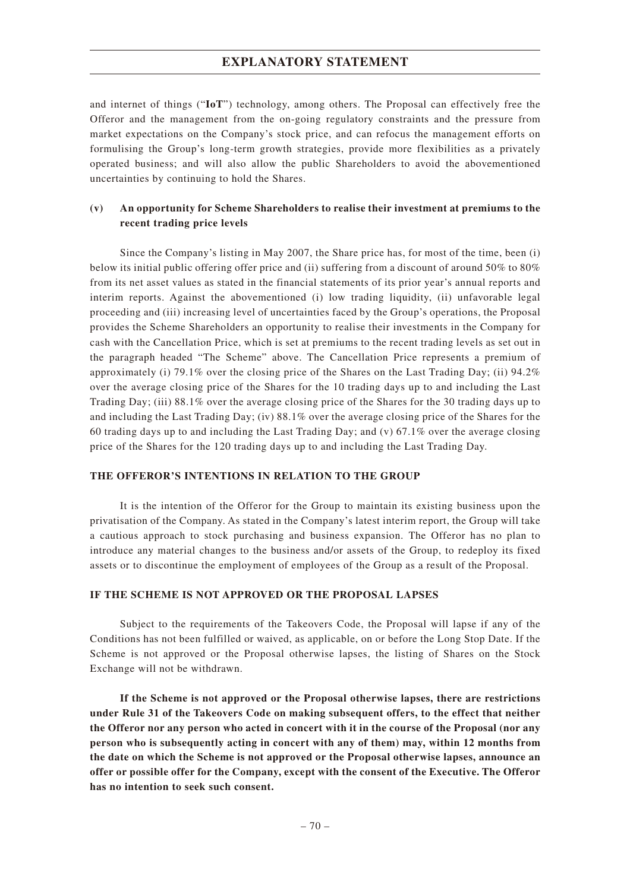and internet of things ("**IoT**") technology, among others. The Proposal can effectively free the Offeror and the management from the on-going regulatory constraints and the pressure from market expectations on the Company's stock price, and can refocus the management efforts on formulising the Group's long-term growth strategies, provide more flexibilities as a privately operated business; and will also allow the public Shareholders to avoid the abovementioned uncertainties by continuing to hold the Shares.

### **(v) An opportunity for Scheme Shareholders to realise their investment at premiums to the recent trading price levels**

Since the Company's listing in May 2007, the Share price has, for most of the time, been (i) below its initial public offering offer price and (ii) suffering from a discount of around 50% to 80% from its net asset values as stated in the financial statements of its prior year's annual reports and interim reports. Against the abovementioned (i) low trading liquidity, (ii) unfavorable legal proceeding and (iii) increasing level of uncertainties faced by the Group's operations, the Proposal provides the Scheme Shareholders an opportunity to realise their investments in the Company for cash with the Cancellation Price, which is set at premiums to the recent trading levels as set out in the paragraph headed "The Scheme" above. The Cancellation Price represents a premium of approximately (i) 79.1% over the closing price of the Shares on the Last Trading Day; (ii) 94.2% over the average closing price of the Shares for the 10 trading days up to and including the Last Trading Day; (iii) 88.1% over the average closing price of the Shares for the 30 trading days up to and including the Last Trading Day; (iv) 88.1% over the average closing price of the Shares for the 60 trading days up to and including the Last Trading Day; and (v) 67.1% over the average closing price of the Shares for the 120 trading days up to and including the Last Trading Day.

### **THE OFFEROR'S INTENTIONS IN RELATION TO THE GROUP**

It is the intention of the Offeror for the Group to maintain its existing business upon the privatisation of the Company. As stated in the Company's latest interim report, the Group will take a cautious approach to stock purchasing and business expansion. The Offeror has no plan to introduce any material changes to the business and/or assets of the Group, to redeploy its fixed assets or to discontinue the employment of employees of the Group as a result of the Proposal.

#### **IF THE SCHEME IS NOT APPROVED OR THE PROPOSAL LAPSES**

Subject to the requirements of the Takeovers Code, the Proposal will lapse if any of the Conditions has not been fulfilled or waived, as applicable, on or before the Long Stop Date. If the Scheme is not approved or the Proposal otherwise lapses, the listing of Shares on the Stock Exchange will not be withdrawn.

**If the Scheme is not approved or the Proposal otherwise lapses, there are restrictions under Rule 31 of the Takeovers Code on making subsequent offers, to the effect that neither the Offeror nor any person who acted in concert with it in the course of the Proposal (nor any person who is subsequently acting in concert with any of them) may, within 12 months from the date on which the Scheme is not approved or the Proposal otherwise lapses, announce an offer or possible offer for the Company, except with the consent of the Executive. The Offeror has no intention to seek such consent.**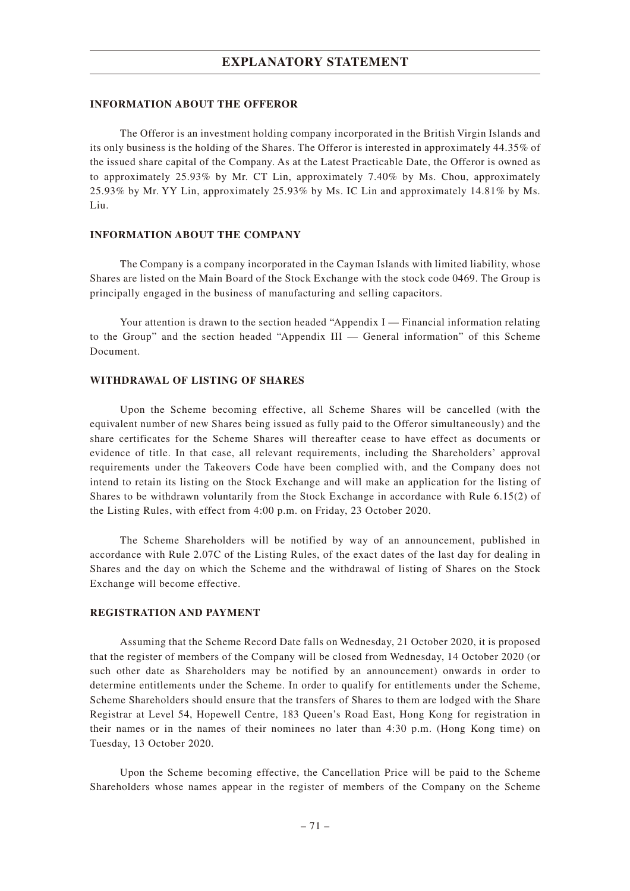#### **INFORMATION ABOUT THE OFFEROR**

The Offeror is an investment holding company incorporated in the British Virgin Islands and its only business is the holding of the Shares. The Offeror is interested in approximately 44.35% of the issued share capital of the Company. As at the Latest Practicable Date, the Offeror is owned as to approximately 25.93% by Mr. CT Lin, approximately 7.40% by Ms. Chou, approximately 25.93% by Mr. YY Lin, approximately 25.93% by Ms. IC Lin and approximately 14.81% by Ms. Liu.

#### **INFORMATION ABOUT THE COMPANY**

The Company is a company incorporated in the Cayman Islands with limited liability, whose Shares are listed on the Main Board of the Stock Exchange with the stock code 0469. The Group is principally engaged in the business of manufacturing and selling capacitors.

Your attention is drawn to the section headed "Appendix I — Financial information relating to the Group" and the section headed "Appendix III — General information" of this Scheme Document.

#### **WITHDRAWAL OF LISTING OF SHARES**

Upon the Scheme becoming effective, all Scheme Shares will be cancelled (with the equivalent number of new Shares being issued as fully paid to the Offeror simultaneously) and the share certificates for the Scheme Shares will thereafter cease to have effect as documents or evidence of title. In that case, all relevant requirements, including the Shareholders' approval requirements under the Takeovers Code have been complied with, and the Company does not intend to retain its listing on the Stock Exchange and will make an application for the listing of Shares to be withdrawn voluntarily from the Stock Exchange in accordance with Rule 6.15(2) of the Listing Rules, with effect from 4:00 p.m. on Friday, 23 October 2020.

The Scheme Shareholders will be notified by way of an announcement, published in accordance with Rule 2.07C of the Listing Rules, of the exact dates of the last day for dealing in Shares and the day on which the Scheme and the withdrawal of listing of Shares on the Stock Exchange will become effective.

#### **REGISTRATION AND PAYMENT**

Assuming that the Scheme Record Date falls on Wednesday, 21 October 2020, it is proposed that the register of members of the Company will be closed from Wednesday, 14 October 2020 (or such other date as Shareholders may be notified by an announcement) onwards in order to determine entitlements under the Scheme. In order to qualify for entitlements under the Scheme, Scheme Shareholders should ensure that the transfers of Shares to them are lodged with the Share Registrar at Level 54, Hopewell Centre, 183 Queen's Road East, Hong Kong for registration in their names or in the names of their nominees no later than 4:30 p.m. (Hong Kong time) on Tuesday, 13 October 2020.

Upon the Scheme becoming effective, the Cancellation Price will be paid to the Scheme Shareholders whose names appear in the register of members of the Company on the Scheme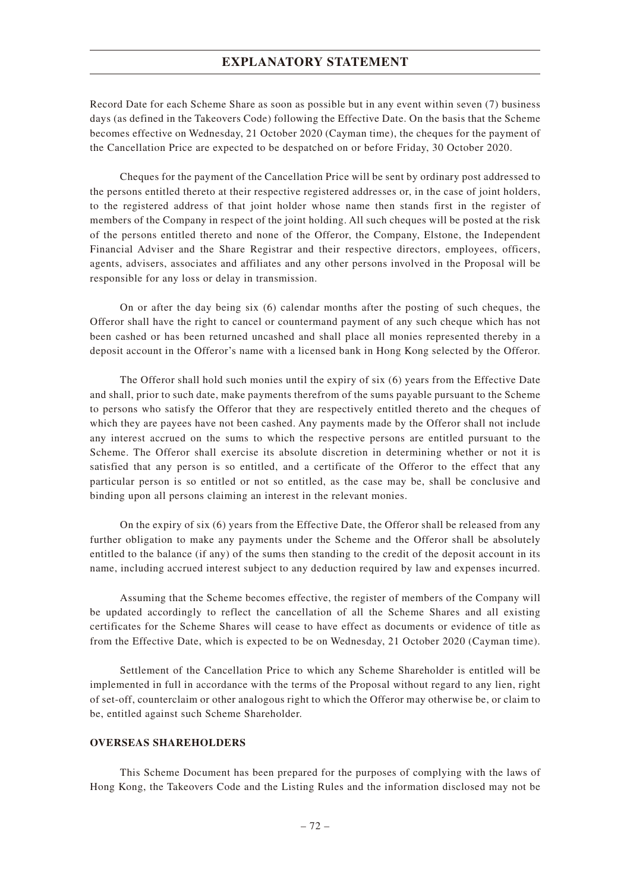Record Date for each Scheme Share as soon as possible but in any event within seven (7) business days (as defined in the Takeovers Code) following the Effective Date. On the basis that the Scheme becomes effective on Wednesday, 21 October 2020 (Cayman time), the cheques for the payment of the Cancellation Price are expected to be despatched on or before Friday, 30 October 2020.

Cheques for the payment of the Cancellation Price will be sent by ordinary post addressed to the persons entitled thereto at their respective registered addresses or, in the case of joint holders, to the registered address of that joint holder whose name then stands first in the register of members of the Company in respect of the joint holding. All such cheques will be posted at the risk of the persons entitled thereto and none of the Offeror, the Company, Elstone, the Independent Financial Adviser and the Share Registrar and their respective directors, employees, officers, agents, advisers, associates and affiliates and any other persons involved in the Proposal will be responsible for any loss or delay in transmission.

On or after the day being six (6) calendar months after the posting of such cheques, the Offeror shall have the right to cancel or countermand payment of any such cheque which has not been cashed or has been returned uncashed and shall place all monies represented thereby in a deposit account in the Offeror's name with a licensed bank in Hong Kong selected by the Offeror.

The Offeror shall hold such monies until the expiry of six (6) years from the Effective Date and shall, prior to such date, make payments therefrom of the sums payable pursuant to the Scheme to persons who satisfy the Offeror that they are respectively entitled thereto and the cheques of which they are payees have not been cashed. Any payments made by the Offeror shall not include any interest accrued on the sums to which the respective persons are entitled pursuant to the Scheme. The Offeror shall exercise its absolute discretion in determining whether or not it is satisfied that any person is so entitled, and a certificate of the Offeror to the effect that any particular person is so entitled or not so entitled, as the case may be, shall be conclusive and binding upon all persons claiming an interest in the relevant monies.

On the expiry of six (6) years from the Effective Date, the Offeror shall be released from any further obligation to make any payments under the Scheme and the Offeror shall be absolutely entitled to the balance (if any) of the sums then standing to the credit of the deposit account in its name, including accrued interest subject to any deduction required by law and expenses incurred.

Assuming that the Scheme becomes effective, the register of members of the Company will be updated accordingly to reflect the cancellation of all the Scheme Shares and all existing certificates for the Scheme Shares will cease to have effect as documents or evidence of title as from the Effective Date, which is expected to be on Wednesday, 21 October 2020 (Cayman time).

Settlement of the Cancellation Price to which any Scheme Shareholder is entitled will be implemented in full in accordance with the terms of the Proposal without regard to any lien, right of set-off, counterclaim or other analogous right to which the Offeror may otherwise be, or claim to be, entitled against such Scheme Shareholder.

### **OVERSEAS SHAREHOLDERS**

This Scheme Document has been prepared for the purposes of complying with the laws of Hong Kong, the Takeovers Code and the Listing Rules and the information disclosed may not be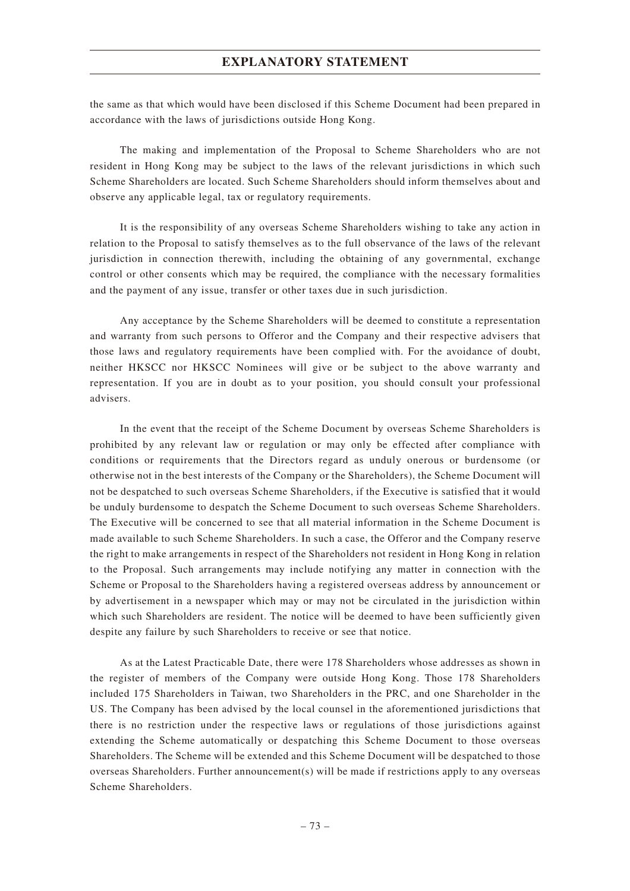the same as that which would have been disclosed if this Scheme Document had been prepared in accordance with the laws of jurisdictions outside Hong Kong.

The making and implementation of the Proposal to Scheme Shareholders who are not resident in Hong Kong may be subject to the laws of the relevant jurisdictions in which such Scheme Shareholders are located. Such Scheme Shareholders should inform themselves about and observe any applicable legal, tax or regulatory requirements.

It is the responsibility of any overseas Scheme Shareholders wishing to take any action in relation to the Proposal to satisfy themselves as to the full observance of the laws of the relevant jurisdiction in connection therewith, including the obtaining of any governmental, exchange control or other consents which may be required, the compliance with the necessary formalities and the payment of any issue, transfer or other taxes due in such jurisdiction.

Any acceptance by the Scheme Shareholders will be deemed to constitute a representation and warranty from such persons to Offeror and the Company and their respective advisers that those laws and regulatory requirements have been complied with. For the avoidance of doubt, neither HKSCC nor HKSCC Nominees will give or be subject to the above warranty and representation. If you are in doubt as to your position, you should consult your professional advisers.

In the event that the receipt of the Scheme Document by overseas Scheme Shareholders is prohibited by any relevant law or regulation or may only be effected after compliance with conditions or requirements that the Directors regard as unduly onerous or burdensome (or otherwise not in the best interests of the Company or the Shareholders), the Scheme Document will not be despatched to such overseas Scheme Shareholders, if the Executive is satisfied that it would be unduly burdensome to despatch the Scheme Document to such overseas Scheme Shareholders. The Executive will be concerned to see that all material information in the Scheme Document is made available to such Scheme Shareholders. In such a case, the Offeror and the Company reserve the right to make arrangements in respect of the Shareholders not resident in Hong Kong in relation to the Proposal. Such arrangements may include notifying any matter in connection with the Scheme or Proposal to the Shareholders having a registered overseas address by announcement or by advertisement in a newspaper which may or may not be circulated in the jurisdiction within which such Shareholders are resident. The notice will be deemed to have been sufficiently given despite any failure by such Shareholders to receive or see that notice.

As at the Latest Practicable Date, there were 178 Shareholders whose addresses as shown in the register of members of the Company were outside Hong Kong. Those 178 Shareholders included 175 Shareholders in Taiwan, two Shareholders in the PRC, and one Shareholder in the US. The Company has been advised by the local counsel in the aforementioned jurisdictions that there is no restriction under the respective laws or regulations of those jurisdictions against extending the Scheme automatically or despatching this Scheme Document to those overseas Shareholders. The Scheme will be extended and this Scheme Document will be despatched to those overseas Shareholders. Further announcement(s) will be made if restrictions apply to any overseas Scheme Shareholders.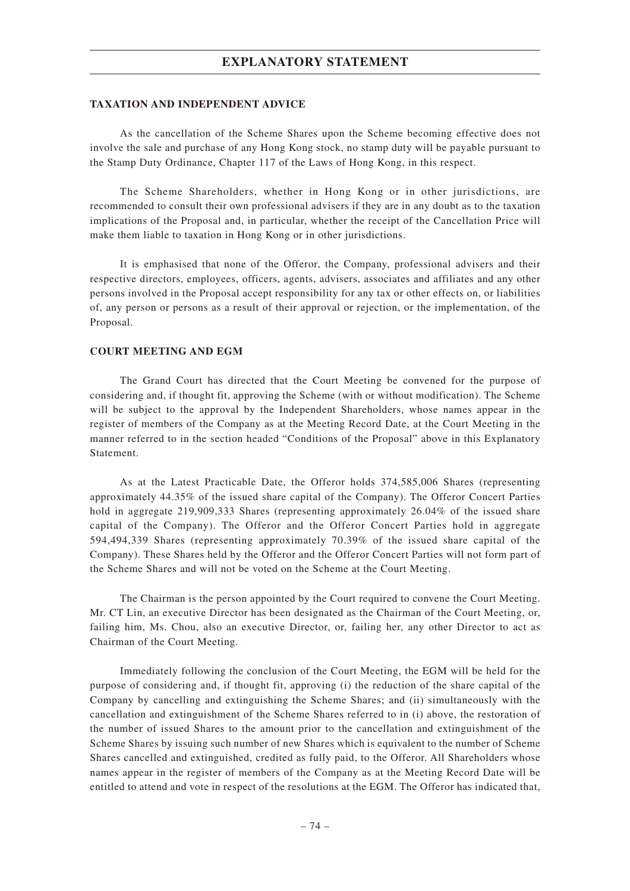#### **TAXATION AND INDEPENDENT ADVICE**

As the cancellation of the Scheme Shares upon the Scheme becoming effective does not involve the sale and purchase of any Hong Kong stock, no stamp duty will be payable pursuant to the Stamp Duty Ordinance, Chapter 117 of the Laws of Hong Kong, in this respect.

The Scheme Shareholders, whether in Hong Kong or in other jurisdictions, are recommended to consult their own professional advisers if they are in any doubt as to the taxation implications of the Proposal and, in particular, whether the receipt of the Cancellation Price will make them liable to taxation in Hong Kong or in other jurisdictions.

It is emphasised that none of the Offeror, the Company, professional advisers and their respective directors, employees, officers, agents, advisers, associates and affiliates and any other persons involved in the Proposal accept responsibility for any tax or other effects on, or liabilities of, any person or persons as a result of their approval or rejection, or the implementation, of the Proposal.

#### **COURT MEETING AND EGM**

The Grand Court has directed that the Court Meeting be convened for the purpose of considering and, if thought fit, approving the Scheme (with or without modification). The Scheme will be subject to the approval by the Independent Shareholders, whose names appear in the register of members of the Company as at the Meeting Record Date, at the Court Meeting in the manner referred to in the section headed "Conditions of the Proposal" above in this Explanatory Statement.

As at the Latest Practicable Date, the Offeror holds 374,585,006 Shares (representing approximately 44.35% of the issued share capital of the Company). The Offeror Concert Parties hold in aggregate 219,909,333 Shares (representing approximately 26.04% of the issued share capital of the Company). The Offeror and the Offeror Concert Parties hold in aggregate 594,494,339 Shares (representing approximately 70.39% of the issued share capital of the Company). These Shares held by the Offeror and the Offeror Concert Parties will not form part of the Scheme Shares and will not be voted on the Scheme at the Court Meeting.

The Chairman is the person appointed by the Court required to convene the Court Meeting. Mr. CT Lin, an executive Director has been designated as the Chairman of the Court Meeting, or, failing him, Ms. Chou, also an executive Director, or, failing her, any other Director to act as Chairman of the Court Meeting.

Immediately following the conclusion of the Court Meeting, the EGM will be held for the purpose of considering and, if thought fit, approving (i) the reduction of the share capital of the Company by cancelling and extinguishing the Scheme Shares; and (ii) simultaneously with the cancellation and extinguishment of the Scheme Shares referred to in (i) above, the restoration of the number of issued Shares to the amount prior to the cancellation and extinguishment of the Scheme Shares by issuing such number of new Shares which is equivalent to the number of Scheme Shares cancelled and extinguished, credited as fully paid, to the Offeror. All Shareholders whose names appear in the register of members of the Company as at the Meeting Record Date will be entitled to attend and vote in respect of the resolutions at the EGM. The Offeror has indicated that,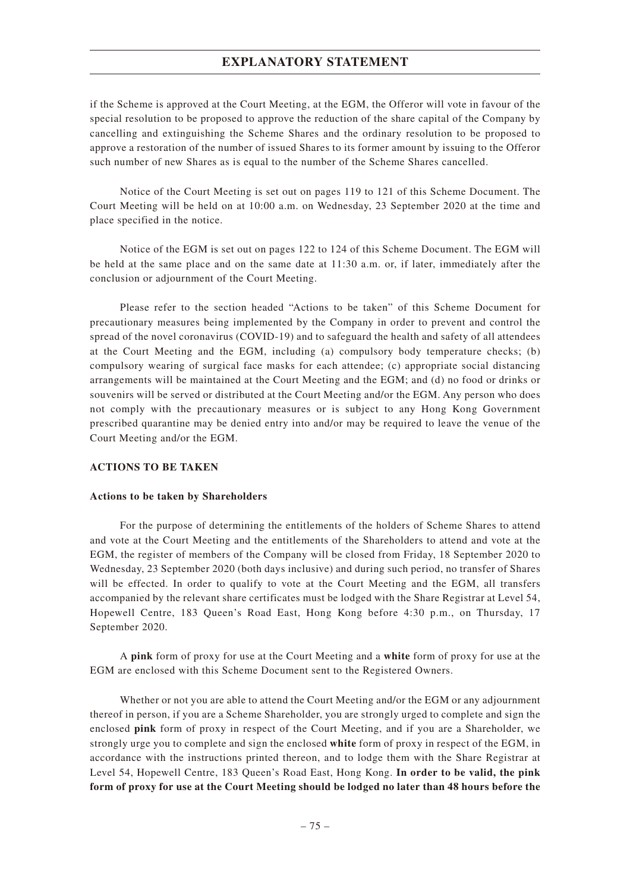if the Scheme is approved at the Court Meeting, at the EGM, the Offeror will vote in favour of the special resolution to be proposed to approve the reduction of the share capital of the Company by cancelling and extinguishing the Scheme Shares and the ordinary resolution to be proposed to approve a restoration of the number of issued Shares to its former amount by issuing to the Offeror such number of new Shares as is equal to the number of the Scheme Shares cancelled.

Notice of the Court Meeting is set out on pages 119 to 121 of this Scheme Document. The Court Meeting will be held on at 10:00 a.m. on Wednesday, 23 September 2020 at the time and place specified in the notice.

Notice of the EGM is set out on pages 122 to 124 of this Scheme Document. The EGM will be held at the same place and on the same date at 11:30 a.m. or, if later, immediately after the conclusion or adjournment of the Court Meeting.

Please refer to the section headed "Actions to be taken" of this Scheme Document for precautionary measures being implemented by the Company in order to prevent and control the spread of the novel coronavirus (COVID-19) and to safeguard the health and safety of all attendees at the Court Meeting and the EGM, including (a) compulsory body temperature checks; (b) compulsory wearing of surgical face masks for each attendee; (c) appropriate social distancing arrangements will be maintained at the Court Meeting and the EGM; and (d) no food or drinks or souvenirs will be served or distributed at the Court Meeting and/or the EGM. Any person who does not comply with the precautionary measures or is subject to any Hong Kong Government prescribed quarantine may be denied entry into and/or may be required to leave the venue of the Court Meeting and/or the EGM.

### **ACTIONS TO BE TAKEN**

#### **Actions to be taken by Shareholders**

For the purpose of determining the entitlements of the holders of Scheme Shares to attend and vote at the Court Meeting and the entitlements of the Shareholders to attend and vote at the EGM, the register of members of the Company will be closed from Friday, 18 September 2020 to Wednesday, 23 September 2020 (both days inclusive) and during such period, no transfer of Shares will be effected. In order to qualify to vote at the Court Meeting and the EGM, all transfers accompanied by the relevant share certificates must be lodged with the Share Registrar at Level 54, Hopewell Centre, 183 Queen's Road East, Hong Kong before 4:30 p.m., on Thursday, 17 September 2020.

A **pink** form of proxy for use at the Court Meeting and a **white** form of proxy for use at the EGM are enclosed with this Scheme Document sent to the Registered Owners.

Whether or not you are able to attend the Court Meeting and/or the EGM or any adjournment thereof in person, if you are a Scheme Shareholder, you are strongly urged to complete and sign the enclosed **pink** form of proxy in respect of the Court Meeting, and if you are a Shareholder, we strongly urge you to complete and sign the enclosed **white** form of proxy in respect of the EGM, in accordance with the instructions printed thereon, and to lodge them with the Share Registrar at Level 54, Hopewell Centre, 183 Queen's Road East, Hong Kong. **In order to be valid, the pink form of proxy for use at the Court Meeting should be lodged no later than 48 hours before the**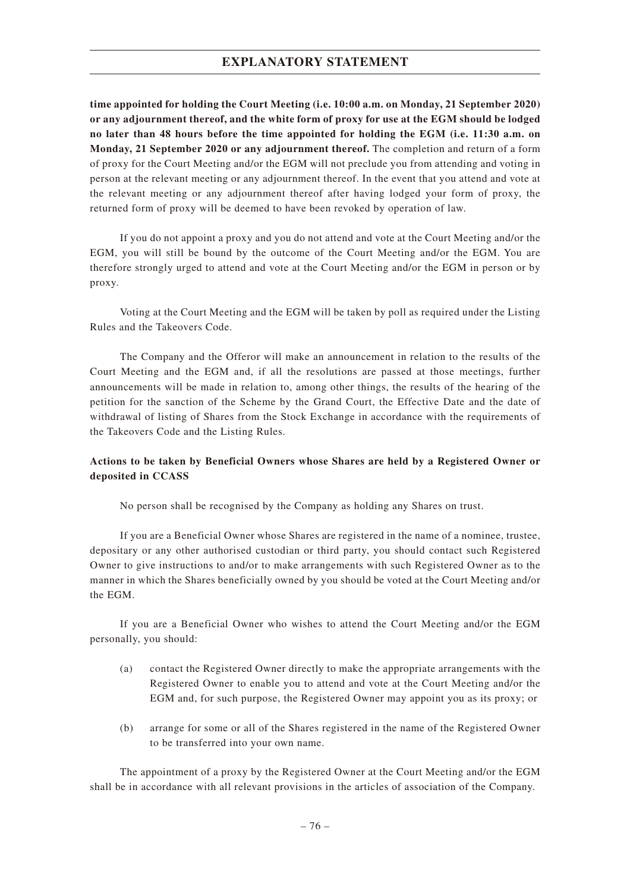**time appointed for holding the Court Meeting (i.e. 10:00 a.m. on Monday, 21 September 2020) or any adjournment thereof, and the white form of proxy for use at the EGM should be lodged no later than 48 hours before the time appointed for holding the EGM (i.e. 11:30 a.m. on Monday, 21 September 2020 or any adjournment thereof.** The completion and return of a form of proxy for the Court Meeting and/or the EGM will not preclude you from attending and voting in person at the relevant meeting or any adjournment thereof. In the event that you attend and vote at the relevant meeting or any adjournment thereof after having lodged your form of proxy, the returned form of proxy will be deemed to have been revoked by operation of law.

If you do not appoint a proxy and you do not attend and vote at the Court Meeting and/or the EGM, you will still be bound by the outcome of the Court Meeting and/or the EGM. You are therefore strongly urged to attend and vote at the Court Meeting and/or the EGM in person or by proxy.

Voting at the Court Meeting and the EGM will be taken by poll as required under the Listing Rules and the Takeovers Code.

The Company and the Offeror will make an announcement in relation to the results of the Court Meeting and the EGM and, if all the resolutions are passed at those meetings, further announcements will be made in relation to, among other things, the results of the hearing of the petition for the sanction of the Scheme by the Grand Court, the Effective Date and the date of withdrawal of listing of Shares from the Stock Exchange in accordance with the requirements of the Takeovers Code and the Listing Rules.

# **Actions to be taken by Beneficial Owners whose Shares are held by a Registered Owner or deposited in CCASS**

No person shall be recognised by the Company as holding any Shares on trust.

If you are a Beneficial Owner whose Shares are registered in the name of a nominee, trustee, depositary or any other authorised custodian or third party, you should contact such Registered Owner to give instructions to and/or to make arrangements with such Registered Owner as to the manner in which the Shares beneficially owned by you should be voted at the Court Meeting and/or the EGM.

If you are a Beneficial Owner who wishes to attend the Court Meeting and/or the EGM personally, you should:

- (a) contact the Registered Owner directly to make the appropriate arrangements with the Registered Owner to enable you to attend and vote at the Court Meeting and/or the EGM and, for such purpose, the Registered Owner may appoint you as its proxy; or
- (b) arrange for some or all of the Shares registered in the name of the Registered Owner to be transferred into your own name.

The appointment of a proxy by the Registered Owner at the Court Meeting and/or the EGM shall be in accordance with all relevant provisions in the articles of association of the Company.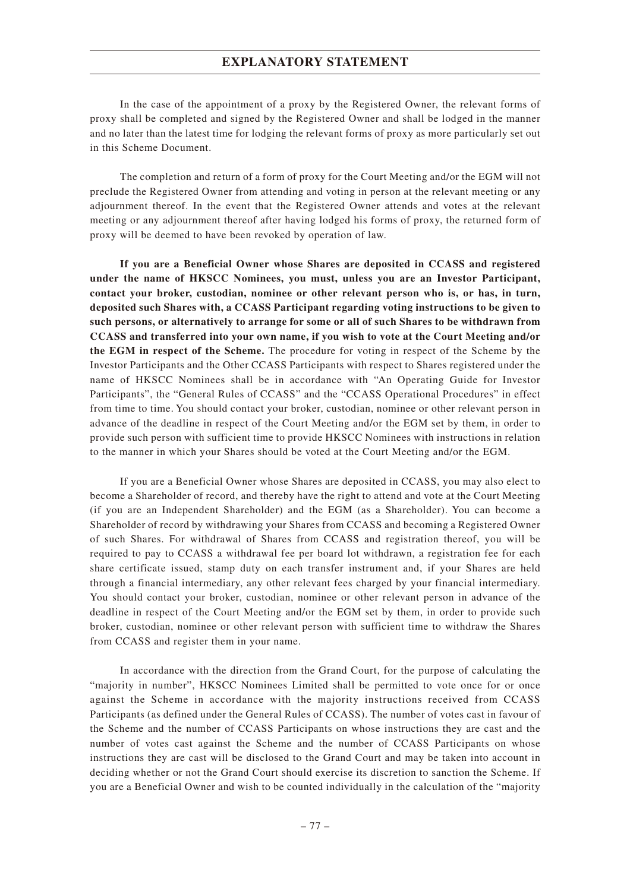In the case of the appointment of a proxy by the Registered Owner, the relevant forms of proxy shall be completed and signed by the Registered Owner and shall be lodged in the manner and no later than the latest time for lodging the relevant forms of proxy as more particularly set out in this Scheme Document.

The completion and return of a form of proxy for the Court Meeting and/or the EGM will not preclude the Registered Owner from attending and voting in person at the relevant meeting or any adjournment thereof. In the event that the Registered Owner attends and votes at the relevant meeting or any adjournment thereof after having lodged his forms of proxy, the returned form of proxy will be deemed to have been revoked by operation of law.

**If you are a Beneficial Owner whose Shares are deposited in CCASS and registered under the name of HKSCC Nominees, you must, unless you are an Investor Participant, contact your broker, custodian, nominee or other relevant person who is, or has, in turn, deposited such Shares with, a CCASS Participant regarding voting instructions to be given to such persons, or alternatively to arrange for some or all of such Shares to be withdrawn from CCASS and transferred into your own name, if you wish to vote at the Court Meeting and/or the EGM in respect of the Scheme.** The procedure for voting in respect of the Scheme by the Investor Participants and the Other CCASS Participants with respect to Shares registered under the name of HKSCC Nominees shall be in accordance with "An Operating Guide for Investor Participants", the "General Rules of CCASS" and the "CCASS Operational Procedures" in effect from time to time. You should contact your broker, custodian, nominee or other relevant person in advance of the deadline in respect of the Court Meeting and/or the EGM set by them, in order to provide such person with sufficient time to provide HKSCC Nominees with instructions in relation to the manner in which your Shares should be voted at the Court Meeting and/or the EGM.

If you are a Beneficial Owner whose Shares are deposited in CCASS, you may also elect to become a Shareholder of record, and thereby have the right to attend and vote at the Court Meeting (if you are an Independent Shareholder) and the EGM (as a Shareholder). You can become a Shareholder of record by withdrawing your Shares from CCASS and becoming a Registered Owner of such Shares. For withdrawal of Shares from CCASS and registration thereof, you will be required to pay to CCASS a withdrawal fee per board lot withdrawn, a registration fee for each share certificate issued, stamp duty on each transfer instrument and, if your Shares are held through a financial intermediary, any other relevant fees charged by your financial intermediary. You should contact your broker, custodian, nominee or other relevant person in advance of the deadline in respect of the Court Meeting and/or the EGM set by them, in order to provide such broker, custodian, nominee or other relevant person with sufficient time to withdraw the Shares from CCASS and register them in your name.

In accordance with the direction from the Grand Court, for the purpose of calculating the "majority in number", HKSCC Nominees Limited shall be permitted to vote once for or once against the Scheme in accordance with the majority instructions received from CCASS Participants (as defined under the General Rules of CCASS). The number of votes cast in favour of the Scheme and the number of CCASS Participants on whose instructions they are cast and the number of votes cast against the Scheme and the number of CCASS Participants on whose instructions they are cast will be disclosed to the Grand Court and may be taken into account in deciding whether or not the Grand Court should exercise its discretion to sanction the Scheme. If you are a Beneficial Owner and wish to be counted individually in the calculation of the "majority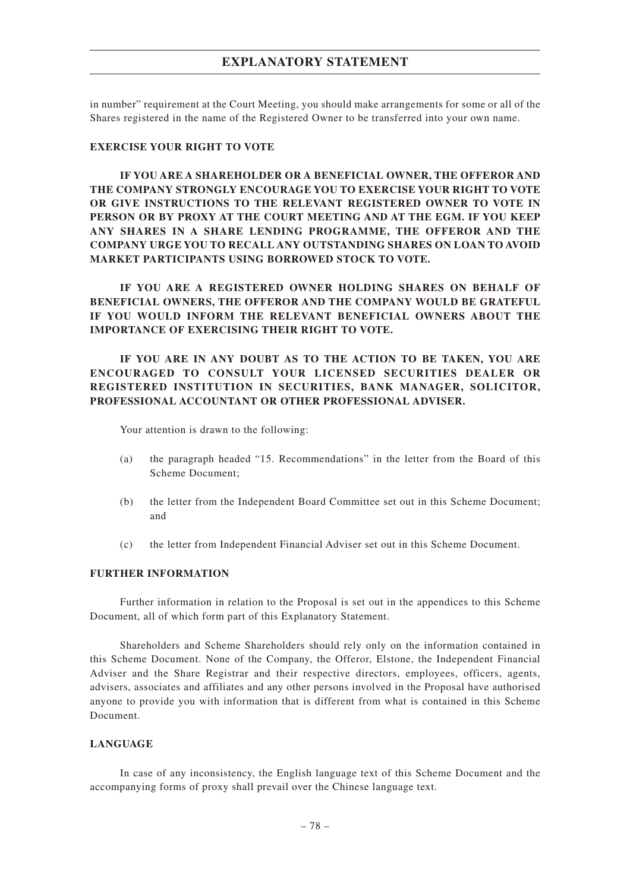in number" requirement at the Court Meeting, you should make arrangements for some or all of the Shares registered in the name of the Registered Owner to be transferred into your own name.

#### **EXERCISE YOUR RIGHT TO VOTE**

**IF YOU ARE A SHAREHOLDER OR A BENEFICIAL OWNER, THE OFFEROR AND THE COMPANY STRONGLY ENCOURAGE YOU TO EXERCISE YOUR RIGHT TO VOTE OR GIVE INSTRUCTIONS TO THE RELEVANT REGISTERED OWNER TO VOTE IN PERSON OR BY PROXY AT THE COURT MEETING AND AT THE EGM. IF YOU KEEP ANY SHARES IN A SHARE LENDING PROGRAMME, THE OFFEROR AND THE COMPANY URGE YOU TO RECALL ANY OUTSTANDING SHARES ON LOAN TO AVOID MARKET PARTICIPANTS USING BORROWED STOCK TO VOTE.**

**IF YOU ARE A REGISTERED OWNER HOLDING SHARES ON BEHALF OF BENEFICIAL OWNERS, THE OFFEROR AND THE COMPANY WOULD BE GRATEFUL IF YOU WOULD INFORM THE RELEVANT BENEFICIAL OWNERS ABOUT THE IMPORTANCE OF EXERCISING THEIR RIGHT TO VOTE.**

**IF YOU ARE IN ANY DOUBT AS TO THE ACTION TO BE TAKEN, YOU ARE ENCOURAGED TO CONSULT YOUR LICENSED SECURITIES DEALER OR REGISTERED INSTITUTION IN SECURITIES, BANK MANAGER, SOLICITOR, PROFESSIONAL ACCOUNTANT OR OTHER PROFESSIONAL ADVISER.**

Your attention is drawn to the following:

- (a) the paragraph headed "15. Recommendations" in the letter from the Board of this Scheme Document;
- (b) the letter from the Independent Board Committee set out in this Scheme Document; and
- (c) the letter from Independent Financial Adviser set out in this Scheme Document.

### **FURTHER INFORMATION**

Further information in relation to the Proposal is set out in the appendices to this Scheme Document, all of which form part of this Explanatory Statement.

Shareholders and Scheme Shareholders should rely only on the information contained in this Scheme Document. None of the Company, the Offeror, Elstone, the Independent Financial Adviser and the Share Registrar and their respective directors, employees, officers, agents, advisers, associates and affiliates and any other persons involved in the Proposal have authorised anyone to provide you with information that is different from what is contained in this Scheme Document.

### **LANGUAGE**

In case of any inconsistency, the English language text of this Scheme Document and the accompanying forms of proxy shall prevail over the Chinese language text.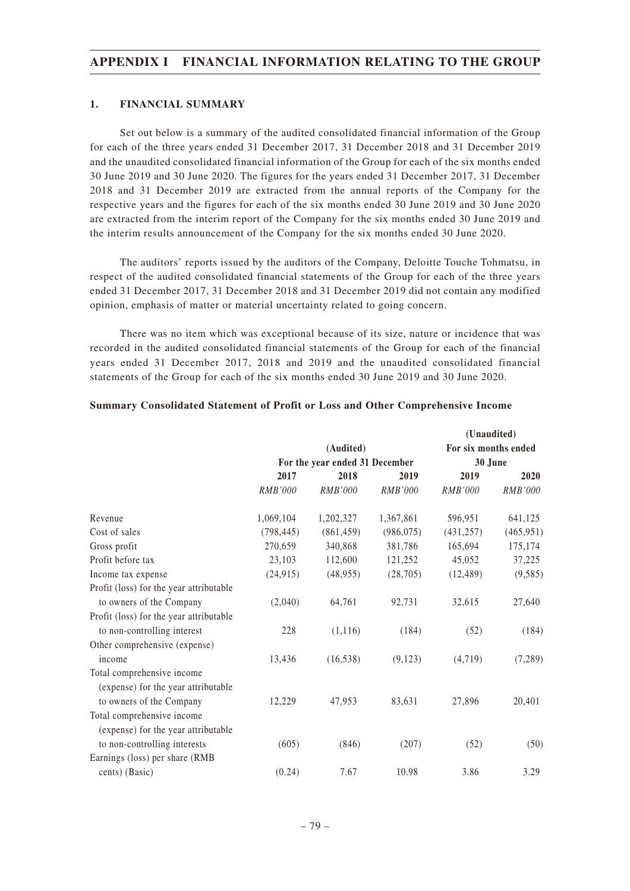### **1. FINANCIAL SUMMARY**

Set out below is a summary of the audited consolidated financial information of the Group for each of the three years ended 31 December 2017, 31 December 2018 and 31 December 2019 and the unaudited consolidated financial information of the Group for each of the six months ended 30 June 2019 and 30 June 2020. The figures for the years ended 31 December 2017, 31 December 2018 and 31 December 2019 are extracted from the annual reports of the Company for the respective years and the figures for each of the six months ended 30 June 2019 and 30 June 2020 are extracted from the interim report of the Company for the six months ended 30 June 2019 and the interim results announcement of the Company for the six months ended 30 June 2020.

The auditors' reports issued by the auditors of the Company, Deloitte Touche Tohmatsu, in respect of the audited consolidated financial statements of the Group for each of the three years ended 31 December 2017, 31 December 2018 and 31 December 2019 did not contain any modified opinion, emphasis of matter or material uncertainty related to going concern.

There was no item which was exceptional because of its size, nature or incidence that was recorded in the audited consolidated financial statements of the Group for each of the financial years ended 31 December 2017, 2018 and 2019 and the unaudited consolidated financial statements of the Group for each of the six months ended 30 June 2019 and 30 June 2020.

|                                         |                |                                |                |                      | (Unaudited) |
|-----------------------------------------|----------------|--------------------------------|----------------|----------------------|-------------|
|                                         |                | (Audited)                      |                | For six months ended |             |
|                                         |                | For the year ended 31 December |                | 30 June              |             |
|                                         | 2017           | 2018                           | 2019           | 2019                 | 2020        |
|                                         | <b>RMB'000</b> | <b>RMB'000</b>                 | <b>RMB'000</b> | <i>RMB'000</i>       | RMB'000     |
| Revenue                                 | 1,069,104      | 1,202,327                      | 1,367,861      | 596,951              | 641,125     |
| Cost of sales                           | (798, 445)     | (861, 459)                     | (986, 075)     | (431, 257)           | (465, 951)  |
| Gross profit                            | 270,659        | 340,868                        | 381,786        | 165,694              | 175,174     |
| Profit before tax                       | 23,103         | 112,600                        | 121,252        | 45,052               | 37,225      |
| Income tax expense                      | (24, 915)      | (48, 955)                      | (28,705)       | (12, 489)            | (9,585)     |
| Profit (loss) for the year attributable |                |                                |                |                      |             |
| to owners of the Company                | (2,040)        | 64,761                         | 92,731         | 32,615               | 27,640      |
| Profit (loss) for the year attributable |                |                                |                |                      |             |
| to non-controlling interest             | 228            | (1,116)                        | (184)          | (52)                 | (184)       |
| Other comprehensive (expense)           |                |                                |                |                      |             |
| income                                  | 13,436         | (16, 538)                      | (9,123)        | (4,719)              | (7, 289)    |
| Total comprehensive income              |                |                                |                |                      |             |
| (expense) for the year attributable     |                |                                |                |                      |             |
| to owners of the Company                | 12,229         | 47,953                         | 83,631         | 27,896               | 20,401      |
| Total comprehensive income              |                |                                |                |                      |             |
| (expense) for the year attributable     |                |                                |                |                      |             |
| to non-controlling interests            | (605)          | (846)                          | (207)          | (52)                 | (50)        |
| Earnings (loss) per share (RMB          |                |                                |                |                      |             |
| cents) (Basic)                          | (0.24)         | 7.67                           | 10.98          | 3.86                 | 3.29        |

#### **Summary Consolidated Statement of Profit or Loss and Other Comprehensive Income**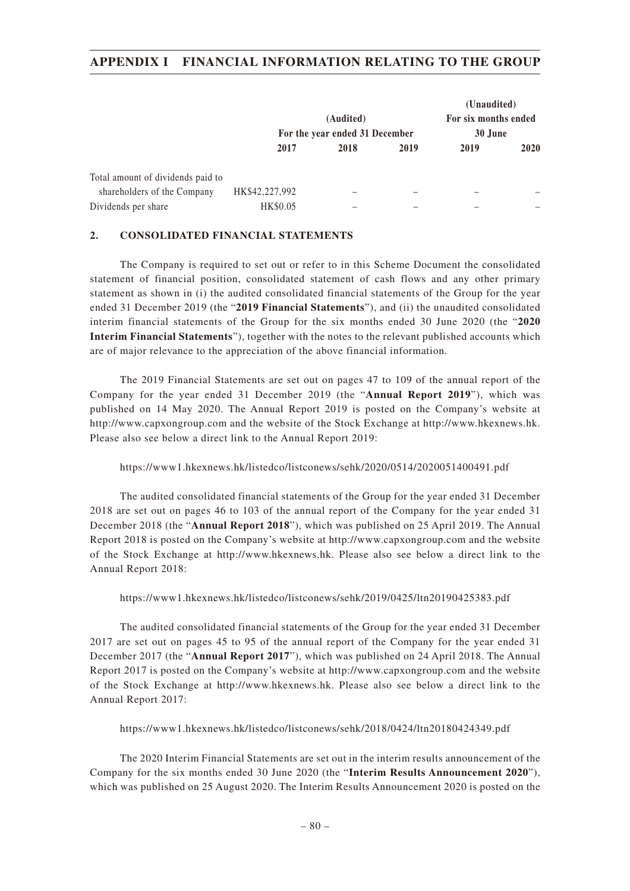|                                   |                |                                |      | (Unaudited)          |             |
|-----------------------------------|----------------|--------------------------------|------|----------------------|-------------|
|                                   |                | (Audited)                      |      | For six months ended |             |
|                                   |                | For the year ended 31 December |      | 30 June              |             |
|                                   | 2017           | 2018                           | 2019 | 2019                 | <b>2020</b> |
| Total amount of dividends paid to |                |                                |      |                      |             |
| shareholders of the Company       | HK\$42,227,992 |                                |      |                      |             |
| Dividends per share               | HK\$0.05       |                                |      |                      |             |

### **2. CONSOLIDATED FINANCIAL STATEMENTS**

The Company is required to set out or refer to in this Scheme Document the consolidated statement of financial position, consolidated statement of cash flows and any other primary statement as shown in (i) the audited consolidated financial statements of the Group for the year ended 31 December 2019 (the "**2019 Financial Statements**"), and (ii) the unaudited consolidated interim financial statements of the Group for the six months ended 30 June 2020 (the "**2020 Interim Financial Statements**"), together with the notes to the relevant published accounts which are of major relevance to the appreciation of the above financial information.

The 2019 Financial Statements are set out on pages 47 to 109 of the annual report of the Company for the year ended 31 December 2019 (the "**Annual Report 2019**"), which was published on 14 May 2020. The Annual Report 2019 is posted on the Company's website at http://www.capxongroup.com and the website of the Stock Exchange at http://www.hkexnews.hk. Please also see below a direct link to the Annual Report 2019:

### https://www1.hkexnews.hk/listedco/listconews/sehk/2020/0514/2020051400491.pdf

The audited consolidated financial statements of the Group for the year ended 31 December 2018 are set out on pages 46 to 103 of the annual report of the Company for the year ended 31 December 2018 (the "**Annual Report 2018**"), which was published on 25 April 2019. The Annual Report 2018 is posted on the Company's website at http://www.capxongroup.com and the website of the Stock Exchange at http://www.hkexnews.hk. Please also see below a direct link to the Annual Report 2018:

### https://www1.hkexnews.hk/listedco/listconews/sehk/2019/0425/ltn20190425383.pdf

The audited consolidated financial statements of the Group for the year ended 31 December 2017 are set out on pages 45 to 95 of the annual report of the Company for the year ended 31 December 2017 (the "**Annual Report 2017**"), which was published on 24 April 2018. The Annual Report 2017 is posted on the Company's website at http://www.capxongroup.com and the website of the Stock Exchange at http://www.hkexnews.hk. Please also see below a direct link to the Annual Report 2017:

#### https://www1.hkexnews.hk/listedco/listconews/sehk/2018/0424/ltn20180424349.pdf

The 2020 Interim Financial Statements are set out in the interim results announcement of the Company for the six months ended 30 June 2020 (the "**Interim Results Announcement 2020**"), which was published on 25 August 2020. The Interim Results Announcement 2020 is posted on the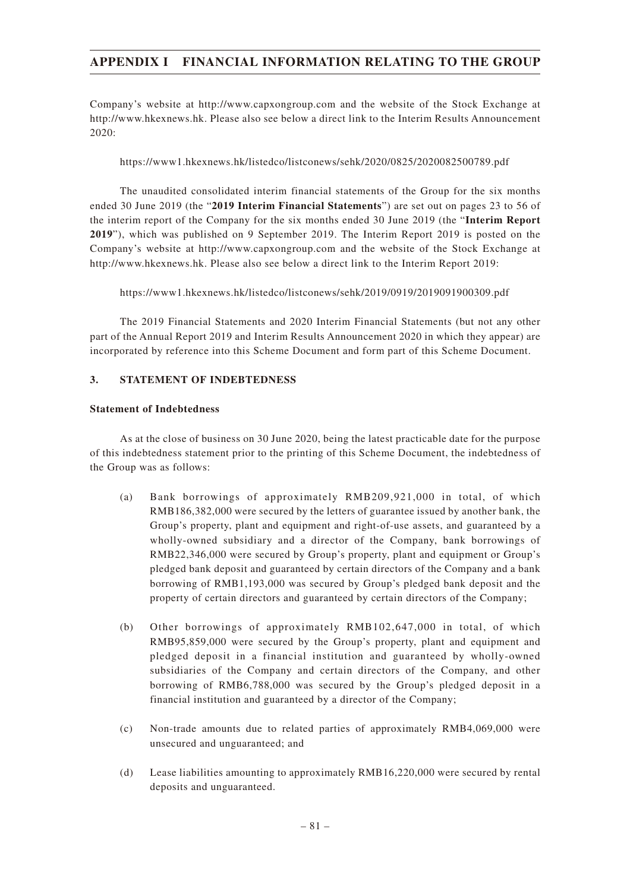Company's website at http://www.capxongroup.com and the website of the Stock Exchange at http://www.hkexnews.hk. Please also see below a direct link to the Interim Results Announcement 2020:

https://www1.hkexnews.hk/listedco/listconews/sehk/2020/0825/2020082500789.pdf

The unaudited consolidated interim financial statements of the Group for the six months ended 30 June 2019 (the "**2019 Interim Financial Statements**") are set out on pages 23 to 56 of the interim report of the Company for the six months ended 30 June 2019 (the "**Interim Report 2019**"), which was published on 9 September 2019. The Interim Report 2019 is posted on the Company's website at http://www.capxongroup.com and the website of the Stock Exchange at http://www.hkexnews.hk. Please also see below a direct link to the Interim Report 2019:

https://www1.hkexnews.hk/listedco/listconews/sehk/2019/0919/2019091900309.pdf

The 2019 Financial Statements and 2020 Interim Financial Statements (but not any other part of the Annual Report 2019 and Interim Results Announcement 2020 in which they appear) are incorporated by reference into this Scheme Document and form part of this Scheme Document.

### **3. STATEMENT OF INDEBTEDNESS**

### **Statement of Indebtedness**

As at the close of business on 30 June 2020, being the latest practicable date for the purpose of this indebtedness statement prior to the printing of this Scheme Document, the indebtedness of the Group was as follows:

- (a) Bank borrowings of approximately RMB209,921,000 in total, of which RMB186,382,000 were secured by the letters of guarantee issued by another bank, the Group's property, plant and equipment and right-of-use assets, and guaranteed by a wholly-owned subsidiary and a director of the Company, bank borrowings of RMB22,346,000 were secured by Group's property, plant and equipment or Group's pledged bank deposit and guaranteed by certain directors of the Company and a bank borrowing of RMB1,193,000 was secured by Group's pledged bank deposit and the property of certain directors and guaranteed by certain directors of the Company;
- (b) Other borrowings of approximately RMB102,647,000 in total, of which RMB95,859,000 were secured by the Group's property, plant and equipment and pledged deposit in a financial institution and guaranteed by wholly-owned subsidiaries of the Company and certain directors of the Company, and other borrowing of RMB6,788,000 was secured by the Group's pledged deposit in a financial institution and guaranteed by a director of the Company;
- (c) Non-trade amounts due to related parties of approximately RMB4,069,000 were unsecured and unguaranteed; and
- (d) Lease liabilities amounting to approximately RMB16,220,000 were secured by rental deposits and unguaranteed.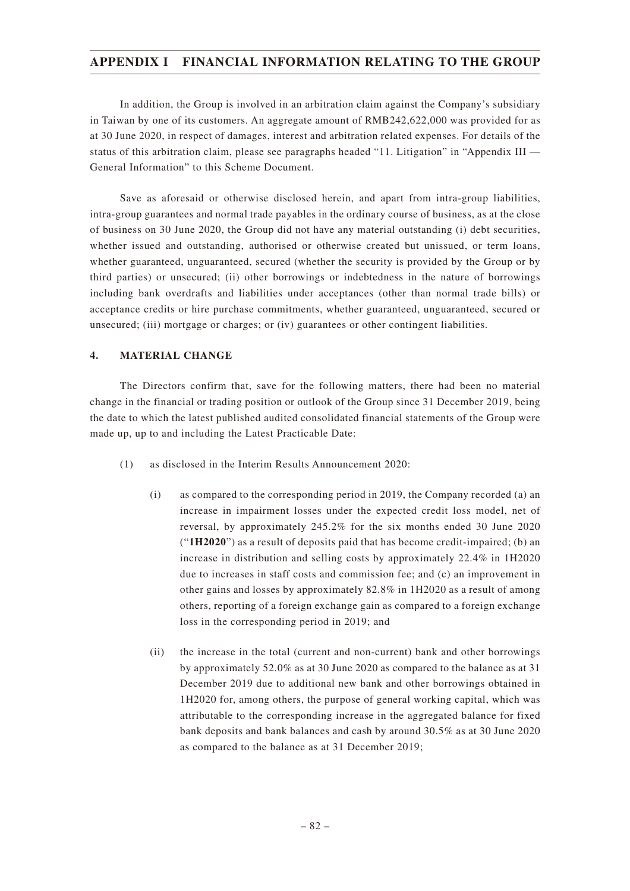In addition, the Group is involved in an arbitration claim against the Company's subsidiary in Taiwan by one of its customers. An aggregate amount of RMB242,622,000 was provided for as at 30 June 2020, in respect of damages, interest and arbitration related expenses. For details of the status of this arbitration claim, please see paragraphs headed "11. Litigation" in "Appendix III — General Information" to this Scheme Document.

Save as aforesaid or otherwise disclosed herein, and apart from intra-group liabilities, intra-group guarantees and normal trade payables in the ordinary course of business, as at the close of business on 30 June 2020, the Group did not have any material outstanding (i) debt securities, whether issued and outstanding, authorised or otherwise created but unissued, or term loans, whether guaranteed, unguaranteed, secured (whether the security is provided by the Group or by third parties) or unsecured; (ii) other borrowings or indebtedness in the nature of borrowings including bank overdrafts and liabilities under acceptances (other than normal trade bills) or acceptance credits or hire purchase commitments, whether guaranteed, unguaranteed, secured or unsecured; (iii) mortgage or charges; or (iv) guarantees or other contingent liabilities.

### **4. MATERIAL CHANGE**

The Directors confirm that, save for the following matters, there had been no material change in the financial or trading position or outlook of the Group since 31 December 2019, being the date to which the latest published audited consolidated financial statements of the Group were made up, up to and including the Latest Practicable Date:

- (1) as disclosed in the Interim Results Announcement 2020:
	- (i) as compared to the corresponding period in 2019, the Company recorded (a) an increase in impairment losses under the expected credit loss model, net of reversal, by approximately 245.2% for the six months ended 30 June 2020 ("**1H2020**") as a result of deposits paid that has become credit-impaired; (b) an increase in distribution and selling costs by approximately 22.4% in 1H2020 due to increases in staff costs and commission fee; and (c) an improvement in other gains and losses by approximately 82.8% in 1H2020 as a result of among others, reporting of a foreign exchange gain as compared to a foreign exchange loss in the corresponding period in 2019; and
	- (ii) the increase in the total (current and non-current) bank and other borrowings by approximately 52.0% as at 30 June 2020 as compared to the balance as at 31 December 2019 due to additional new bank and other borrowings obtained in 1H2020 for, among others, the purpose of general working capital, which was attributable to the corresponding increase in the aggregated balance for fixed bank deposits and bank balances and cash by around 30.5% as at 30 June 2020 as compared to the balance as at 31 December 2019;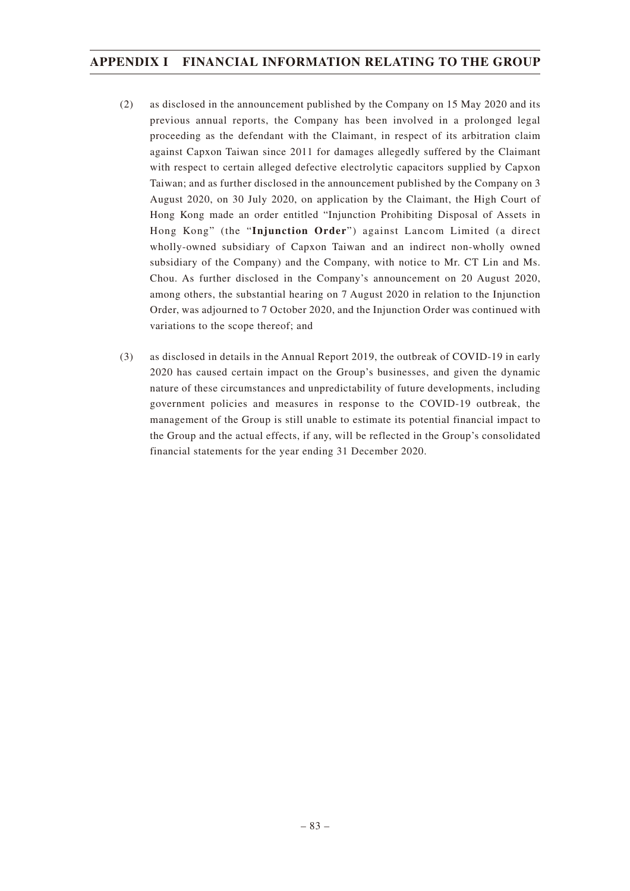- (2) as disclosed in the announcement published by the Company on 15 May 2020 and its previous annual reports, the Company has been involved in a prolonged legal proceeding as the defendant with the Claimant, in respect of its arbitration claim against Capxon Taiwan since 2011 for damages allegedly suffered by the Claimant with respect to certain alleged defective electrolytic capacitors supplied by Capxon Taiwan; and as further disclosed in the announcement published by the Company on 3 August 2020, on 30 July 2020, on application by the Claimant, the High Court of Hong Kong made an order entitled "Injunction Prohibiting Disposal of Assets in Hong Kong" (the "**Injunction Order**") against Lancom Limited (a direct wholly-owned subsidiary of Capxon Taiwan and an indirect non-wholly owned subsidiary of the Company) and the Company, with notice to Mr. CT Lin and Ms. Chou. As further disclosed in the Company's announcement on 20 August 2020, among others, the substantial hearing on 7 August 2020 in relation to the Injunction Order, was adjourned to 7 October 2020, and the Injunction Order was continued with variations to the scope thereof; and
- (3) as disclosed in details in the Annual Report 2019, the outbreak of COVID-19 in early 2020 has caused certain impact on the Group's businesses, and given the dynamic nature of these circumstances and unpredictability of future developments, including government policies and measures in response to the COVID-19 outbreak, the management of the Group is still unable to estimate its potential financial impact to the Group and the actual effects, if any, will be reflected in the Group's consolidated financial statements for the year ending 31 December 2020.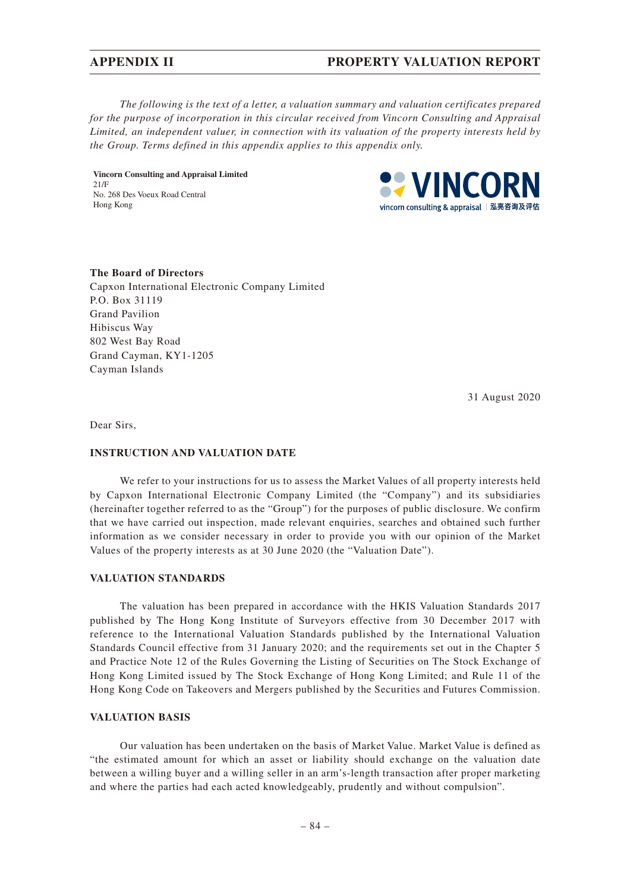*The following is the text of a letter, a valuation summary and valuation certificates prepared for the purpose of incorporation in this circular received from Vincorn Consulting and Appraisal Limited, an independent valuer, in connection with its valuation of the property interests held by the Group. Terms defined in this appendix applies to this appendix only.*

**Vincorn Consulting and Appraisal Limited** 21/F No. 268 Des Voeux Road Central Hong Kong



#### **The Board of Directors**

Capxon International Electronic Company Limited P.O. Box 31119 Grand Pavilion Hibiscus Way 802 West Bay Road Grand Cayman, KY1-1205 Cayman Islands

31 August 2020

Dear Sirs,

#### **INSTRUCTION AND VALUATION DATE**

We refer to your instructions for us to assess the Market Values of all property interests held by Capxon International Electronic Company Limited (the "Company") and its subsidiaries (hereinafter together referred to as the "Group") for the purposes of public disclosure. We confirm that we have carried out inspection, made relevant enquiries, searches and obtained such further information as we consider necessary in order to provide you with our opinion of the Market Values of the property interests as at 30 June 2020 (the "Valuation Date").

#### **VALUATION STANDARDS**

The valuation has been prepared in accordance with the HKIS Valuation Standards 2017 published by The Hong Kong Institute of Surveyors effective from 30 December 2017 with reference to the International Valuation Standards published by the International Valuation Standards Council effective from 31 January 2020; and the requirements set out in the Chapter 5 and Practice Note 12 of the Rules Governing the Listing of Securities on The Stock Exchange of Hong Kong Limited issued by The Stock Exchange of Hong Kong Limited; and Rule 11 of the Hong Kong Code on Takeovers and Mergers published by the Securities and Futures Commission.

### **VALUATION BASIS**

Our valuation has been undertaken on the basis of Market Value. Market Value is defined as "the estimated amount for which an asset or liability should exchange on the valuation date between a willing buyer and a willing seller in an arm's-length transaction after proper marketing and where the parties had each acted knowledgeably, prudently and without compulsion".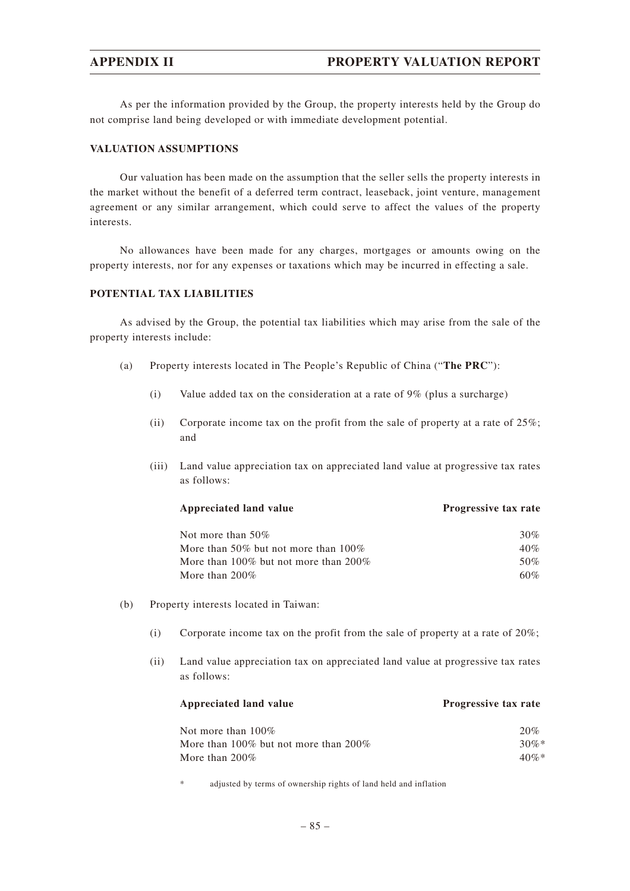As per the information provided by the Group, the property interests held by the Group do not comprise land being developed or with immediate development potential.

#### **VALUATION ASSUMPTIONS**

Our valuation has been made on the assumption that the seller sells the property interests in the market without the benefit of a deferred term contract, leaseback, joint venture, management agreement or any similar arrangement, which could serve to affect the values of the property interests.

No allowances have been made for any charges, mortgages or amounts owing on the property interests, nor for any expenses or taxations which may be incurred in effecting a sale.

### **POTENTIAL TAX LIABILITIES**

As advised by the Group, the potential tax liabilities which may arise from the sale of the property interests include:

- (a) Property interests located in The People's Republic of China ("**The PRC**"):
	- (i) Value added tax on the consideration at a rate of 9% (plus a surcharge)
	- (ii) Corporate income tax on the profit from the sale of property at a rate of  $25\%$ ; and
	- (iii) Land value appreciation tax on appreciated land value at progressive tax rates as follows:

| <b>Progressive tax rate</b> |
|-----------------------------|
| 30%                         |
| 40%                         |
| 50%                         |
| $60\%$                      |
|                             |

- (b) Property interests located in Taiwan:
	- (i) Corporate income tax on the profit from the sale of property at a rate of 20%;
	- (ii) Land value appreciation tax on appreciated land value at progressive tax rates as follows:

# Appreciated land value **Progressive tax rate**

| Not more than $100\%$                 | 20%     |
|---------------------------------------|---------|
| More than 100% but not more than 200% | $30\%*$ |
| More than $200\%$                     | $40\%*$ |

adjusted by terms of ownership rights of land held and inflation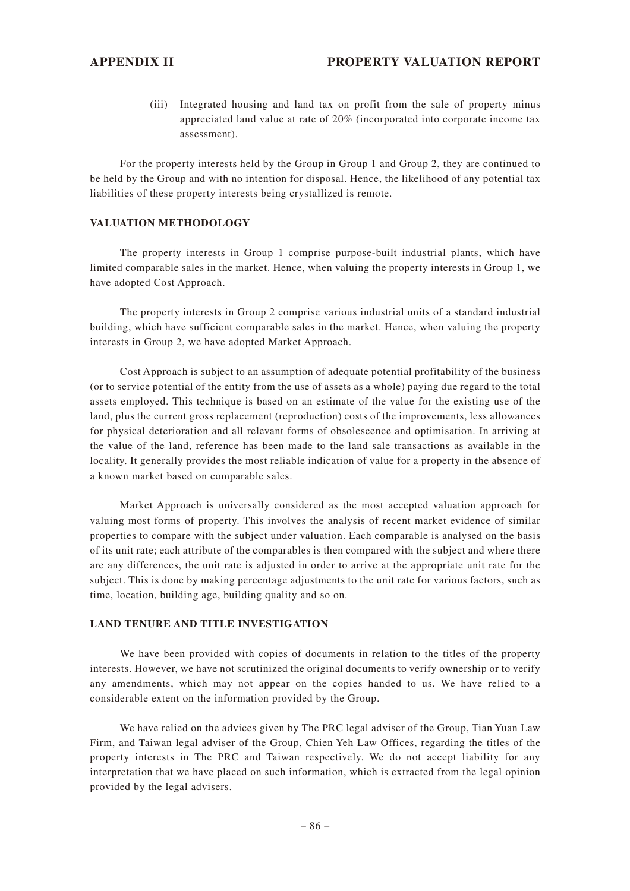(iii) Integrated housing and land tax on profit from the sale of property minus appreciated land value at rate of 20% (incorporated into corporate income tax assessment).

For the property interests held by the Group in Group 1 and Group 2, they are continued to be held by the Group and with no intention for disposal. Hence, the likelihood of any potential tax liabilities of these property interests being crystallized is remote.

### **VALUATION METHODOLOGY**

The property interests in Group 1 comprise purpose-built industrial plants, which have limited comparable sales in the market. Hence, when valuing the property interests in Group 1, we have adopted Cost Approach.

The property interests in Group 2 comprise various industrial units of a standard industrial building, which have sufficient comparable sales in the market. Hence, when valuing the property interests in Group 2, we have adopted Market Approach.

Cost Approach is subject to an assumption of adequate potential profitability of the business (or to service potential of the entity from the use of assets as a whole) paying due regard to the total assets employed. This technique is based on an estimate of the value for the existing use of the land, plus the current gross replacement (reproduction) costs of the improvements, less allowances for physical deterioration and all relevant forms of obsolescence and optimisation. In arriving at the value of the land, reference has been made to the land sale transactions as available in the locality. It generally provides the most reliable indication of value for a property in the absence of a known market based on comparable sales.

Market Approach is universally considered as the most accepted valuation approach for valuing most forms of property. This involves the analysis of recent market evidence of similar properties to compare with the subject under valuation. Each comparable is analysed on the basis of its unit rate; each attribute of the comparables is then compared with the subject and where there are any differences, the unit rate is adjusted in order to arrive at the appropriate unit rate for the subject. This is done by making percentage adjustments to the unit rate for various factors, such as time, location, building age, building quality and so on.

#### **LAND TENURE AND TITLE INVESTIGATION**

We have been provided with copies of documents in relation to the titles of the property interests. However, we have not scrutinized the original documents to verify ownership or to verify any amendments, which may not appear on the copies handed to us. We have relied to a considerable extent on the information provided by the Group.

We have relied on the advices given by The PRC legal adviser of the Group, Tian Yuan Law Firm, and Taiwan legal adviser of the Group, Chien Yeh Law Offices, regarding the titles of the property interests in The PRC and Taiwan respectively. We do not accept liability for any interpretation that we have placed on such information, which is extracted from the legal opinion provided by the legal advisers.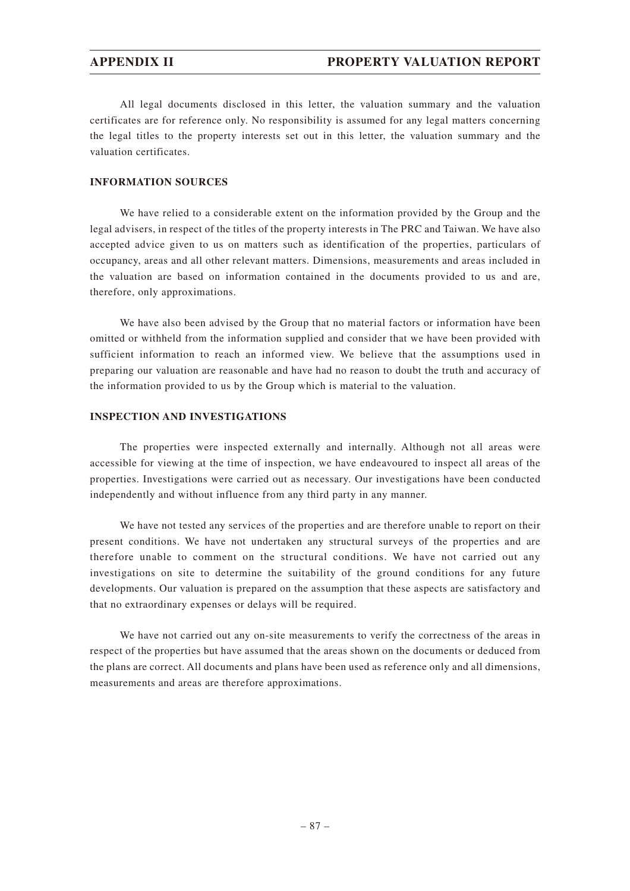All legal documents disclosed in this letter, the valuation summary and the valuation certificates are for reference only. No responsibility is assumed for any legal matters concerning the legal titles to the property interests set out in this letter, the valuation summary and the valuation certificates.

#### **INFORMATION SOURCES**

We have relied to a considerable extent on the information provided by the Group and the legal advisers, in respect of the titles of the property interests in The PRC and Taiwan. We have also accepted advice given to us on matters such as identification of the properties, particulars of occupancy, areas and all other relevant matters. Dimensions, measurements and areas included in the valuation are based on information contained in the documents provided to us and are, therefore, only approximations.

We have also been advised by the Group that no material factors or information have been omitted or withheld from the information supplied and consider that we have been provided with sufficient information to reach an informed view. We believe that the assumptions used in preparing our valuation are reasonable and have had no reason to doubt the truth and accuracy of the information provided to us by the Group which is material to the valuation.

#### **INSPECTION AND INVESTIGATIONS**

The properties were inspected externally and internally. Although not all areas were accessible for viewing at the time of inspection, we have endeavoured to inspect all areas of the properties. Investigations were carried out as necessary. Our investigations have been conducted independently and without influence from any third party in any manner.

We have not tested any services of the properties and are therefore unable to report on their present conditions. We have not undertaken any structural surveys of the properties and are therefore unable to comment on the structural conditions. We have not carried out any investigations on site to determine the suitability of the ground conditions for any future developments. Our valuation is prepared on the assumption that these aspects are satisfactory and that no extraordinary expenses or delays will be required.

We have not carried out any on-site measurements to verify the correctness of the areas in respect of the properties but have assumed that the areas shown on the documents or deduced from the plans are correct. All documents and plans have been used as reference only and all dimensions, measurements and areas are therefore approximations.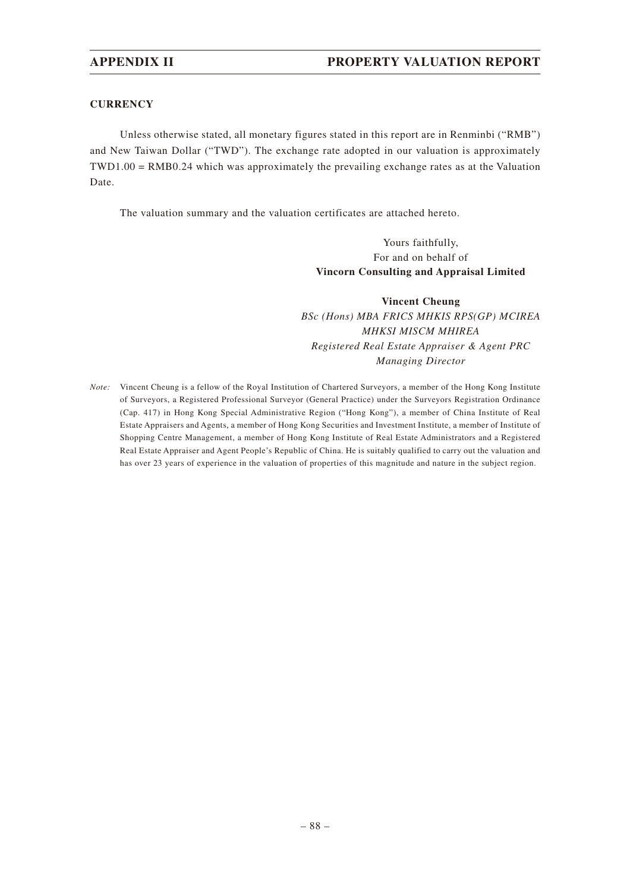### **CURRENCY**

Unless otherwise stated, all monetary figures stated in this report are in Renminbi ("RMB") and New Taiwan Dollar ("TWD"). The exchange rate adopted in our valuation is approximately TWD1.00 = RMB0.24 which was approximately the prevailing exchange rates as at the Valuation Date.

The valuation summary and the valuation certificates are attached hereto.

Yours faithfully, For and on behalf of **Vincorn Consulting and Appraisal Limited**

**Vincent Cheung** *BSc (Hons) MBA FRICS MHKIS RPS(GP) MCIREA MHKSI MISCM MHIREA Registered Real Estate Appraiser & Agent PRC Managing Director*

*Note:* Vincent Cheung is a fellow of the Royal Institution of Chartered Surveyors, a member of the Hong Kong Institute of Surveyors, a Registered Professional Surveyor (General Practice) under the Surveyors Registration Ordinance (Cap. 417) in Hong Kong Special Administrative Region ("Hong Kong"), a member of China Institute of Real Estate Appraisers and Agents, a member of Hong Kong Securities and Investment Institute, a member of Institute of Shopping Centre Management, a member of Hong Kong Institute of Real Estate Administrators and a Registered Real Estate Appraiser and Agent People's Republic of China. He is suitably qualified to carry out the valuation and has over 23 years of experience in the valuation of properties of this magnitude and nature in the subject region.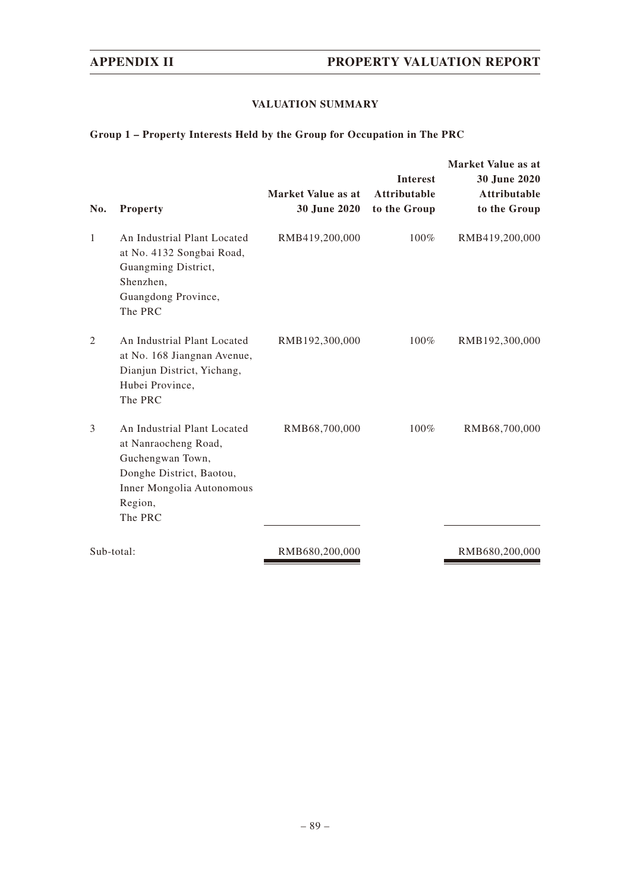# **VALUATION SUMMARY**

# **Group 1 – Property Interests Held by the Group for Occupation in The PRC**

| No.            | <b>Property</b>                                                                                                                                        | Market Value as at<br><b>30 June 2020</b> | <b>Interest</b><br><b>Attributable</b><br>to the Group | Market Value as at<br>30 June 2020<br><b>Attributable</b><br>to the Group |
|----------------|--------------------------------------------------------------------------------------------------------------------------------------------------------|-------------------------------------------|--------------------------------------------------------|---------------------------------------------------------------------------|
| $\mathbf{1}$   | An Industrial Plant Located<br>at No. 4132 Songbai Road,<br>Guangming District,<br>Shenzhen,<br>Guangdong Province,<br>The PRC                         | RMB419,200,000                            | 100%                                                   | RMB419,200,000                                                            |
| $\overline{2}$ | An Industrial Plant Located<br>at No. 168 Jiangnan Avenue,<br>Dianjun District, Yichang,<br>Hubei Province,<br>The PRC                                 | RMB192,300,000                            | 100%                                                   | RMB192,300,000                                                            |
| 3              | An Industrial Plant Located<br>at Nanraocheng Road,<br>Guchengwan Town,<br>Donghe District, Baotou,<br>Inner Mongolia Autonomous<br>Region,<br>The PRC | RMB68,700,000                             | 100%                                                   | RMB68,700,000                                                             |
| Sub-total:     |                                                                                                                                                        | RMB680,200,000                            |                                                        | RMB680,200,000                                                            |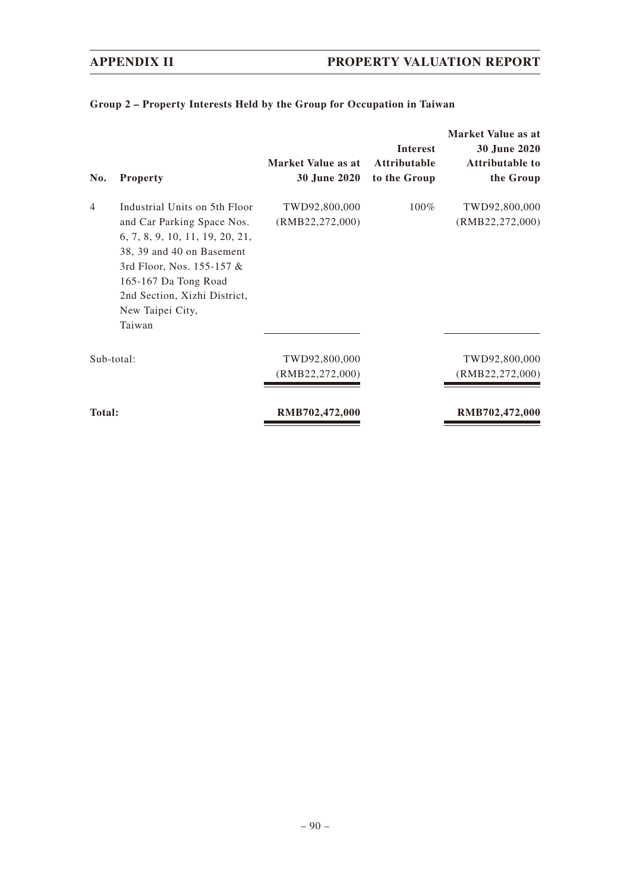| No.            | <b>Property</b>                                                                                                                                                                                                                                | Market Value as at<br>30 June 2020 | <b>Interest</b><br><b>Attributable</b><br>to the Group | Market Value as at<br>30 June 2020<br><b>Attributable to</b><br>the Group |
|----------------|------------------------------------------------------------------------------------------------------------------------------------------------------------------------------------------------------------------------------------------------|------------------------------------|--------------------------------------------------------|---------------------------------------------------------------------------|
| $\overline{4}$ | Industrial Units on 5th Floor<br>and Car Parking Space Nos.<br>6, 7, 8, 9, 10, 11, 19, 20, 21,<br>38, 39 and 40 on Basement<br>3rd Floor, Nos. 155-157 &<br>165-167 Da Tong Road<br>2nd Section, Xizhi District,<br>New Taipei City,<br>Taiwan | TWD92,800,000<br>(RMB22, 272, 000) | $100\%$                                                | TWD92,800,000<br>(RMB22, 272, 000)                                        |
| Sub-total:     |                                                                                                                                                                                                                                                | TWD92,800,000<br>(RMB22,272,000)   |                                                        | TWD92,800,000<br>(RMB22, 272, 000)                                        |
| <b>Total:</b>  |                                                                                                                                                                                                                                                | RMB702,472,000                     |                                                        | RMB702,472,000                                                            |

# **Group 2 – Property Interests Held by the Group for Occupation in Taiwan**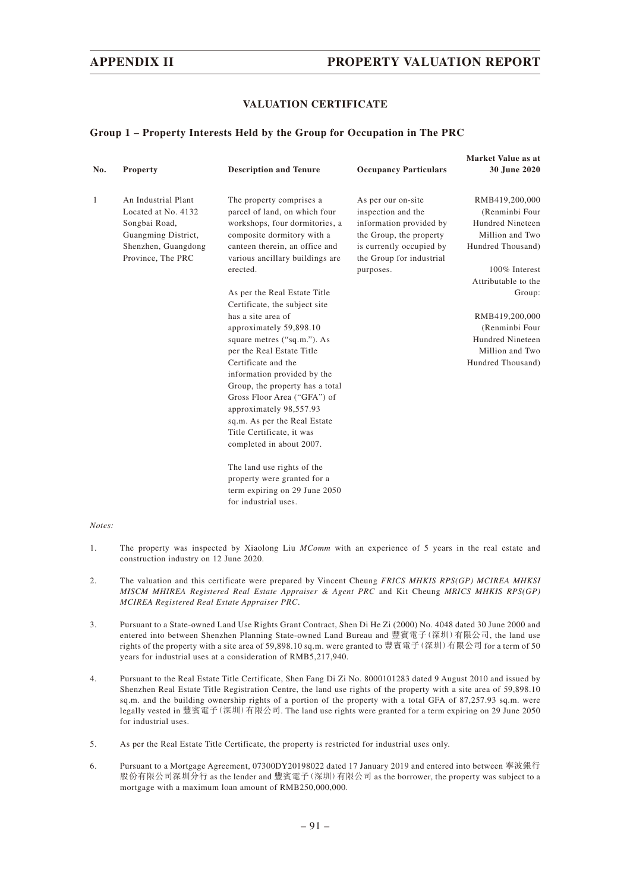#### **VALUATION CERTIFICATE**

#### **Group 1 – Property Interests Held by the Group for Occupation in The PRC**

| No. | <b>Property</b>     | <b>Description and Tenure</b>   | <b>Occupancy Particulars</b> | Market Value as at<br>30 June 2020 |
|-----|---------------------|---------------------------------|------------------------------|------------------------------------|
|     |                     |                                 |                              |                                    |
| 1   | An Industrial Plant | The property comprises a        | As per our on-site           | RMB419,200,000                     |
|     | Located at No. 4132 | parcel of land, on which four   | inspection and the           | (Renminbi Four)                    |
|     | Songbai Road,       | workshops, four dormitories, a  | information provided by      | Hundred Nineteen                   |
|     | Guangming District, | composite dormitory with a      | the Group, the property      | Million and Two                    |
|     | Shenzhen, Guangdong | canteen therein, an office and  | is currently occupied by     | Hundred Thousand)                  |
|     | Province, The PRC   | various ancillary buildings are | the Group for industrial     |                                    |
|     |                     | erected.                        | purposes.                    | 100% Interest                      |
|     |                     |                                 |                              | Attributable to the                |
|     |                     | As per the Real Estate Title    |                              | Group:                             |
|     |                     | Certificate, the subject site   |                              |                                    |
|     |                     | has a site area of              |                              | RMB419,200,000                     |
|     |                     | approximately 59,898.10         |                              | (Renminbi Four)                    |
|     |                     | square metres ("sq.m."). As     |                              | Hundred Nineteen                   |
|     |                     | per the Real Estate Title       |                              | Million and Two                    |
|     |                     | Certificate and the             |                              | Hundred Thousand)                  |
|     |                     | information provided by the     |                              |                                    |
|     |                     | Group, the property has a total |                              |                                    |
|     |                     | Gross Floor Area ("GFA") of     |                              |                                    |
|     |                     | approximately 98,557.93         |                              |                                    |
|     |                     | sq.m. As per the Real Estate    |                              |                                    |
|     |                     | Title Certificate, it was       |                              |                                    |
|     |                     | completed in about 2007.        |                              |                                    |
|     |                     | The land use rights of the      |                              |                                    |
|     |                     | property were granted for a     |                              |                                    |
|     |                     | term expiring on 29 June 2050   |                              |                                    |

*Notes:*

- 1. The property was inspected by Xiaolong Liu *MComm* with an experience of 5 years in the real estate and construction industry on 12 June 2020.
- 2. The valuation and this certificate were prepared by Vincent Cheung *FRICS MHKIS RPS(GP) MCIREA MHKSI MISCM MHIREA Registered Real Estate Appraiser & Agent PRC* and Kit Cheung *MRICS MHKIS RPS(GP) MCIREA Registered Real Estate Appraiser PRC*.
- 3. Pursuant to a State-owned Land Use Rights Grant Contract, Shen Di He Zi (2000) No. 4048 dated 30 June 2000 and entered into between Shenzhen Planning State-owned Land Bureau and 豐賓電子(深圳)有限公司, the land use rights of the property with a site area of 59,898.10 sq.m. were granted to 豐賓電子(深圳)有限公司 for a term of 50 years for industrial uses at a consideration of RMB5,217,940.
- 4. Pursuant to the Real Estate Title Certificate, Shen Fang Di Zi No. 8000101283 dated 9 August 2010 and issued by Shenzhen Real Estate Title Registration Centre, the land use rights of the property with a site area of 59,898.10 sq.m. and the building ownership rights of a portion of the property with a total GFA of 87,257.93 sq.m. were legally vested in 豐賓電子(深圳)有限公司. The land use rights were granted for a term expiring on 29 June 2050 for industrial uses.
- 5. As per the Real Estate Title Certificate, the property is restricted for industrial uses only.

for industrial uses.

6. Pursuant to a Mortgage Agreement, 07300DY20198022 dated 17 January 2019 and entered into between 寧波銀行 股份有限公司深圳分行 as the lender and 豐賓電子(深圳)有限公司 as the borrower, the property was subject to a mortgage with a maximum loan amount of RMB250,000,000.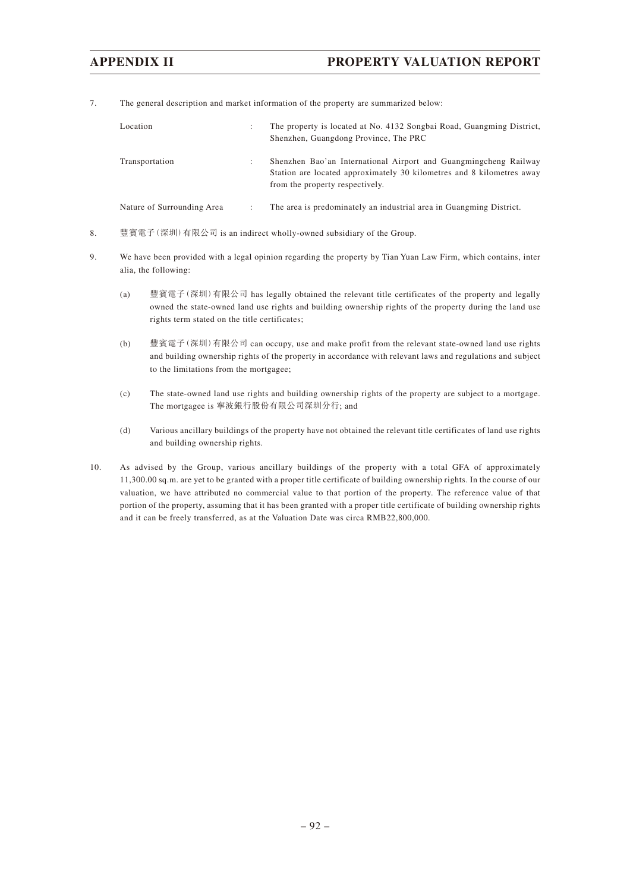7. The general description and market information of the property are summarized below:

| Location                   |                   | The property is located at No. 4132 Songbai Road, Guangming District,<br>Shenzhen, Guangdong Province, The PRC                                                               |
|----------------------------|-------------------|------------------------------------------------------------------------------------------------------------------------------------------------------------------------------|
| Transportation             | ٠<br>$\mathbf{r}$ | Shenzhen Bao'an International Airport and Guangmingcheng Railway<br>Station are located approximately 30 kilometres and 8 kilometres away<br>from the property respectively. |
| Nature of Surrounding Area |                   | The area is predominately an industrial area in Guangming District.                                                                                                          |

- 8. 豐賓電子(深圳)有限公司 is an indirect wholly-owned subsidiary of the Group.
- 9. We have been provided with a legal opinion regarding the property by Tian Yuan Law Firm, which contains, inter alia, the following:
	- (a) 豐賓電子(深圳)有限公司 has legally obtained the relevant title certificates of the property and legally owned the state-owned land use rights and building ownership rights of the property during the land use rights term stated on the title certificates;
	- (b) 豐賓電子(深圳)有限公司 can occupy, use and make profit from the relevant state-owned land use rights and building ownership rights of the property in accordance with relevant laws and regulations and subject to the limitations from the mortgagee;
	- (c) The state-owned land use rights and building ownership rights of the property are subject to a mortgage. The mortgagee is 寧波銀行股份有限公司深圳分行; and
	- (d) Various ancillary buildings of the property have not obtained the relevant title certificates of land use rights and building ownership rights.
- 10. As advised by the Group, various ancillary buildings of the property with a total GFA of approximately 11,300.00 sq.m. are yet to be granted with a proper title certificate of building ownership rights. In the course of our valuation, we have attributed no commercial value to that portion of the property. The reference value of that portion of the property, assuming that it has been granted with a proper title certificate of building ownership rights and it can be freely transferred, as at the Valuation Date was circa RMB22,800,000.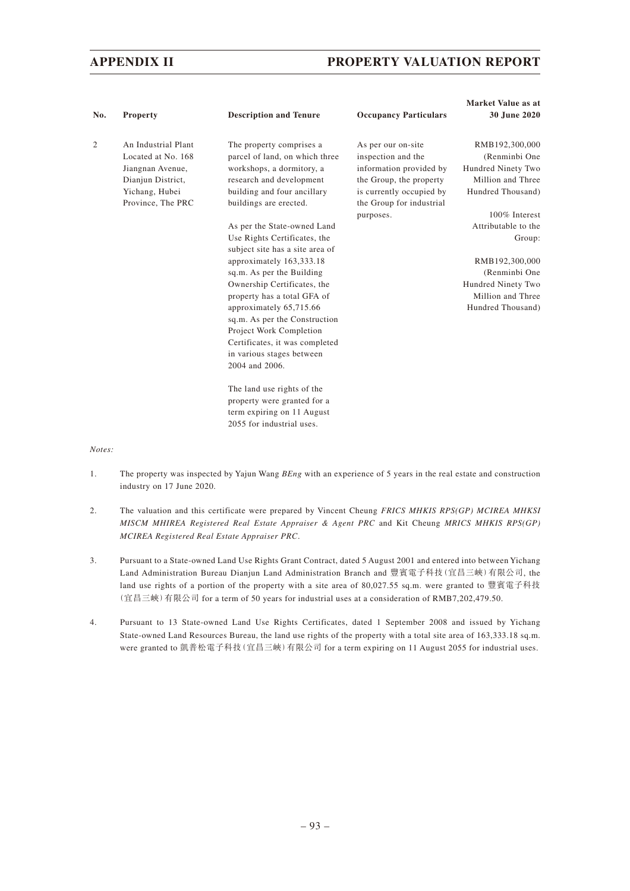| No. | Property                                                                                                                  | <b>Description and Tenure</b>                                                                                                                                                                                                                                             | <b>Occupancy Particulars</b>                                                                                                                           | Market Value as at<br>30 June 2020                                                              |
|-----|---------------------------------------------------------------------------------------------------------------------------|---------------------------------------------------------------------------------------------------------------------------------------------------------------------------------------------------------------------------------------------------------------------------|--------------------------------------------------------------------------------------------------------------------------------------------------------|-------------------------------------------------------------------------------------------------|
| 2   | An Industrial Plant<br>Located at No. 168<br>Jiangnan Avenue,<br>Dianjun District,<br>Yichang, Hubei<br>Province, The PRC | The property comprises a<br>parcel of land, on which three<br>workshops, a dormitory, a<br>research and development<br>building and four ancillary<br>buildings are erected.                                                                                              | As per our on-site<br>inspection and the<br>information provided by<br>the Group, the property<br>is currently occupied by<br>the Group for industrial | RMB192,300,000<br>(Renminbi One<br>Hundred Ninety Two<br>Million and Three<br>Hundred Thousand) |
|     |                                                                                                                           | As per the State-owned Land<br>Use Rights Certificates, the<br>subject site has a site area of                                                                                                                                                                            | purposes.                                                                                                                                              | 100% Interest<br>Attributable to the<br>Group:                                                  |
|     |                                                                                                                           | approximately 163,333.18<br>sq.m. As per the Building<br>Ownership Certificates, the<br>property has a total GFA of<br>approximately 65,715.66<br>sq.m. As per the Construction<br>Project Work Completion<br>Certificates, it was completed<br>in various stages between |                                                                                                                                                        | RMB192,300,000<br>(Renminbi One<br>Hundred Ninety Two<br>Million and Three<br>Hundred Thousand) |
|     |                                                                                                                           | 2004 and 2006.<br>The land use rights of the<br>property were granted for a<br>term expiring on 11 August<br>2055 for industrial uses.                                                                                                                                    |                                                                                                                                                        |                                                                                                 |

*Notes:*

- 1. The property was inspected by Yajun Wang *BEng* with an experience of 5 years in the real estate and construction industry on 17 June 2020.
- 2. The valuation and this certificate were prepared by Vincent Cheung *FRICS MHKIS RPS(GP) MCIREA MHKSI MISCM MHIREA Registered Real Estate Appraiser & Agent PRC* and Kit Cheung *MRICS MHKIS RPS(GP) MCIREA Registered Real Estate Appraiser PRC*.
- 3. Pursuant to a State-owned Land Use Rights Grant Contract, dated 5 August 2001 and entered into between Yichang Land Administration Bureau Dianjun Land Administration Branch and 豐賓電子科技(宜昌三峽)有限公司, the land use rights of a portion of the property with a site area of 80,027.55 sq.m. were granted to 豐賓電子科技 (宜昌三峽)有限公司 for a term of 50 years for industrial uses at a consideration of RMB7,202,479.50.
- 4. Pursuant to 13 State-owned Land Use Rights Certificates, dated 1 September 2008 and issued by Yichang State-owned Land Resources Bureau, the land use rights of the property with a total site area of 163,333.18 sq.m. were granted to 凱普松電子科技(宜昌三峽)有限公司 for a term expiring on 11 August 2055 for industrial uses.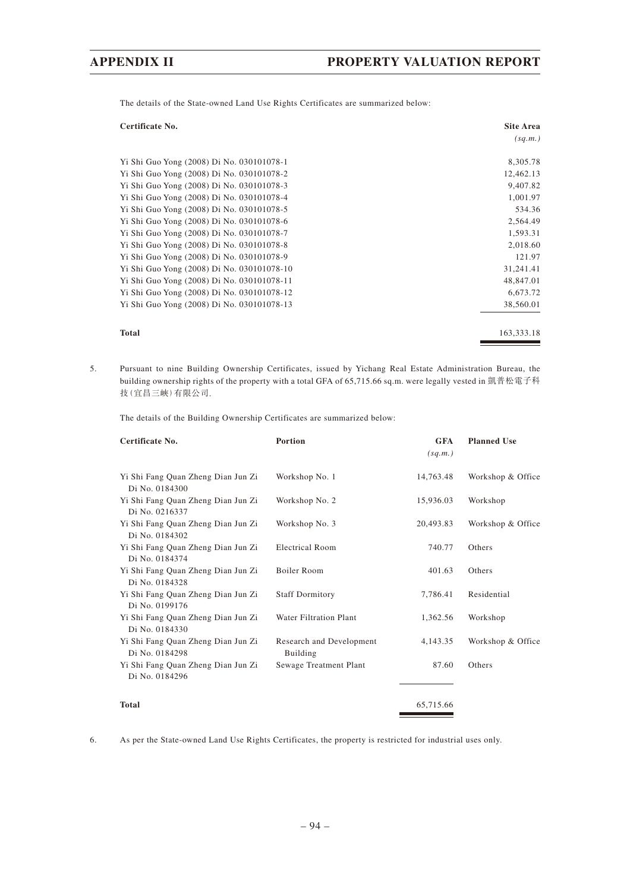The details of the State-owned Land Use Rights Certificates are summarized below:

| Certificate No.                            | <b>Site Area</b> |
|--------------------------------------------|------------------|
|                                            | (sq.m.)          |
| Yi Shi Guo Yong (2008) Di No. 030101078-1  | 8,305.78         |
| Yi Shi Guo Yong (2008) Di No. 030101078-2  | 12,462.13        |
| Yi Shi Guo Yong (2008) Di No. 030101078-3  | 9,407.82         |
| Yi Shi Guo Yong (2008) Di No. 030101078-4  | 1,001.97         |
| Yi Shi Guo Yong (2008) Di No. 030101078-5  | 534.36           |
| Yi Shi Guo Yong (2008) Di No. 030101078-6  | 2,564.49         |
| Yi Shi Guo Yong (2008) Di No. 030101078-7  | 1,593.31         |
| Yi Shi Guo Yong (2008) Di No. 030101078-8  | 2,018.60         |
| Yi Shi Guo Yong (2008) Di No. 030101078-9  | 121.97           |
| Yi Shi Guo Yong (2008) Di No. 030101078-10 | 31,241.41        |
| Yi Shi Guo Yong (2008) Di No. 030101078-11 | 48,847.01        |
| Yi Shi Guo Yong (2008) Di No. 030101078-12 | 6,673.72         |
| Yi Shi Guo Yong (2008) Di No. 030101078-13 | 38,560.01        |
| <b>Total</b>                               | 163,333.18       |

5. Pursuant to nine Building Ownership Certificates, issued by Yichang Real Estate Administration Bureau, the building ownership rights of the property with a total GFA of 65,715.66 sq.m. were legally vested in 凱普松電子科 技(宜昌三峽)有限公司.

The details of the Building Ownership Certificates are summarized below:

| Certificate No.                                      | Portion                              | <b>GFA</b><br>(sq.m.) | <b>Planned Use</b> |
|------------------------------------------------------|--------------------------------------|-----------------------|--------------------|
| Yi Shi Fang Quan Zheng Dian Jun Zi<br>Di No. 0184300 | Workshop No. 1                       | 14,763.48             | Workshop & Office  |
| Yi Shi Fang Quan Zheng Dian Jun Zi<br>Di No. 0216337 | Workshop No. 2                       | 15,936.03             | Workshop           |
| Yi Shi Fang Quan Zheng Dian Jun Zi<br>Di No. 0184302 | Workshop No. 3                       | 20,493.83             | Workshop & Office  |
| Yi Shi Fang Quan Zheng Dian Jun Zi<br>Di No. 0184374 | <b>Electrical Room</b>               | 740.77                | Others             |
| Yi Shi Fang Quan Zheng Dian Jun Zi<br>Di No. 0184328 | Boiler Room                          | 401.63                | Others             |
| Yi Shi Fang Quan Zheng Dian Jun Zi<br>Di No. 0199176 | <b>Staff Dormitory</b>               | 7,786.41              | Residential        |
| Yi Shi Fang Quan Zheng Dian Jun Zi<br>Di No. 0184330 | <b>Water Filtration Plant</b>        | 1,362.56              | Workshop           |
| Yi Shi Fang Quan Zheng Dian Jun Zi<br>Di No. 0184298 | Research and Development<br>Building | 4,143.35              | Workshop & Office  |
| Yi Shi Fang Quan Zheng Dian Jun Zi<br>Di No. 0184296 | Sewage Treatment Plant               | 87.60                 | Others             |
| <b>Total</b>                                         |                                      | 65,715.66             |                    |

6. As per the State-owned Land Use Rights Certificates, the property is restricted for industrial uses only.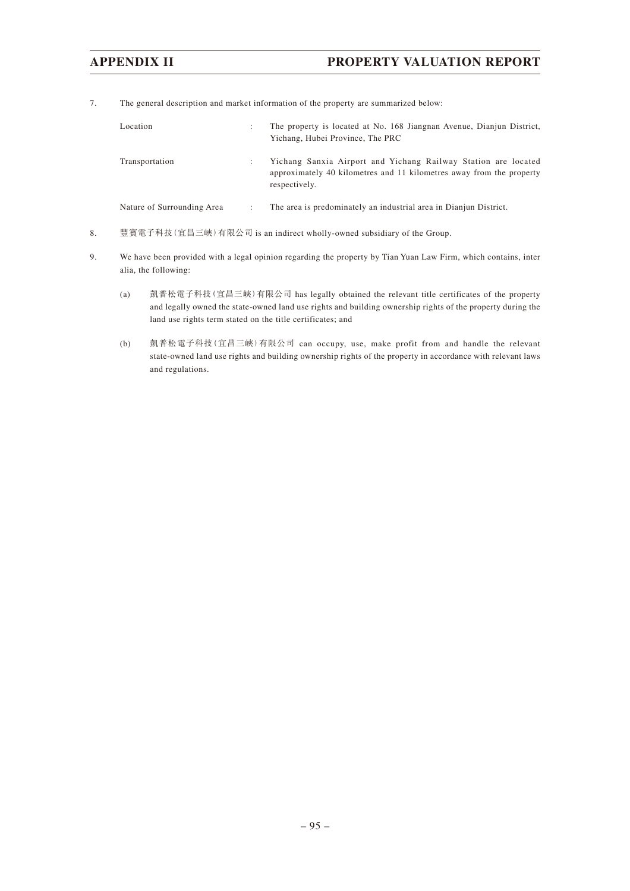7. The general description and market information of the property are summarized below:

| Location                   | $\mathbf{r}$ | The property is located at No. 168 Jiangnan Avenue, Dianjun District,<br>Yichang, Hubei Province, The PRC                                               |
|----------------------------|--------------|---------------------------------------------------------------------------------------------------------------------------------------------------------|
| Transportation             |              | Yichang Sanxia Airport and Yichang Railway Station are located<br>approximately 40 kilometres and 11 kilometres away from the property<br>respectively. |
| Nature of Surrounding Area | ٠            | The area is predominately an industrial area in Dianjun District.                                                                                       |

- 8. 豐賓電子科技(宜昌三峽)有限公司 is an indirect wholly-owned subsidiary of the Group.
- 9. We have been provided with a legal opinion regarding the property by Tian Yuan Law Firm, which contains, inter alia, the following:
	- (a) 凱普松電子科技(宜昌三峽)有限公司 has legally obtained the relevant title certificates of the property and legally owned the state-owned land use rights and building ownership rights of the property during the land use rights term stated on the title certificates; and
	- (b) 凱普松電子科技(宜昌三峽)有限公司 can occupy, use, make profit from and handle the relevant state-owned land use rights and building ownership rights of the property in accordance with relevant laws and regulations.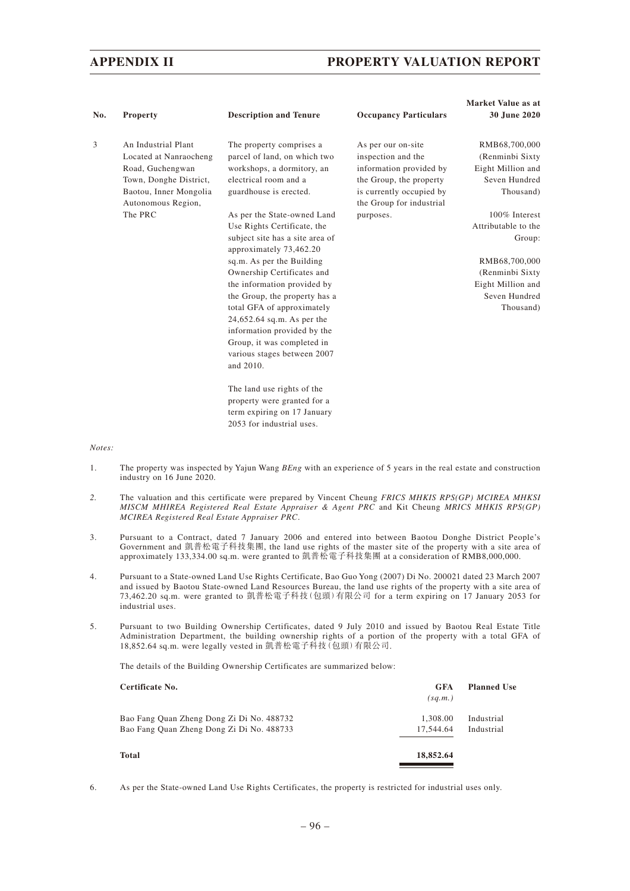|     |                                              |                                                            |                                                      | Market Value as at  |
|-----|----------------------------------------------|------------------------------------------------------------|------------------------------------------------------|---------------------|
| No. | <b>Property</b>                              | <b>Description and Tenure</b>                              | <b>Occupancy Particulars</b>                         | 30 June 2020        |
| 3   | An Industrial Plant                          | The property comprises a                                   | As per our on-site                                   | RMB68,700,000       |
|     | Located at Nanraocheng                       | parcel of land, on which two                               | inspection and the                                   | (Renminbi Sixty)    |
|     | Road, Guchengwan                             | workshops, a dormitory, an                                 | information provided by                              | Eight Million and   |
|     | Town, Donghe District,                       | electrical room and a                                      | the Group, the property                              | Seven Hundred       |
|     | Baotou, Inner Mongolia<br>Autonomous Region, | guardhouse is erected.                                     | is currently occupied by<br>the Group for industrial | Thousand)           |
|     | The PRC                                      | As per the State-owned Land                                | purposes.                                            | 100% Interest       |
|     |                                              | Use Rights Certificate, the                                |                                                      | Attributable to the |
|     |                                              | subject site has a site area of<br>approximately 73,462.20 |                                                      | Group:              |
|     |                                              | sq.m. As per the Building                                  |                                                      | RMB68,700,000       |
|     |                                              | Ownership Certificates and                                 |                                                      | (Renminbi Sixty)    |
|     |                                              | the information provided by                                |                                                      | Eight Million and   |
|     |                                              | the Group, the property has a                              |                                                      | Seven Hundred       |
|     |                                              | total GFA of approximately                                 |                                                      | Thousand)           |
|     |                                              | $24,652.64$ sq.m. As per the                               |                                                      |                     |
|     |                                              | information provided by the                                |                                                      |                     |
|     |                                              | Group, it was completed in                                 |                                                      |                     |
|     |                                              | various stages between 2007                                |                                                      |                     |
|     |                                              | and 2010.                                                  |                                                      |                     |
|     |                                              | The land use rights of the                                 |                                                      |                     |
|     |                                              | property were granted for a                                |                                                      |                     |
|     |                                              | term expiring on 17 January                                |                                                      |                     |
|     |                                              | 2053 for industrial uses.                                  |                                                      |                     |

#### *Notes:*

- 1. The property was inspected by Yajun Wang *BEng* with an experience of 5 years in the real estate and construction industry on 16 June 2020.
- *2.* The valuation and this certificate were prepared by Vincent Cheung *FRICS MHKIS RPS(GP) MCIREA MHKSI MISCM MHIREA Registered Real Estate Appraiser & Agent PRC* and Kit Cheung *MRICS MHKIS RPS(GP) MCIREA Registered Real Estate Appraiser PRC*.
- 3. Pursuant to a Contract, dated 7 January 2006 and entered into between Baotou Donghe District People's Government and 凱普松電子科技集團, the land use rights of the master site of the property with a site area of approximately 133,334.00 sq.m. were granted to 凱普松電子科技集團 at a consideration of RMB8,000,000.
- 4. Pursuant to a State-owned Land Use Rights Certificate, Bao Guo Yong (2007) Di No. 200021 dated 23 March 2007 and issued by Baotou State-owned Land Resources Bureau, the land use rights of the property with a site area of 73,462.20 sq.m. were granted to 凱普松電子科技(包頭)有限公司 for a term expiring on 17 January 2053 for industrial uses.
- 5. Pursuant to two Building Ownership Certificates, dated 9 July 2010 and issued by Baotou Real Estate Title Administration Department, the building ownership rights of a portion of the property with a total GFA of 18,852.64 sq.m. were legally vested in 凱普松電子科技(包頭)有限公司.

The details of the Building Ownership Certificates are summarized below:

| <b>GFA</b><br>(sq.m.) | <b>Planned Use</b> |
|-----------------------|--------------------|
| 1.308.00              | Industrial         |
| 17.544.64             | Industrial         |
| 18,852.64             |                    |
|                       |                    |

6. As per the State-owned Land Use Rights Certificates, the property is restricted for industrial uses only.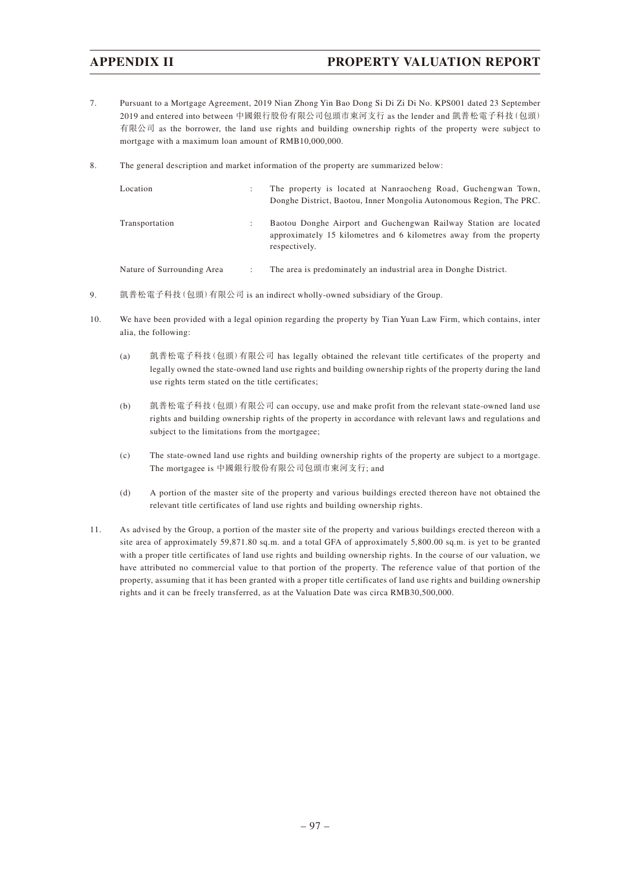- 7. Pursuant to a Mortgage Agreement, 2019 Nian Zhong Yin Bao Dong Si Di Zi Di No. KPS001 dated 23 September 2019 and entered into between 中國銀行股份有限公司包頭市東河支行 as the lender and 凱普松電子科技(包頭) 有限公司 as the borrower, the land use rights and building ownership rights of the property were subject to mortgage with a maximum loan amount of RMB10,000,000.
- 8. The general description and market information of the property are summarized below:

| Location                   |   | The property is located at Nanraocheng Road, Guchengwan Town,<br>Donghe District, Baotou, Inner Mongolia Autonomous Region, The PRC.                     |
|----------------------------|---|----------------------------------------------------------------------------------------------------------------------------------------------------------|
| Transportation             | ٠ | Baotou Donghe Airport and Guchengwan Railway Station are located<br>approximately 15 kilometres and 6 kilometres away from the property<br>respectively. |
| Nature of Surrounding Area |   | The area is predominately an industrial area in Donghe District.                                                                                         |

- 9. 凱普松電子科技(包頭)有限公司 is an indirect wholly-owned subsidiary of the Group.
- 10. We have been provided with a legal opinion regarding the property by Tian Yuan Law Firm, which contains, inter alia, the following:
	- (a) 凱普松電子科技(包頭)有限公司 has legally obtained the relevant title certificates of the property and legally owned the state-owned land use rights and building ownership rights of the property during the land use rights term stated on the title certificates;
	- (b) 凱普松電子科技 (包頭) 有限公司 can occupy, use and make profit from the relevant state-owned land use rights and building ownership rights of the property in accordance with relevant laws and regulations and subject to the limitations from the mortgagee;
	- (c) The state-owned land use rights and building ownership rights of the property are subject to a mortgage. The mortgagee is 中國銀行股份有限公司包頭市東河支行; and
	- (d) A portion of the master site of the property and various buildings erected thereon have not obtained the relevant title certificates of land use rights and building ownership rights.
- 11. As advised by the Group, a portion of the master site of the property and various buildings erected thereon with a site area of approximately 59,871.80 sq.m. and a total GFA of approximately 5,800.00 sq.m. is yet to be granted with a proper title certificates of land use rights and building ownership rights. In the course of our valuation, we have attributed no commercial value to that portion of the property. The reference value of that portion of the property, assuming that it has been granted with a proper title certificates of land use rights and building ownership rights and it can be freely transferred, as at the Valuation Date was circa RMB30,500,000.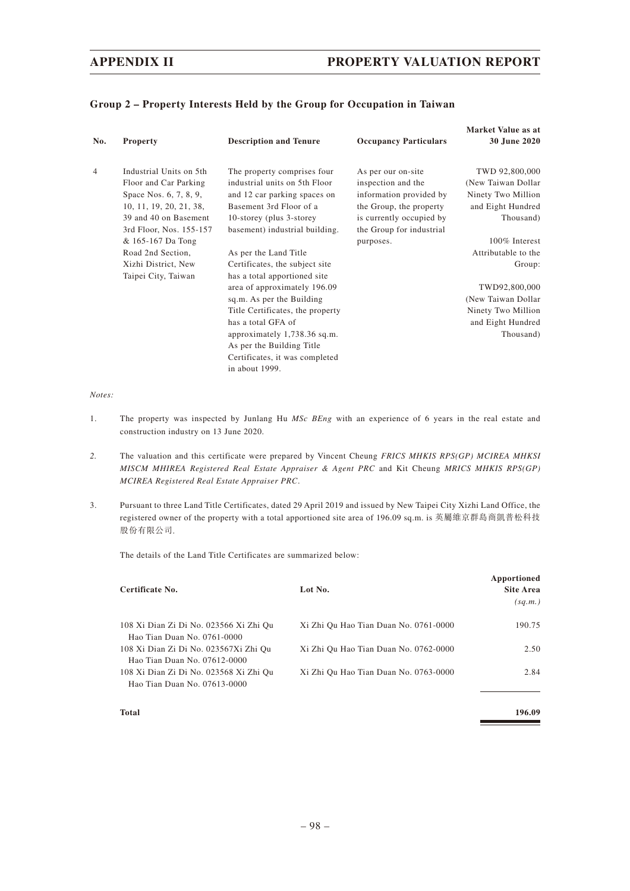| Group 2 - Property Interests Held by the Group for Occupation in Taiwan |  |  |  |  |  |  |
|-------------------------------------------------------------------------|--|--|--|--|--|--|
|-------------------------------------------------------------------------|--|--|--|--|--|--|

| No.            | <b>Property</b>         | <b>Description and Tenure</b>    | <b>Occupancy Particulars</b> | Market Value as at<br>30 June 2020 |
|----------------|-------------------------|----------------------------------|------------------------------|------------------------------------|
| $\overline{4}$ | Industrial Units on 5th | The property comprises four      | As per our on-site           | TWD 92,800,000                     |
|                | Floor and Car Parking   | industrial units on 5th Floor    | inspection and the           | (New Taiwan Dollar)                |
|                | Space Nos. 6, 7, 8, 9,  | and 12 car parking spaces on     | information provided by      | Ninety Two Million                 |
|                | 10, 11, 19, 20, 21, 38, | Basement 3rd Floor of a          | the Group, the property      | and Eight Hundred                  |
|                | 39 and 40 on Basement   | 10-storey (plus 3-storey)        | is currently occupied by     | Thousand)                          |
|                | 3rd Floor, Nos. 155-157 | basement) industrial building.   | the Group for industrial     |                                    |
|                | & 165-167 Da Tong       |                                  | purposes.                    | 100% Interest                      |
|                | Road 2nd Section,       | As per the Land Title            |                              | Attributable to the                |
|                | Xizhi District, New     | Certificates, the subject site   |                              | Group:                             |
|                | Taipei City, Taiwan     | has a total apportioned site     |                              |                                    |
|                |                         | area of approximately 196.09     |                              | TWD92,800,000                      |
|                |                         | sq.m. As per the Building        |                              | (New Taiwan Dollar                 |
|                |                         | Title Certificates, the property |                              | Ninety Two Million                 |
|                |                         | has a total GFA of               |                              | and Eight Hundred                  |
|                |                         | approximately 1,738.36 sq.m.     |                              | Thousand)                          |
|                |                         | As per the Building Title        |                              |                                    |
|                |                         | Certificates, it was completed   |                              |                                    |
|                |                         | in about 1999.                   |                              |                                    |

*Notes:*

- 1. The property was inspected by Junlang Hu *MSc BEng* with an experience of 6 years in the real estate and construction industry on 13 June 2020.
- *2.* The valuation and this certificate were prepared by Vincent Cheung *FRICS MHKIS RPS(GP) MCIREA MHKSI MISCM MHIREA Registered Real Estate Appraiser & Agent PRC* and Kit Cheung *MRICS MHKIS RPS(GP) MCIREA Registered Real Estate Appraiser PRC*.
- 3. Pursuant to three Land Title Certificates, dated 29 April 2019 and issued by New Taipei City Xizhi Land Office, the registered owner of the property with a total apportioned site area of 196.09 sq.m. is 英屬維京群島商凱普松科技 股份有限公司.

The details of the Land Title Certificates are summarized below:

| Certificate No.                                                        | Lot No.                               | Apportioned<br>Site Area<br>(sq.m.) |
|------------------------------------------------------------------------|---------------------------------------|-------------------------------------|
| 108 Xi Dian Zi Di No. 023566 Xi Zhi Qu<br>Hao Tian Duan No. 0761-0000  | Xi Zhi Qu Hao Tian Duan No. 0761-0000 | 190.75                              |
| 108 Xi Dian Zi Di No. 023567Xi Zhi Qu<br>Hao Tian Duan No. 07612-0000  | Xi Zhi Qu Hao Tian Duan No. 0762-0000 | 2.50                                |
| 108 Xi Dian Zi Di No. 023568 Xi Zhi Qu<br>Hao Tian Duan No. 07613-0000 | Xi Zhi Qu Hao Tian Duan No. 0763-0000 | 2.84                                |
| Total                                                                  |                                       | 196.09                              |

**Service Control**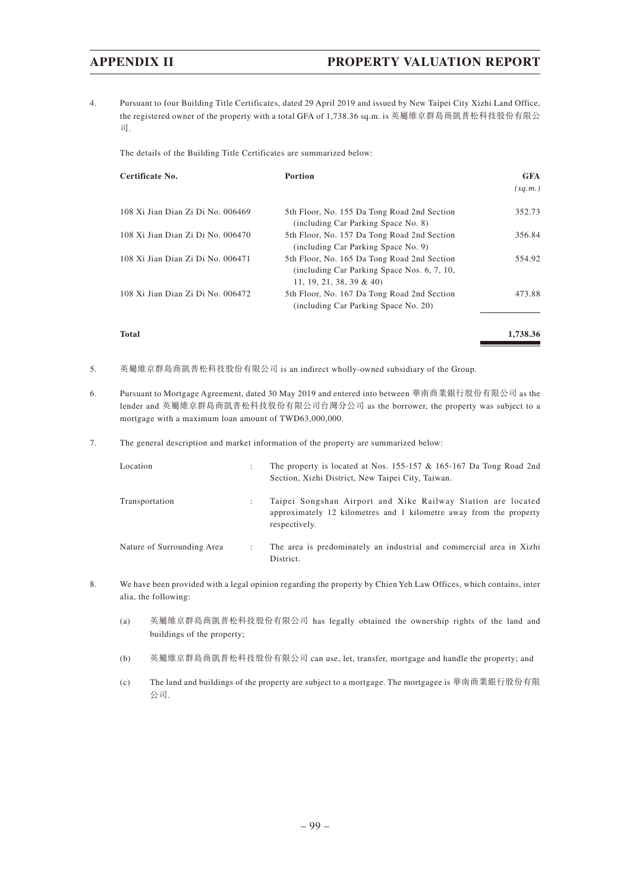4. Pursuant to four Building Title Certificates, dated 29 April 2019 and issued by New Taipei City Xizhi Land Office, the registered owner of the property with a total GFA of 1,738.36 sq.m. is 英屬維京群島商凱普松科技股份有限公 司.

The details of the Building Title Certificates are summarized below:

| Certificate No.                   | Portion                                                                                                                | <b>GFA</b> |
|-----------------------------------|------------------------------------------------------------------------------------------------------------------------|------------|
|                                   |                                                                                                                        | (sq.m.)    |
| 108 Xi Jian Dian Zi Di No. 006469 | 5th Floor, No. 155 Da Tong Road 2nd Section<br>(including Car Parking Space No. 8)                                     | 352.73     |
| 108 Xi Jian Dian Zi Di No. 006470 | 5th Floor, No. 157 Da Tong Road 2nd Section<br>(including Car Parking Space No. 9)                                     | 356.84     |
| 108 Xi Jian Dian Zi Di No. 006471 | 5th Floor, No. 165 Da Tong Road 2nd Section<br>(including Car Parking Space Nos. 6, 7, 10,<br>11, 19, 21, 38, 39 & 40) | 554.92     |
| 108 Xi Jian Dian Zi Di No. 006472 | 5th Floor, No. 167 Da Tong Road 2nd Section<br>(including Car Parking Space No. 20)                                    | 473.88     |
| Total                             |                                                                                                                        | 1,738.36   |

- 5. 英屬維京群島商凱普松科技股份有限公司 is an indirect wholly-owned subsidiary of the Group.
- 6. Pursuant to Mortgage Agreement, dated 30 May 2019 and entered into between 華南商業銀行股份有限公司 as the lender and 英屬維京群島商凱普松科技股份有限公司台灣分公司 as the borrower, the property was subject to a mortgage with a maximum loan amount of TWD63,000,000.
- 7. The general description and market information of the property are summarized below:

| Location                   | The property is located at Nos. 155-157 & 165-167 Da Tong Road 2nd<br>Section, Xizhi District, New Taipei City, Taiwan.                             |
|----------------------------|-----------------------------------------------------------------------------------------------------------------------------------------------------|
| Transportation             | Taipei Songshan Airport and Xike Railway Station are located<br>approximately 12 kilometres and 1 kilometre away from the property<br>respectively. |
| Nature of Surrounding Area | The area is predominately an industrial and commercial area in Xizhi<br>District.                                                                   |

- 8. We have been provided with a legal opinion regarding the property by Chien Yeh Law Offices, which contains, inter alia, the following:
	- (a) 英屬維京群島商凱普松科技股份有限公司 has legally obtained the ownership rights of the land and buildings of the property;
	- (b) 英屬維京群島商凱普松科技股份有限公司 can use, let, transfer, mortgage and handle the property; and
	- (c) The land and buildings of the property are subject to a mortgage. The mortgagee is 華南商業銀行股份有限 公司.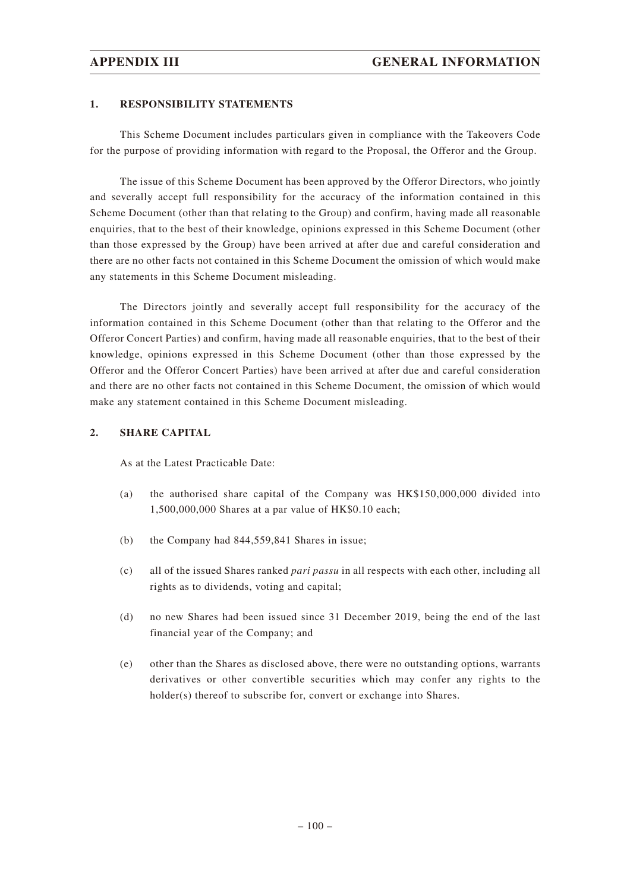#### **1. RESPONSIBILITY STATEMENTS**

This Scheme Document includes particulars given in compliance with the Takeovers Code for the purpose of providing information with regard to the Proposal, the Offeror and the Group.

The issue of this Scheme Document has been approved by the Offeror Directors, who jointly and severally accept full responsibility for the accuracy of the information contained in this Scheme Document (other than that relating to the Group) and confirm, having made all reasonable enquiries, that to the best of their knowledge, opinions expressed in this Scheme Document (other than those expressed by the Group) have been arrived at after due and careful consideration and there are no other facts not contained in this Scheme Document the omission of which would make any statements in this Scheme Document misleading.

The Directors jointly and severally accept full responsibility for the accuracy of the information contained in this Scheme Document (other than that relating to the Offeror and the Offeror Concert Parties) and confirm, having made all reasonable enquiries, that to the best of their knowledge, opinions expressed in this Scheme Document (other than those expressed by the Offeror and the Offeror Concert Parties) have been arrived at after due and careful consideration and there are no other facts not contained in this Scheme Document, the omission of which would make any statement contained in this Scheme Document misleading.

### **2. SHARE CAPITAL**

As at the Latest Practicable Date:

- (a) the authorised share capital of the Company was HK\$150,000,000 divided into 1,500,000,000 Shares at a par value of HK\$0.10 each;
- (b) the Company had 844,559,841 Shares in issue;
- (c) all of the issued Shares ranked *pari passu* in all respects with each other, including all rights as to dividends, voting and capital;
- (d) no new Shares had been issued since 31 December 2019, being the end of the last financial year of the Company; and
- (e) other than the Shares as disclosed above, there were no outstanding options, warrants derivatives or other convertible securities which may confer any rights to the holder(s) thereof to subscribe for, convert or exchange into Shares.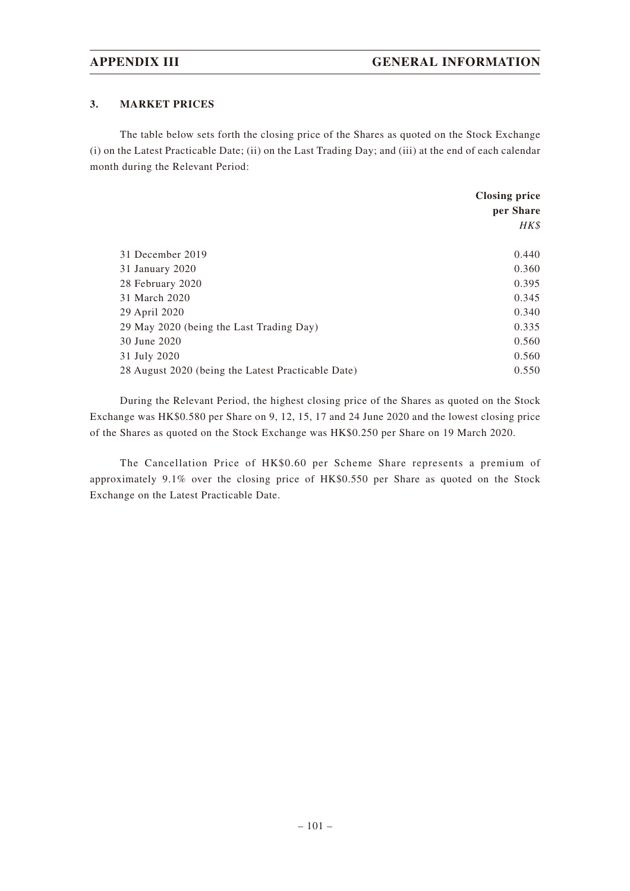### **3. MARKET PRICES**

The table below sets forth the closing price of the Shares as quoted on the Stock Exchange (i) on the Latest Practicable Date; (ii) on the Last Trading Day; and (iii) at the end of each calendar month during the Relevant Period:

|                                                    | <b>Closing price</b> |
|----------------------------------------------------|----------------------|
|                                                    | per Share            |
|                                                    | HK\$                 |
|                                                    |                      |
| 31 December 2019                                   | 0.440                |
| 31 January 2020                                    | 0.360                |
| 28 February 2020                                   | 0.395                |
| 31 March 2020                                      | 0.345                |
| 29 April 2020                                      | 0.340                |
| 29 May 2020 (being the Last Trading Day)           | 0.335                |
| 30 June 2020                                       | 0.560                |
| 31 July 2020                                       | 0.560                |
| 28 August 2020 (being the Latest Practicable Date) | 0.550                |

During the Relevant Period, the highest closing price of the Shares as quoted on the Stock Exchange was HK\$0.580 per Share on 9, 12, 15, 17 and 24 June 2020 and the lowest closing price of the Shares as quoted on the Stock Exchange was HK\$0.250 per Share on 19 March 2020.

The Cancellation Price of HK\$0.60 per Scheme Share represents a premium of approximately 9.1% over the closing price of HK\$0.550 per Share as quoted on the Stock Exchange on the Latest Practicable Date.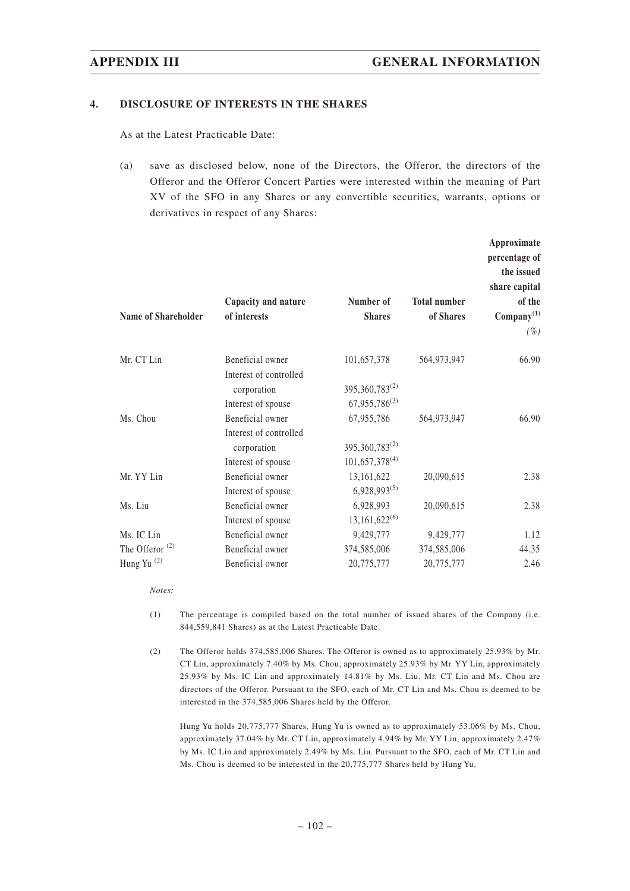#### **4. DISCLOSURE OF INTERESTS IN THE SHARES**

As at the Latest Practicable Date:

(a) save as disclosed below, none of the Directors, the Offeror, the directors of the Offeror and the Offeror Concert Parties were interested within the meaning of Part XV of the SFO in any Shares or any convertible securities, warrants, options or derivatives in respect of any Shares:

|                            | Capacity and nature                   | Number of                    | <b>Total number</b> | Approximate<br>percentage of<br>the issued<br>share capital<br>of the |
|----------------------------|---------------------------------------|------------------------------|---------------------|-----------------------------------------------------------------------|
| <b>Name of Shareholder</b> | of interests                          | <b>Shares</b>                | of Shares           | $Compary^{(1)}$<br>$(\%)$                                             |
|                            |                                       |                              |                     |                                                                       |
| Mr. CT Lin                 | Beneficial owner                      | 101,657,378                  | 564,973,947         | 66.90                                                                 |
|                            | Interest of controlled<br>corporation | 395, 360, 783 <sup>(2)</sup> |                     |                                                                       |
|                            | Interest of spouse                    | $67,955,786^{(3)}$           |                     |                                                                       |
| Ms. Chou                   | Beneficial owner                      | 67,955,786                   | 564,973,947         | 66.90                                                                 |
|                            | Interest of controlled                |                              |                     |                                                                       |
|                            | corporation                           | 395,360,783(2)               |                     |                                                                       |
|                            | Interest of spouse                    | $101,657,378^{(4)}$          |                     |                                                                       |
| Mr. YY Lin                 | Beneficial owner                      | 13,161,622                   | 20,090,615          | 2.38                                                                  |
|                            | Interest of spouse                    | $6,928,993^{(5)}$            |                     |                                                                       |
| Ms. Liu                    | Beneficial owner                      | 6,928,993                    | 20,090,615          | 2.38                                                                  |
|                            | Interest of spouse                    | $13,161,622^{(6)}$           |                     |                                                                       |
| Ms. IC Lin                 | Beneficial owner                      | 9,429,777                    | 9,429,777           | 1.12                                                                  |
| The Offeror $(2)$          | Beneficial owner                      | 374,585,006                  | 374,585,006         | 44.35                                                                 |
| Hung Yu <sup>(2)</sup>     | Beneficial owner                      | 20,775,777                   | 20,775,777          | 2.46                                                                  |
|                            |                                       |                              |                     |                                                                       |

*Notes:*

- (1) The percentage is compiled based on the total number of issued shares of the Company (i.e. 844,559,841 Shares) as at the Latest Practicable Date.
- (2) The Offeror holds 374,585,006 Shares. The Offeror is owned as to approximately 25.93% by Mr. CT Lin, approximately 7.40% by Ms. Chou, approximately 25.93% by Mr. YY Lin, approximately 25.93% by Ms. IC Lin and approximately 14.81% by Ms. Liu. Mr. CT Lin and Ms. Chou are directors of the Offeror. Pursuant to the SFO, each of Mr. CT Lin and Ms. Chou is deemed to be interested in the 374,585,006 Shares held by the Offeror.

Hung Yu holds 20,775,777 Shares. Hung Yu is owned as to approximately 53.06% by Ms. Chou, approximately 37.04% by Mr. CT Lin, approximately 4.94% by Mr. YY Lin, approximately 2.47% by Ms. IC Lin and approximately 2.49% by Ms. Liu. Pursuant to the SFO, each of Mr. CT Lin and Ms. Chou is deemed to be interested in the 20,775,777 Shares held by Hung Yu.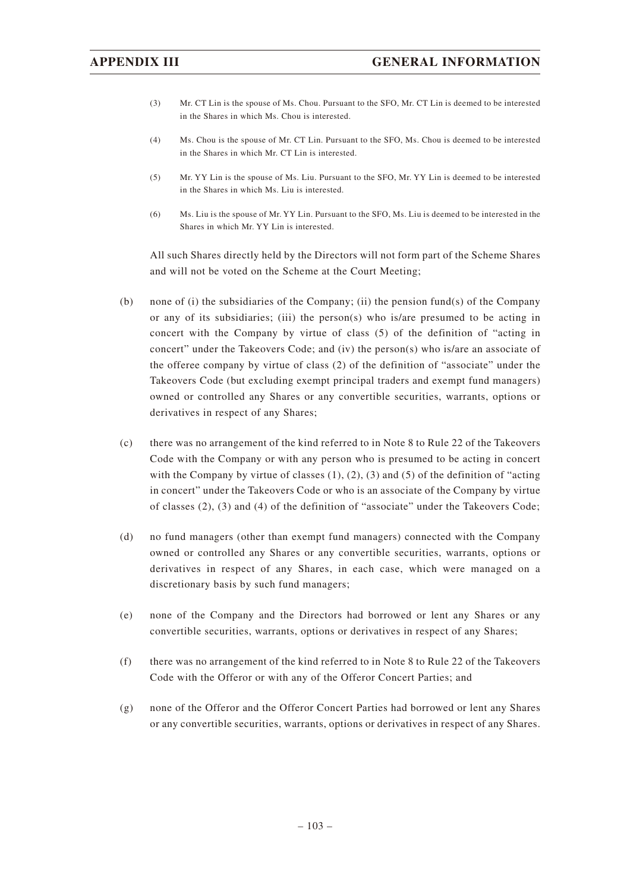- (3) Mr. CT Lin is the spouse of Ms. Chou. Pursuant to the SFO, Mr. CT Lin is deemed to be interested in the Shares in which Ms. Chou is interested.
- (4) Ms. Chou is the spouse of Mr. CT Lin. Pursuant to the SFO, Ms. Chou is deemed to be interested in the Shares in which Mr. CT Lin is interested.
- (5) Mr. YY Lin is the spouse of Ms. Liu. Pursuant to the SFO, Mr. YY Lin is deemed to be interested in the Shares in which Ms. Liu is interested.
- (6) Ms. Liu is the spouse of Mr. YY Lin. Pursuant to the SFO, Ms. Liu is deemed to be interested in the Shares in which Mr. YY Lin is interested.

All such Shares directly held by the Directors will not form part of the Scheme Shares and will not be voted on the Scheme at the Court Meeting;

- (b) none of (i) the subsidiaries of the Company; (ii) the pension fund(s) of the Company or any of its subsidiaries; (iii) the person(s) who is/are presumed to be acting in concert with the Company by virtue of class (5) of the definition of "acting in concert" under the Takeovers Code; and (iv) the person(s) who is/are an associate of the offeree company by virtue of class (2) of the definition of "associate" under the Takeovers Code (but excluding exempt principal traders and exempt fund managers) owned or controlled any Shares or any convertible securities, warrants, options or derivatives in respect of any Shares;
- (c) there was no arrangement of the kind referred to in Note 8 to Rule 22 of the Takeovers Code with the Company or with any person who is presumed to be acting in concert with the Company by virtue of classes  $(1)$ ,  $(2)$ ,  $(3)$  and  $(5)$  of the definition of "acting" in concert" under the Takeovers Code or who is an associate of the Company by virtue of classes (2), (3) and (4) of the definition of "associate" under the Takeovers Code;
- (d) no fund managers (other than exempt fund managers) connected with the Company owned or controlled any Shares or any convertible securities, warrants, options or derivatives in respect of any Shares, in each case, which were managed on a discretionary basis by such fund managers;
- (e) none of the Company and the Directors had borrowed or lent any Shares or any convertible securities, warrants, options or derivatives in respect of any Shares;
- (f) there was no arrangement of the kind referred to in Note 8 to Rule 22 of the Takeovers Code with the Offeror or with any of the Offeror Concert Parties; and
- (g) none of the Offeror and the Offeror Concert Parties had borrowed or lent any Shares or any convertible securities, warrants, options or derivatives in respect of any Shares.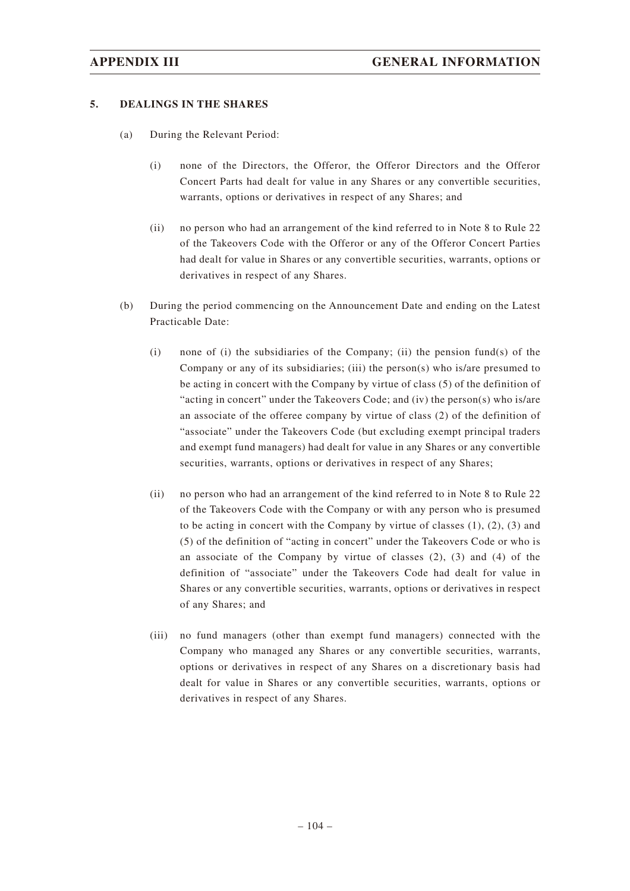### **5. DEALINGS IN THE SHARES**

- (a) During the Relevant Period:
	- (i) none of the Directors, the Offeror, the Offeror Directors and the Offeror Concert Parts had dealt for value in any Shares or any convertible securities, warrants, options or derivatives in respect of any Shares; and
	- (ii) no person who had an arrangement of the kind referred to in Note 8 to Rule 22 of the Takeovers Code with the Offeror or any of the Offeror Concert Parties had dealt for value in Shares or any convertible securities, warrants, options or derivatives in respect of any Shares.
- (b) During the period commencing on the Announcement Date and ending on the Latest Practicable Date:
	- (i) none of (i) the subsidiaries of the Company; (ii) the pension fund(s) of the Company or any of its subsidiaries; (iii) the person(s) who is/are presumed to be acting in concert with the Company by virtue of class (5) of the definition of "acting in concert" under the Takeovers Code; and (iv) the person(s) who is/are an associate of the offeree company by virtue of class (2) of the definition of "associate" under the Takeovers Code (but excluding exempt principal traders and exempt fund managers) had dealt for value in any Shares or any convertible securities, warrants, options or derivatives in respect of any Shares;
	- (ii) no person who had an arrangement of the kind referred to in Note 8 to Rule 22 of the Takeovers Code with the Company or with any person who is presumed to be acting in concert with the Company by virtue of classes (1), (2), (3) and (5) of the definition of "acting in concert" under the Takeovers Code or who is an associate of the Company by virtue of classes  $(2)$ ,  $(3)$  and  $(4)$  of the definition of "associate" under the Takeovers Code had dealt for value in Shares or any convertible securities, warrants, options or derivatives in respect of any Shares; and
	- (iii) no fund managers (other than exempt fund managers) connected with the Company who managed any Shares or any convertible securities, warrants, options or derivatives in respect of any Shares on a discretionary basis had dealt for value in Shares or any convertible securities, warrants, options or derivatives in respect of any Shares.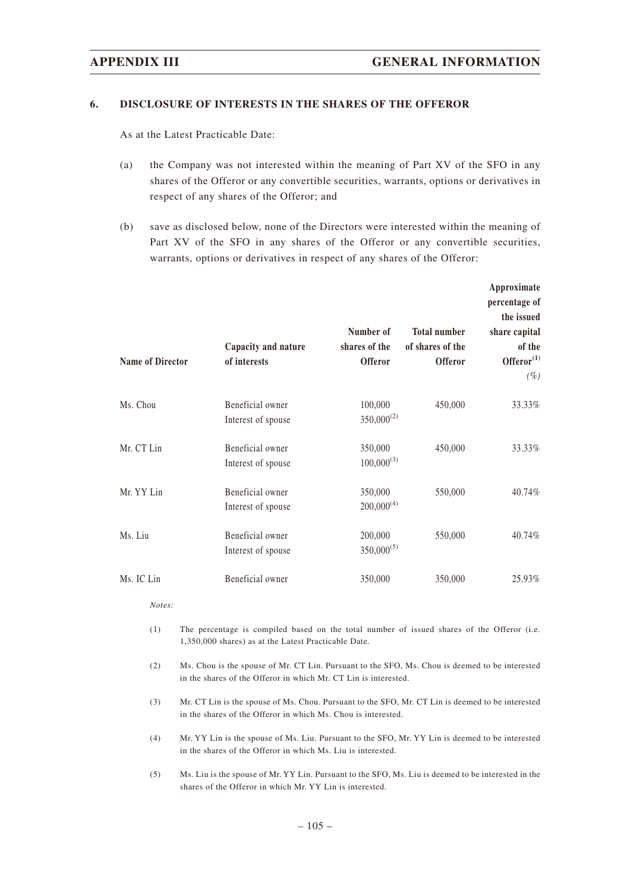#### **6. DISCLOSURE OF INTERESTS IN THE SHARES OF THE OFFEROR**

As at the Latest Practicable Date:

- (a) the Company was not interested within the meaning of Part XV of the SFO in any shares of the Offeror or any convertible securities, warrants, options or derivatives in respect of any shares of the Offeror; and
- (b) save as disclosed below, none of the Directors were interested within the meaning of Part XV of the SFO in any shares of the Offeror or any convertible securities, warrants, options or derivatives in respect of any shares of the Offeror:

| <b>Name of Director</b> | Capacity and nature<br>of interests    | Number of<br>shares of the<br><b>Offeror</b> | <b>Total number</b><br>of shares of the<br><b>Offeror</b> | Approximate<br>percentage of<br>the issued<br>share capital<br>of the<br>Offeror <sup>(1)</sup><br>$(\%)$ |
|-------------------------|----------------------------------------|----------------------------------------------|-----------------------------------------------------------|-----------------------------------------------------------------------------------------------------------|
| Ms. Chou                | Beneficial owner<br>Interest of spouse | 100,000<br>$350,000^{(2)}$                   | 450,000                                                   | 33.33%                                                                                                    |
| Mr. CT Lin              | Beneficial owner<br>Interest of spouse | 350,000<br>$100,000^{(3)}$                   | 450,000                                                   | 33.33%                                                                                                    |
| Mr. YY Lin              | Beneficial owner<br>Interest of spouse | 350,000<br>$200,000^{(4)}$                   | 550,000                                                   | 40.74%                                                                                                    |
| Ms. Liu                 | Beneficial owner<br>Interest of spouse | 200,000<br>$350,000^{(5)}$                   | 550,000                                                   | 40.74%                                                                                                    |
| Ms. IC Lin              | Beneficial owner                       | 350,000                                      | 350,000                                                   | 25.93%                                                                                                    |

*Notes:*

- (1) The percentage is compiled based on the total number of issued shares of the Offeror (i.e. 1,350,000 shares) as at the Latest Practicable Date.
- (2) Ms. Chou is the spouse of Mr. CT Lin. Pursuant to the SFO, Ms. Chou is deemed to be interested in the shares of the Offeror in which Mr. CT Lin is interested.
- (3) Mr. CT Lin is the spouse of Ms. Chou. Pursuant to the SFO, Mr. CT Lin is deemed to be interested in the shares of the Offeror in which Ms. Chou is interested.
- (4) Mr. YY Lin is the spouse of Ms. Liu. Pursuant to the SFO, Mr. YY Lin is deemed to be interested in the shares of the Offeror in which Ms. Liu is interested.
- (5) Ms. Liu is the spouse of Mr. YY Lin. Pursuant to the SFO, Ms. Liu is deemed to be interested in the shares of the Offeror in which Mr. YY Lin is interested.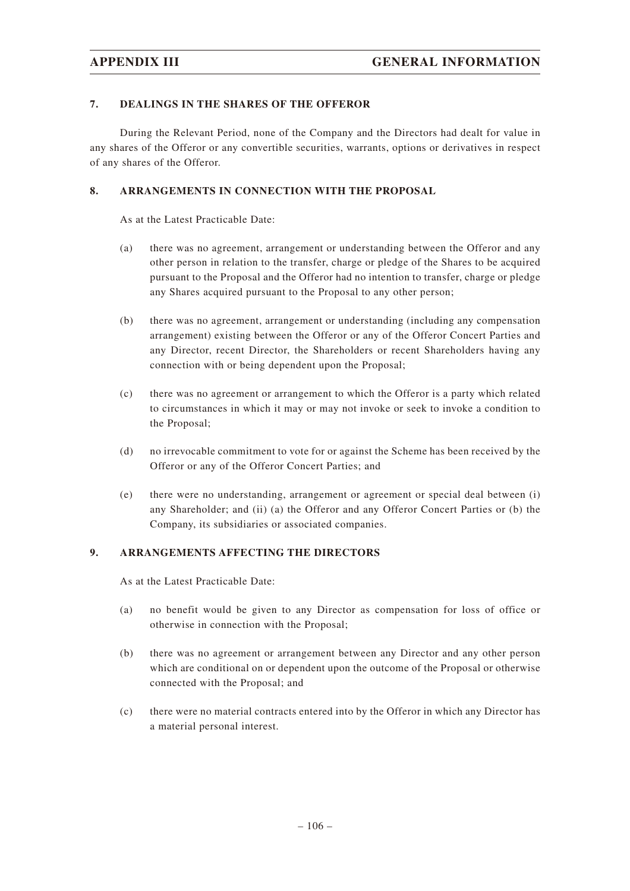### **7. DEALINGS IN THE SHARES OF THE OFFEROR**

During the Relevant Period, none of the Company and the Directors had dealt for value in any shares of the Offeror or any convertible securities, warrants, options or derivatives in respect of any shares of the Offeror.

### **8. ARRANGEMENTS IN CONNECTION WITH THE PROPOSAL**

As at the Latest Practicable Date:

- (a) there was no agreement, arrangement or understanding between the Offeror and any other person in relation to the transfer, charge or pledge of the Shares to be acquired pursuant to the Proposal and the Offeror had no intention to transfer, charge or pledge any Shares acquired pursuant to the Proposal to any other person;
- (b) there was no agreement, arrangement or understanding (including any compensation arrangement) existing between the Offeror or any of the Offeror Concert Parties and any Director, recent Director, the Shareholders or recent Shareholders having any connection with or being dependent upon the Proposal;
- (c) there was no agreement or arrangement to which the Offeror is a party which related to circumstances in which it may or may not invoke or seek to invoke a condition to the Proposal;
- (d) no irrevocable commitment to vote for or against the Scheme has been received by the Offeror or any of the Offeror Concert Parties; and
- (e) there were no understanding, arrangement or agreement or special deal between (i) any Shareholder; and (ii) (a) the Offeror and any Offeror Concert Parties or (b) the Company, its subsidiaries or associated companies.

### **9. ARRANGEMENTS AFFECTING THE DIRECTORS**

As at the Latest Practicable Date:

- (a) no benefit would be given to any Director as compensation for loss of office or otherwise in connection with the Proposal;
- (b) there was no agreement or arrangement between any Director and any other person which are conditional on or dependent upon the outcome of the Proposal or otherwise connected with the Proposal; and
- (c) there were no material contracts entered into by the Offeror in which any Director has a material personal interest.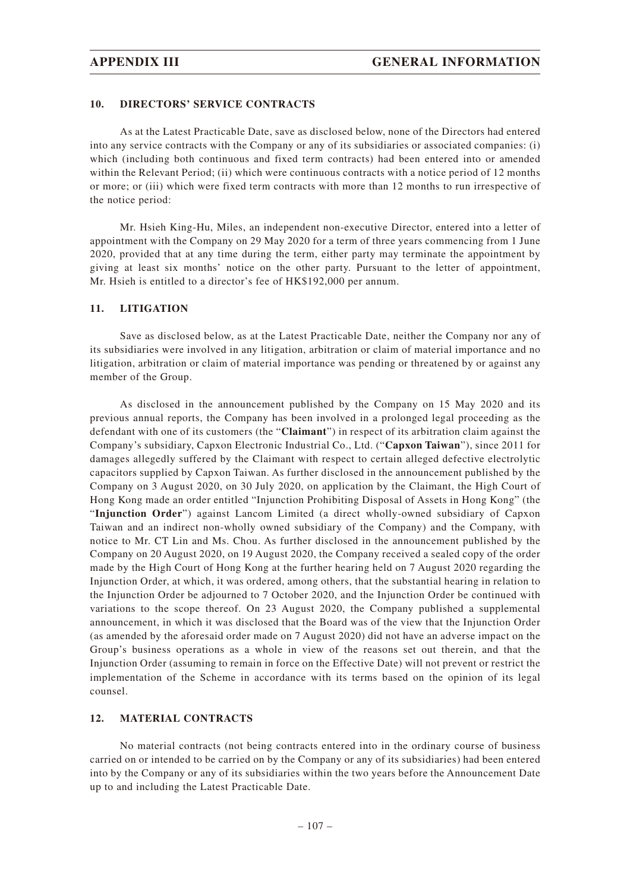### **10. DIRECTORS' SERVICE CONTRACTS**

As at the Latest Practicable Date, save as disclosed below, none of the Directors had entered into any service contracts with the Company or any of its subsidiaries or associated companies: (i) which (including both continuous and fixed term contracts) had been entered into or amended within the Relevant Period; (ii) which were continuous contracts with a notice period of 12 months or more; or (iii) which were fixed term contracts with more than 12 months to run irrespective of the notice period:

Mr. Hsieh King-Hu, Miles, an independent non-executive Director, entered into a letter of appointment with the Company on 29 May 2020 for a term of three years commencing from 1 June 2020, provided that at any time during the term, either party may terminate the appointment by giving at least six months' notice on the other party. Pursuant to the letter of appointment, Mr. Hsieh is entitled to a director's fee of HK\$192,000 per annum.

### **11. LITIGATION**

Save as disclosed below, as at the Latest Practicable Date, neither the Company nor any of its subsidiaries were involved in any litigation, arbitration or claim of material importance and no litigation, arbitration or claim of material importance was pending or threatened by or against any member of the Group.

As disclosed in the announcement published by the Company on 15 May 2020 and its previous annual reports, the Company has been involved in a prolonged legal proceeding as the defendant with one of its customers (the "**Claimant**") in respect of its arbitration claim against the Company's subsidiary, Capxon Electronic Industrial Co., Ltd. ("**Capxon Taiwan**"), since 2011 for damages allegedly suffered by the Claimant with respect to certain alleged defective electrolytic capacitors supplied by Capxon Taiwan. As further disclosed in the announcement published by the Company on 3 August 2020, on 30 July 2020, on application by the Claimant, the High Court of Hong Kong made an order entitled "Injunction Prohibiting Disposal of Assets in Hong Kong" (the "**Injunction Order**") against Lancom Limited (a direct wholly-owned subsidiary of Capxon Taiwan and an indirect non-wholly owned subsidiary of the Company) and the Company, with notice to Mr. CT Lin and Ms. Chou. As further disclosed in the announcement published by the Company on 20 August 2020, on 19 August 2020, the Company received a sealed copy of the order made by the High Court of Hong Kong at the further hearing held on 7 August 2020 regarding the Injunction Order, at which, it was ordered, among others, that the substantial hearing in relation to the Injunction Order be adjourned to 7 October 2020, and the Injunction Order be continued with variations to the scope thereof. On 23 August 2020, the Company published a supplemental announcement, in which it was disclosed that the Board was of the view that the Injunction Order (as amended by the aforesaid order made on 7 August 2020) did not have an adverse impact on the Group's business operations as a whole in view of the reasons set out therein, and that the Injunction Order (assuming to remain in force on the Effective Date) will not prevent or restrict the implementation of the Scheme in accordance with its terms based on the opinion of its legal counsel.

### **12. MATERIAL CONTRACTS**

No material contracts (not being contracts entered into in the ordinary course of business carried on or intended to be carried on by the Company or any of its subsidiaries) had been entered into by the Company or any of its subsidiaries within the two years before the Announcement Date up to and including the Latest Practicable Date.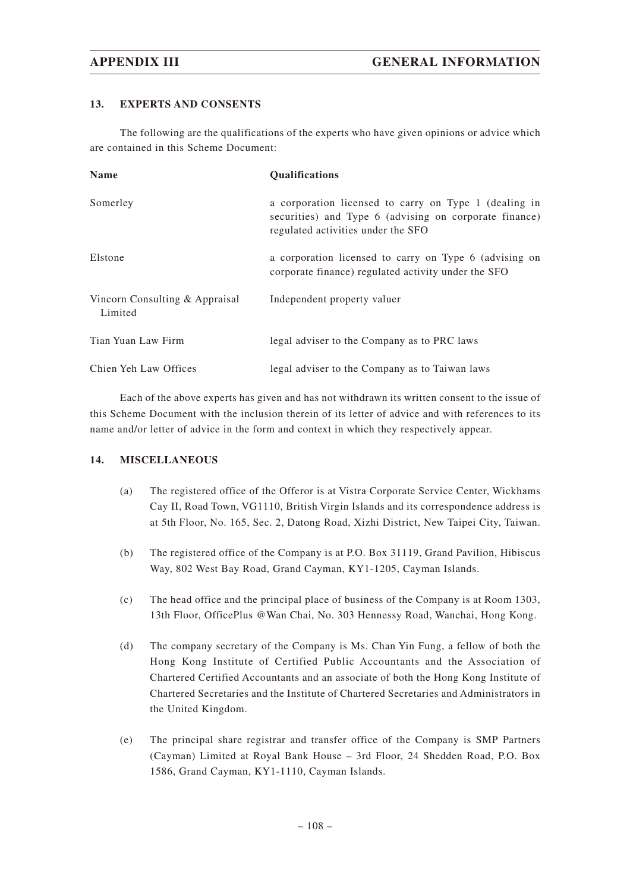### **13. EXPERTS AND CONSENTS**

The following are the qualifications of the experts who have given opinions or advice which are contained in this Scheme Document:

| <b>Name</b>                               | <b>Qualifications</b>                                                                                                                                 |
|-------------------------------------------|-------------------------------------------------------------------------------------------------------------------------------------------------------|
| Somerley                                  | a corporation licensed to carry on Type 1 (dealing in<br>securities) and Type 6 (advising on corporate finance)<br>regulated activities under the SFO |
| Elstone                                   | a corporation licensed to carry on Type 6 (advising on<br>corporate finance) regulated activity under the SFO                                         |
| Vincorn Consulting & Appraisal<br>Limited | Independent property valuer                                                                                                                           |
| Tian Yuan Law Firm                        | legal adviser to the Company as to PRC laws                                                                                                           |
| Chien Yeh Law Offices                     | legal adviser to the Company as to Taiwan laws                                                                                                        |

Each of the above experts has given and has not withdrawn its written consent to the issue of this Scheme Document with the inclusion therein of its letter of advice and with references to its name and/or letter of advice in the form and context in which they respectively appear.

### **14. MISCELLANEOUS**

- (a) The registered office of the Offeror is at Vistra Corporate Service Center, Wickhams Cay II, Road Town, VG1110, British Virgin Islands and its correspondence address is at 5th Floor, No. 165, Sec. 2, Datong Road, Xizhi District, New Taipei City, Taiwan.
- (b) The registered office of the Company is at P.O. Box 31119, Grand Pavilion, Hibiscus Way, 802 West Bay Road, Grand Cayman, KY1-1205, Cayman Islands.
- (c) The head office and the principal place of business of the Company is at Room 1303, 13th Floor, OfficePlus @Wan Chai, No. 303 Hennessy Road, Wanchai, Hong Kong.
- (d) The company secretary of the Company is Ms. Chan Yin Fung, a fellow of both the Hong Kong Institute of Certified Public Accountants and the Association of Chartered Certified Accountants and an associate of both the Hong Kong Institute of Chartered Secretaries and the Institute of Chartered Secretaries and Administrators in the United Kingdom.
- (e) The principal share registrar and transfer office of the Company is SMP Partners (Cayman) Limited at Royal Bank House – 3rd Floor, 24 Shedden Road, P.O. Box 1586, Grand Cayman, KY1-1110, Cayman Islands.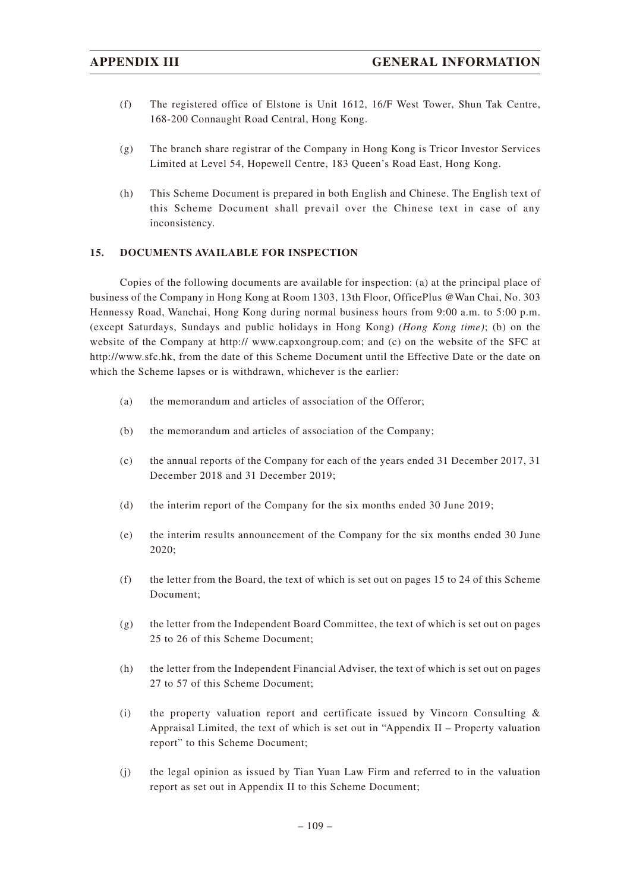- (f) The registered office of Elstone is Unit 1612, 16/F West Tower, Shun Tak Centre, 168-200 Connaught Road Central, Hong Kong.
- (g) The branch share registrar of the Company in Hong Kong is Tricor Investor Services Limited at Level 54, Hopewell Centre, 183 Queen's Road East, Hong Kong.
- (h) This Scheme Document is prepared in both English and Chinese. The English text of this Scheme Document shall prevail over the Chinese text in case of any inconsistency.

#### **15. DOCUMENTS AVAILABLE FOR INSPECTION**

Copies of the following documents are available for inspection: (a) at the principal place of business of the Company in Hong Kong at Room 1303, 13th Floor, OfficePlus @Wan Chai, No. 303 Hennessy Road, Wanchai, Hong Kong during normal business hours from 9:00 a.m. to 5:00 p.m. (except Saturdays, Sundays and public holidays in Hong Kong) *(Hong Kong time)*; (b) on the website of the Company at http:// www.capxongroup.com; and (c) on the website of the SFC at http://www.sfc.hk, from the date of this Scheme Document until the Effective Date or the date on which the Scheme lapses or is withdrawn, whichever is the earlier:

- (a) the memorandum and articles of association of the Offeror;
- (b) the memorandum and articles of association of the Company;
- (c) the annual reports of the Company for each of the years ended 31 December 2017, 31 December 2018 and 31 December 2019;
- (d) the interim report of the Company for the six months ended 30 June 2019;
- (e) the interim results announcement of the Company for the six months ended 30 June 2020;
- (f) the letter from the Board, the text of which is set out on pages 15 to 24 of this Scheme Document;
- $(g)$  the letter from the Independent Board Committee, the text of which is set out on pages 25 to 26 of this Scheme Document;
- (h) the letter from the Independent Financial Adviser, the text of which is set out on pages 27 to 57 of this Scheme Document;
- (i) the property valuation report and certificate issued by Vincorn Consulting  $\&$ Appraisal Limited, the text of which is set out in "Appendix II – Property valuation report" to this Scheme Document;
- (j) the legal opinion as issued by Tian Yuan Law Firm and referred to in the valuation report as set out in Appendix II to this Scheme Document;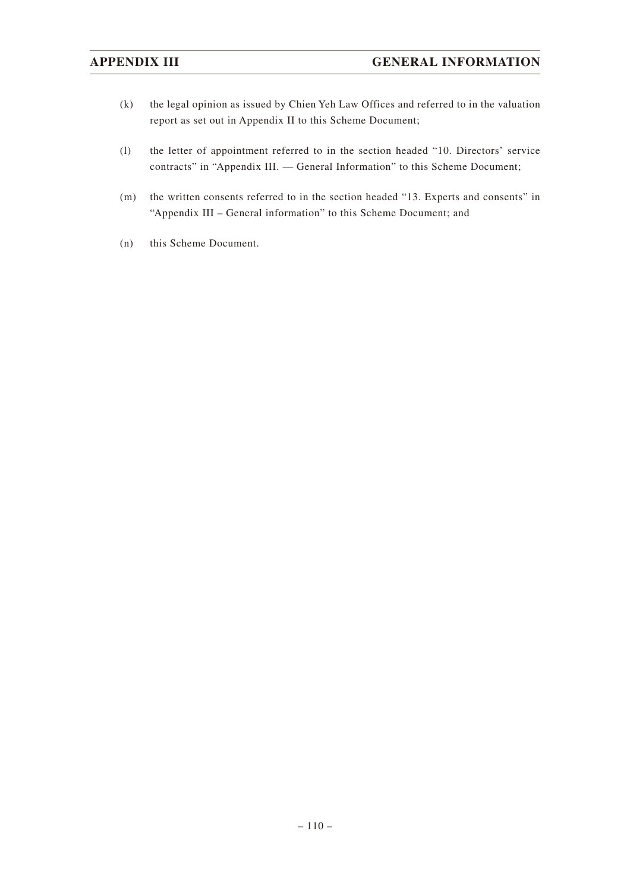- (k) the legal opinion as issued by Chien Yeh Law Offices and referred to in the valuation report as set out in Appendix II to this Scheme Document;
- (l) the letter of appointment referred to in the section headed "10. Directors' service contracts" in "Appendix III. — General Information" to this Scheme Document;
- (m) the written consents referred to in the section headed "13. Experts and consents" in "Appendix III – General information" to this Scheme Document; and
- (n) this Scheme Document.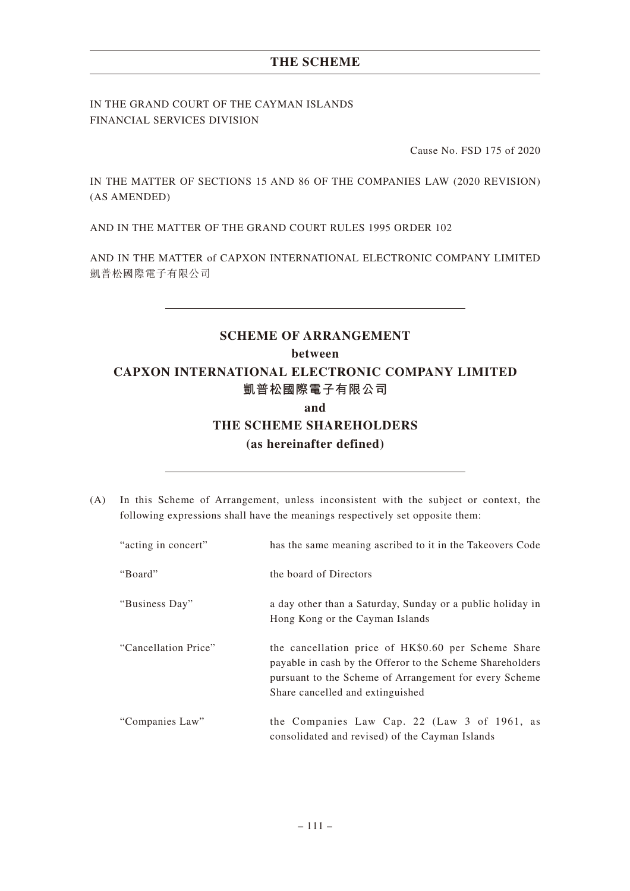IN THE GRAND COURT OF THE CAYMAN ISLANDS FINANCIAL SERVICES DIVISION

Cause No. FSD 175 of 2020

IN THE MATTER OF SECTIONS 15 AND 86 OF THE COMPANIES LAW (2020 REVISION) (AS AMENDED)

AND IN THE MATTER OF THE GRAND COURT RULES 1995 ORDER 102

AND IN THE MATTER of CAPXON INTERNATIONAL ELECTRONIC COMPANY LIMITED 凱普松國際電子有限公司

# **SCHEME OF ARRANGEMENT between CAPXON INTERNATIONAL ELECTRONIC COMPANY LIMITED 凱普松國際電子有限公司 and THE SCHEME SHAREHOLDERS (as hereinafter defined)**

(A) In this Scheme of Arrangement, unless inconsistent with the subject or context, the following expressions shall have the meanings respectively set opposite them:

| "acting in concert"  | has the same meaning ascribed to it in the Takeovers Code                                                                                                                                                      |
|----------------------|----------------------------------------------------------------------------------------------------------------------------------------------------------------------------------------------------------------|
| "Board"              | the board of Directors                                                                                                                                                                                         |
| "Business Day"       | a day other than a Saturday, Sunday or a public holiday in<br>Hong Kong or the Cayman Islands                                                                                                                  |
| "Cancellation Price" | the cancellation price of HK\$0.60 per Scheme Share<br>payable in cash by the Offeror to the Scheme Shareholders<br>pursuant to the Scheme of Arrangement for every Scheme<br>Share cancelled and extinguished |
| "Companies Law"      | the Companies Law Cap. 22 (Law 3 of 1961, as<br>consolidated and revised) of the Cayman Islands                                                                                                                |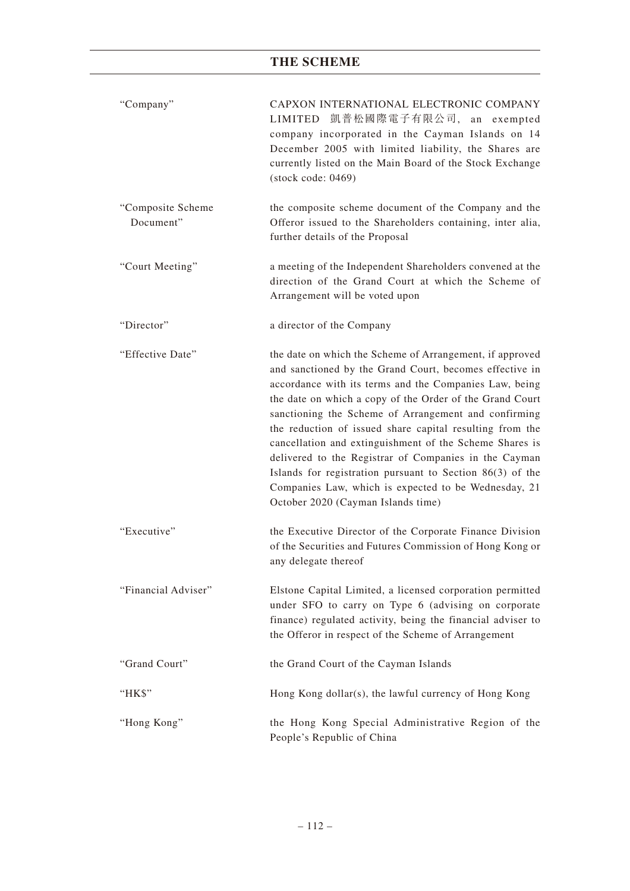| "Company"                      | CAPXON INTERNATIONAL ELECTRONIC COMPANY<br>LIMITED 凱普松國際電子有限公司, an exempted<br>company incorporated in the Cayman Islands on 14<br>December 2005 with limited liability, the Shares are<br>currently listed on the Main Board of the Stock Exchange<br>$(\text{stock code}: 0469)$                                                                                                                                                                                                                                                                                                                                                             |
|--------------------------------|------------------------------------------------------------------------------------------------------------------------------------------------------------------------------------------------------------------------------------------------------------------------------------------------------------------------------------------------------------------------------------------------------------------------------------------------------------------------------------------------------------------------------------------------------------------------------------------------------------------------------------------------|
| "Composite Scheme<br>Document" | the composite scheme document of the Company and the<br>Offeror issued to the Shareholders containing, inter alia,<br>further details of the Proposal                                                                                                                                                                                                                                                                                                                                                                                                                                                                                          |
| "Court Meeting"                | a meeting of the Independent Shareholders convened at the<br>direction of the Grand Court at which the Scheme of<br>Arrangement will be voted upon                                                                                                                                                                                                                                                                                                                                                                                                                                                                                             |
| "Director"                     | a director of the Company                                                                                                                                                                                                                                                                                                                                                                                                                                                                                                                                                                                                                      |
| "Effective Date"               | the date on which the Scheme of Arrangement, if approved<br>and sanctioned by the Grand Court, becomes effective in<br>accordance with its terms and the Companies Law, being<br>the date on which a copy of the Order of the Grand Court<br>sanctioning the Scheme of Arrangement and confirming<br>the reduction of issued share capital resulting from the<br>cancellation and extinguishment of the Scheme Shares is<br>delivered to the Registrar of Companies in the Cayman<br>Islands for registration pursuant to Section $86(3)$ of the<br>Companies Law, which is expected to be Wednesday, 21<br>October 2020 (Cayman Islands time) |
| "Executive"                    | the Executive Director of the Corporate Finance Division<br>of the Securities and Futures Commission of Hong Kong or<br>any delegate thereof                                                                                                                                                                                                                                                                                                                                                                                                                                                                                                   |
| "Financial Adviser"            | Elstone Capital Limited, a licensed corporation permitted<br>under SFO to carry on Type 6 (advising on corporate<br>finance) regulated activity, being the financial adviser to<br>the Offeror in respect of the Scheme of Arrangement                                                                                                                                                                                                                                                                                                                                                                                                         |
| "Grand Court"                  | the Grand Court of the Cayman Islands                                                                                                                                                                                                                                                                                                                                                                                                                                                                                                                                                                                                          |
| "HK\$"                         | Hong Kong dollar(s), the lawful currency of Hong Kong                                                                                                                                                                                                                                                                                                                                                                                                                                                                                                                                                                                          |
| "Hong Kong"                    | the Hong Kong Special Administrative Region of the<br>People's Republic of China                                                                                                                                                                                                                                                                                                                                                                                                                                                                                                                                                               |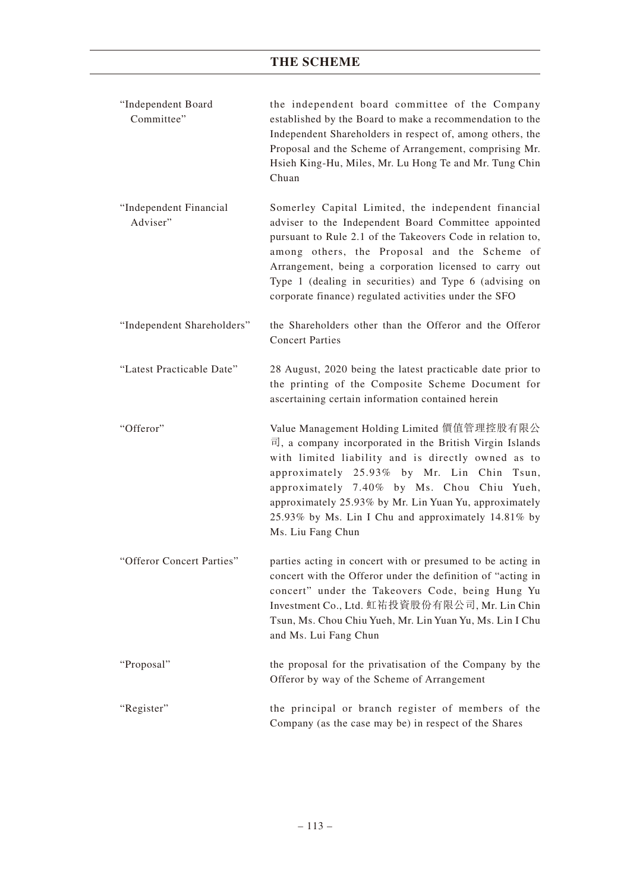| "Independent Board<br>Committee"   | the independent board committee of the Company<br>established by the Board to make a recommendation to the<br>Independent Shareholders in respect of, among others, the<br>Proposal and the Scheme of Arrangement, comprising Mr.<br>Hsieh King-Hu, Miles, Mr. Lu Hong Te and Mr. Tung Chin<br>Chuan                                                                                                                 |
|------------------------------------|----------------------------------------------------------------------------------------------------------------------------------------------------------------------------------------------------------------------------------------------------------------------------------------------------------------------------------------------------------------------------------------------------------------------|
| "Independent Financial<br>Adviser" | Somerley Capital Limited, the independent financial<br>adviser to the Independent Board Committee appointed<br>pursuant to Rule 2.1 of the Takeovers Code in relation to,<br>among others, the Proposal and the Scheme of<br>Arrangement, being a corporation licensed to carry out<br>Type 1 (dealing in securities) and Type 6 (advising on<br>corporate finance) regulated activities under the SFO               |
| "Independent Shareholders"         | the Shareholders other than the Offeror and the Offeror<br><b>Concert Parties</b>                                                                                                                                                                                                                                                                                                                                    |
| "Latest Practicable Date"          | 28 August, 2020 being the latest practicable date prior to<br>the printing of the Composite Scheme Document for<br>ascertaining certain information contained herein                                                                                                                                                                                                                                                 |
| "Offeror"                          | Value Management Holding Limited 價值管理控股有限公<br>$\overline{\mathbb{E}}$ , a company incorporated in the British Virgin Islands<br>with limited liability and is directly owned as to<br>approximately 25.93% by Mr. Lin Chin Tsun,<br>approximately 7.40% by Ms. Chou Chiu Yueh,<br>approximately 25.93% by Mr. Lin Yuan Yu, approximately<br>25.93% by Ms. Lin I Chu and approximately 14.81% by<br>Ms. Liu Fang Chun |
| "Offeror Concert Parties"          | parties acting in concert with or presumed to be acting in<br>concert with the Offeror under the definition of "acting in<br>concert" under the Takeovers Code, being Hung Yu<br>Investment Co., Ltd. 虹祐投資股份有限公司, Mr. Lin Chin<br>Tsun, Ms. Chou Chiu Yueh, Mr. Lin Yuan Yu, Ms. Lin I Chu<br>and Ms. Lui Fang Chun                                                                                                  |
| "Proposal"                         | the proposal for the privatisation of the Company by the<br>Offeror by way of the Scheme of Arrangement                                                                                                                                                                                                                                                                                                              |
| "Register"                         | the principal or branch register of members of the<br>Company (as the case may be) in respect of the Shares                                                                                                                                                                                                                                                                                                          |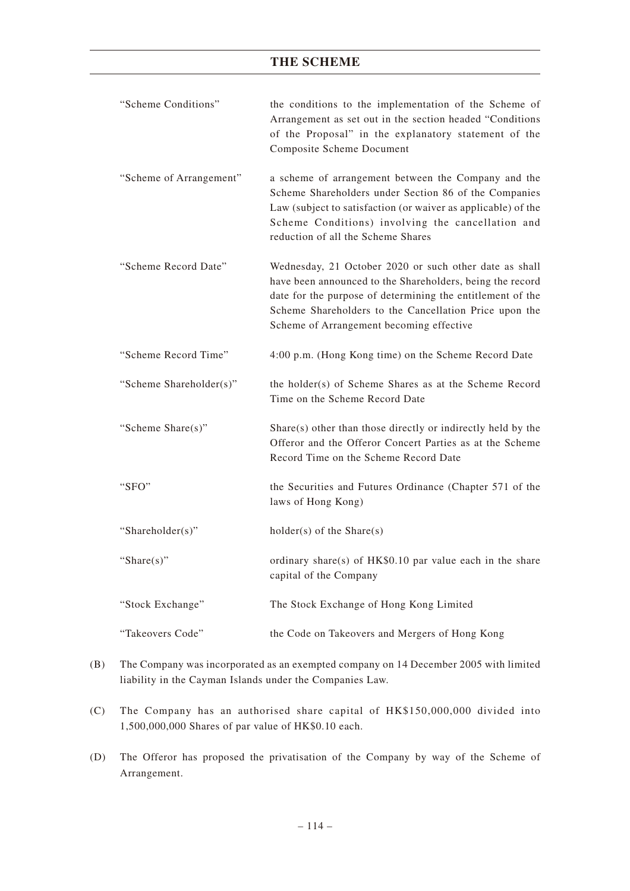| "Scheme Conditions"     | the conditions to the implementation of the Scheme of<br>Arrangement as set out in the section headed "Conditions<br>of the Proposal" in the explanatory statement of the<br><b>Composite Scheme Document</b>                                                                           |
|-------------------------|-----------------------------------------------------------------------------------------------------------------------------------------------------------------------------------------------------------------------------------------------------------------------------------------|
| "Scheme of Arrangement" | a scheme of arrangement between the Company and the<br>Scheme Shareholders under Section 86 of the Companies<br>Law (subject to satisfaction (or waiver as applicable) of the<br>Scheme Conditions) involving the cancellation and<br>reduction of all the Scheme Shares                |
| "Scheme Record Date"    | Wednesday, 21 October 2020 or such other date as shall<br>have been announced to the Shareholders, being the record<br>date for the purpose of determining the entitlement of the<br>Scheme Shareholders to the Cancellation Price upon the<br>Scheme of Arrangement becoming effective |
| "Scheme Record Time"    | 4:00 p.m. (Hong Kong time) on the Scheme Record Date                                                                                                                                                                                                                                    |
| "Scheme Shareholder(s)" | the holder(s) of Scheme Shares as at the Scheme Record<br>Time on the Scheme Record Date                                                                                                                                                                                                |
| "Scheme Share(s)"       | Share(s) other than those directly or indirectly held by the<br>Offeror and the Offeror Concert Parties as at the Scheme<br>Record Time on the Scheme Record Date                                                                                                                       |
| "SFO"                   | the Securities and Futures Ordinance (Chapter 571 of the<br>laws of Hong Kong)                                                                                                                                                                                                          |
| "Shareholder(s)"        | $holder(s)$ of the Share $(s)$                                                                                                                                                                                                                                                          |
| "Share $(s)$ "          | ordinary share(s) of HK\$0.10 par value each in the share<br>capital of the Company                                                                                                                                                                                                     |
| "Stock Exchange"        | The Stock Exchange of Hong Kong Limited                                                                                                                                                                                                                                                 |
| "Takeovers Code"        | the Code on Takeovers and Mergers of Hong Kong                                                                                                                                                                                                                                          |

- (B) The Company was incorporated as an exempted company on 14 December 2005 with limited liability in the Cayman Islands under the Companies Law.
- (C) The Company has an authorised share capital of HK\$150,000,000 divided into 1,500,000,000 Shares of par value of HK\$0.10 each.
- (D) The Offeror has proposed the privatisation of the Company by way of the Scheme of Arrangement.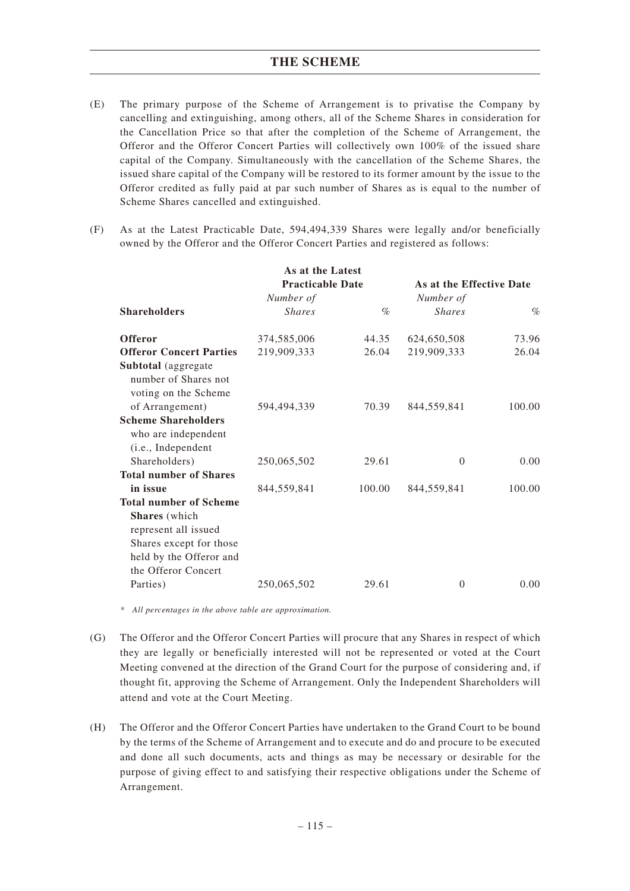- (E) The primary purpose of the Scheme of Arrangement is to privatise the Company by cancelling and extinguishing, among others, all of the Scheme Shares in consideration for the Cancellation Price so that after the completion of the Scheme of Arrangement, the Offeror and the Offeror Concert Parties will collectively own 100% of the issued share capital of the Company. Simultaneously with the cancellation of the Scheme Shares, the issued share capital of the Company will be restored to its former amount by the issue to the Offeror credited as fully paid at par such number of Shares as is equal to the number of Scheme Shares cancelled and extinguished.
- (F) As at the Latest Practicable Date, 594,494,339 Shares were legally and/or beneficially owned by the Offeror and the Offeror Concert Parties and registered as follows:

|                                                                                                                           | As at the Latest                     |        |                                       |        |
|---------------------------------------------------------------------------------------------------------------------------|--------------------------------------|--------|---------------------------------------|--------|
|                                                                                                                           | <b>Practicable Date</b><br>Number of |        | As at the Effective Date<br>Number of |        |
|                                                                                                                           |                                      |        |                                       |        |
| <b>Shareholders</b>                                                                                                       | <i>Shares</i>                        | $\%$   | <b>Shares</b>                         | $\%$   |
| <b>Offeror</b>                                                                                                            | 374,585,006                          | 44.35  | 624,650,508                           | 73.96  |
| <b>Offeror Concert Parties</b>                                                                                            | 219,909,333                          | 26.04  | 219,909,333                           | 26.04  |
| Subtotal (aggregate<br>number of Shares not<br>voting on the Scheme                                                       |                                      |        |                                       |        |
| of Arrangement)                                                                                                           | 594,494,339                          | 70.39  | 844,559,841                           | 100.00 |
| <b>Scheme Shareholders</b><br>who are independent<br>(i.e., Independent                                                   |                                      |        |                                       |        |
| Shareholders)                                                                                                             | 250,065,502                          | 29.61  | $\theta$                              | 0.00   |
| <b>Total number of Shares</b>                                                                                             |                                      |        |                                       |        |
| in issue                                                                                                                  | 844,559,841                          | 100.00 | 844,559,841                           | 100.00 |
| <b>Total number of Scheme</b>                                                                                             |                                      |        |                                       |        |
| <b>Shares</b> (which<br>represent all issued<br>Shares except for those<br>held by the Offeror and<br>the Offeror Concert |                                      |        |                                       |        |
| Parties)                                                                                                                  | 250,065,502                          | 29.61  | $\overline{0}$                        | 0.00   |

*\* All percentages in the above table are approximation.*

- (G) The Offeror and the Offeror Concert Parties will procure that any Shares in respect of which they are legally or beneficially interested will not be represented or voted at the Court Meeting convened at the direction of the Grand Court for the purpose of considering and, if thought fit, approving the Scheme of Arrangement. Only the Independent Shareholders will attend and vote at the Court Meeting.
- (H) The Offeror and the Offeror Concert Parties have undertaken to the Grand Court to be bound by the terms of the Scheme of Arrangement and to execute and do and procure to be executed and done all such documents, acts and things as may be necessary or desirable for the purpose of giving effect to and satisfying their respective obligations under the Scheme of Arrangement.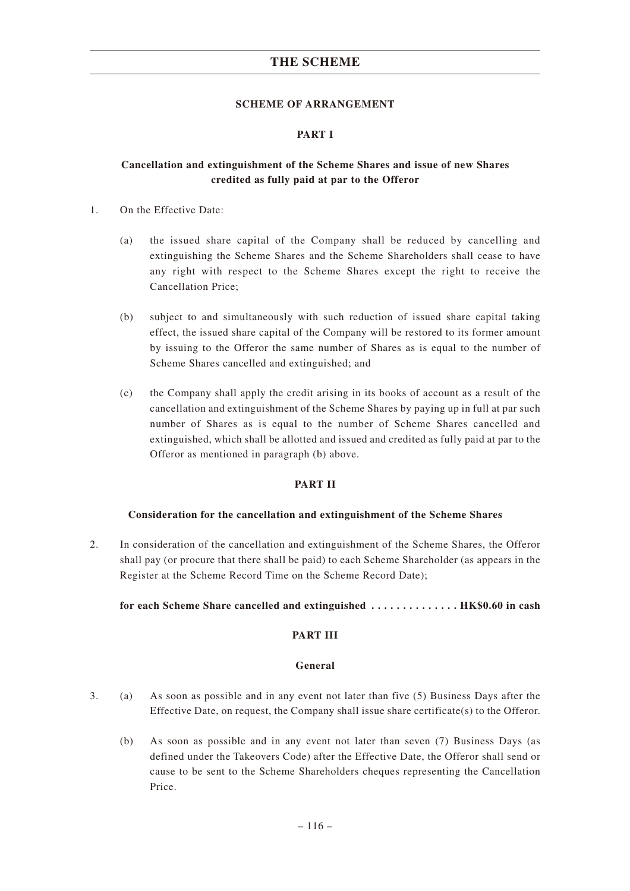#### **SCHEME OF ARRANGEMENT**

#### **PART I**

### **Cancellation and extinguishment of the Scheme Shares and issue of new Shares credited as fully paid at par to the Offeror**

- 1. On the Effective Date:
	- (a) the issued share capital of the Company shall be reduced by cancelling and extinguishing the Scheme Shares and the Scheme Shareholders shall cease to have any right with respect to the Scheme Shares except the right to receive the Cancellation Price;
	- (b) subject to and simultaneously with such reduction of issued share capital taking effect, the issued share capital of the Company will be restored to its former amount by issuing to the Offeror the same number of Shares as is equal to the number of Scheme Shares cancelled and extinguished; and
	- (c) the Company shall apply the credit arising in its books of account as a result of the cancellation and extinguishment of the Scheme Shares by paying up in full at par such number of Shares as is equal to the number of Scheme Shares cancelled and extinguished, which shall be allotted and issued and credited as fully paid at par to the Offeror as mentioned in paragraph (b) above.

### **PART II**

#### **Consideration for the cancellation and extinguishment of the Scheme Shares**

2. In consideration of the cancellation and extinguishment of the Scheme Shares, the Offeror shall pay (or procure that there shall be paid) to each Scheme Shareholder (as appears in the Register at the Scheme Record Time on the Scheme Record Date);

#### **for each Scheme Share cancelled and extinguished .............. HK\$0.60 in cash**

### **PART III**

#### **General**

- 3. (a) As soon as possible and in any event not later than five (5) Business Days after the Effective Date, on request, the Company shall issue share certificate(s) to the Offeror.
	- (b) As soon as possible and in any event not later than seven (7) Business Days (as defined under the Takeovers Code) after the Effective Date, the Offeror shall send or cause to be sent to the Scheme Shareholders cheques representing the Cancellation Price.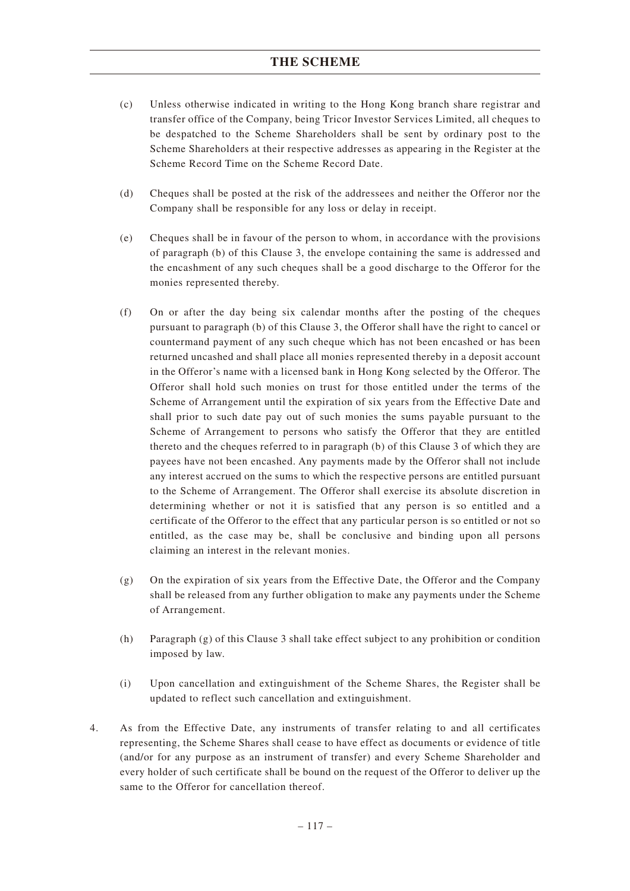- (c) Unless otherwise indicated in writing to the Hong Kong branch share registrar and transfer office of the Company, being Tricor Investor Services Limited, all cheques to be despatched to the Scheme Shareholders shall be sent by ordinary post to the Scheme Shareholders at their respective addresses as appearing in the Register at the Scheme Record Time on the Scheme Record Date.
- (d) Cheques shall be posted at the risk of the addressees and neither the Offeror nor the Company shall be responsible for any loss or delay in receipt.
- (e) Cheques shall be in favour of the person to whom, in accordance with the provisions of paragraph (b) of this Clause 3, the envelope containing the same is addressed and the encashment of any such cheques shall be a good discharge to the Offeror for the monies represented thereby.
- (f) On or after the day being six calendar months after the posting of the cheques pursuant to paragraph (b) of this Clause 3, the Offeror shall have the right to cancel or countermand payment of any such cheque which has not been encashed or has been returned uncashed and shall place all monies represented thereby in a deposit account in the Offeror's name with a licensed bank in Hong Kong selected by the Offeror. The Offeror shall hold such monies on trust for those entitled under the terms of the Scheme of Arrangement until the expiration of six years from the Effective Date and shall prior to such date pay out of such monies the sums payable pursuant to the Scheme of Arrangement to persons who satisfy the Offeror that they are entitled thereto and the cheques referred to in paragraph (b) of this Clause 3 of which they are payees have not been encashed. Any payments made by the Offeror shall not include any interest accrued on the sums to which the respective persons are entitled pursuant to the Scheme of Arrangement. The Offeror shall exercise its absolute discretion in determining whether or not it is satisfied that any person is so entitled and a certificate of the Offeror to the effect that any particular person is so entitled or not so entitled, as the case may be, shall be conclusive and binding upon all persons claiming an interest in the relevant monies.
- (g) On the expiration of six years from the Effective Date, the Offeror and the Company shall be released from any further obligation to make any payments under the Scheme of Arrangement.
- (h) Paragraph (g) of this Clause 3 shall take effect subject to any prohibition or condition imposed by law.
- (i) Upon cancellation and extinguishment of the Scheme Shares, the Register shall be updated to reflect such cancellation and extinguishment.
- 4. As from the Effective Date, any instruments of transfer relating to and all certificates representing, the Scheme Shares shall cease to have effect as documents or evidence of title (and/or for any purpose as an instrument of transfer) and every Scheme Shareholder and every holder of such certificate shall be bound on the request of the Offeror to deliver up the same to the Offeror for cancellation thereof.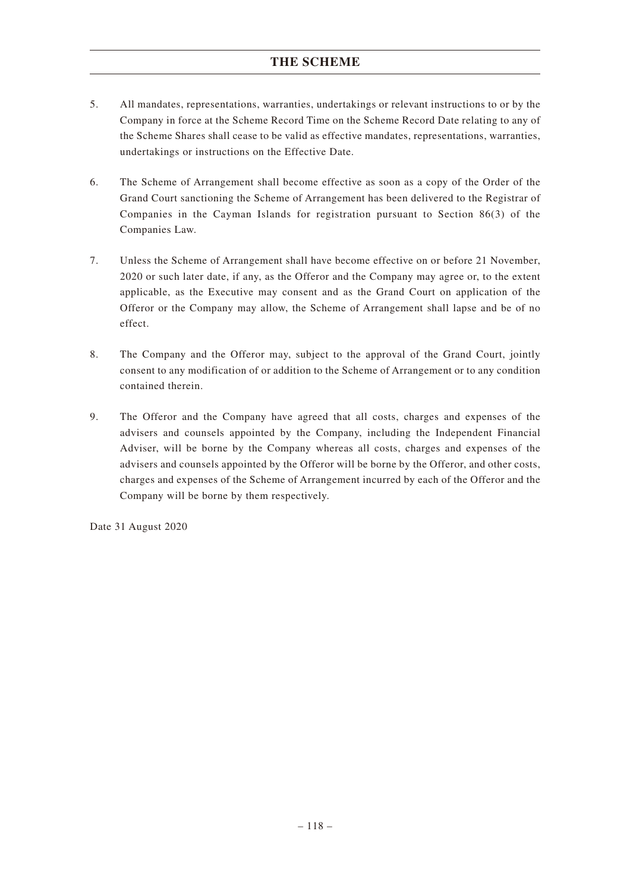- 5. All mandates, representations, warranties, undertakings or relevant instructions to or by the Company in force at the Scheme Record Time on the Scheme Record Date relating to any of the Scheme Shares shall cease to be valid as effective mandates, representations, warranties, undertakings or instructions on the Effective Date.
- 6. The Scheme of Arrangement shall become effective as soon as a copy of the Order of the Grand Court sanctioning the Scheme of Arrangement has been delivered to the Registrar of Companies in the Cayman Islands for registration pursuant to Section 86(3) of the Companies Law.
- 7. Unless the Scheme of Arrangement shall have become effective on or before 21 November, 2020 or such later date, if any, as the Offeror and the Company may agree or, to the extent applicable, as the Executive may consent and as the Grand Court on application of the Offeror or the Company may allow, the Scheme of Arrangement shall lapse and be of no effect.
- 8. The Company and the Offeror may, subject to the approval of the Grand Court, jointly consent to any modification of or addition to the Scheme of Arrangement or to any condition contained therein.
- 9. The Offeror and the Company have agreed that all costs, charges and expenses of the advisers and counsels appointed by the Company, including the Independent Financial Adviser, will be borne by the Company whereas all costs, charges and expenses of the advisers and counsels appointed by the Offeror will be borne by the Offeror, and other costs, charges and expenses of the Scheme of Arrangement incurred by each of the Offeror and the Company will be borne by them respectively.

Date 31 August 2020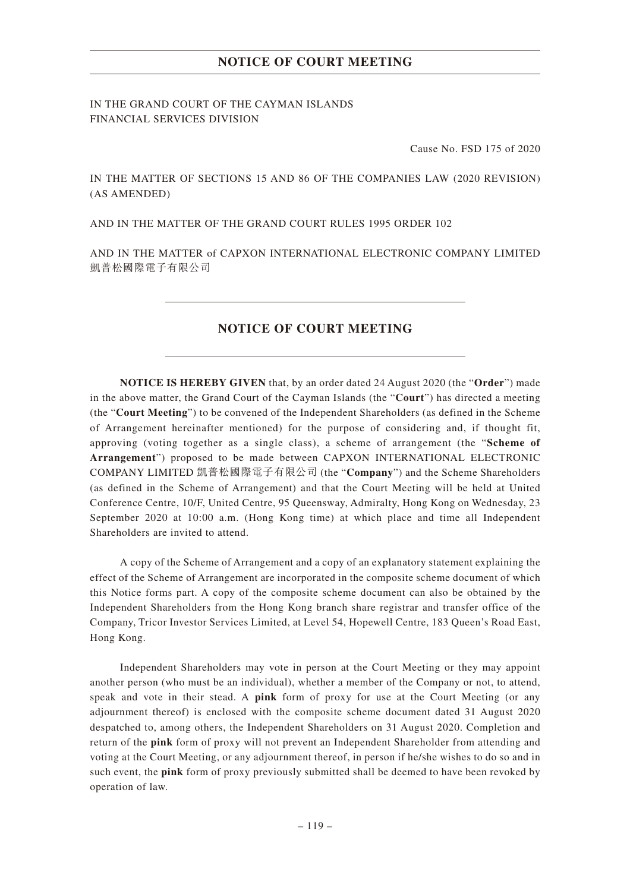## **NOTICE OF COURT MEETING**

IN THE GRAND COURT OF THE CAYMAN ISLANDS FINANCIAL SERVICES DIVISION

Cause No. FSD 175 of 2020

IN THE MATTER OF SECTIONS 15 AND 86 OF THE COMPANIES LAW (2020 REVISION) (AS AMENDED)

AND IN THE MATTER OF THE GRAND COURT RULES 1995 ORDER 102

AND IN THE MATTER of CAPXON INTERNATIONAL ELECTRONIC COMPANY LIMITED 凱普松國際電子有限公司

### **NOTICE OF COURT MEETING**

**NOTICE IS HEREBY GIVEN** that, by an order dated 24 August 2020 (the "**Order**") made in the above matter, the Grand Court of the Cayman Islands (the "**Court**") has directed a meeting (the "**Court Meeting**") to be convened of the Independent Shareholders (as defined in the Scheme of Arrangement hereinafter mentioned) for the purpose of considering and, if thought fit, approving (voting together as a single class), a scheme of arrangement (the "**Scheme of Arrangement**") proposed to be made between CAPXON INTERNATIONAL ELECTRONIC COMPANY LIMITED 凱普松國際電子有限公司 (the "**Company**") and the Scheme Shareholders (as defined in the Scheme of Arrangement) and that the Court Meeting will be held at United Conference Centre, 10/F, United Centre, 95 Queensway, Admiralty, Hong Kong on Wednesday, 23 September 2020 at 10:00 a.m. (Hong Kong time) at which place and time all Independent Shareholders are invited to attend.

A copy of the Scheme of Arrangement and a copy of an explanatory statement explaining the effect of the Scheme of Arrangement are incorporated in the composite scheme document of which this Notice forms part. A copy of the composite scheme document can also be obtained by the Independent Shareholders from the Hong Kong branch share registrar and transfer office of the Company, Tricor Investor Services Limited, at Level 54, Hopewell Centre, 183 Queen's Road East, Hong Kong.

Independent Shareholders may vote in person at the Court Meeting or they may appoint another person (who must be an individual), whether a member of the Company or not, to attend, speak and vote in their stead. A **pink** form of proxy for use at the Court Meeting (or any adjournment thereof) is enclosed with the composite scheme document dated 31 August 2020 despatched to, among others, the Independent Shareholders on 31 August 2020. Completion and return of the **pink** form of proxy will not prevent an Independent Shareholder from attending and voting at the Court Meeting, or any adjournment thereof, in person if he/she wishes to do so and in such event, the **pink** form of proxy previously submitted shall be deemed to have been revoked by operation of law.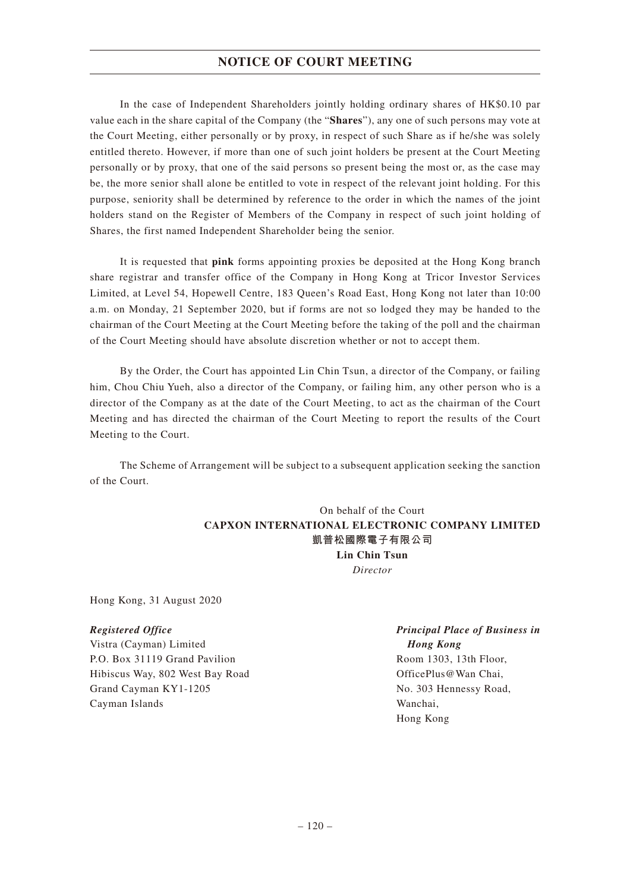## **NOTICE OF COURT MEETING**

In the case of Independent Shareholders jointly holding ordinary shares of HK\$0.10 par value each in the share capital of the Company (the "**Shares**"), any one of such persons may vote at the Court Meeting, either personally or by proxy, in respect of such Share as if he/she was solely entitled thereto. However, if more than one of such joint holders be present at the Court Meeting personally or by proxy, that one of the said persons so present being the most or, as the case may be, the more senior shall alone be entitled to vote in respect of the relevant joint holding. For this purpose, seniority shall be determined by reference to the order in which the names of the joint holders stand on the Register of Members of the Company in respect of such joint holding of Shares, the first named Independent Shareholder being the senior.

It is requested that **pink** forms appointing proxies be deposited at the Hong Kong branch share registrar and transfer office of the Company in Hong Kong at Tricor Investor Services Limited, at Level 54, Hopewell Centre, 183 Queen's Road East, Hong Kong not later than 10:00 a.m. on Monday, 21 September 2020, but if forms are not so lodged they may be handed to the chairman of the Court Meeting at the Court Meeting before the taking of the poll and the chairman of the Court Meeting should have absolute discretion whether or not to accept them.

By the Order, the Court has appointed Lin Chin Tsun, a director of the Company, or failing him, Chou Chiu Yueh, also a director of the Company, or failing him, any other person who is a director of the Company as at the date of the Court Meeting, to act as the chairman of the Court Meeting and has directed the chairman of the Court Meeting to report the results of the Court Meeting to the Court.

The Scheme of Arrangement will be subject to a subsequent application seeking the sanction of the Court.

## On behalf of the Court **CAPXON INTERNATIONAL ELECTRONIC COMPANY LIMITED 凱普松國際電子有限公司 Lin Chin Tsun** *Director*

Hong Kong, 31 August 2020

### *Registered Office*

Vistra (Cayman) Limited P.O. Box 31119 Grand Pavilion Hibiscus Way, 802 West Bay Road Grand Cayman KY1-1205 Cayman Islands

## *Principal Place of Business in Hong Kong* Room 1303, 13th Floor,

OfficePlus@Wan Chai, No. 303 Hennessy Road, Wanchai, Hong Kong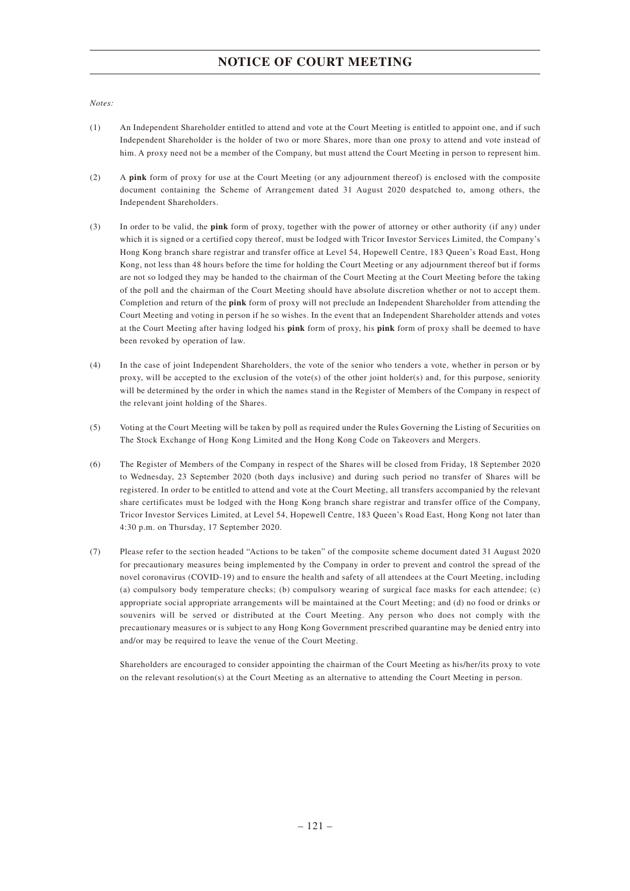## **NOTICE OF COURT MEETING**

#### *Notes:*

- (1) An Independent Shareholder entitled to attend and vote at the Court Meeting is entitled to appoint one, and if such Independent Shareholder is the holder of two or more Shares, more than one proxy to attend and vote instead of him. A proxy need not be a member of the Company, but must attend the Court Meeting in person to represent him.
- (2) A **pink** form of proxy for use at the Court Meeting (or any adjournment thereof) is enclosed with the composite document containing the Scheme of Arrangement dated 31 August 2020 despatched to, among others, the Independent Shareholders.
- (3) In order to be valid, the **pink** form of proxy, together with the power of attorney or other authority (if any) under which it is signed or a certified copy thereof, must be lodged with Tricor Investor Services Limited, the Company's Hong Kong branch share registrar and transfer office at Level 54, Hopewell Centre, 183 Queen's Road East, Hong Kong, not less than 48 hours before the time for holding the Court Meeting or any adjournment thereof but if forms are not so lodged they may be handed to the chairman of the Court Meeting at the Court Meeting before the taking of the poll and the chairman of the Court Meeting should have absolute discretion whether or not to accept them. Completion and return of the **pink** form of proxy will not preclude an Independent Shareholder from attending the Court Meeting and voting in person if he so wishes. In the event that an Independent Shareholder attends and votes at the Court Meeting after having lodged his **pink** form of proxy, his **pink** form of proxy shall be deemed to have been revoked by operation of law.
- (4) In the case of joint Independent Shareholders, the vote of the senior who tenders a vote, whether in person or by proxy, will be accepted to the exclusion of the vote(s) of the other joint holder(s) and, for this purpose, seniority will be determined by the order in which the names stand in the Register of Members of the Company in respect of the relevant joint holding of the Shares.
- (5) Voting at the Court Meeting will be taken by poll as required under the Rules Governing the Listing of Securities on The Stock Exchange of Hong Kong Limited and the Hong Kong Code on Takeovers and Mergers.
- (6) The Register of Members of the Company in respect of the Shares will be closed from Friday, 18 September 2020 to Wednesday, 23 September 2020 (both days inclusive) and during such period no transfer of Shares will be registered. In order to be entitled to attend and vote at the Court Meeting, all transfers accompanied by the relevant share certificates must be lodged with the Hong Kong branch share registrar and transfer office of the Company, Tricor Investor Services Limited, at Level 54, Hopewell Centre, 183 Queen's Road East, Hong Kong not later than 4:30 p.m. on Thursday, 17 September 2020.
- (7) Please refer to the section headed "Actions to be taken" of the composite scheme document dated 31 August 2020 for precautionary measures being implemented by the Company in order to prevent and control the spread of the novel coronavirus (COVID-19) and to ensure the health and safety of all attendees at the Court Meeting, including (a) compulsory body temperature checks; (b) compulsory wearing of surgical face masks for each attendee; (c) appropriate social appropriate arrangements will be maintained at the Court Meeting; and (d) no food or drinks or souvenirs will be served or distributed at the Court Meeting. Any person who does not comply with the precautionary measures or is subject to any Hong Kong Government prescribed quarantine may be denied entry into and/or may be required to leave the venue of the Court Meeting.

Shareholders are encouraged to consider appointing the chairman of the Court Meeting as his/her/its proxy to vote on the relevant resolution(s) at the Court Meeting as an alternative to attending the Court Meeting in person.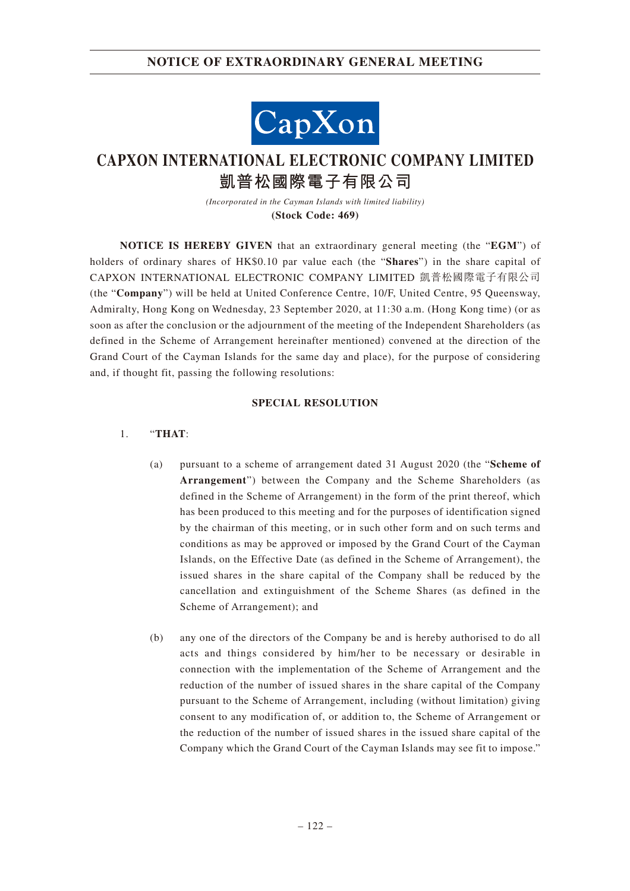## **NOTICE OF EXTRAORDINARY GENERAL MEETING**



# **CAPXON INTERNATIONAL ELECTRONIC COMPANY LIMITED 凱普松國際電子有限公司**

*(Incorporated in the Cayman Islands with limited liability)* **(Stock Code: 469)**

**NOTICE IS HEREBY GIVEN** that an extraordinary general meeting (the "**EGM**") of holders of ordinary shares of HK\$0.10 par value each (the "**Shares**") in the share capital of CAPXON INTERNATIONAL ELECTRONIC COMPANY LIMITED 凱普松國際電子有限公司 (the "**Company**") will be held at United Conference Centre, 10/F, United Centre, 95 Queensway, Admiralty, Hong Kong on Wednesday, 23 September 2020, at 11:30 a.m. (Hong Kong time) (or as soon as after the conclusion or the adjournment of the meeting of the Independent Shareholders (as defined in the Scheme of Arrangement hereinafter mentioned) convened at the direction of the Grand Court of the Cayman Islands for the same day and place), for the purpose of considering and, if thought fit, passing the following resolutions:

#### **SPECIAL RESOLUTION**

### 1. "**THAT**:

- (a) pursuant to a scheme of arrangement dated 31 August 2020 (the "**Scheme of Arrangement**") between the Company and the Scheme Shareholders (as defined in the Scheme of Arrangement) in the form of the print thereof, which has been produced to this meeting and for the purposes of identification signed by the chairman of this meeting, or in such other form and on such terms and conditions as may be approved or imposed by the Grand Court of the Cayman Islands, on the Effective Date (as defined in the Scheme of Arrangement), the issued shares in the share capital of the Company shall be reduced by the cancellation and extinguishment of the Scheme Shares (as defined in the Scheme of Arrangement); and
- (b) any one of the directors of the Company be and is hereby authorised to do all acts and things considered by him/her to be necessary or desirable in connection with the implementation of the Scheme of Arrangement and the reduction of the number of issued shares in the share capital of the Company pursuant to the Scheme of Arrangement, including (without limitation) giving consent to any modification of, or addition to, the Scheme of Arrangement or the reduction of the number of issued shares in the issued share capital of the Company which the Grand Court of the Cayman Islands may see fit to impose."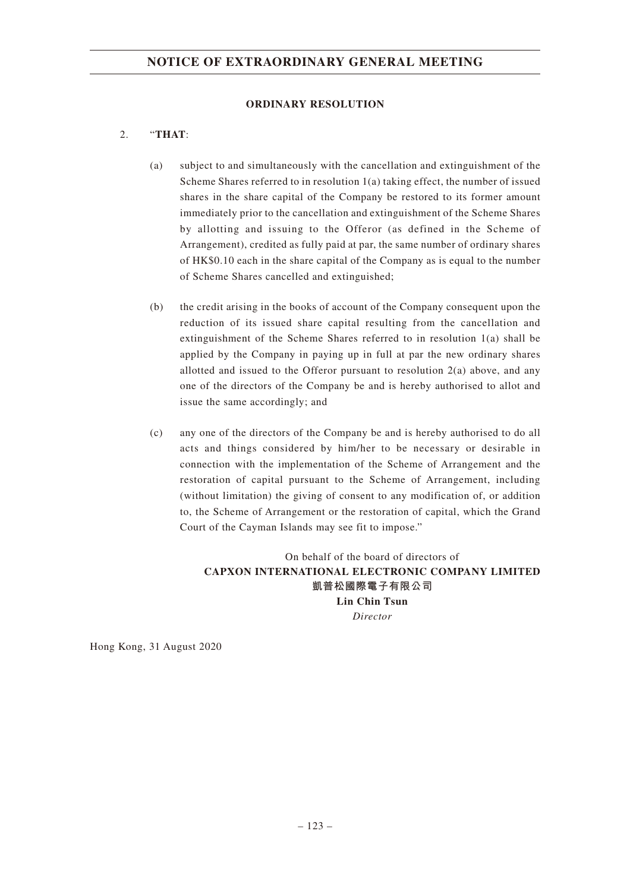#### **ORDINARY RESOLUTION**

## 2. "**THAT**:

- (a) subject to and simultaneously with the cancellation and extinguishment of the Scheme Shares referred to in resolution 1(a) taking effect, the number of issued shares in the share capital of the Company be restored to its former amount immediately prior to the cancellation and extinguishment of the Scheme Shares by allotting and issuing to the Offeror (as defined in the Scheme of Arrangement), credited as fully paid at par, the same number of ordinary shares of HK\$0.10 each in the share capital of the Company as is equal to the number of Scheme Shares cancelled and extinguished;
- (b) the credit arising in the books of account of the Company consequent upon the reduction of its issued share capital resulting from the cancellation and extinguishment of the Scheme Shares referred to in resolution 1(a) shall be applied by the Company in paying up in full at par the new ordinary shares allotted and issued to the Offeror pursuant to resolution 2(a) above, and any one of the directors of the Company be and is hereby authorised to allot and issue the same accordingly; and
- (c) any one of the directors of the Company be and is hereby authorised to do all acts and things considered by him/her to be necessary or desirable in connection with the implementation of the Scheme of Arrangement and the restoration of capital pursuant to the Scheme of Arrangement, including (without limitation) the giving of consent to any modification of, or addition to, the Scheme of Arrangement or the restoration of capital, which the Grand Court of the Cayman Islands may see fit to impose."

On behalf of the board of directors of **CAPXON INTERNATIONAL ELECTRONIC COMPANY LIMITED 凱普松國際電子有限公司 Lin Chin Tsun** *Director*

Hong Kong, 31 August 2020